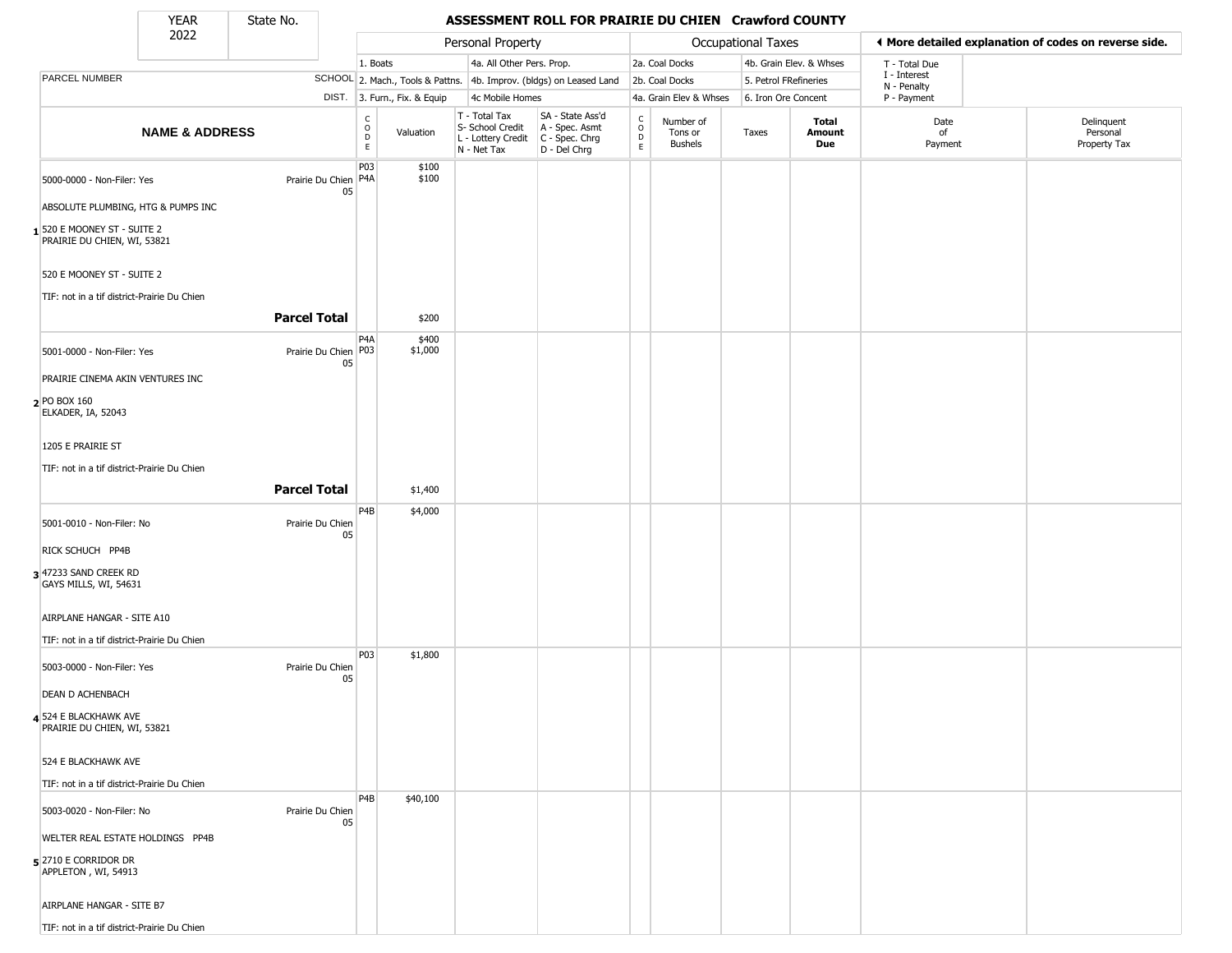State No.

Г

#### YEAR State No. **ASSESSMENT ROLL FOR PRAIRIE DU CHIEN Crawford COUNTY**

|                                                           | 2022                      |                     |                            |                                  |                              | Personal Property                                                      |                                                                      |                  |                                        | Occupational Taxes    |                         |                            | ◀ More detailed explanation of codes on reverse side. |
|-----------------------------------------------------------|---------------------------|---------------------|----------------------------|----------------------------------|------------------------------|------------------------------------------------------------------------|----------------------------------------------------------------------|------------------|----------------------------------------|-----------------------|-------------------------|----------------------------|-------------------------------------------------------|
|                                                           |                           |                     |                            | 1. Boats                         |                              | 4a. All Other Pers. Prop.                                              |                                                                      |                  | 2a. Coal Docks                         |                       | 4b. Grain Elev. & Whses | T - Total Due              |                                                       |
| PARCEL NUMBER                                             |                           |                     |                            |                                  |                              |                                                                        | SCHOOL 2. Mach., Tools & Pattns. 4b. Improv. (bldgs) on Leased Land  |                  | 2b. Coal Docks                         | 5. Petrol FRefineries |                         | I - Interest               |                                                       |
|                                                           |                           |                     |                            |                                  | DIST. 3. Furn., Fix. & Equip | 4c Mobile Homes                                                        |                                                                      |                  | 4a. Grain Elev & Whses                 | 6. Iron Ore Concent   |                         | N - Penalty<br>P - Payment |                                                       |
|                                                           | <b>NAME &amp; ADDRESS</b> |                     |                            | C<br>$\circ$<br>$\mathsf D$<br>E | Valuation                    | T - Total Tax<br>S- School Credit<br>L - Lottery Credit<br>N - Net Tax | SA - State Ass'd<br>A - Spec. Asmt<br>C - Spec. Chrg<br>D - Del Chrg | C<br>D<br>E<br>E | Number of<br>Tons or<br><b>Bushels</b> | Taxes                 | Total<br>Amount<br>Due  | Date<br>of<br>Payment      | Delinquent<br>Personal<br>Property Tax                |
| 5000-0000 - Non-Filer: Yes                                |                           |                     | Prairie Du Chien P4A<br>05 | P03                              | \$100<br>\$100               |                                                                        |                                                                      |                  |                                        |                       |                         |                            |                                                       |
| ABSOLUTE PLUMBING, HTG & PUMPS INC                        |                           |                     |                            |                                  |                              |                                                                        |                                                                      |                  |                                        |                       |                         |                            |                                                       |
| 1520 E MOONEY ST - SUITE 2<br>PRAIRIE DU CHIEN, WI, 53821 |                           |                     |                            |                                  |                              |                                                                        |                                                                      |                  |                                        |                       |                         |                            |                                                       |
| 520 E MOONEY ST - SUITE 2                                 |                           |                     |                            |                                  |                              |                                                                        |                                                                      |                  |                                        |                       |                         |                            |                                                       |
| TIF: not in a tif district-Prairie Du Chien               |                           | <b>Parcel Total</b> |                            |                                  | \$200                        |                                                                        |                                                                      |                  |                                        |                       |                         |                            |                                                       |
| 5001-0000 - Non-Filer: Yes                                |                           |                     | Prairie Du Chien P03<br>05 | P <sub>4</sub> A                 | \$400<br>\$1,000             |                                                                        |                                                                      |                  |                                        |                       |                         |                            |                                                       |
| PRAIRIE CINEMA AKIN VENTURES INC                          |                           |                     |                            |                                  |                              |                                                                        |                                                                      |                  |                                        |                       |                         |                            |                                                       |
| 2 PO BOX 160<br>ELKADER, IA, 52043                        |                           |                     |                            |                                  |                              |                                                                        |                                                                      |                  |                                        |                       |                         |                            |                                                       |
| 1205 E PRAIRIE ST                                         |                           |                     |                            |                                  |                              |                                                                        |                                                                      |                  |                                        |                       |                         |                            |                                                       |
| TIF: not in a tif district-Prairie Du Chien               |                           |                     |                            |                                  |                              |                                                                        |                                                                      |                  |                                        |                       |                         |                            |                                                       |
|                                                           |                           | <b>Parcel Total</b> |                            | P4B                              | \$1,400<br>\$4,000           |                                                                        |                                                                      |                  |                                        |                       |                         |                            |                                                       |
| 5001-0010 - Non-Filer: No                                 |                           |                     | Prairie Du Chien<br>05     |                                  |                              |                                                                        |                                                                      |                  |                                        |                       |                         |                            |                                                       |
| RICK SCHUCH PP4B                                          |                           |                     |                            |                                  |                              |                                                                        |                                                                      |                  |                                        |                       |                         |                            |                                                       |
| 3 47233 SAND CREEK RD<br>GAYS MILLS, WI, 54631            |                           |                     |                            |                                  |                              |                                                                        |                                                                      |                  |                                        |                       |                         |                            |                                                       |
| AIRPLANE HANGAR - SITE A10                                |                           |                     |                            |                                  |                              |                                                                        |                                                                      |                  |                                        |                       |                         |                            |                                                       |
| TIF: not in a tif district-Prairie Du Chien               |                           |                     |                            | P <sub>0</sub> 3                 | \$1,800                      |                                                                        |                                                                      |                  |                                        |                       |                         |                            |                                                       |
| 5003-0000 - Non-Filer: Yes                                |                           |                     | Prairie Du Chien<br>05     |                                  |                              |                                                                        |                                                                      |                  |                                        |                       |                         |                            |                                                       |
| <b>DEAN D ACHENBACH</b>                                   |                           |                     |                            |                                  |                              |                                                                        |                                                                      |                  |                                        |                       |                         |                            |                                                       |
| 4 524 E BLACKHAWK AVE<br>PRAIRIE DU CHIEN, WI, 53821      |                           |                     |                            |                                  |                              |                                                                        |                                                                      |                  |                                        |                       |                         |                            |                                                       |
| 524 E BLACKHAWK AVE                                       |                           |                     |                            |                                  |                              |                                                                        |                                                                      |                  |                                        |                       |                         |                            |                                                       |
| TIF: not in a tif district-Prairie Du Chien               |                           |                     |                            | P4B                              | \$40,100                     |                                                                        |                                                                      |                  |                                        |                       |                         |                            |                                                       |
| 5003-0020 - Non-Filer: No                                 |                           |                     | Prairie Du Chien<br>05     |                                  |                              |                                                                        |                                                                      |                  |                                        |                       |                         |                            |                                                       |
| WELTER REAL ESTATE HOLDINGS PP4B                          |                           |                     |                            |                                  |                              |                                                                        |                                                                      |                  |                                        |                       |                         |                            |                                                       |
| $5$ 2710 E CORRIDOR DR<br>APPLETON, WI, 54913             |                           |                     |                            |                                  |                              |                                                                        |                                                                      |                  |                                        |                       |                         |                            |                                                       |
| AIRPLANE HANGAR - SITE B7                                 |                           |                     |                            |                                  |                              |                                                                        |                                                                      |                  |                                        |                       |                         |                            |                                                       |
| TIF: not in a tif district-Prairie Du Chien               |                           |                     |                            |                                  |                              |                                                                        |                                                                      |                  |                                        |                       |                         |                            |                                                       |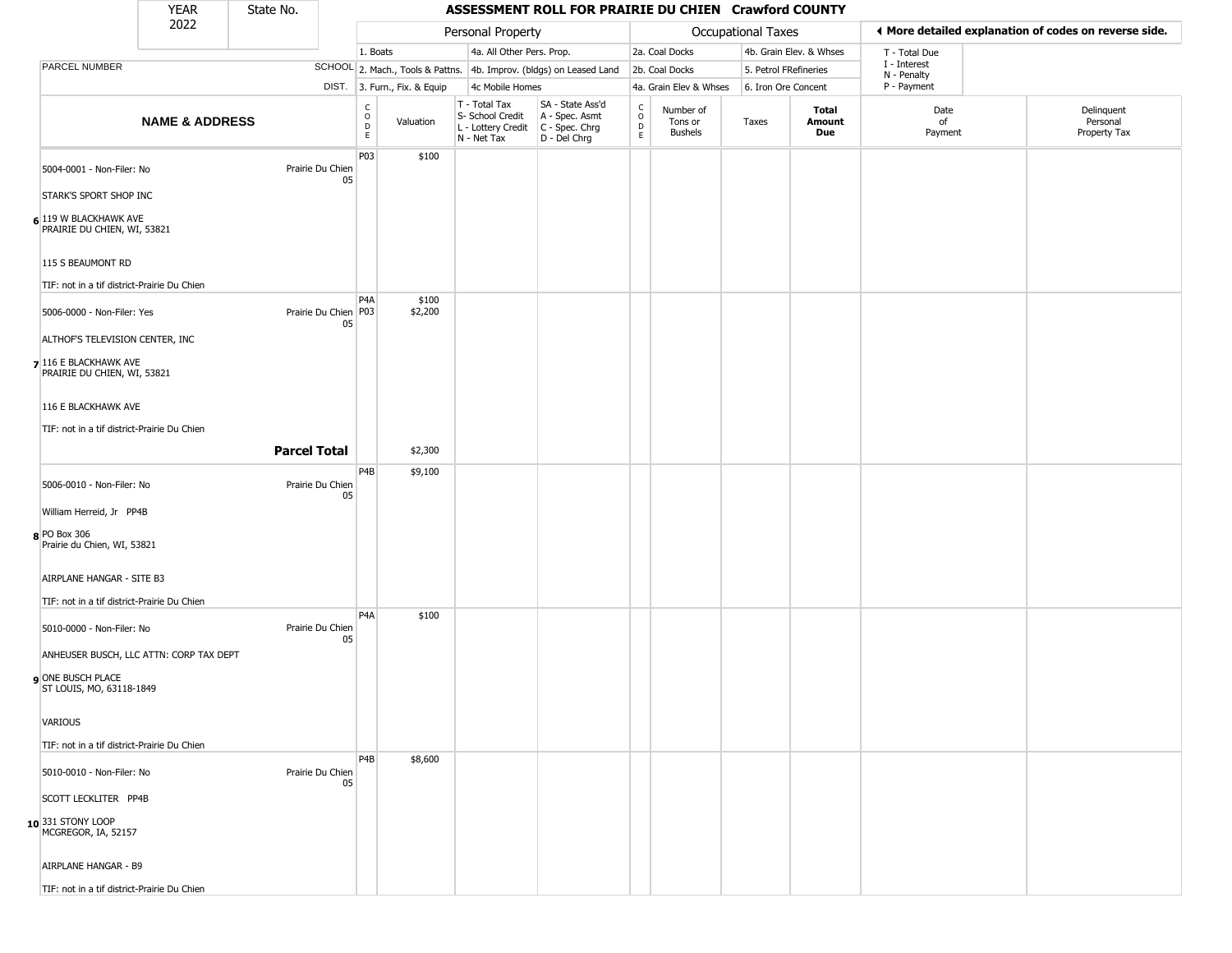| YFAR | State No. |
|------|-----------|
| ררחר |           |

|                                                      | <b>YEAR</b>               | State No.           |                                |                                                            |                              |                                                                                         | ASSESSMENT ROLL FOR PRAIRIE DU CHIEN Crawford COUNTY                |                         |                                        |                       |                         |                             |                                                       |
|------------------------------------------------------|---------------------------|---------------------|--------------------------------|------------------------------------------------------------|------------------------------|-----------------------------------------------------------------------------------------|---------------------------------------------------------------------|-------------------------|----------------------------------------|-----------------------|-------------------------|-----------------------------|-------------------------------------------------------|
|                                                      | 2022                      |                     |                                |                                                            |                              | Personal Property                                                                       |                                                                     |                         |                                        | Occupational Taxes    |                         |                             | ♦ More detailed explanation of codes on reverse side. |
|                                                      |                           |                     |                                | 1. Boats                                                   |                              | 4a. All Other Pers. Prop.                                                               |                                                                     |                         | 2a. Coal Docks                         |                       | 4b. Grain Elev. & Whses | T - Total Due               |                                                       |
| PARCEL NUMBER                                        |                           |                     |                                |                                                            |                              |                                                                                         | SCHOOL 2. Mach., Tools & Pattns. 4b. Improv. (bldgs) on Leased Land |                         | 2b. Coal Docks                         | 5. Petrol FRefineries |                         | I - Interest<br>N - Penalty |                                                       |
|                                                      |                           |                     |                                |                                                            | DIST. 3. Furn., Fix. & Equip | 4c Mobile Homes                                                                         |                                                                     |                         | 4a. Grain Elev & Whses                 | 6. Iron Ore Concent   |                         | P - Payment                 |                                                       |
|                                                      | <b>NAME &amp; ADDRESS</b> |                     |                                | $\overset{\mathsf{C}}{\underset{\mathsf{D}}{\circ}}$<br>E. | Valuation                    | T - Total Tax<br>S- School Credit<br>L - Lottery Credit   C - Spec. Chrg<br>N - Net Tax | SA - State Ass'd<br>A - Spec. Asmt<br>D - Del Chrg                  | C<br>$\circ$<br>D<br>E. | Number of<br>Tons or<br><b>Bushels</b> | Taxes                 | Total<br>Amount<br>Due  | Date<br>of<br>Payment       | Delinquent<br>Personal<br>Property Tax                |
| 5004-0001 - Non-Filer: No                            |                           |                     | Prairie Du Chien<br>05         | P03                                                        | \$100                        |                                                                                         |                                                                     |                         |                                        |                       |                         |                             |                                                       |
| STARK'S SPORT SHOP INC                               |                           |                     |                                |                                                            |                              |                                                                                         |                                                                     |                         |                                        |                       |                         |                             |                                                       |
| 6 119 W BLACKHAWK AVE<br>PRAIRIE DU CHIEN, WI, 53821 |                           |                     |                                |                                                            |                              |                                                                                         |                                                                     |                         |                                        |                       |                         |                             |                                                       |
| 115 S BEAUMONT RD                                    |                           |                     |                                |                                                            |                              |                                                                                         |                                                                     |                         |                                        |                       |                         |                             |                                                       |
| TIF: not in a tif district-Prairie Du Chien          |                           |                     |                                |                                                            |                              |                                                                                         |                                                                     |                         |                                        |                       |                         |                             |                                                       |
| 5006-0000 - Non-Filer: Yes                           |                           |                     | Prairie Du Chien   P03  <br>05 | P <sub>4</sub> A                                           | \$100<br>\$2,200             |                                                                                         |                                                                     |                         |                                        |                       |                         |                             |                                                       |
| ALTHOF'S TELEVISION CENTER, INC                      |                           |                     |                                |                                                            |                              |                                                                                         |                                                                     |                         |                                        |                       |                         |                             |                                                       |
| 7 116 E BLACKHAWK AVE<br>PRAIRIE DU CHIEN, WI, 53821 |                           |                     |                                |                                                            |                              |                                                                                         |                                                                     |                         |                                        |                       |                         |                             |                                                       |
| 116 E BLACKHAWK AVE                                  |                           |                     |                                |                                                            |                              |                                                                                         |                                                                     |                         |                                        |                       |                         |                             |                                                       |
| TIF: not in a tif district-Prairie Du Chien          |                           |                     |                                |                                                            |                              |                                                                                         |                                                                     |                         |                                        |                       |                         |                             |                                                       |
|                                                      |                           | <b>Parcel Total</b> |                                |                                                            | \$2,300                      |                                                                                         |                                                                     |                         |                                        |                       |                         |                             |                                                       |
| 5006-0010 - Non-Filer: No                            |                           |                     | Prairie Du Chien<br>05         | P4B                                                        | \$9,100                      |                                                                                         |                                                                     |                         |                                        |                       |                         |                             |                                                       |
| William Herreid, Jr PP4B                             |                           |                     |                                |                                                            |                              |                                                                                         |                                                                     |                         |                                        |                       |                         |                             |                                                       |
| 8 PO Box 306<br>Prairie du Chien, WI, 53821          |                           |                     |                                |                                                            |                              |                                                                                         |                                                                     |                         |                                        |                       |                         |                             |                                                       |
| AIRPLANE HANGAR - SITE B3                            |                           |                     |                                |                                                            |                              |                                                                                         |                                                                     |                         |                                        |                       |                         |                             |                                                       |
| TIF: not in a tif district-Prairie Du Chien          |                           |                     |                                | P <sub>4</sub> A                                           | \$100                        |                                                                                         |                                                                     |                         |                                        |                       |                         |                             |                                                       |
| 5010-0000 - Non-Filer: No                            |                           |                     | Prairie Du Chien<br>05         |                                                            |                              |                                                                                         |                                                                     |                         |                                        |                       |                         |                             |                                                       |
| ANHEUSER BUSCH, LLC ATTN: CORP TAX DEPT              |                           |                     |                                |                                                            |                              |                                                                                         |                                                                     |                         |                                        |                       |                         |                             |                                                       |
| ONE BUSCH PLACE<br>ST LOUIS, MO, 63118-1849          |                           |                     |                                |                                                            |                              |                                                                                         |                                                                     |                         |                                        |                       |                         |                             |                                                       |
| VARIOUS                                              |                           |                     |                                |                                                            |                              |                                                                                         |                                                                     |                         |                                        |                       |                         |                             |                                                       |
| TIF: not in a tif district-Prairie Du Chien          |                           |                     |                                |                                                            |                              |                                                                                         |                                                                     |                         |                                        |                       |                         |                             |                                                       |
| 5010-0010 - Non-Filer: No                            |                           |                     | Prairie Du Chien<br>05         | P <sub>4</sub> B                                           | \$8,600                      |                                                                                         |                                                                     |                         |                                        |                       |                         |                             |                                                       |
| SCOTT LECKLITER PP4B                                 |                           |                     |                                |                                                            |                              |                                                                                         |                                                                     |                         |                                        |                       |                         |                             |                                                       |
| 10 331 STONY LOOP<br>MCGREGOR, IA, 52157             |                           |                     |                                |                                                            |                              |                                                                                         |                                                                     |                         |                                        |                       |                         |                             |                                                       |
| AIRPLANE HANGAR - B9                                 |                           |                     |                                |                                                            |                              |                                                                                         |                                                                     |                         |                                        |                       |                         |                             |                                                       |
| TIF: not in a tif district-Prairie Du Chien          |                           |                     |                                |                                                            |                              |                                                                                         |                                                                     |                         |                                        |                       |                         |                             |                                                       |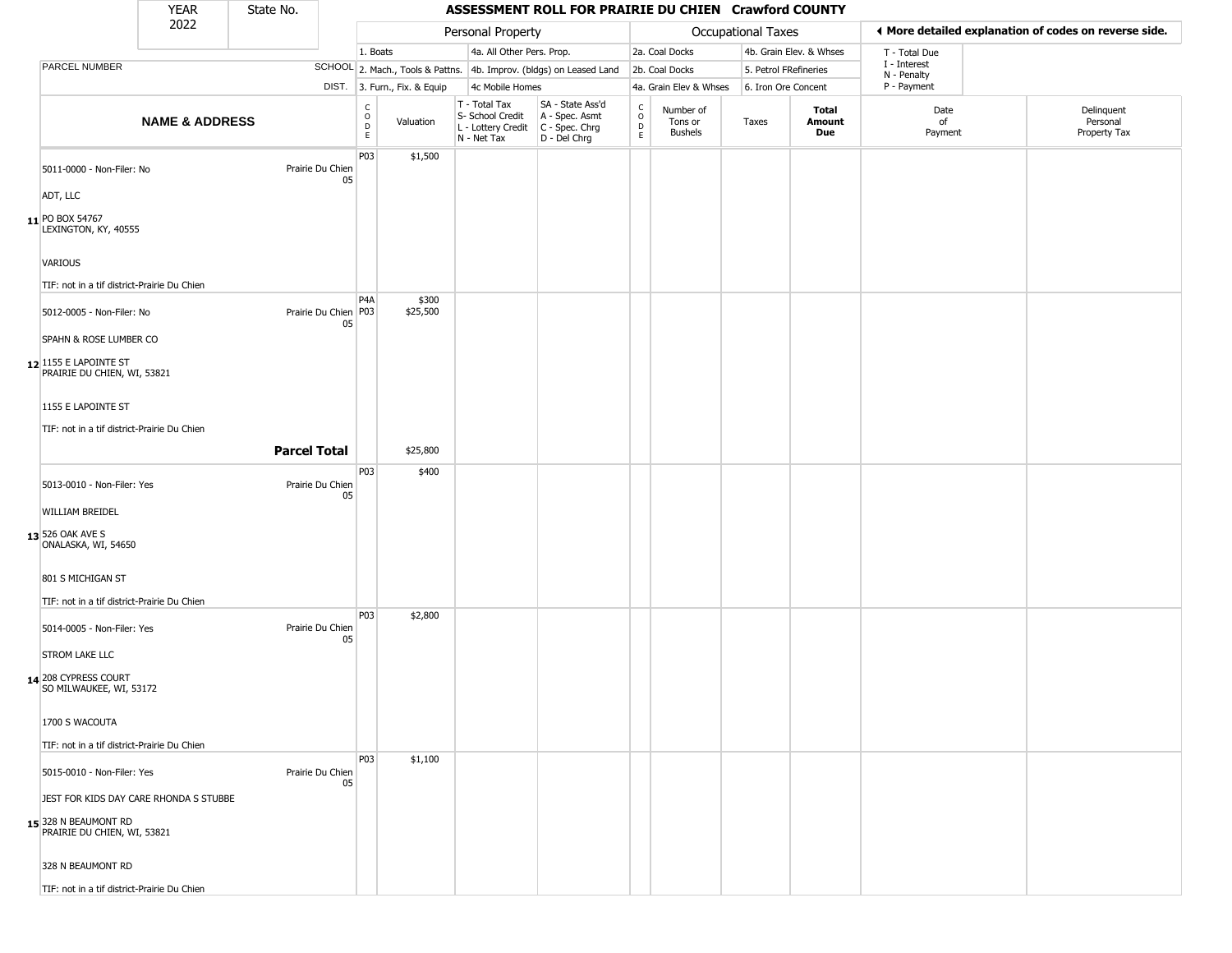| <b>YEAR</b> | State No. |
|-------------|-----------|
| ררחר        |           |

|                                                                                               | <b>YEAR</b>               | State No.           |                            |                        |                              |                                                                        | ASSESSMENT ROLL FOR PRAIRIE DU CHIEN Crawford COUNTY                 |                                     |                                 |                       |                               |                             |                                                       |
|-----------------------------------------------------------------------------------------------|---------------------------|---------------------|----------------------------|------------------------|------------------------------|------------------------------------------------------------------------|----------------------------------------------------------------------|-------------------------------------|---------------------------------|-----------------------|-------------------------------|-----------------------------|-------------------------------------------------------|
|                                                                                               | 2022                      |                     |                            |                        |                              | Personal Property                                                      |                                                                      |                                     |                                 | Occupational Taxes    |                               |                             | ♦ More detailed explanation of codes on reverse side. |
|                                                                                               |                           |                     |                            | 1. Boats               |                              | 4a. All Other Pers. Prop.                                              |                                                                      |                                     | 2a. Coal Docks                  |                       | 4b. Grain Elev. & Whses       | T - Total Due               |                                                       |
| PARCEL NUMBER                                                                                 |                           |                     |                            |                        |                              |                                                                        | SCHOOL 2. Mach., Tools & Pattns. 4b. Improv. (bldgs) on Leased Land  |                                     | 2b. Coal Docks                  | 5. Petrol FRefineries |                               | I - Interest<br>N - Penalty |                                                       |
|                                                                                               |                           |                     |                            |                        | DIST. 3. Furn., Fix. & Equip | 4c Mobile Homes                                                        |                                                                      |                                     | 4a. Grain Elev & Whses          | 6. Iron Ore Concent   |                               | P - Payment                 |                                                       |
|                                                                                               | <b>NAME &amp; ADDRESS</b> |                     |                            | C<br>$\circ$<br>D<br>E | Valuation                    | T - Total Tax<br>S- School Credit<br>L - Lottery Credit<br>N - Net Tax | SA - State Ass'd<br>A - Spec. Asmt<br>C - Spec. Chrg<br>D - Del Chrg | $\int_{0}^{c}$<br>$\mathsf{D}$<br>E | Number of<br>Tons or<br>Bushels | Taxes                 | <b>Total</b><br>Amount<br>Due | Date<br>of<br>Payment       | Delinquent<br>Personal<br>Property Tax                |
| 5011-0000 - Non-Filer: No                                                                     |                           |                     | Prairie Du Chien<br>05     | P03                    | \$1,500                      |                                                                        |                                                                      |                                     |                                 |                       |                               |                             |                                                       |
| ADT, LLC                                                                                      |                           |                     |                            |                        |                              |                                                                        |                                                                      |                                     |                                 |                       |                               |                             |                                                       |
| 11 PO BOX 54767<br>LEXINGTON, KY, 40555                                                       |                           |                     |                            |                        |                              |                                                                        |                                                                      |                                     |                                 |                       |                               |                             |                                                       |
| VARIOUS                                                                                       |                           |                     |                            |                        |                              |                                                                        |                                                                      |                                     |                                 |                       |                               |                             |                                                       |
| TIF: not in a tif district-Prairie Du Chien                                                   |                           |                     |                            |                        |                              |                                                                        |                                                                      |                                     |                                 |                       |                               |                             |                                                       |
| 5012-0005 - Non-Filer: No                                                                     |                           |                     | Prairie Du Chien P03<br>05 | P <sub>4</sub> A       | \$300<br>\$25,500            |                                                                        |                                                                      |                                     |                                 |                       |                               |                             |                                                       |
| SPAHN & ROSE LUMBER CO                                                                        |                           |                     |                            |                        |                              |                                                                        |                                                                      |                                     |                                 |                       |                               |                             |                                                       |
| 12 1155 E LAPOINTE ST<br>PRAIRIE DU CHIEN, WI, 53821                                          |                           |                     |                            |                        |                              |                                                                        |                                                                      |                                     |                                 |                       |                               |                             |                                                       |
| 1155 E LAPOINTE ST                                                                            |                           |                     |                            |                        |                              |                                                                        |                                                                      |                                     |                                 |                       |                               |                             |                                                       |
| TIF: not in a tif district-Prairie Du Chien                                                   |                           |                     |                            |                        |                              |                                                                        |                                                                      |                                     |                                 |                       |                               |                             |                                                       |
|                                                                                               |                           | <b>Parcel Total</b> |                            |                        | \$25,800                     |                                                                        |                                                                      |                                     |                                 |                       |                               |                             |                                                       |
| 5013-0010 - Non-Filer: Yes                                                                    |                           |                     | Prairie Du Chien           | P03                    | \$400                        |                                                                        |                                                                      |                                     |                                 |                       |                               |                             |                                                       |
| WILLIAM BREIDEL                                                                               |                           |                     | 05                         |                        |                              |                                                                        |                                                                      |                                     |                                 |                       |                               |                             |                                                       |
| 13 526 OAK AVE S<br>ONALASKA, WI, 54650                                                       |                           |                     |                            |                        |                              |                                                                        |                                                                      |                                     |                                 |                       |                               |                             |                                                       |
| 801 S MICHIGAN ST                                                                             |                           |                     |                            |                        |                              |                                                                        |                                                                      |                                     |                                 |                       |                               |                             |                                                       |
| TIF: not in a tif district-Prairie Du Chien                                                   |                           |                     |                            |                        |                              |                                                                        |                                                                      |                                     |                                 |                       |                               |                             |                                                       |
| 5014-0005 - Non-Filer: Yes                                                                    |                           |                     | Prairie Du Chien<br>05     | P03                    | \$2,800                      |                                                                        |                                                                      |                                     |                                 |                       |                               |                             |                                                       |
| <b>STROM LAKE LLC</b>                                                                         |                           |                     |                            |                        |                              |                                                                        |                                                                      |                                     |                                 |                       |                               |                             |                                                       |
| 14 208 CYPRESS COURT<br>SO MILWAUKEE, WI, 53172                                               |                           |                     |                            |                        |                              |                                                                        |                                                                      |                                     |                                 |                       |                               |                             |                                                       |
| 1700 S WACOUTA                                                                                |                           |                     |                            |                        |                              |                                                                        |                                                                      |                                     |                                 |                       |                               |                             |                                                       |
| TIF: not in a tif district-Prairie Du Chien                                                   |                           |                     |                            |                        |                              |                                                                        |                                                                      |                                     |                                 |                       |                               |                             |                                                       |
| 5015-0010 - Non-Filer: Yes                                                                    |                           |                     | Prairie Du Chien<br>05     | <b>P03</b>             | \$1,100                      |                                                                        |                                                                      |                                     |                                 |                       |                               |                             |                                                       |
| JEST FOR KIDS DAY CARE RHONDA S STUBBE<br>15 328 N BEAUMONT RD<br>PRAIRIE DU CHIEN, WI, 53821 |                           |                     |                            |                        |                              |                                                                        |                                                                      |                                     |                                 |                       |                               |                             |                                                       |
| 328 N BEAUMONT RD                                                                             |                           |                     |                            |                        |                              |                                                                        |                                                                      |                                     |                                 |                       |                               |                             |                                                       |
| TIF: not in a tif district-Prairie Du Chien                                                   |                           |                     |                            |                        |                              |                                                                        |                                                                      |                                     |                                 |                       |                               |                             |                                                       |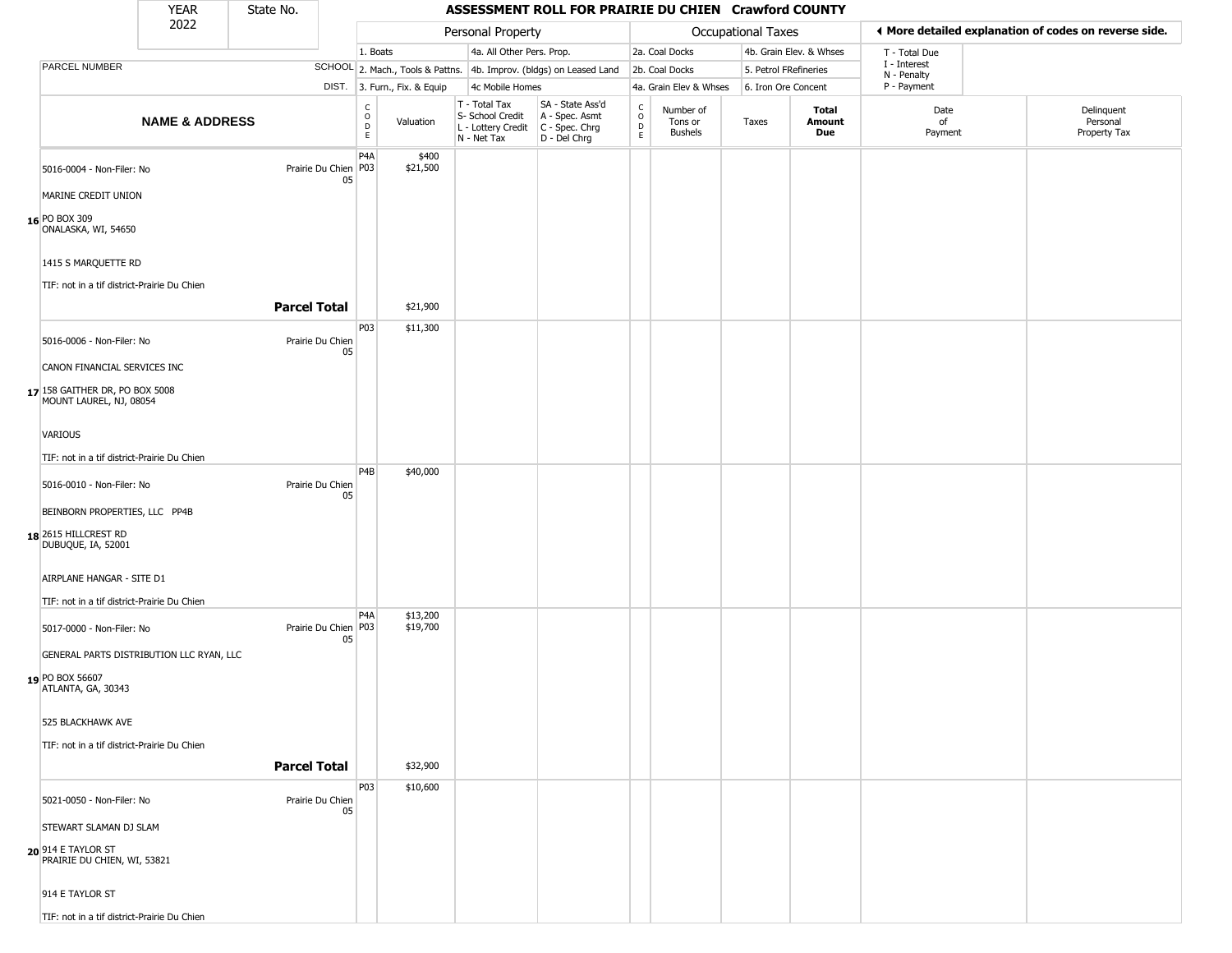#### YEAR **ASSESSMENT ROLL FOR PRAIRIE DU CHIEN Crawford COUNTY** 2022 DIST. 3. Furn., Fix. & Equip PARCEL NUMBER **NAME & ADDRESS** State No. C O D E Valuation T - Total Tax S- School Credit A - Spec. Asmt L - Lottery Credit C - Spec. Chrg N - Net Tax SA - State Ass'd D - Del Chrg C O D E Number of Tons or Bushels Taxes **Total Amount Due** Date of Payment Delinquent Personal Property Tax Personal Property **Calculational Taxes** 1. Boats **4a. All Other Pers. Prop.** 2a. Coal Docks 4b. Grain Elev. & Whses SCHOOL 2. Mach., Tools & Pattns. 4b. Improv. (bldgs) on Leased Land 2b. Coal Docks 5. Petrol FRefineries 4c Mobile Homes 4a. Grain Elev & Whses 6. Iron Ore Concent T - Total Due I - Interest N - Penalty P - Payment 3**More detailed explanation of codes on reverse side. 16** PO BOX 309 5016-0004 - Non-Filer: No 05 MARINE CREDIT UNION ONALASKA, WI, 54650 1415 S MARQUETTE RD TIF: not in a tif district-Prairie Du Chien P4A Prairie Du Chien | P03 \$400 \$21,500 **Parcel Total** \$21,900 **17** 158 GAITHER DR, PO BOX 5008 5016-0006 - Non-Filer: No Prairie Du Chien 05 CANON FINANCIAL SERVICES INC MOUNT LAUREL, NJ, 08054 VARIOUS TIF: not in a tif district-Prairie Du Chien P03 \$11,300 **18** 2615 HILLCREST RD 5016-0010 - Non-Filer: No Prairie Du Chien 05 BEINBORN PROPERTIES, LLC PP4B DUBUQUE, IA, 52001 AIRPLANE HANGAR - SITE D1 TIF: not in a tif district-Prairie Du Chien P4B \$40,000 **19** PO BOX 56607 5017-0000 - Non-Filer: No 05 GENERAL PARTS DISTRIBUTION LLC RYAN, LLC ATLANTA, GA, 30343 525 BLACKHAWK AVE TIF: not in a tif district-Prairie Du Chien  $PA<sub>A</sub>$ Prairie Du Chien P03 \$13,200 \$19,700 **Parcel Total** | \$32,900 **20** 914 E TAYLOR ST 5021-0050 - Non-Filer: No Prairie Du Chien 05 STEWART SLAMAN DJ SLAM PRAIRIE DU CHIEN, WI, 53821 P03 \$10,600

TIF: not in a tif district-Prairie Du Chien

914 E TAYLOR ST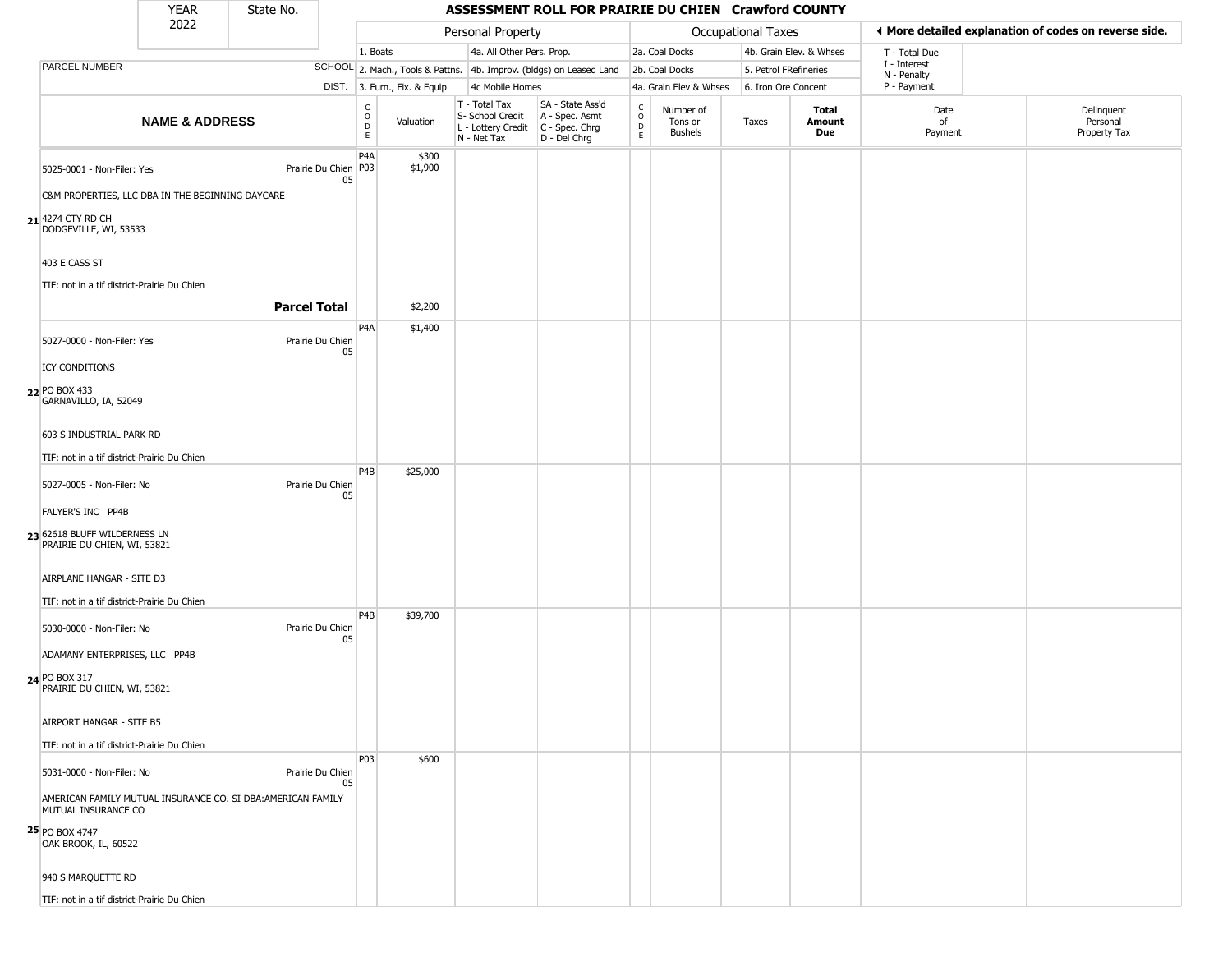#### YEAR **ASSESSMENT ROLL FOR PRAIRIE DU CHIEN Crawford COUNTY** 2022 DIST. 3. Furn., Fix. & Equip PARCEL NUMBER **NAME & ADDRESS** State No. C O D E Valuation T - Total Tax S- School Credit A - Spec. Asmt L - Lottery Credit C - Spec. Chrg N - Net Tax SA - State Ass'd D - Del Chrg C O D E Number of Tons or Bushels Taxes **Total Amount Due** Date of Payment Delinquent Personal Property Tax Personal Property **Calculational Taxes** 1. Boats **4a. All Other Pers. Prop.** 2a. Coal Docks 4b. Grain Elev. & Whses SCHOOL 2. Mach., Tools & Pattns. 4b. Improv. (bldgs) on Leased Land 2b. Coal Docks 5. Petrol FRefineries 4c Mobile Homes 4a. Grain Elev & Whses 6. Iron Ore Concent T - Total Due I - Interest N - Penalty P - Payment 3**More detailed explanation of codes on reverse side. 21** 4274 CTY RD CH 5025-0001 - Non-Filer: Yes 05 C&M PROPERTIES, LLC DBA IN THE BEGINNING DAYCARE DODGEVILLE, WI, 53533 403 E CASS ST TIF: not in a tif district-Prairie Du Chien P4A Prairie Du Chien P03 \$300 \$1,900 **Parcel Total** 1 \$2,200 **22** PO BOX 433 5027-0000 - Non-Filer: Yes Prairie Du Chien 05 ICY CONDITIONS GARNAVILLO, IA, 52049 603 S INDUSTRIAL PARK RD TIF: not in a tif district-Prairie Du Chien P4A \$1,400 **23** 62618 BLUFF WILDERNESS LN 5027-0005 - Non-Filer: No Prairie Du Chien 05 FALYER'S INC PP4B PRAIRIE DU CHIEN, WI, 53821 AIRPLANE HANGAR - SITE D3 TIF: not in a tif district-Prairie Du Chien P4B \$25,000 **24** PO BOX 317 5030-0000 - Non-Filer: No Prairie Du Chien 05 ADAMANY ENTERPRISES, LLC PP4B PRAIRIE DU CHIEN, WI, 53821 AIRPORT HANGAR - SITE B5 TIF: not in a tif district-Prairie Du Chien P4B \$39,700 **25** PO BOX 4747 5031-0000 - Non-Filer: No Prairie Du Chien 05 AMERICAN FAMILY MUTUAL INSURANCE CO. SI DBA:AMERICAN FAMILY MUTUAL INSURANCE CO OAK BROOK, IL, 60522 P03 \$600

TIF: not in a tif district-Prairie Du Chien

940 S MARQUETTE RD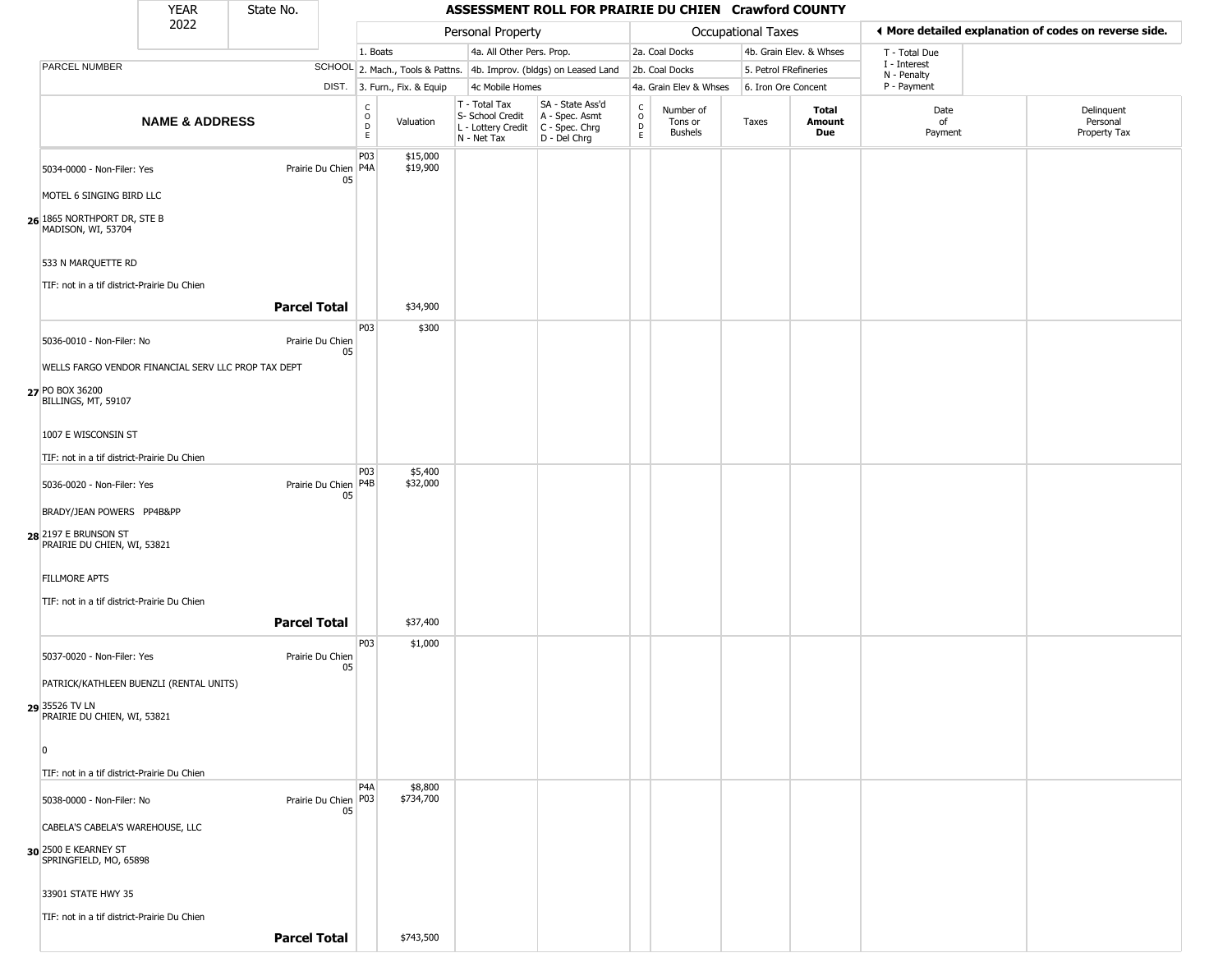#### YEAR **ASSESSMENT ROLL FOR PRAIRIE DU CHIEN Crawford COUNTY** 2022 DIST. 3. Furn., Fix. & Equip PARCEL NUMBER **NAME & ADDRESS** State No. C O D E Valuation T - Total Tax S- School Credit A - Spec. Asmt L - Lottery Credit C - Spec. Chrg N - Net Tax SA - State Ass'd D - Del Chrg C O D E Number of Tons or Bushels Taxes **Total Amount Due** Date of Payment Delinquent Personal Property Tax Personal Property **Calculational Taxes** 1. Boats **4a. All Other Pers. Prop.** 2a. Coal Docks 4b. Grain Elev. & Whses SCHOOL 2. Mach., Tools & Pattns. 4b. Improv. (bldgs) on Leased Land 2b. Coal Docks 5. Petrol FRefineries 4c Mobile Homes 4a. Grain Elev & Whses 6. Iron Ore Concent T - Total Due I - Interest N - Penalty P - Payment 3**More detailed explanation of codes on reverse side. 26** 1865 NORTHPORT DR, STE B 5034-0000 - Non-Filer: Yes 05 MOTEL 6 SINGING BIRD LLC MADISON, WI, 53704 533 N MARQUETTE RD TIF: not in a tif district-Prairie Du Chien P03 Prairie Du Chien P4A \$15,000 \$19,900 **Parcel Total** 1 \$34,900 **27** PO BOX 36200 5036-0010 - Non-Filer: No Prairie Du Chien 05 WELLS FARGO VENDOR FINANCIAL SERV LLC PROP TAX DEPT BILLINGS, MT, 59107 1007 E WISCONSIN ST TIF: not in a tif district-Prairie Du Chien P03 \$300 **28** 2197 E BRUNSON ST 5036-0020 - Non-Filer: Yes Prairie Du Chien P4B 05 BRADY/JEAN POWERS PP4B&PP PRAIRIE DU CHIEN, WI, 53821 FILLMORE APTS TIF: not in a tif district-Prairie Du Chien P03 \$5,400 \$32,000 **Parcel Total** 1 \$37,400 **29** 35526 TV LN 5037-0020 - Non-Filer: Yes **Prairie Du Chien** 05 PATRICK/KATHLEEN BUENZLI (RENTAL UNITS) PRAIRIE DU CHIEN, WI, 53821 0 TIF: not in a tif district-Prairie Du Chien P03 \$1,000 **30** 2500 E KEARNEY ST 5038-0000 - Non-Filer: No 05 CABELA'S CABELA'S WAREHOUSE, LLC SPRINGFIELD, MO, 65898 33901 STATE HWY 35 TIF: not in a tif district-Prairie Du Chien P4A Prairie Du Chien P03 \$8,800 \$734,700

**Parcel Total** \$743,500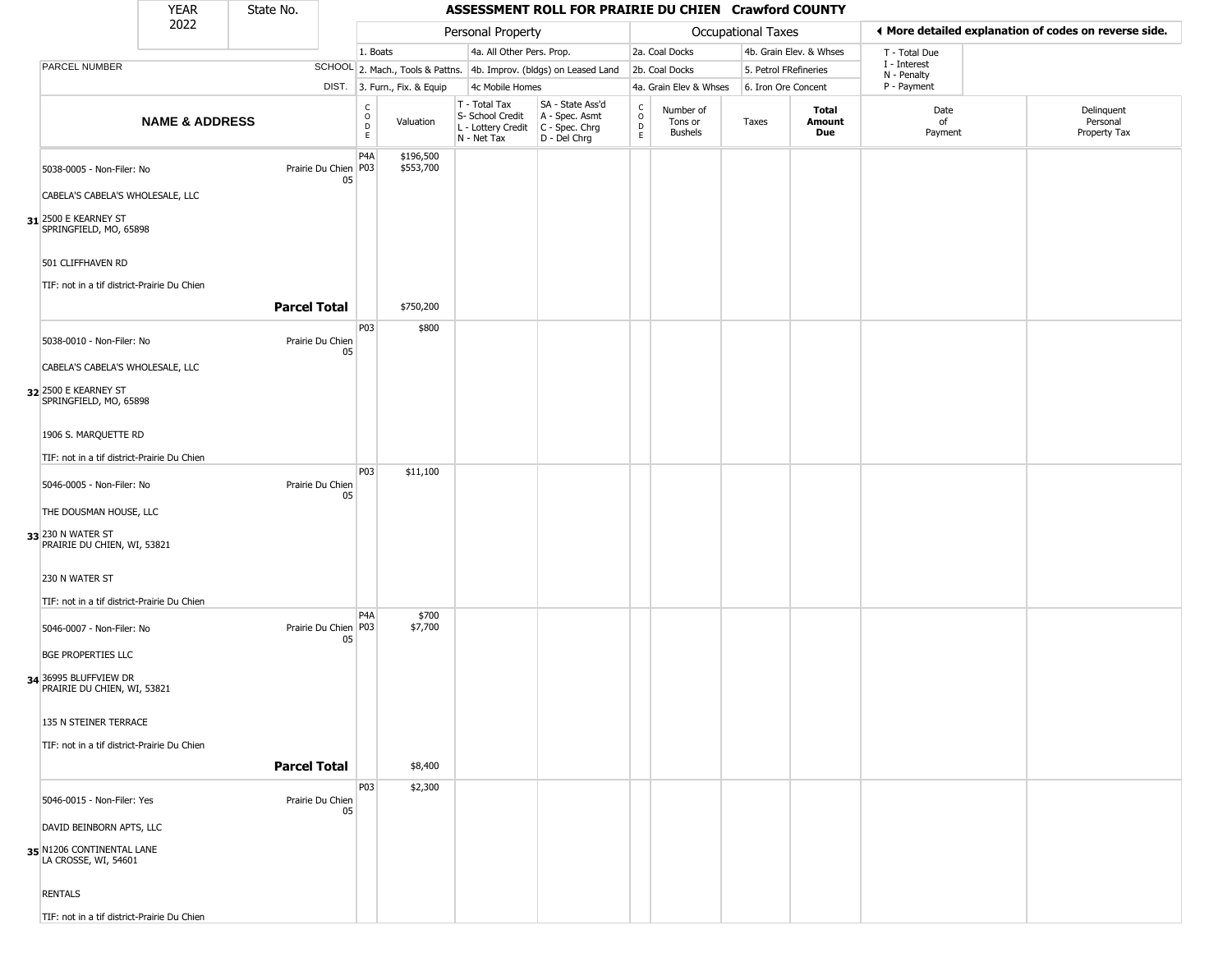#### YEAR **ASSESSMENT ROLL FOR PRAIRIE DU CHIEN Crawford COUNTY** 2022 DIST. 3. Furn., Fix. & Equip PARCEL NUMBER **NAME & ADDRESS** State No. C O D E Valuation T - Total Tax S- School Credit A - Spec. Asmt L - Lottery Credit C - Spec. Chrg N - Net Tax SA - State Ass'd D - Del Chrg C O D E Number of Tons or Bushels Taxes **Total Amount Due** Date of Payment Delinquent Personal Property Tax Personal Property **Calculational Taxes** 1. Boats **4a. All Other Pers. Prop.** 2a. Coal Docks 4b. Grain Elev. & Whses SCHOOL 2. Mach., Tools & Pattns. 4b. Improv. (bldgs) on Leased Land 2b. Coal Docks 5. Petrol FRefineries 4c Mobile Homes 4a. Grain Elev & Whses 6. Iron Ore Concent T - Total Due I - Interest N - Penalty P - Payment 3**More detailed explanation of codes on reverse side. 31** 2500 E KEARNEY ST 5038-0005 - Non-Filer: No 05 CABELA'S CABELA'S WHOLESALE, LLC SPRINGFIELD, MO, 65898 501 CLIFFHAVEN RD TIF: not in a tif district-Prairie Du Chien P4A Prairie Du Chien | P03 \$196,500 \$553,700 **Parcel Total | \$750,200 32** 2500 E KEARNEY ST 5038-0010 - Non-Filer: No Prairie Du Chien 05 CABELA'S CABELA'S WHOLESALE, LLC SPRINGFIELD, MO, 65898 1906 S. MARQUETTE RD TIF: not in a tif district-Prairie Du Chien P03 \$800 **33** 230 N WATER ST 5046-0005 - Non-Filer: No Prairie Du Chien 05 THE DOUSMAN HOUSE, LLC PRAIRIE DU CHIEN, WI, 53821 230 N WATER ST TIF: not in a tif district-Prairie Du Chien P03 \$11,100 **34** 36995 BLUFFVIEW DR 5046-0007 - Non-Filer: No 05 BGE PROPERTIES LLC PRAIRIE DU CHIEN, WI, 53821 135 N STEINER TERRACE TIF: not in a tif district-Prairie Du Chien  $PA<sub>A</sub>$ Prairie Du Chien | P03 \$700 \$7,700 **Parcel Total** \$8,400 **35** N1206 CONTINENTAL LANE 5046-0015 - Non-Filer: Yes Prairie Du Chien 05 DAVID BEINBORN APTS, LLC LA CROSSE, WI, 54601 P03 \$2,300

TIF: not in a tif district-Prairie Du Chien

RENTALS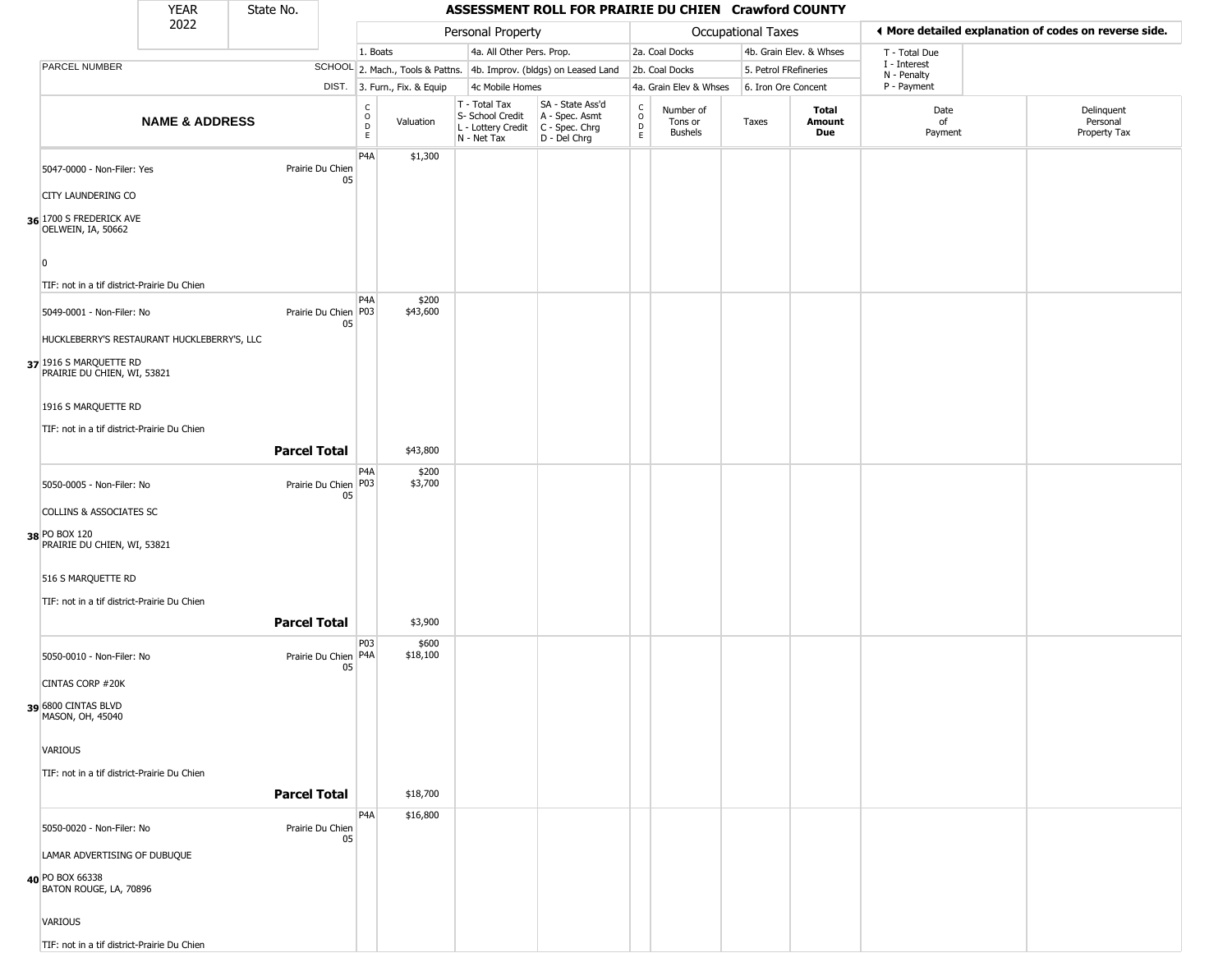| YEAR<br>2022 | State No. |       | ASSESSMENT ROLL FOR PRAIRIE DU CHIEN Crawford COUNTY |                |                         |  |  |  |  |  |  |  |
|--------------|-----------|-------|------------------------------------------------------|----------------|-------------------------|--|--|--|--|--|--|--|
|              |           |       | Personal Property                                    |                | Occupational Taxes      |  |  |  |  |  |  |  |
|              |           | Boats | 4a. All Other Pers. Prop.                            | 2a. Coal Docks | 4b. Grain Elev. & Whses |  |  |  |  |  |  |  |

|                |                                                                           | 2022                                        |                                |                                  |                              | Personal Property                                                      |                                                                        |                                              |                                        | Occupational Taxes    |                         |                            | ◀ More detailed explanation of codes on reverse side. |
|----------------|---------------------------------------------------------------------------|---------------------------------------------|--------------------------------|----------------------------------|------------------------------|------------------------------------------------------------------------|------------------------------------------------------------------------|----------------------------------------------|----------------------------------------|-----------------------|-------------------------|----------------------------|-------------------------------------------------------|
|                |                                                                           |                                             |                                | 1. Boats                         |                              | 4a. All Other Pers. Prop.                                              |                                                                        |                                              | 2a. Coal Docks                         |                       | 4b. Grain Elev. & Whses | T - Total Due              |                                                       |
|                | PARCEL NUMBER                                                             |                                             |                                |                                  |                              |                                                                        | SCHOOL 2. Mach., Tools & Pattns. 4b. Improv. (bldgs) on Leased Land    |                                              | 2b. Coal Docks                         | 5. Petrol FRefineries |                         | I - Interest               |                                                       |
|                |                                                                           |                                             |                                |                                  | DIST. 3. Furn., Fix. & Equip | 4c Mobile Homes                                                        |                                                                        |                                              | 4a. Grain Elev & Whses                 | 6. Iron Ore Concent   |                         | N - Penalty<br>P - Payment |                                                       |
|                |                                                                           | <b>NAME &amp; ADDRESS</b>                   |                                | C<br>$\circ$<br>$\mathsf D$<br>E | Valuation                    | T - Total Tax<br>S- School Credit<br>L - Lottery Credit<br>N - Net Tax | SA - State Ass'd<br>A - Spec. Asmt<br>$C - Spec. Chrg$<br>D - Del Chrg | $\begin{array}{c}\nC \\ D \\ E\n\end{array}$ | Number of<br>Tons or<br><b>Bushels</b> | Taxes                 | Total<br>Amount<br>Due  | Date<br>of<br>Payment      | Delinquent<br>Personal<br>Property Tax                |
|                | 5047-0000 - Non-Filer: Yes                                                |                                             | Prairie Du Chien<br>05         | P <sub>4</sub> A                 | \$1,300                      |                                                                        |                                                                        |                                              |                                        |                       |                         |                            |                                                       |
|                | <b>CITY LAUNDERING CO</b>                                                 |                                             |                                |                                  |                              |                                                                        |                                                                        |                                              |                                        |                       |                         |                            |                                                       |
|                | 36 1700 S FREDERICK AVE<br>OELWEIN, IA, 50662                             |                                             |                                |                                  |                              |                                                                        |                                                                        |                                              |                                        |                       |                         |                            |                                                       |
| $\overline{0}$ |                                                                           |                                             |                                |                                  |                              |                                                                        |                                                                        |                                              |                                        |                       |                         |                            |                                                       |
|                | TIF: not in a tif district-Prairie Du Chien                               |                                             |                                |                                  |                              |                                                                        |                                                                        |                                              |                                        |                       |                         |                            |                                                       |
|                | 5049-0001 - Non-Filer: No                                                 |                                             | Prairie Du Chien P03<br>05     | P <sub>4</sub> A                 | \$200<br>\$43,600            |                                                                        |                                                                        |                                              |                                        |                       |                         |                            |                                                       |
|                |                                                                           | HUCKLEBERRY'S RESTAURANT HUCKLEBERRY'S, LLC |                                |                                  |                              |                                                                        |                                                                        |                                              |                                        |                       |                         |                            |                                                       |
|                | 37 1916 S MARQUETTE RD<br>PRAIRIE DU CHIEN, WI, 53821                     |                                             |                                |                                  |                              |                                                                        |                                                                        |                                              |                                        |                       |                         |                            |                                                       |
|                | 1916 S MARQUETTE RD                                                       |                                             |                                |                                  |                              |                                                                        |                                                                        |                                              |                                        |                       |                         |                            |                                                       |
|                | TIF: not in a tif district-Prairie Du Chien                               |                                             |                                |                                  |                              |                                                                        |                                                                        |                                              |                                        |                       |                         |                            |                                                       |
|                |                                                                           |                                             | <b>Parcel Total</b>            |                                  | \$43,800                     |                                                                        |                                                                        |                                              |                                        |                       |                         |                            |                                                       |
|                |                                                                           |                                             |                                | P <sub>4</sub> A                 | \$200                        |                                                                        |                                                                        |                                              |                                        |                       |                         |                            |                                                       |
|                | 5050-0005 - Non-Filer: No                                                 |                                             | Prairie Du Chien   P03<br>05   |                                  | \$3,700                      |                                                                        |                                                                        |                                              |                                        |                       |                         |                            |                                                       |
|                | <b>COLLINS &amp; ASSOCIATES SC</b>                                        |                                             |                                |                                  |                              |                                                                        |                                                                        |                                              |                                        |                       |                         |                            |                                                       |
|                | 38 PO BOX 120<br>PRAIRIE DU CHIEN, WI, 53821                              |                                             |                                |                                  |                              |                                                                        |                                                                        |                                              |                                        |                       |                         |                            |                                                       |
|                | 516 S MARQUETTE RD                                                        |                                             |                                |                                  |                              |                                                                        |                                                                        |                                              |                                        |                       |                         |                            |                                                       |
|                | TIF: not in a tif district-Prairie Du Chien                               |                                             |                                |                                  |                              |                                                                        |                                                                        |                                              |                                        |                       |                         |                            |                                                       |
|                |                                                                           |                                             | <b>Parcel Total</b>            |                                  | \$3,900                      |                                                                        |                                                                        |                                              |                                        |                       |                         |                            |                                                       |
|                | 5050-0010 - Non-Filer: No                                                 |                                             | Prairie Du Chien   P4A  <br>05 | P03                              | \$600<br>\$18,100            |                                                                        |                                                                        |                                              |                                        |                       |                         |                            |                                                       |
|                | <b>CINTAS CORP #20K</b>                                                   |                                             |                                |                                  |                              |                                                                        |                                                                        |                                              |                                        |                       |                         |                            |                                                       |
|                | 39 6800 CINTAS BLVD<br>MASON, OH, 45040                                   |                                             |                                |                                  |                              |                                                                        |                                                                        |                                              |                                        |                       |                         |                            |                                                       |
|                | VARIOUS                                                                   |                                             |                                |                                  |                              |                                                                        |                                                                        |                                              |                                        |                       |                         |                            |                                                       |
|                | TIF: not in a tif district-Prairie Du Chien                               |                                             |                                |                                  |                              |                                                                        |                                                                        |                                              |                                        |                       |                         |                            |                                                       |
|                |                                                                           |                                             | <b>Parcel Total</b>            |                                  | \$18,700                     |                                                                        |                                                                        |                                              |                                        |                       |                         |                            |                                                       |
|                | 5050-0020 - Non-Filer: No                                                 |                                             | Prairie Du Chien               | P <sub>4</sub> A                 | \$16,800                     |                                                                        |                                                                        |                                              |                                        |                       |                         |                            |                                                       |
|                |                                                                           |                                             | 05                             |                                  |                              |                                                                        |                                                                        |                                              |                                        |                       |                         |                            |                                                       |
|                | LAMAR ADVERTISING OF DUBUQUE<br>40 PO BOX 66338<br>BATON ROUGE, LA, 70896 |                                             |                                |                                  |                              |                                                                        |                                                                        |                                              |                                        |                       |                         |                            |                                                       |
|                | VARIOUS                                                                   |                                             |                                |                                  |                              |                                                                        |                                                                        |                                              |                                        |                       |                         |                            |                                                       |
|                | TIF: not in a tif district-Prairie Du Chien                               |                                             |                                |                                  |                              |                                                                        |                                                                        |                                              |                                        |                       |                         |                            |                                                       |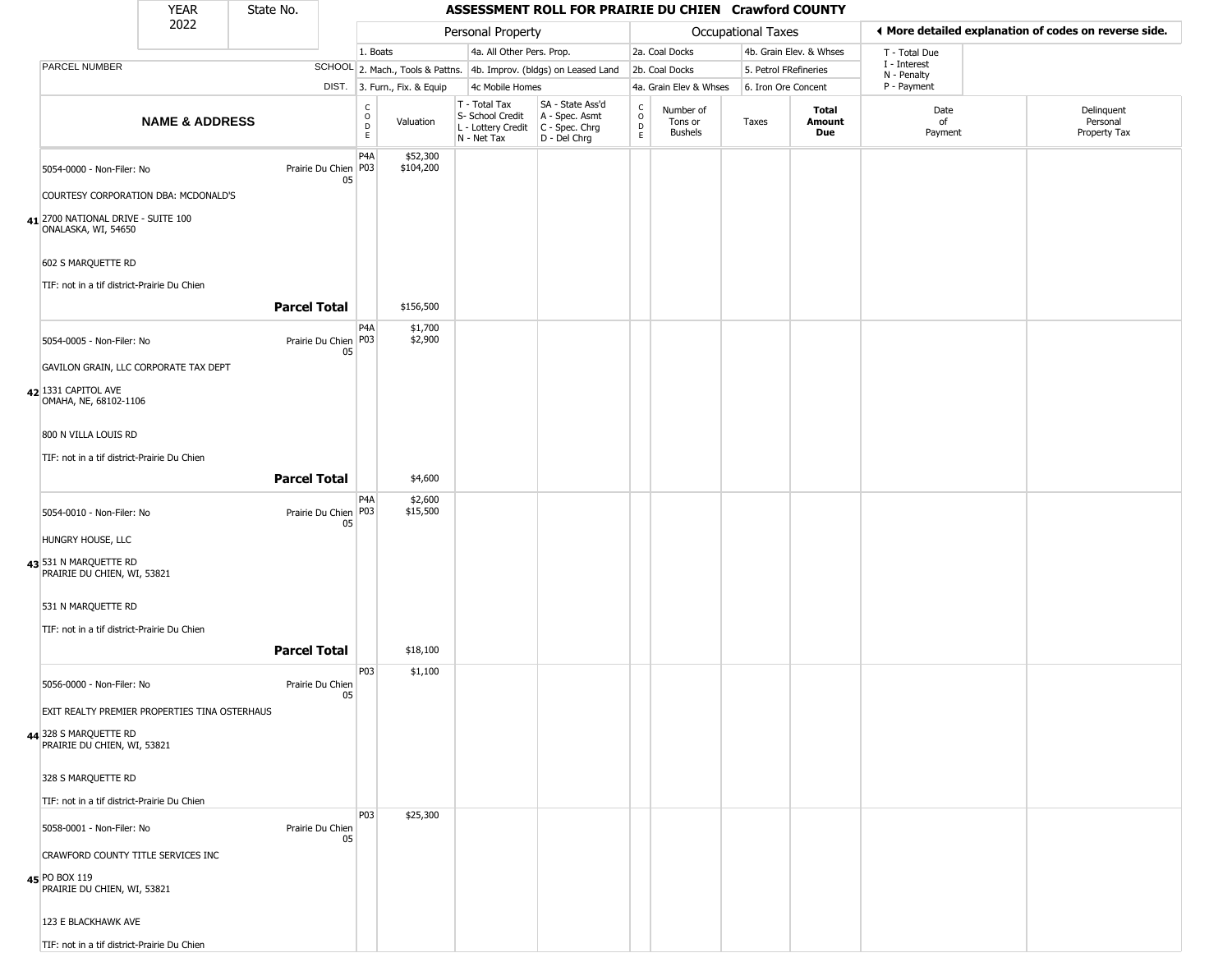| YFAR | State No. |  |
|------|-----------|--|
| 2022 |           |  |

|                                                           | 2022                      |                                |                         |                              | Personal Property                                                      |                                                                      |                                                  |                                        | Occupational Taxes    |                         |                            | ◀ More detailed explanation of codes on reverse side. |
|-----------------------------------------------------------|---------------------------|--------------------------------|-------------------------|------------------------------|------------------------------------------------------------------------|----------------------------------------------------------------------|--------------------------------------------------|----------------------------------------|-----------------------|-------------------------|----------------------------|-------------------------------------------------------|
|                                                           |                           |                                | 1. Boats                |                              | 4a. All Other Pers. Prop.                                              |                                                                      |                                                  | 2a. Coal Docks                         |                       | 4b. Grain Elev. & Whses | T - Total Due              |                                                       |
| PARCEL NUMBER                                             |                           |                                |                         |                              |                                                                        | SCHOOL 2. Mach., Tools & Pattns. 4b. Improv. (bldgs) on Leased Land  |                                                  | 2b. Coal Docks                         | 5. Petrol FRefineries |                         | I - Interest               |                                                       |
|                                                           |                           |                                |                         | DIST. 3. Furn., Fix. & Equip | 4c Mobile Homes                                                        |                                                                      |                                                  | 4a. Grain Elev & Whses                 | 6. Iron Ore Concent   |                         | N - Penalty<br>P - Payment |                                                       |
|                                                           | <b>NAME &amp; ADDRESS</b> |                                | C<br>$\circ$<br>D<br>E. | Valuation                    | T - Total Tax<br>S- School Credit<br>L - Lottery Credit<br>N - Net Tax | SA - State Ass'd<br>A - Spec. Asmt<br>C - Spec. Chrg<br>D - Del Chrg | $_{\rm o}^{\rm c}$<br>$\mathsf D$<br>$\mathsf E$ | Number of<br>Tons or<br><b>Bushels</b> | Taxes                 | Total<br>Amount<br>Due  | Date<br>of<br>Payment      | Delinquent<br>Personal<br>Property Tax                |
| 5054-0000 - Non-Filer: No                                 |                           | Prairie Du Chien   P03  <br>05 | P <sub>4</sub> A        | \$52,300<br>\$104,200        |                                                                        |                                                                      |                                                  |                                        |                       |                         |                            |                                                       |
| COURTESY CORPORATION DBA: MCDONALD'S                      |                           |                                |                         |                              |                                                                        |                                                                      |                                                  |                                        |                       |                         |                            |                                                       |
| 41 2700 NATIONAL DRIVE - SUITE 100<br>ONALASKA, WI, 54650 |                           |                                |                         |                              |                                                                        |                                                                      |                                                  |                                        |                       |                         |                            |                                                       |
| 602 S MARQUETTE RD                                        |                           |                                |                         |                              |                                                                        |                                                                      |                                                  |                                        |                       |                         |                            |                                                       |
| TIF: not in a tif district-Prairie Du Chien               |                           | <b>Parcel Total</b>            |                         | \$156,500                    |                                                                        |                                                                      |                                                  |                                        |                       |                         |                            |                                                       |
|                                                           |                           |                                | P <sub>4</sub> A        | \$1,700                      |                                                                        |                                                                      |                                                  |                                        |                       |                         |                            |                                                       |
| 5054-0005 - Non-Filer: No                                 |                           | Prairie Du Chien P03<br>05     |                         | \$2,900                      |                                                                        |                                                                      |                                                  |                                        |                       |                         |                            |                                                       |
| GAVILON GRAIN, LLC CORPORATE TAX DEPT                     |                           |                                |                         |                              |                                                                        |                                                                      |                                                  |                                        |                       |                         |                            |                                                       |
| 42 1331 CAPITOL AVE<br>OMAHA, NE, 68102-1106              |                           |                                |                         |                              |                                                                        |                                                                      |                                                  |                                        |                       |                         |                            |                                                       |
| 800 N VILLA LOUIS RD                                      |                           |                                |                         |                              |                                                                        |                                                                      |                                                  |                                        |                       |                         |                            |                                                       |
| TIF: not in a tif district-Prairie Du Chien               |                           |                                |                         |                              |                                                                        |                                                                      |                                                  |                                        |                       |                         |                            |                                                       |
|                                                           |                           | <b>Parcel Total</b>            |                         | \$4,600                      |                                                                        |                                                                      |                                                  |                                        |                       |                         |                            |                                                       |
| 5054-0010 - Non-Filer: No                                 |                           | Prairie Du Chien   P03  <br>05 | P <sub>4</sub> A        | \$2,600<br>\$15,500          |                                                                        |                                                                      |                                                  |                                        |                       |                         |                            |                                                       |
| HUNGRY HOUSE, LLC                                         |                           |                                |                         |                              |                                                                        |                                                                      |                                                  |                                        |                       |                         |                            |                                                       |
| 43 531 N MARQUETTE RD<br>PRAIRIE DU CHIEN, WI, 53821      |                           |                                |                         |                              |                                                                        |                                                                      |                                                  |                                        |                       |                         |                            |                                                       |
| 531 N MARQUETTE RD                                        |                           |                                |                         |                              |                                                                        |                                                                      |                                                  |                                        |                       |                         |                            |                                                       |
| TIF: not in a tif district-Prairie Du Chien               |                           |                                |                         |                              |                                                                        |                                                                      |                                                  |                                        |                       |                         |                            |                                                       |
|                                                           |                           | <b>Parcel Total</b>            |                         | \$18,100                     |                                                                        |                                                                      |                                                  |                                        |                       |                         |                            |                                                       |
| 5056-0000 - Non-Filer: No                                 |                           | Prairie Du Chien<br>05         | P03                     | \$1,100                      |                                                                        |                                                                      |                                                  |                                        |                       |                         |                            |                                                       |
| EXIT REALTY PREMIER PROPERTIES TINA OSTERHAUS             |                           |                                |                         |                              |                                                                        |                                                                      |                                                  |                                        |                       |                         |                            |                                                       |
| 44 328 S MARQUETTE RD<br>PRAIRIE DU CHIEN, WI, 53821      |                           |                                |                         |                              |                                                                        |                                                                      |                                                  |                                        |                       |                         |                            |                                                       |
| 328 S MARQUETTE RD                                        |                           |                                |                         |                              |                                                                        |                                                                      |                                                  |                                        |                       |                         |                            |                                                       |
| TIF: not in a tif district-Prairie Du Chien               |                           |                                |                         |                              |                                                                        |                                                                      |                                                  |                                        |                       |                         |                            |                                                       |
| 5058-0001 - Non-Filer: No                                 |                           | Prairie Du Chien<br>05         | <b>P03</b>              | \$25,300                     |                                                                        |                                                                      |                                                  |                                        |                       |                         |                            |                                                       |
| CRAWFORD COUNTY TITLE SERVICES INC                        |                           |                                |                         |                              |                                                                        |                                                                      |                                                  |                                        |                       |                         |                            |                                                       |
| 45 PO BOX 119<br>PRAIRIE DU CHIEN, WI, 53821              |                           |                                |                         |                              |                                                                        |                                                                      |                                                  |                                        |                       |                         |                            |                                                       |
| 123 E BLACKHAWK AVE                                       |                           |                                |                         |                              |                                                                        |                                                                      |                                                  |                                        |                       |                         |                            |                                                       |
| TIF: not in a tif district-Prairie Du Chien               |                           |                                |                         |                              |                                                                        |                                                                      |                                                  |                                        |                       |                         |                            |                                                       |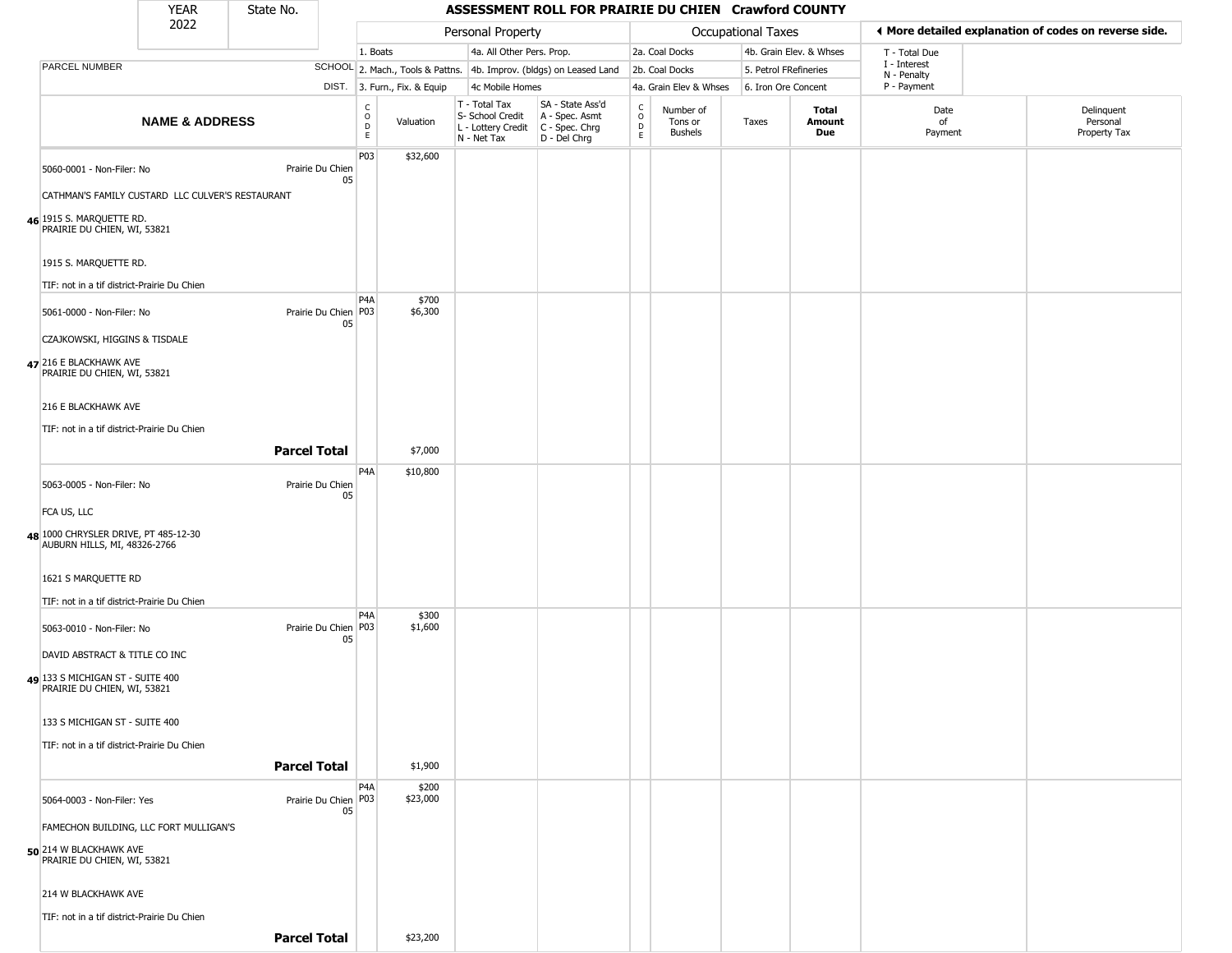| <b>YEAR</b> | State No. |
|-------------|-----------|
| ררחר        |           |

|                                                                      | 2022                      |                              |                         |                              | Personal Property                                                      |                                                                      |                                                |                                        | Occupational Taxes    |                         |                             | ◀ More detailed explanation of codes on reverse side. |
|----------------------------------------------------------------------|---------------------------|------------------------------|-------------------------|------------------------------|------------------------------------------------------------------------|----------------------------------------------------------------------|------------------------------------------------|----------------------------------------|-----------------------|-------------------------|-----------------------------|-------------------------------------------------------|
|                                                                      |                           |                              | 1. Boats                |                              | 4a. All Other Pers. Prop.                                              |                                                                      |                                                | 2a. Coal Docks                         |                       | 4b. Grain Elev. & Whses | T - Total Due               |                                                       |
| PARCEL NUMBER                                                        |                           |                              |                         |                              |                                                                        | SCHOOL 2. Mach., Tools & Pattns. 4b. Improv. (bldgs) on Leased Land  |                                                | 2b. Coal Docks                         | 5. Petrol FRefineries |                         | I - Interest<br>N - Penalty |                                                       |
|                                                                      |                           |                              |                         | DIST. 3. Furn., Fix. & Equip | 4c Mobile Homes                                                        |                                                                      |                                                | 4a. Grain Elev & Whses                 | 6. Iron Ore Concent   |                         | P - Payment                 |                                                       |
|                                                                      | <b>NAME &amp; ADDRESS</b> |                              | C<br>$\circ$<br>D<br>E. | Valuation                    | T - Total Tax<br>S- School Credit<br>L - Lottery Credit<br>N - Net Tax | SA - State Ass'd<br>A - Spec. Asmt<br>C - Spec. Chrg<br>D - Del Chrg | $\begin{matrix} 0 \\ 0 \\ D \end{matrix}$<br>E | Number of<br>Tons or<br><b>Bushels</b> | Taxes                 | Total<br>Amount<br>Due  | Date<br>of<br>Payment       | Delinquent<br>Personal<br>Property Tax                |
| 5060-0001 - Non-Filer: No                                            |                           | Prairie Du Chien<br>05       | P03                     | \$32,600                     |                                                                        |                                                                      |                                                |                                        |                       |                         |                             |                                                       |
| CATHMAN'S FAMILY CUSTARD LLC CULVER'S RESTAURANT                     |                           |                              |                         |                              |                                                                        |                                                                      |                                                |                                        |                       |                         |                             |                                                       |
| 46 1915 S. MARQUETTE RD.<br>PRAIRIE DU CHIEN, WI, 53821              |                           |                              |                         |                              |                                                                        |                                                                      |                                                |                                        |                       |                         |                             |                                                       |
| 1915 S. MARQUETTE RD.                                                |                           |                              |                         |                              |                                                                        |                                                                      |                                                |                                        |                       |                         |                             |                                                       |
| TIF: not in a tif district-Prairie Du Chien                          |                           |                              |                         |                              |                                                                        |                                                                      |                                                |                                        |                       |                         |                             |                                                       |
| 5061-0000 - Non-Filer: No                                            |                           | Prairie Du Chien P03<br>05   | P <sub>4</sub> A        | \$700<br>\$6,300             |                                                                        |                                                                      |                                                |                                        |                       |                         |                             |                                                       |
| CZAJKOWSKI, HIGGINS & TISDALE                                        |                           |                              |                         |                              |                                                                        |                                                                      |                                                |                                        |                       |                         |                             |                                                       |
| 47 216 E BLACKHAWK AVE<br>PRAIRIE DU CHIEN, WI, 53821                |                           |                              |                         |                              |                                                                        |                                                                      |                                                |                                        |                       |                         |                             |                                                       |
| 216 E BLACKHAWK AVE                                                  |                           |                              |                         |                              |                                                                        |                                                                      |                                                |                                        |                       |                         |                             |                                                       |
| TIF: not in a tif district-Prairie Du Chien                          |                           |                              |                         |                              |                                                                        |                                                                      |                                                |                                        |                       |                         |                             |                                                       |
|                                                                      |                           | <b>Parcel Total</b>          |                         | \$7,000                      |                                                                        |                                                                      |                                                |                                        |                       |                         |                             |                                                       |
| 5063-0005 - Non-Filer: No                                            |                           | Prairie Du Chien<br>05       | P4A                     | \$10,800                     |                                                                        |                                                                      |                                                |                                        |                       |                         |                             |                                                       |
| FCA US, LLC                                                          |                           |                              |                         |                              |                                                                        |                                                                      |                                                |                                        |                       |                         |                             |                                                       |
| 48 1000 CHRYSLER DRIVE, PT 485-12-30<br>AUBURN HILLS, MI, 48326-2766 |                           |                              |                         |                              |                                                                        |                                                                      |                                                |                                        |                       |                         |                             |                                                       |
| 1621 S MARQUETTE RD                                                  |                           |                              |                         |                              |                                                                        |                                                                      |                                                |                                        |                       |                         |                             |                                                       |
| TIF: not in a tif district-Prairie Du Chien                          |                           |                              |                         |                              |                                                                        |                                                                      |                                                |                                        |                       |                         |                             |                                                       |
| 5063-0010 - Non-Filer: No                                            |                           | Prairie Du Chien P03<br>05   | P4A                     | \$300<br>\$1,600             |                                                                        |                                                                      |                                                |                                        |                       |                         |                             |                                                       |
| DAVID ABSTRACT & TITLE CO INC                                        |                           |                              |                         |                              |                                                                        |                                                                      |                                                |                                        |                       |                         |                             |                                                       |
| 49 133 S MICHIGAN ST - SUITE 400<br>PRAIRIE DU CHIEN, WI, 53821      |                           |                              |                         |                              |                                                                        |                                                                      |                                                |                                        |                       |                         |                             |                                                       |
| 133 S MICHIGAN ST - SUITE 400                                        |                           |                              |                         |                              |                                                                        |                                                                      |                                                |                                        |                       |                         |                             |                                                       |
| TIF: not in a tif district-Prairie Du Chien                          |                           |                              |                         |                              |                                                                        |                                                                      |                                                |                                        |                       |                         |                             |                                                       |
|                                                                      |                           | <b>Parcel Total</b>          |                         | \$1,900                      |                                                                        |                                                                      |                                                |                                        |                       |                         |                             |                                                       |
|                                                                      |                           |                              | P <sub>4</sub> A        | \$200                        |                                                                        |                                                                      |                                                |                                        |                       |                         |                             |                                                       |
| 5064-0003 - Non-Filer: Yes                                           |                           | Prairie Du Chien   P03<br>05 |                         | \$23,000                     |                                                                        |                                                                      |                                                |                                        |                       |                         |                             |                                                       |
| FAMECHON BUILDING, LLC FORT MULLIGAN'S                               |                           |                              |                         |                              |                                                                        |                                                                      |                                                |                                        |                       |                         |                             |                                                       |
| 50 214 W BLACKHAWK AVE<br>PRAIRIE DU CHIEN, WI, 53821                |                           |                              |                         |                              |                                                                        |                                                                      |                                                |                                        |                       |                         |                             |                                                       |
| 214 W BLACKHAWK AVE                                                  |                           |                              |                         |                              |                                                                        |                                                                      |                                                |                                        |                       |                         |                             |                                                       |
| TIF: not in a tif district-Prairie Du Chien                          |                           |                              |                         |                              |                                                                        |                                                                      |                                                |                                        |                       |                         |                             |                                                       |
|                                                                      |                           | <b>Parcel Total</b>          |                         | \$23,200                     |                                                                        |                                                                      |                                                |                                        |                       |                         |                             |                                                       |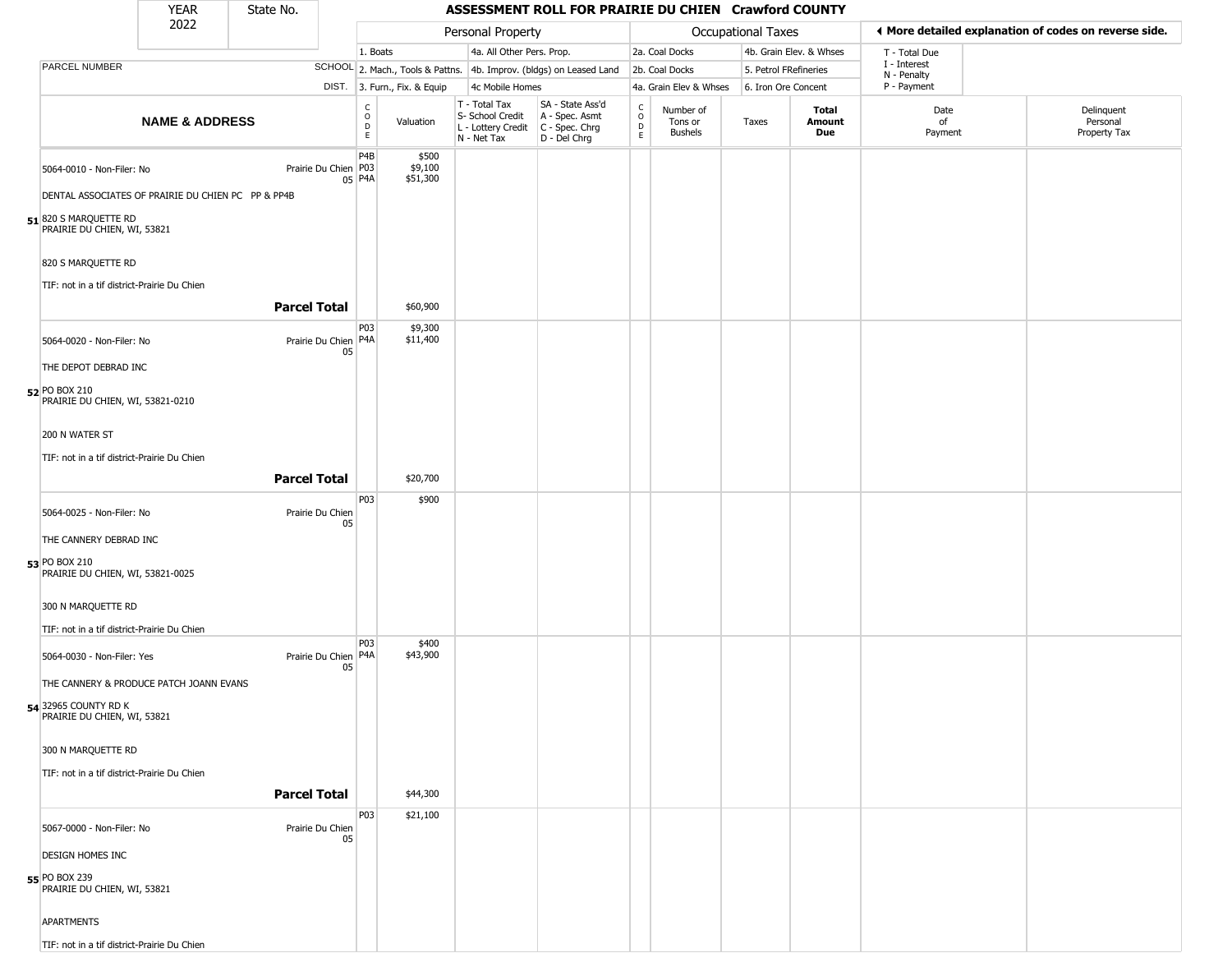| <b>YEAR</b> | State No. |
|-------------|-----------|
| רמפ         |           |

Г

|                                                      | 2022                                               |                            |                                    |                              | Personal Property                                                      |                                                                      |                                                          |                                 | Occupational Taxes    |                               | ◀ More detailed explanation of codes on reverse side. |                                        |
|------------------------------------------------------|----------------------------------------------------|----------------------------|------------------------------------|------------------------------|------------------------------------------------------------------------|----------------------------------------------------------------------|----------------------------------------------------------|---------------------------------|-----------------------|-------------------------------|-------------------------------------------------------|----------------------------------------|
|                                                      |                                                    |                            | 1. Boats                           |                              | 4a. All Other Pers. Prop.                                              |                                                                      |                                                          | 2a. Coal Docks                  |                       | 4b. Grain Elev. & Whses       | T - Total Due                                         |                                        |
| PARCEL NUMBER                                        |                                                    |                            |                                    |                              |                                                                        | SCHOOL 2. Mach., Tools & Pattns. 4b. Improv. (bldgs) on Leased Land  |                                                          | 2b. Coal Docks                  | 5. Petrol FRefineries |                               | I - Interest                                          |                                        |
|                                                      |                                                    |                            |                                    | DIST. 3. Furn., Fix. & Equip | 4c Mobile Homes                                                        |                                                                      |                                                          | 4a. Grain Elev & Whses          | 6. Iron Ore Concent   |                               | N - Penalty<br>P - Payment                            |                                        |
|                                                      | <b>NAME &amp; ADDRESS</b>                          |                            | $\int_{0}^{c}$<br>D<br>$\mathsf E$ | Valuation                    | T - Total Tax<br>S- School Credit<br>L - Lottery Credit<br>N - Net Tax | SA - State Ass'd<br>A - Spec. Asmt<br>C - Spec. Chrg<br>D - Del Chrg | $\begin{matrix} 0 \\ 0 \\ D \end{matrix}$<br>$\mathsf E$ | Number of<br>Tons or<br>Bushels | Taxes                 | Total<br>Amount<br><b>Due</b> | Date<br>of<br>Payment                                 | Delinquent<br>Personal<br>Property Tax |
| 5064-0010 - Non-Filer: No                            |                                                    | Prairie Du Chien   P03     | P <sub>4</sub> B<br>05 P4A         | \$500<br>\$9,100<br>\$51,300 |                                                                        |                                                                      |                                                          |                                 |                       |                               |                                                       |                                        |
|                                                      | DENTAL ASSOCIATES OF PRAIRIE DU CHIEN PC PP & PP4B |                            |                                    |                              |                                                                        |                                                                      |                                                          |                                 |                       |                               |                                                       |                                        |
| 51 820 S MARQUETTE RD<br>PRAIRIE DU CHIEN, WI, 53821 |                                                    |                            |                                    |                              |                                                                        |                                                                      |                                                          |                                 |                       |                               |                                                       |                                        |
| 820 S MARQUETTE RD                                   |                                                    |                            |                                    |                              |                                                                        |                                                                      |                                                          |                                 |                       |                               |                                                       |                                        |
| TIF: not in a tif district-Prairie Du Chien          |                                                    |                            |                                    |                              |                                                                        |                                                                      |                                                          |                                 |                       |                               |                                                       |                                        |
|                                                      |                                                    | <b>Parcel Total</b>        |                                    | \$60,900                     |                                                                        |                                                                      |                                                          |                                 |                       |                               |                                                       |                                        |
| 5064-0020 - Non-Filer: No<br>THE DEPOT DEBRAD INC    |                                                    | Prairie Du Chien P4A<br>05 | P <sub>0</sub> 3                   | \$9,300<br>\$11,400          |                                                                        |                                                                      |                                                          |                                 |                       |                               |                                                       |                                        |
| 52 PO BOX 210<br>PRAIRIE DU CHIEN, WI, 53821-0210    |                                                    |                            |                                    |                              |                                                                        |                                                                      |                                                          |                                 |                       |                               |                                                       |                                        |
| 200 N WATER ST                                       |                                                    |                            |                                    |                              |                                                                        |                                                                      |                                                          |                                 |                       |                               |                                                       |                                        |
| TIF: not in a tif district-Prairie Du Chien          |                                                    |                            |                                    |                              |                                                                        |                                                                      |                                                          |                                 |                       |                               |                                                       |                                        |
|                                                      |                                                    | <b>Parcel Total</b>        |                                    | \$20,700                     |                                                                        |                                                                      |                                                          |                                 |                       |                               |                                                       |                                        |
|                                                      |                                                    |                            | P03                                | \$900                        |                                                                        |                                                                      |                                                          |                                 |                       |                               |                                                       |                                        |
| 5064-0025 - Non-Filer: No                            |                                                    | Prairie Du Chien           |                                    |                              |                                                                        |                                                                      |                                                          |                                 |                       |                               |                                                       |                                        |
| THE CANNERY DEBRAD INC                               |                                                    | 05                         |                                    |                              |                                                                        |                                                                      |                                                          |                                 |                       |                               |                                                       |                                        |
| 53 PO BOX 210<br>PRAIRIE DU CHIEN, WI, 53821-0025    |                                                    |                            |                                    |                              |                                                                        |                                                                      |                                                          |                                 |                       |                               |                                                       |                                        |
| 300 N MARQUETTE RD                                   |                                                    |                            |                                    |                              |                                                                        |                                                                      |                                                          |                                 |                       |                               |                                                       |                                        |
| TIF: not in a tif district-Prairie Du Chien          |                                                    |                            |                                    |                              |                                                                        |                                                                      |                                                          |                                 |                       |                               |                                                       |                                        |
| 5064-0030 - Non-Filer: Yes                           |                                                    | Prairie Du Chien P4A<br>05 | P03                                | \$400<br>\$43,900            |                                                                        |                                                                      |                                                          |                                 |                       |                               |                                                       |                                        |
|                                                      | THE CANNERY & PRODUCE PATCH JOANN EVANS            |                            |                                    |                              |                                                                        |                                                                      |                                                          |                                 |                       |                               |                                                       |                                        |
| 54 32965 COUNTY RD K<br>PRAIRIE DU CHIEN, WI, 53821  |                                                    |                            |                                    |                              |                                                                        |                                                                      |                                                          |                                 |                       |                               |                                                       |                                        |
| 300 N MARQUETTE RD                                   |                                                    |                            |                                    |                              |                                                                        |                                                                      |                                                          |                                 |                       |                               |                                                       |                                        |
| TIF: not in a tif district-Prairie Du Chien          |                                                    |                            |                                    |                              |                                                                        |                                                                      |                                                          |                                 |                       |                               |                                                       |                                        |
|                                                      |                                                    | <b>Parcel Total</b>        |                                    | \$44,300                     |                                                                        |                                                                      |                                                          |                                 |                       |                               |                                                       |                                        |
|                                                      |                                                    |                            | P03                                | \$21,100                     |                                                                        |                                                                      |                                                          |                                 |                       |                               |                                                       |                                        |
| 5067-0000 - Non-Filer: No                            |                                                    | Prairie Du Chien<br>05     |                                    |                              |                                                                        |                                                                      |                                                          |                                 |                       |                               |                                                       |                                        |
| <b>DESIGN HOMES INC</b>                              |                                                    |                            |                                    |                              |                                                                        |                                                                      |                                                          |                                 |                       |                               |                                                       |                                        |
| 55 PO BOX 239<br>PRAIRIE DU CHIEN, WI, 53821         |                                                    |                            |                                    |                              |                                                                        |                                                                      |                                                          |                                 |                       |                               |                                                       |                                        |
| <b>APARTMENTS</b>                                    |                                                    |                            |                                    |                              |                                                                        |                                                                      |                                                          |                                 |                       |                               |                                                       |                                        |
| TIF: not in a tif district-Prairie Du Chien          |                                                    |                            |                                    |                              |                                                                        |                                                                      |                                                          |                                 |                       |                               |                                                       |                                        |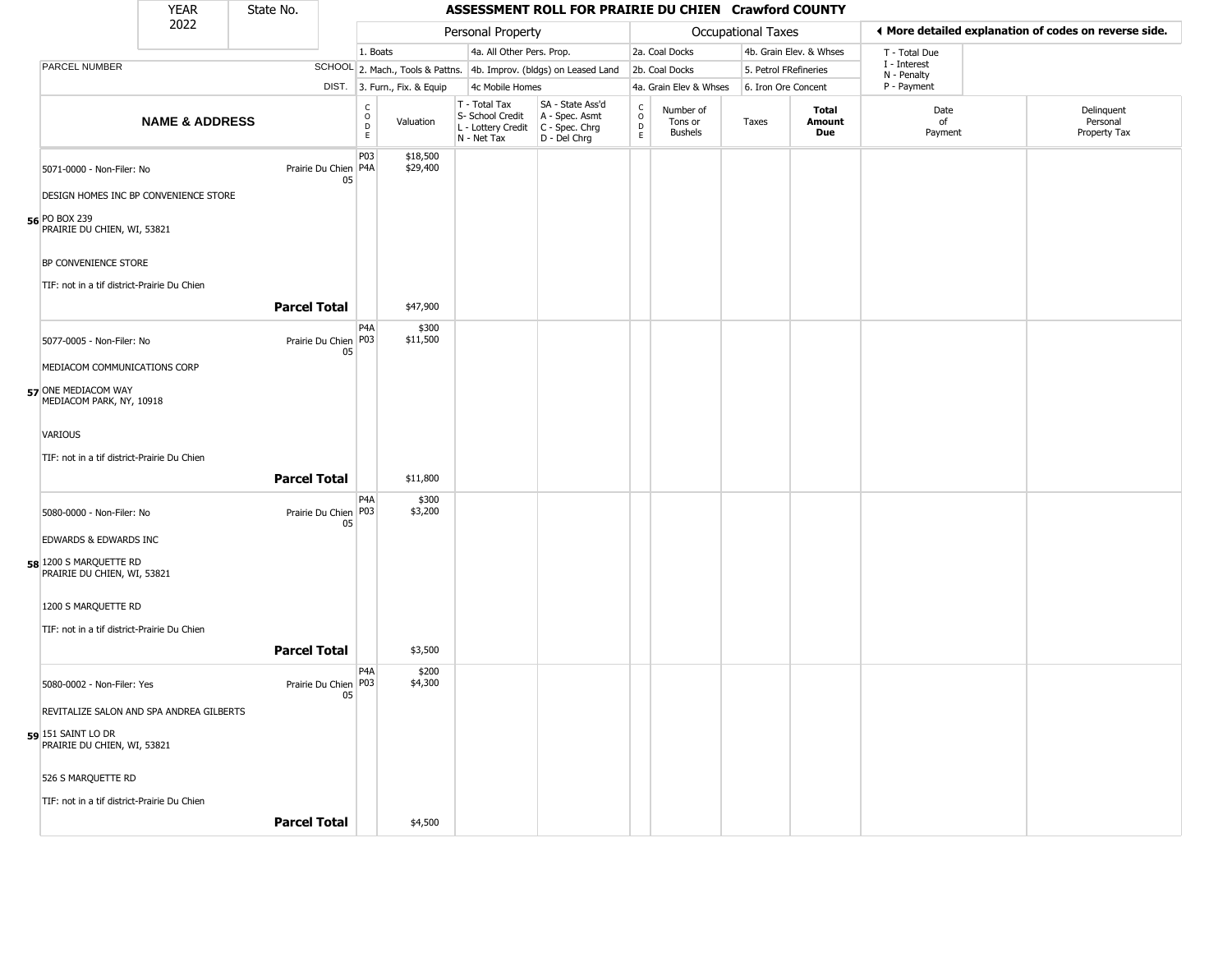# State No.

### YEAR State No. **ASSESSMENT ROLL FOR PRAIRIE DU CHIEN Crawford COUNTY**

|                                                                                       | 2022                                     |                              |                                   |                              | Personal Property                                                                       |                                                                     |                                       |                                        | Occupational Taxes    |                         |                             | ♦ More detailed explanation of codes on reverse side. |
|---------------------------------------------------------------------------------------|------------------------------------------|------------------------------|-----------------------------------|------------------------------|-----------------------------------------------------------------------------------------|---------------------------------------------------------------------|---------------------------------------|----------------------------------------|-----------------------|-------------------------|-----------------------------|-------------------------------------------------------|
|                                                                                       |                                          |                              | 1. Boats                          |                              | 4a. All Other Pers. Prop.                                                               |                                                                     |                                       | 2a. Coal Docks                         |                       | 4b. Grain Elev. & Whses | T - Total Due               |                                                       |
| PARCEL NUMBER                                                                         |                                          |                              |                                   |                              |                                                                                         | SCHOOL 2. Mach., Tools & Pattns. 4b. Improv. (bldgs) on Leased Land |                                       | 2b. Coal Docks                         | 5. Petrol FRefineries |                         | I - Interest<br>N - Penalty |                                                       |
|                                                                                       |                                          |                              |                                   | DIST. 3. Furn., Fix. & Equip | 4c Mobile Homes                                                                         |                                                                     |                                       | 4a. Grain Elev & Whses                 | 6. Iron Ore Concent   |                         | P - Payment                 |                                                       |
|                                                                                       | <b>NAME &amp; ADDRESS</b>                |                              | $\mathsf{C}$<br>$\circ$<br>D<br>E | Valuation                    | T - Total Tax<br>S- School Credit<br>L - Lottery Credit   C - Spec. Chrg<br>N - Net Tax | SA - State Ass'd<br>A - Spec. Asmt<br>D - Del Chrg                  | C<br>$\mathsf{O}$<br>D<br>$\mathsf E$ | Number of<br>Tons or<br><b>Bushels</b> | Taxes                 | Total<br>Amount<br>Due  | Date<br>of<br>Payment       | Delinquent<br>Personal<br>Property Tax                |
| 5071-0000 - Non-Filer: No                                                             |                                          | Prairie Du Chien P4A<br>05   | P03                               | \$18,500<br>\$29,400         |                                                                                         |                                                                     |                                       |                                        |                       |                         |                             |                                                       |
| DESIGN HOMES INC BP CONVENIENCE STORE<br>56 PO BOX 239<br>PRAIRIE DU CHIEN, WI, 53821 |                                          |                              |                                   |                              |                                                                                         |                                                                     |                                       |                                        |                       |                         |                             |                                                       |
| BP CONVENIENCE STORE                                                                  |                                          |                              |                                   |                              |                                                                                         |                                                                     |                                       |                                        |                       |                         |                             |                                                       |
| TIF: not in a tif district-Prairie Du Chien                                           |                                          | <b>Parcel Total</b>          |                                   | \$47,900                     |                                                                                         |                                                                     |                                       |                                        |                       |                         |                             |                                                       |
| 5077-0005 - Non-Filer: No                                                             |                                          | Prairie Du Chien   P03<br>05 | P4A                               | \$300<br>\$11,500            |                                                                                         |                                                                     |                                       |                                        |                       |                         |                             |                                                       |
| MEDIACOM COMMUNICATIONS CORP                                                          |                                          |                              |                                   |                              |                                                                                         |                                                                     |                                       |                                        |                       |                         |                             |                                                       |
| 57 ONE MEDIACOM WAY<br>MEDIACOM PARK, NY, 10918                                       |                                          |                              |                                   |                              |                                                                                         |                                                                     |                                       |                                        |                       |                         |                             |                                                       |
| VARIOUS                                                                               |                                          |                              |                                   |                              |                                                                                         |                                                                     |                                       |                                        |                       |                         |                             |                                                       |
| TIF: not in a tif district-Prairie Du Chien                                           |                                          |                              |                                   |                              |                                                                                         |                                                                     |                                       |                                        |                       |                         |                             |                                                       |
|                                                                                       |                                          | <b>Parcel Total</b>          |                                   | \$11,800                     |                                                                                         |                                                                     |                                       |                                        |                       |                         |                             |                                                       |
| 5080-0000 - Non-Filer: No                                                             |                                          | Prairie Du Chien   P03<br>05 | P <sub>4</sub> A                  | \$300<br>\$3,200             |                                                                                         |                                                                     |                                       |                                        |                       |                         |                             |                                                       |
| EDWARDS & EDWARDS INC                                                                 |                                          |                              |                                   |                              |                                                                                         |                                                                     |                                       |                                        |                       |                         |                             |                                                       |
| 58 1200 S MARQUETTE RD<br>PRAIRIE DU CHIEN, WI, 53821                                 |                                          |                              |                                   |                              |                                                                                         |                                                                     |                                       |                                        |                       |                         |                             |                                                       |
| 1200 S MARQUETTE RD                                                                   |                                          |                              |                                   |                              |                                                                                         |                                                                     |                                       |                                        |                       |                         |                             |                                                       |
| TIF: not in a tif district-Prairie Du Chien                                           |                                          |                              |                                   |                              |                                                                                         |                                                                     |                                       |                                        |                       |                         |                             |                                                       |
|                                                                                       |                                          | <b>Parcel Total</b>          |                                   | \$3,500                      |                                                                                         |                                                                     |                                       |                                        |                       |                         |                             |                                                       |
| 5080-0002 - Non-Filer: Yes                                                            |                                          | Prairie Du Chien   P03<br>05 | P4A                               | \$200<br>\$4,300             |                                                                                         |                                                                     |                                       |                                        |                       |                         |                             |                                                       |
|                                                                                       | REVITALIZE SALON AND SPA ANDREA GILBERTS |                              |                                   |                              |                                                                                         |                                                                     |                                       |                                        |                       |                         |                             |                                                       |
| 59 151 SAINT LO DR<br>PRAIRIE DU CHIEN, WI, 53821                                     |                                          |                              |                                   |                              |                                                                                         |                                                                     |                                       |                                        |                       |                         |                             |                                                       |
| 526 S MARQUETTE RD                                                                    |                                          |                              |                                   |                              |                                                                                         |                                                                     |                                       |                                        |                       |                         |                             |                                                       |
| TIF: not in a tif district-Prairie Du Chien                                           |                                          |                              |                                   |                              |                                                                                         |                                                                     |                                       |                                        |                       |                         |                             |                                                       |
|                                                                                       |                                          | <b>Parcel Total</b>          |                                   | \$4,500                      |                                                                                         |                                                                     |                                       |                                        |                       |                         |                             |                                                       |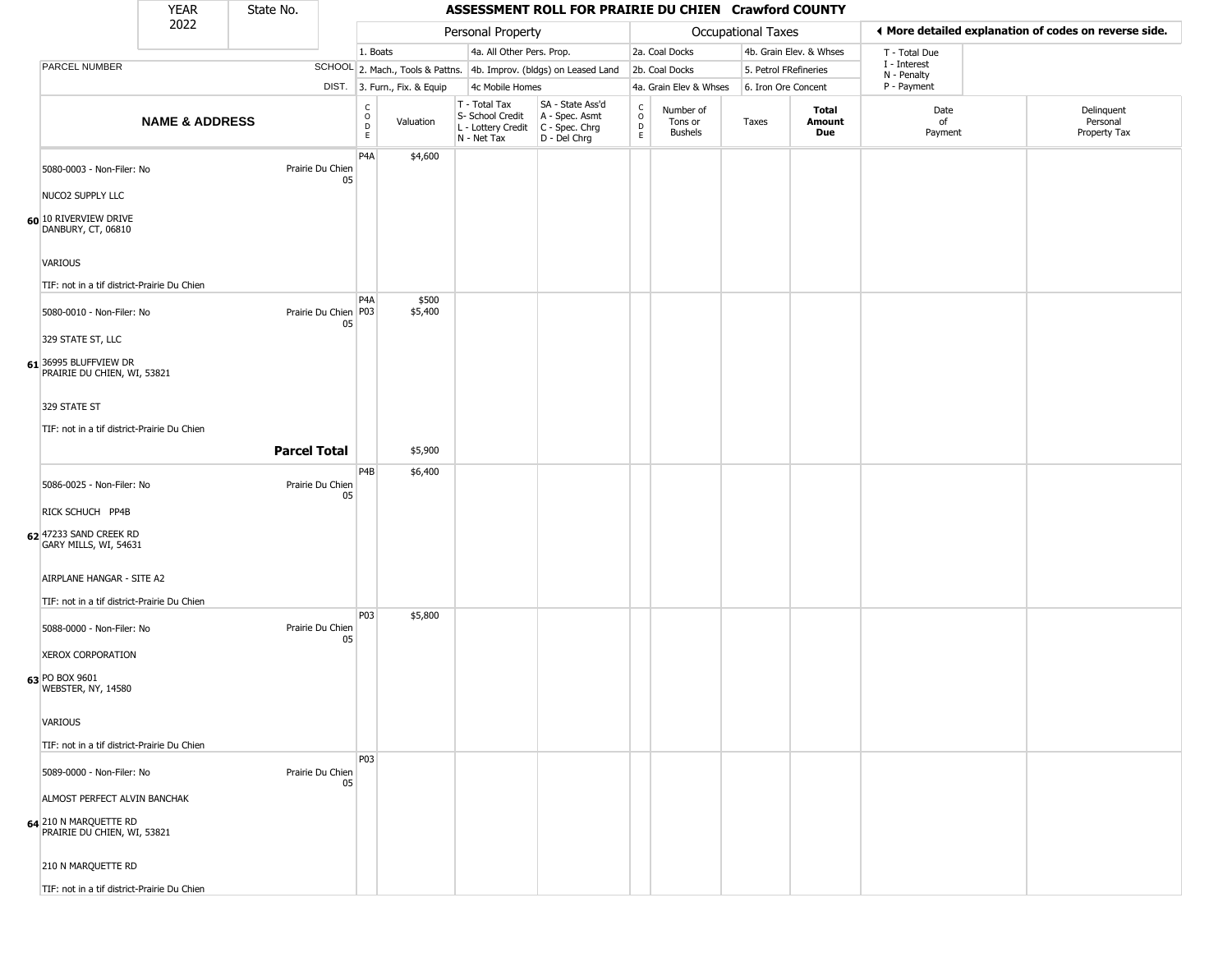#### YEAR **ASSESSMENT ROLL FOR PRAIRIE DU CHIEN Crawford COUNTY** 2022 DIST. 3. Furn., Fix. & Equip PARCEL NUMBER **NAME & ADDRESS** State No. C O D E Valuation T - Total Tax S- School Credit A - Spec. Asmt L - Lottery Credit C - Spec. Chrg N - Net Tax SA - State Ass'd D - Del Chrg C O D E Number of Tons or Bushels Taxes **Total Amount Due** Date of Payment Delinquent Personal Property Tax Personal Property **Personal Property Personal Taxes** 1. Boats **4a. All Other Pers. Prop.** 2a. Coal Docks 4b. Grain Elev. & Whses SCHOOL 2. Mach., Tools & Pattns. 4b. Improv. (bldgs) on Leased Land 2b. Coal Docks 5. Petrol FRefineries 4c Mobile Homes 4a. Grain Elev & Whses 6. Iron Ore Concent T - Total Due I - Interest N - Penalty P - Payment 3**More detailed explanation of codes on reverse side. 60** 10 RIVERVIEW DRIVE 5080-0003 - Non-Filer: No Prairie Du Chien 05 NUCO2 SUPPLY LLC DANBURY, CT, 06810 VARIOUS TIF: not in a tif district-Prairie Du Chien P4A \$4,600 **61** 36995 BLUFFVIEW DR 5080-0010 - Non-Filer: No 05 329 STATE ST, LLC PRAIRIE DU CHIEN, WI, 53821 329 STATE ST TIF: not in a tif district-Prairie Du Chien P4A Prairie Du Chien P03 \$500 \$5,400 **Parcel Total** \$5,900 **62** 47233 SAND CREEK RD 5086-0025 - Non-Filer: No Prairie Du Chien 05 RICK SCHUCH PP4B GARY MILLS, WI, 54631 AIRPLANE HANGAR - SITE A2 TIF: not in a tif district-Prairie Du Chien P4B \$6,400 **63** PO BOX 9601 5088-0000 - Non-Filer: No Prairie Du Chien 05 XEROX CORPORATION WEBSTER, NY, 14580 VARIOUS TIF: not in a tif district-Prairie Du Chien P03 \$5,800 5089-0000 - Non-Filer: No Prairie Du Chien 05 ALMOST PERFECT ALVIN BANCHAK P03

**64** 210 N MARQUETTE RD

210 N MARQUETTE RD

PRAIRIE DU CHIEN, WI, 53821

TIF: not in a tif district-Prairie Du Chien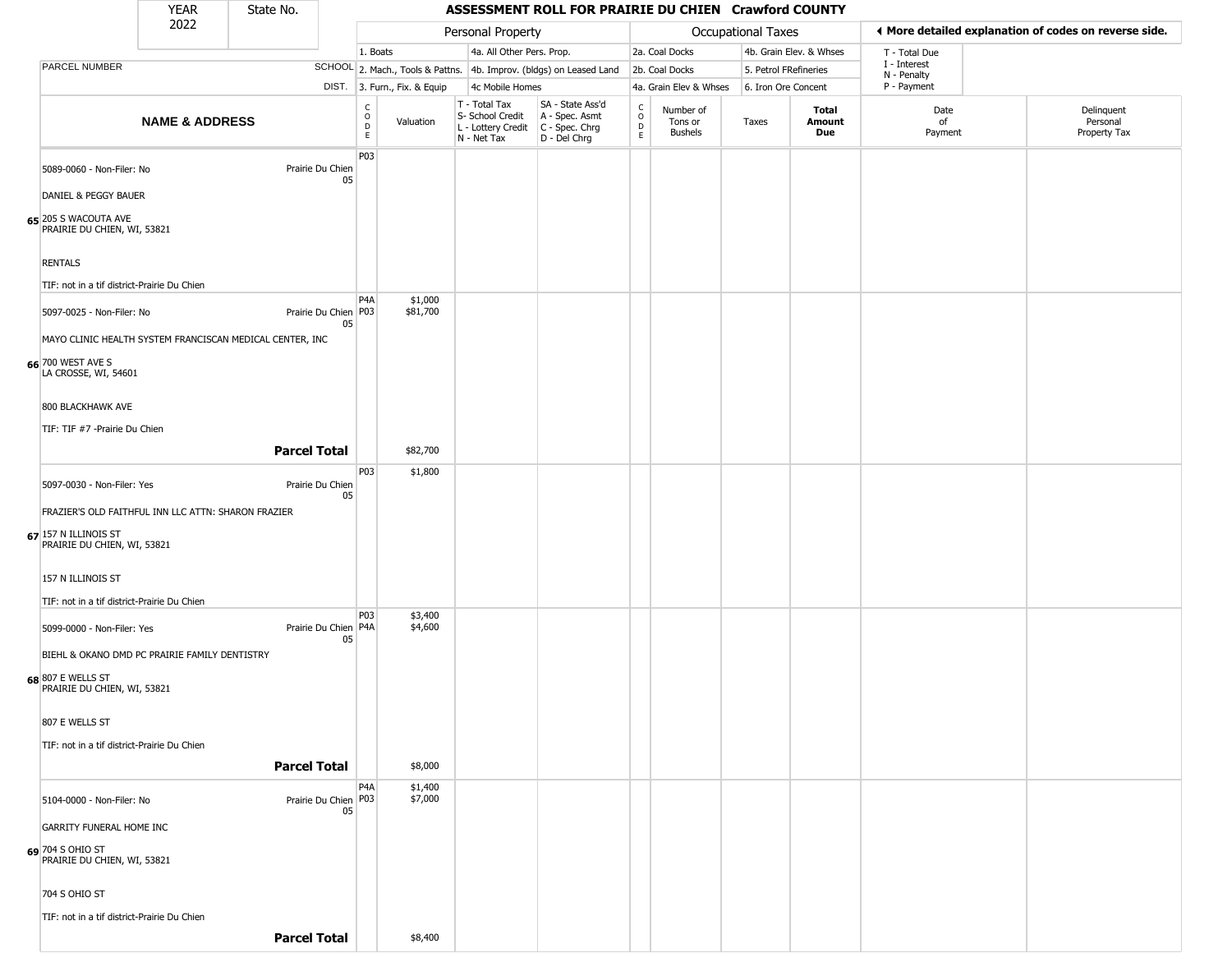| <b>YEAR</b> | State No. |
|-------------|-----------|
| ----        |           |

|                                                     | 2022                                                     |                              |                             |                              | Personal Property                                                                       |                                                                     |                         |                                 | Occupational Taxes    |                               |                             | ♦ More detailed explanation of codes on reverse side. |
|-----------------------------------------------------|----------------------------------------------------------|------------------------------|-----------------------------|------------------------------|-----------------------------------------------------------------------------------------|---------------------------------------------------------------------|-------------------------|---------------------------------|-----------------------|-------------------------------|-----------------------------|-------------------------------------------------------|
|                                                     |                                                          |                              | 1. Boats                    |                              | 4a. All Other Pers. Prop.                                                               |                                                                     |                         | 2a. Coal Docks                  |                       | 4b. Grain Elev. & Whses       | T - Total Due               |                                                       |
| PARCEL NUMBER                                       |                                                          |                              |                             |                              |                                                                                         | SCHOOL 2. Mach., Tools & Pattns. 4b. Improv. (bldgs) on Leased Land |                         | 2b. Coal Docks                  | 5. Petrol FRefineries |                               | I - Interest<br>N - Penalty |                                                       |
|                                                     |                                                          |                              |                             | DIST. 3. Furn., Fix. & Equip | 4c Mobile Homes                                                                         |                                                                     |                         | 4a. Grain Elev & Whses          | 6. Iron Ore Concent   |                               | P - Payment                 |                                                       |
|                                                     | <b>NAME &amp; ADDRESS</b>                                |                              | C<br>0<br>$\mathsf{D}$<br>E | Valuation                    | T - Total Tax<br>S- School Credit<br>L - Lottery Credit   C - Spec. Chrg<br>N - Net Tax | SA - State Ass'd<br>A - Spec. Asmt<br>D - Del Chrg                  | C<br>$\circ$<br>D<br>E. | Number of<br>Tons or<br>Bushels | Taxes                 | <b>Total</b><br>Amount<br>Due | Date<br>of<br>Payment       | Delinquent<br>Personal<br>Property Tax                |
| 5089-0060 - Non-Filer: No                           |                                                          | Prairie Du Chien<br>05       | P03                         |                              |                                                                                         |                                                                     |                         |                                 |                       |                               |                             |                                                       |
| DANIEL & PEGGY BAUER                                |                                                          |                              |                             |                              |                                                                                         |                                                                     |                         |                                 |                       |                               |                             |                                                       |
| 65 205 S WACOUTA AVE<br>PRAIRIE DU CHIEN, WI, 53821 |                                                          |                              |                             |                              |                                                                                         |                                                                     |                         |                                 |                       |                               |                             |                                                       |
| <b>RENTALS</b>                                      |                                                          |                              |                             |                              |                                                                                         |                                                                     |                         |                                 |                       |                               |                             |                                                       |
| TIF: not in a tif district-Prairie Du Chien         |                                                          |                              |                             |                              |                                                                                         |                                                                     |                         |                                 |                       |                               |                             |                                                       |
| 5097-0025 - Non-Filer: No                           |                                                          | Prairie Du Chien   P03<br>05 | P <sub>4</sub> A            | \$1,000<br>\$81,700          |                                                                                         |                                                                     |                         |                                 |                       |                               |                             |                                                       |
|                                                     | MAYO CLINIC HEALTH SYSTEM FRANCISCAN MEDICAL CENTER, INC |                              |                             |                              |                                                                                         |                                                                     |                         |                                 |                       |                               |                             |                                                       |
| 66 700 WEST AVE S<br>LA CROSSE, WI, 54601           |                                                          |                              |                             |                              |                                                                                         |                                                                     |                         |                                 |                       |                               |                             |                                                       |
| 800 BLACKHAWK AVE                                   |                                                          |                              |                             |                              |                                                                                         |                                                                     |                         |                                 |                       |                               |                             |                                                       |
| TIF: TIF #7 -Prairie Du Chien                       |                                                          |                              |                             |                              |                                                                                         |                                                                     |                         |                                 |                       |                               |                             |                                                       |
|                                                     |                                                          | <b>Parcel Total</b>          |                             | \$82,700                     |                                                                                         |                                                                     |                         |                                 |                       |                               |                             |                                                       |
| 5097-0030 - Non-Filer: Yes                          |                                                          | Prairie Du Chien<br>05       | P03                         | \$1,800                      |                                                                                         |                                                                     |                         |                                 |                       |                               |                             |                                                       |
|                                                     | FRAZIER'S OLD FAITHFUL INN LLC ATTN: SHARON FRAZIER      |                              |                             |                              |                                                                                         |                                                                     |                         |                                 |                       |                               |                             |                                                       |
| 67 157 N ILLINOIS ST<br>PRAIRIE DU CHIEN, WI, 53821 |                                                          |                              |                             |                              |                                                                                         |                                                                     |                         |                                 |                       |                               |                             |                                                       |
| 157 N ILLINOIS ST                                   |                                                          |                              |                             |                              |                                                                                         |                                                                     |                         |                                 |                       |                               |                             |                                                       |
| TIF: not in a tif district-Prairie Du Chien         |                                                          |                              |                             |                              |                                                                                         |                                                                     |                         |                                 |                       |                               |                             |                                                       |
| 5099-0000 - Non-Filer: Yes                          |                                                          | Prairie Du Chien   P4A<br>05 | <b>P03</b>                  | \$3,400<br>\$4,600           |                                                                                         |                                                                     |                         |                                 |                       |                               |                             |                                                       |
|                                                     | BIEHL & OKANO DMD PC PRAIRIE FAMILY DENTISTRY            |                              |                             |                              |                                                                                         |                                                                     |                         |                                 |                       |                               |                             |                                                       |
| 68 807 E WELLS ST<br>PRAIRIE DU CHIEN, WI, 53821    |                                                          |                              |                             |                              |                                                                                         |                                                                     |                         |                                 |                       |                               |                             |                                                       |
| 807 E WELLS ST                                      |                                                          |                              |                             |                              |                                                                                         |                                                                     |                         |                                 |                       |                               |                             |                                                       |
| TIF: not in a tif district-Prairie Du Chien         |                                                          |                              |                             |                              |                                                                                         |                                                                     |                         |                                 |                       |                               |                             |                                                       |
|                                                     |                                                          | <b>Parcel Total</b>          |                             | \$8,000                      |                                                                                         |                                                                     |                         |                                 |                       |                               |                             |                                                       |
|                                                     |                                                          |                              | P <sub>4</sub> A            | \$1,400<br>\$7,000           |                                                                                         |                                                                     |                         |                                 |                       |                               |                             |                                                       |
| 5104-0000 - Non-Filer: No                           |                                                          | Prairie Du Chien   P03<br>05 |                             |                              |                                                                                         |                                                                     |                         |                                 |                       |                               |                             |                                                       |
| GARRITY FUNERAL HOME INC                            |                                                          |                              |                             |                              |                                                                                         |                                                                     |                         |                                 |                       |                               |                             |                                                       |
| 69 704 S OHIO ST<br>PRAIRIE DU CHIEN, WI, 53821     |                                                          |                              |                             |                              |                                                                                         |                                                                     |                         |                                 |                       |                               |                             |                                                       |
| 704 S OHIO ST                                       |                                                          |                              |                             |                              |                                                                                         |                                                                     |                         |                                 |                       |                               |                             |                                                       |
| TIF: not in a tif district-Prairie Du Chien         |                                                          |                              |                             |                              |                                                                                         |                                                                     |                         |                                 |                       |                               |                             |                                                       |
|                                                     |                                                          | <b>Parcel Total</b>          |                             | \$8,400                      |                                                                                         |                                                                     |                         |                                 |                       |                               |                             |                                                       |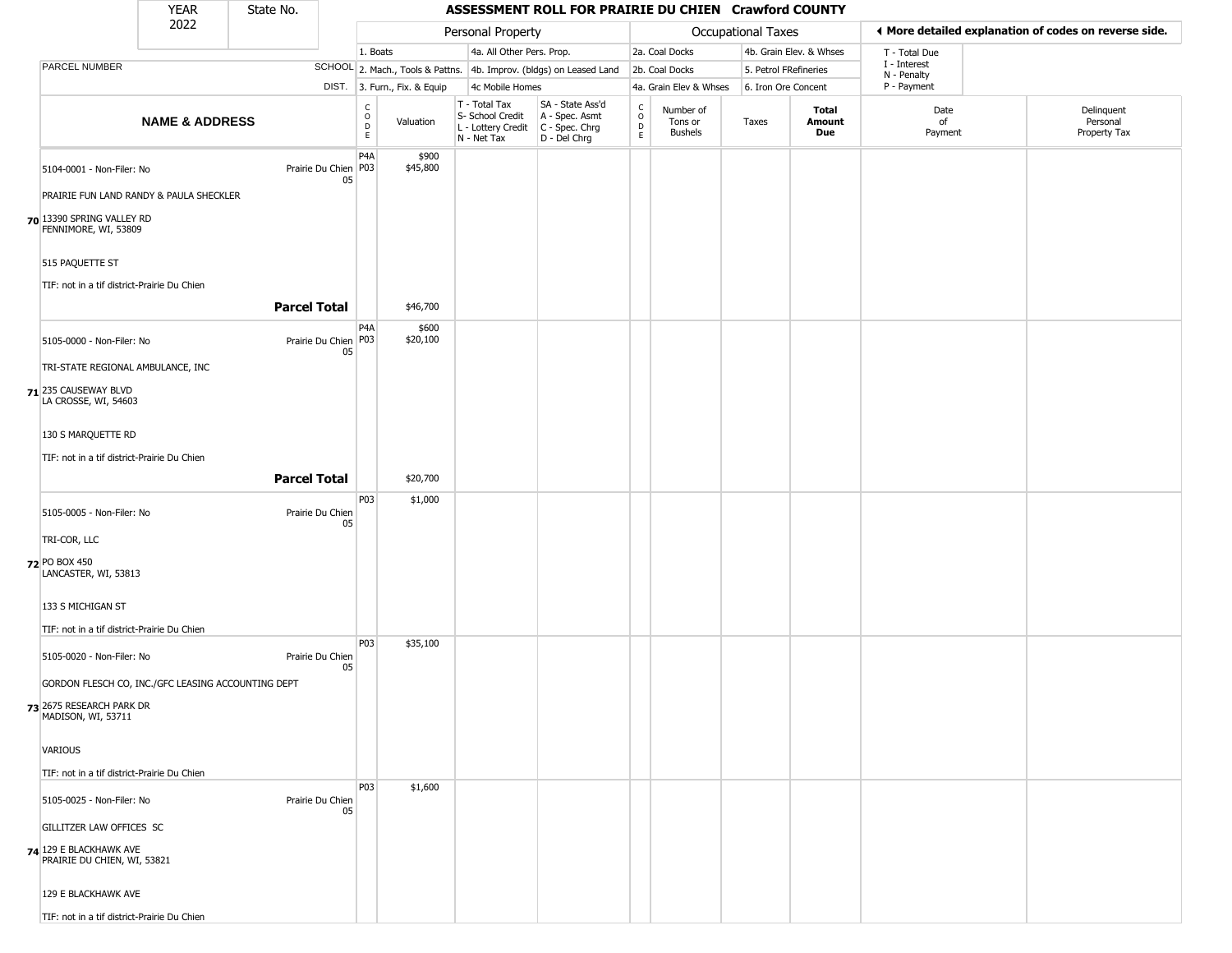#### YEAR **ASSESSMENT ROLL FOR PRAIRIE DU CHIEN Crawford COUNTY** 2022 DIST. 3. Furn., Fix. & Equip PARCEL NUMBER **NAME & ADDRESS** State No. C O D E Valuation T - Total Tax S- School Credit A - Spec. Asmt L - Lottery Credit C - Spec. Chrg N - Net Tax SA - State Ass'd D - Del Chrg C O D E Number of Tons or Bushels Taxes **Total Amount Due** Date of Payment Delinquent Personal Property Tax Personal Property **Calculational Taxes** 1. Boats **4a. All Other Pers. Prop.** 2a. Coal Docks 4b. Grain Elev. & Whses SCHOOL 2. Mach., Tools & Pattns. 4b. Improv. (bldgs) on Leased Land 2b. Coal Docks 5. Petrol FRefineries 4c Mobile Homes 4a. Grain Elev & Whses 6. Iron Ore Concent T - Total Due I - Interest N - Penalty P - Payment 3**More detailed explanation of codes on reverse side. 70** 13390 SPRING VALLEY RD 5104-0001 - Non-Filer: No 05 PRAIRIE FUN LAND RANDY & PAULA SHECKLER FENNIMORE, WI, 53809 515 PAQUETTE ST TIF: not in a tif district-Prairie Du Chien P4A Prairie Du Chien | P03 \$900 \$45,800 **Parcel Total** 1 \$46,700 **71** 235 CAUSEWAY BLVD 5105-0000 - Non-Filer: No 05 TRI-STATE REGIONAL AMBULANCE, INC LA CROSSE, WI, 54603 130 S MARQUETTE RD TIF: not in a tif district-Prairie Du Chien P4A Prairie Du Chien P03 \$600 \$20,100 **Parcel Total | \$20,700 72** PO BOX 450 5105-0005 - Non-Filer: No Prairie Du Chien 05 TRI-COR, LLC LANCASTER, WI, 53813 133 S MICHIGAN ST TIF: not in a tif district-Prairie Du Chien P03 \$1,000 **73** 2675 RESEARCH PARK DR 5105-0020 - Non-Filer: No Prairie Du Chien 05 GORDON FLESCH CO, INC./GFC LEASING ACCOUNTING DEPT MADISON, WI, 53711 VARIOUS TIF: not in a tif district-Prairie Du Chien P03 \$35,100 **74** 129 E BLACKHAWK AVE 5105-0025 - Non-Filer: No Prairie Du Chien 05 GILLITZER LAW OFFICES SC PRAIRIE DU CHIEN, WI, 53821 129 E BLACKHAWK AVE P03 \$1,600

TIF: not in a tif district-Prairie Du Chien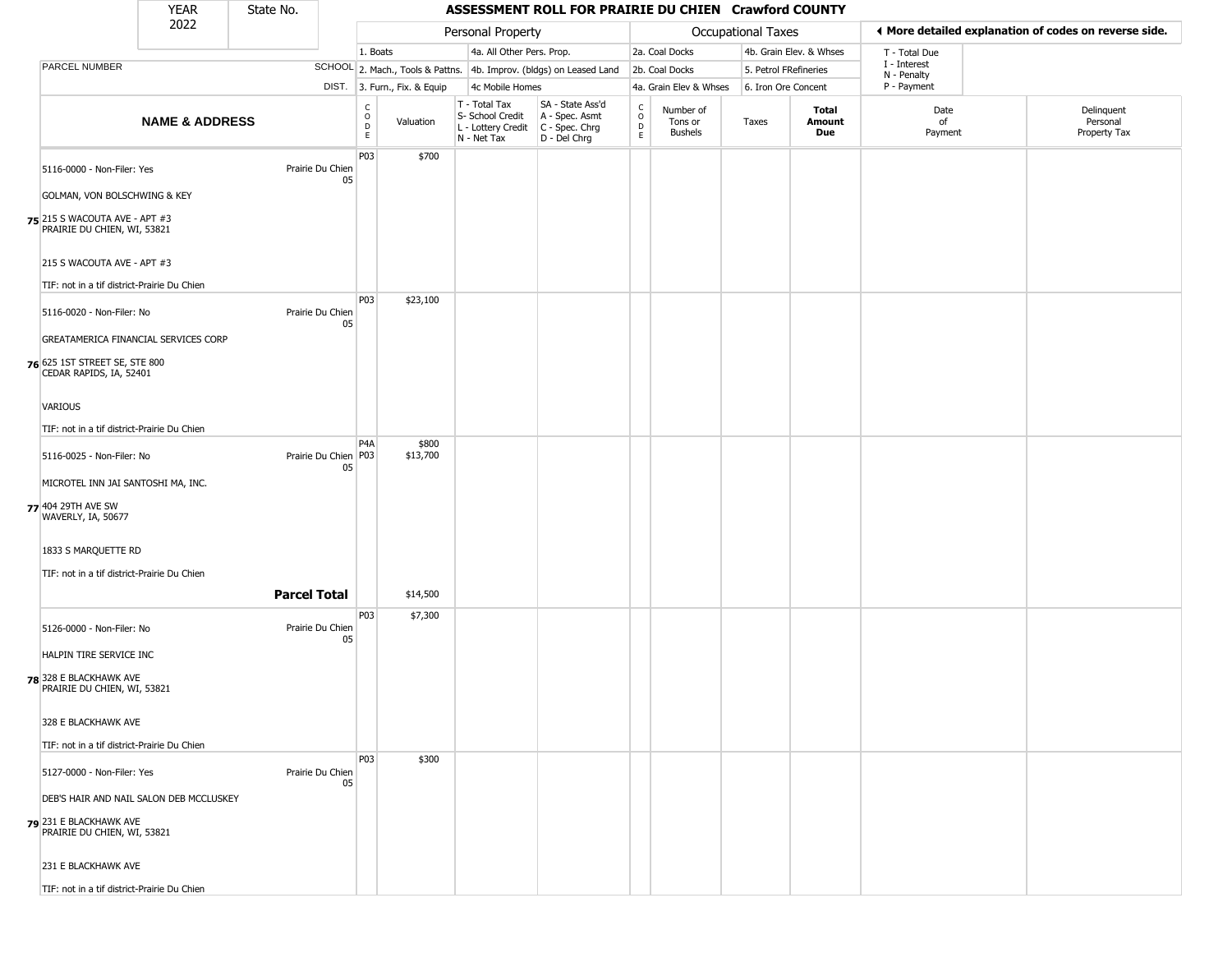| YFAR | State No. |
|------|-----------|
| วกวว |           |

|                                                                                               | <b>YEAR</b>               | State No.                    |                  | ASSESSMENT ROLL FOR PRAIRIE DU CHIEN Crawford COUNTY |                                                  |                                                                                           |                                                 |                                        |                       |                         |                                                       |                                        |  |  |
|-----------------------------------------------------------------------------------------------|---------------------------|------------------------------|------------------|------------------------------------------------------|--------------------------------------------------|-------------------------------------------------------------------------------------------|-------------------------------------------------|----------------------------------------|-----------------------|-------------------------|-------------------------------------------------------|----------------------------------------|--|--|
|                                                                                               | 2022                      |                              |                  |                                                      | Personal Property                                |                                                                                           |                                                 |                                        | Occupational Taxes    |                         | ♦ More detailed explanation of codes on reverse side. |                                        |  |  |
|                                                                                               |                           |                              | 1. Boats         |                                                      | 4a. All Other Pers. Prop.                        |                                                                                           |                                                 | 2a. Coal Docks                         |                       | 4b. Grain Elev. & Whses | T - Total Due                                         |                                        |  |  |
| PARCEL NUMBER                                                                                 |                           |                              |                  |                                                      |                                                  | SCHOOL 2. Mach., Tools & Pattns. 4b. Improv. (bldgs) on Leased Land                       |                                                 | 2b. Coal Docks                         | 5. Petrol FRefineries |                         | I - Interest<br>N - Penalty                           |                                        |  |  |
|                                                                                               |                           |                              |                  | DIST. 3. Furn., Fix. & Equip                         | 4c Mobile Homes                                  |                                                                                           |                                                 | 4a. Grain Elev & Whses                 | 6. Iron Ore Concent   |                         | P - Payment                                           |                                        |  |  |
|                                                                                               | <b>NAME &amp; ADDRESS</b> |                              | С<br>0<br>D<br>E | Valuation                                            | T - Total Tax<br>S- School Credit<br>N - Net Tax | SA - State Ass'd<br>A - Spec. Asmt<br>L - Lottery Credit   C - Spec. Chrg<br>D - Del Chrg | $\begin{array}{c} C \\ O \\ D \\ E \end{array}$ | Number of<br>Tons or<br><b>Bushels</b> | Taxes                 | Total<br>Amount<br>Due  | Date<br>of<br>Payment                                 | Delinquent<br>Personal<br>Property Tax |  |  |
| 5116-0000 - Non-Filer: Yes                                                                    |                           | Prairie Du Chien<br>05       | P03              | \$700                                                |                                                  |                                                                                           |                                                 |                                        |                       |                         |                                                       |                                        |  |  |
| GOLMAN, VON BOLSCHWING & KEY                                                                  |                           |                              |                  |                                                      |                                                  |                                                                                           |                                                 |                                        |                       |                         |                                                       |                                        |  |  |
| 75 215 S WACOUTA AVE - APT #3<br>PRAIRIE DU CHIEN, WI, 53821                                  |                           |                              |                  |                                                      |                                                  |                                                                                           |                                                 |                                        |                       |                         |                                                       |                                        |  |  |
| 215 S WACOUTA AVE - APT #3                                                                    |                           |                              |                  |                                                      |                                                  |                                                                                           |                                                 |                                        |                       |                         |                                                       |                                        |  |  |
| TIF: not in a tif district-Prairie Du Chien                                                   |                           |                              |                  |                                                      |                                                  |                                                                                           |                                                 |                                        |                       |                         |                                                       |                                        |  |  |
| 5116-0020 - Non-Filer: No                                                                     |                           | Prairie Du Chien<br>05       | P03              | \$23,100                                             |                                                  |                                                                                           |                                                 |                                        |                       |                         |                                                       |                                        |  |  |
| GREATAMERICA FINANCIAL SERVICES CORP                                                          |                           |                              |                  |                                                      |                                                  |                                                                                           |                                                 |                                        |                       |                         |                                                       |                                        |  |  |
| 76 625 1ST STREET SE, STE 800<br>CEDAR RAPIDS, IA, 52401                                      |                           |                              |                  |                                                      |                                                  |                                                                                           |                                                 |                                        |                       |                         |                                                       |                                        |  |  |
| VARIOUS                                                                                       |                           |                              |                  |                                                      |                                                  |                                                                                           |                                                 |                                        |                       |                         |                                                       |                                        |  |  |
| TIF: not in a tif district-Prairie Du Chien                                                   |                           |                              |                  |                                                      |                                                  |                                                                                           |                                                 |                                        |                       |                         |                                                       |                                        |  |  |
| 5116-0025 - Non-Filer: No                                                                     |                           | Prairie Du Chien   P03<br>05 | P <sub>4</sub> A | \$800<br>\$13,700                                    |                                                  |                                                                                           |                                                 |                                        |                       |                         |                                                       |                                        |  |  |
| MICROTEL INN JAI SANTOSHI MA, INC.                                                            |                           |                              |                  |                                                      |                                                  |                                                                                           |                                                 |                                        |                       |                         |                                                       |                                        |  |  |
| 77 404 29TH AVE SW<br>WAVERLY, IA, 50677                                                      |                           |                              |                  |                                                      |                                                  |                                                                                           |                                                 |                                        |                       |                         |                                                       |                                        |  |  |
| 1833 S MARQUETTE RD                                                                           |                           |                              |                  |                                                      |                                                  |                                                                                           |                                                 |                                        |                       |                         |                                                       |                                        |  |  |
| TIF: not in a tif district-Prairie Du Chien                                                   |                           |                              |                  |                                                      |                                                  |                                                                                           |                                                 |                                        |                       |                         |                                                       |                                        |  |  |
|                                                                                               |                           | <b>Parcel Total</b>          |                  | \$14,500                                             |                                                  |                                                                                           |                                                 |                                        |                       |                         |                                                       |                                        |  |  |
|                                                                                               |                           |                              | P03              | \$7,300                                              |                                                  |                                                                                           |                                                 |                                        |                       |                         |                                                       |                                        |  |  |
| 5126-0000 - Non-Filer: No                                                                     |                           | Prairie Du Chien<br>05       |                  |                                                      |                                                  |                                                                                           |                                                 |                                        |                       |                         |                                                       |                                        |  |  |
| HALPIN TIRE SERVICE INC                                                                       |                           |                              |                  |                                                      |                                                  |                                                                                           |                                                 |                                        |                       |                         |                                                       |                                        |  |  |
| 78 328 E BLACKHAWK AVE<br>PRAIRIE DU CHIEN, WI, 53821                                         |                           |                              |                  |                                                      |                                                  |                                                                                           |                                                 |                                        |                       |                         |                                                       |                                        |  |  |
| 328 E BLACKHAWK AVE                                                                           |                           |                              |                  |                                                      |                                                  |                                                                                           |                                                 |                                        |                       |                         |                                                       |                                        |  |  |
| TIF: not in a tif district-Prairie Du Chien                                                   |                           |                              |                  |                                                      |                                                  |                                                                                           |                                                 |                                        |                       |                         |                                                       |                                        |  |  |
| 5127-0000 - Non-Filer: Yes                                                                    |                           | Prairie Du Chien<br>05       | P03              | \$300                                                |                                                  |                                                                                           |                                                 |                                        |                       |                         |                                                       |                                        |  |  |
| DEB'S HAIR AND NAIL SALON DEB MCCLUSKEY<br>231 E BLACKHAWK AVE<br>PRAIRIE DU CHIEN, WI, 53821 |                           |                              |                  |                                                      |                                                  |                                                                                           |                                                 |                                        |                       |                         |                                                       |                                        |  |  |
| 231 E BLACKHAWK AVE                                                                           |                           |                              |                  |                                                      |                                                  |                                                                                           |                                                 |                                        |                       |                         |                                                       |                                        |  |  |
| TIF: not in a tif district-Prairie Du Chien                                                   |                           |                              |                  |                                                      |                                                  |                                                                                           |                                                 |                                        |                       |                         |                                                       |                                        |  |  |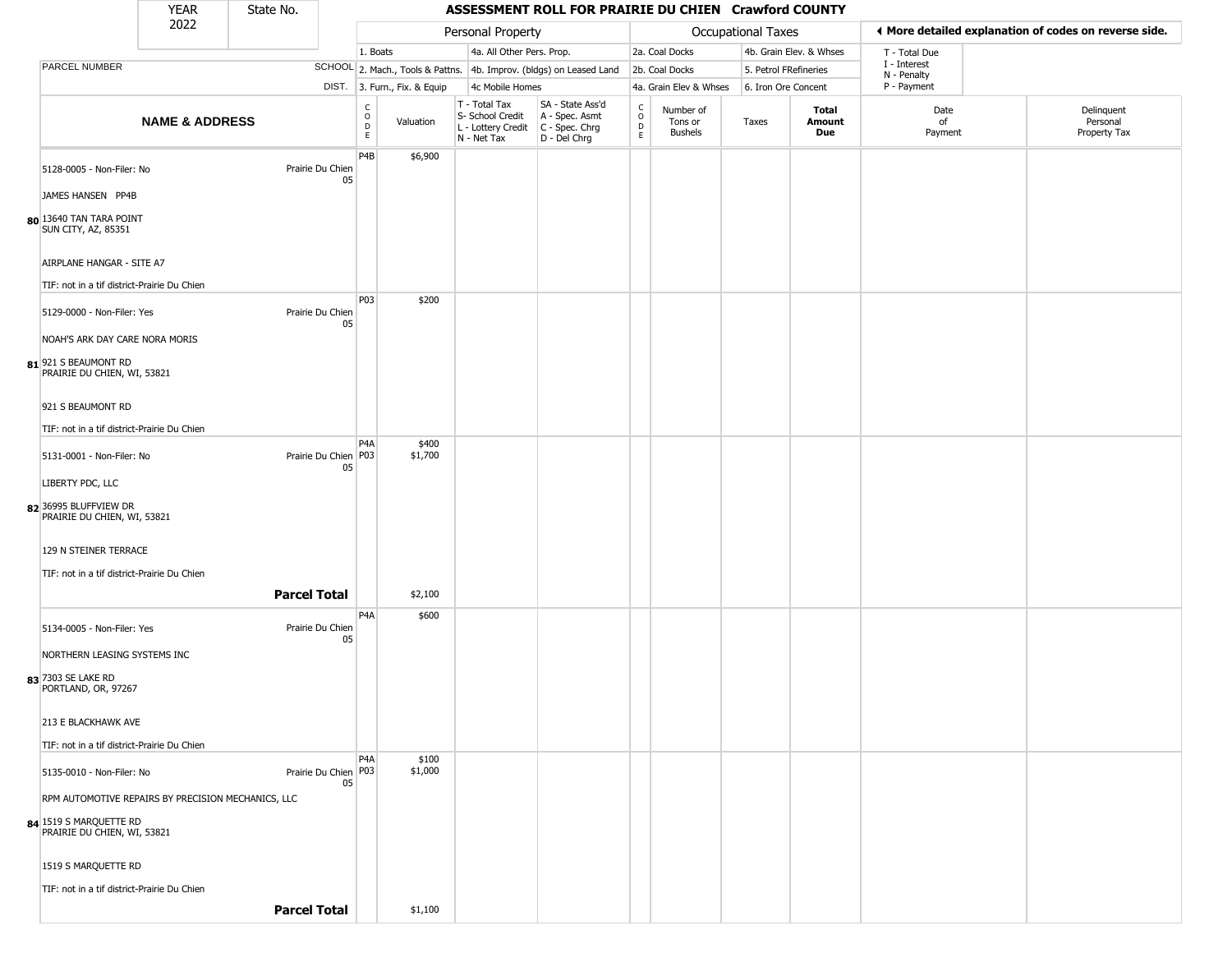| YFAR | State No. |
|------|-----------|
| 2022 |           |

÷

|                                                       | .<br>2022                 | -------                      |                            |                              |                                                                        |                                                                      |                                                          |                                        | <b>Occupational Taxes</b> |                               |                            | ◀ More detailed explanation of codes on reverse side. |
|-------------------------------------------------------|---------------------------|------------------------------|----------------------------|------------------------------|------------------------------------------------------------------------|----------------------------------------------------------------------|----------------------------------------------------------|----------------------------------------|---------------------------|-------------------------------|----------------------------|-------------------------------------------------------|
|                                                       |                           |                              | 1. Boats                   |                              | Personal Property<br>4a. All Other Pers. Prop.                         |                                                                      |                                                          | 2a. Coal Docks                         |                           | 4b. Grain Elev. & Whses       | T - Total Due              |                                                       |
| PARCEL NUMBER                                         |                           |                              |                            |                              |                                                                        | SCHOOL 2. Mach., Tools & Pattns. 4b. Improv. (bldgs) on Leased Land  |                                                          | 2b. Coal Docks                         | 5. Petrol FRefineries     |                               | I - Interest               |                                                       |
|                                                       |                           |                              |                            | DIST. 3. Furn., Fix. & Equip | 4c Mobile Homes                                                        |                                                                      |                                                          | 4a. Grain Elev & Whses                 | 6. Iron Ore Concent       |                               | N - Penalty<br>P - Payment |                                                       |
|                                                       | <b>NAME &amp; ADDRESS</b> |                              | C<br>0<br>D<br>$\mathsf E$ | Valuation                    | T - Total Tax<br>S- School Credit<br>L - Lottery Credit<br>N - Net Tax | SA - State Ass'd<br>A - Spec. Asmt<br>C - Spec. Chrg<br>D - Del Chrg | $\begin{smallmatrix} C \\ 0 \\ D \end{smallmatrix}$<br>E | Number of<br>Tons or<br><b>Bushels</b> | Taxes                     | Total<br>Amount<br><b>Due</b> | Date<br>of<br>Payment      | Delinquent<br>Personal<br>Property Tax                |
|                                                       |                           |                              | P <sub>4</sub> B           | \$6,900                      |                                                                        |                                                                      |                                                          |                                        |                           |                               |                            |                                                       |
| 5128-0005 - Non-Filer: No                             |                           | Prairie Du Chien<br>05       |                            |                              |                                                                        |                                                                      |                                                          |                                        |                           |                               |                            |                                                       |
| JAMES HANSEN PP4B                                     |                           |                              |                            |                              |                                                                        |                                                                      |                                                          |                                        |                           |                               |                            |                                                       |
| 80 13640 TAN TARA POINT<br><b>SUN CITY, AZ, 85351</b> |                           |                              |                            |                              |                                                                        |                                                                      |                                                          |                                        |                           |                               |                            |                                                       |
| AIRPLANE HANGAR - SITE A7                             |                           |                              |                            |                              |                                                                        |                                                                      |                                                          |                                        |                           |                               |                            |                                                       |
| TIF: not in a tif district-Prairie Du Chien           |                           |                              | P03                        | \$200                        |                                                                        |                                                                      |                                                          |                                        |                           |                               |                            |                                                       |
| 5129-0000 - Non-Filer: Yes                            |                           | Prairie Du Chien<br>05       |                            |                              |                                                                        |                                                                      |                                                          |                                        |                           |                               |                            |                                                       |
| NOAH'S ARK DAY CARE NORA MORIS                        |                           |                              |                            |                              |                                                                        |                                                                      |                                                          |                                        |                           |                               |                            |                                                       |
| 81 921 S BEAUMONT RD<br>PRAIRIE DU CHIEN, WI, 53821   |                           |                              |                            |                              |                                                                        |                                                                      |                                                          |                                        |                           |                               |                            |                                                       |
| 921 S BEAUMONT RD                                     |                           |                              |                            |                              |                                                                        |                                                                      |                                                          |                                        |                           |                               |                            |                                                       |
| TIF: not in a tif district-Prairie Du Chien           |                           |                              |                            |                              |                                                                        |                                                                      |                                                          |                                        |                           |                               |                            |                                                       |
| 5131-0001 - Non-Filer: No                             |                           | Prairie Du Chien   P03<br>05 | P <sub>4</sub> A           | \$400<br>\$1,700             |                                                                        |                                                                      |                                                          |                                        |                           |                               |                            |                                                       |
| LIBERTY PDC, LLC                                      |                           |                              |                            |                              |                                                                        |                                                                      |                                                          |                                        |                           |                               |                            |                                                       |
| 8236995 BLUFFVIEW DR<br>PRAIRIE DU CHIEN, WI, 53821   |                           |                              |                            |                              |                                                                        |                                                                      |                                                          |                                        |                           |                               |                            |                                                       |
| 129 N STEINER TERRACE                                 |                           |                              |                            |                              |                                                                        |                                                                      |                                                          |                                        |                           |                               |                            |                                                       |
| TIF: not in a tif district-Prairie Du Chien           |                           |                              |                            |                              |                                                                        |                                                                      |                                                          |                                        |                           |                               |                            |                                                       |
|                                                       |                           | <b>Parcel Total</b>          |                            | \$2,100                      |                                                                        |                                                                      |                                                          |                                        |                           |                               |                            |                                                       |
| 5134-0005 - Non-Filer: Yes                            |                           | Prairie Du Chien<br>05       | P <sub>4</sub> A           | \$600                        |                                                                        |                                                                      |                                                          |                                        |                           |                               |                            |                                                       |
| NORTHERN LEASING SYSTEMS INC                          |                           |                              |                            |                              |                                                                        |                                                                      |                                                          |                                        |                           |                               |                            |                                                       |
| 83 7303 SE LAKE RD<br>PORTLAND, OR, 97267             |                           |                              |                            |                              |                                                                        |                                                                      |                                                          |                                        |                           |                               |                            |                                                       |
| 213 E BLACKHAWK AVE                                   |                           |                              |                            |                              |                                                                        |                                                                      |                                                          |                                        |                           |                               |                            |                                                       |
| TIF: not in a tif district-Prairie Du Chien           |                           |                              |                            |                              |                                                                        |                                                                      |                                                          |                                        |                           |                               |                            |                                                       |
| 5135-0010 - Non-Filer: No                             |                           | Prairie Du Chien   P03<br>05 | P <sub>4</sub> A           | \$100<br>\$1,000             |                                                                        |                                                                      |                                                          |                                        |                           |                               |                            |                                                       |
| RPM AUTOMOTIVE REPAIRS BY PRECISION MECHANICS, LLC    |                           |                              |                            |                              |                                                                        |                                                                      |                                                          |                                        |                           |                               |                            |                                                       |
| 84 1519 S MARQUETTE RD<br>PRAIRIE DU CHIEN, WI, 53821 |                           |                              |                            |                              |                                                                        |                                                                      |                                                          |                                        |                           |                               |                            |                                                       |
| 1519 S MARQUETTE RD                                   |                           |                              |                            |                              |                                                                        |                                                                      |                                                          |                                        |                           |                               |                            |                                                       |
| TIF: not in a tif district-Prairie Du Chien           |                           |                              |                            |                              |                                                                        |                                                                      |                                                          |                                        |                           |                               |                            |                                                       |
|                                                       |                           | <b>Parcel Total</b>          |                            | \$1,100                      |                                                                        |                                                                      |                                                          |                                        |                           |                               |                            |                                                       |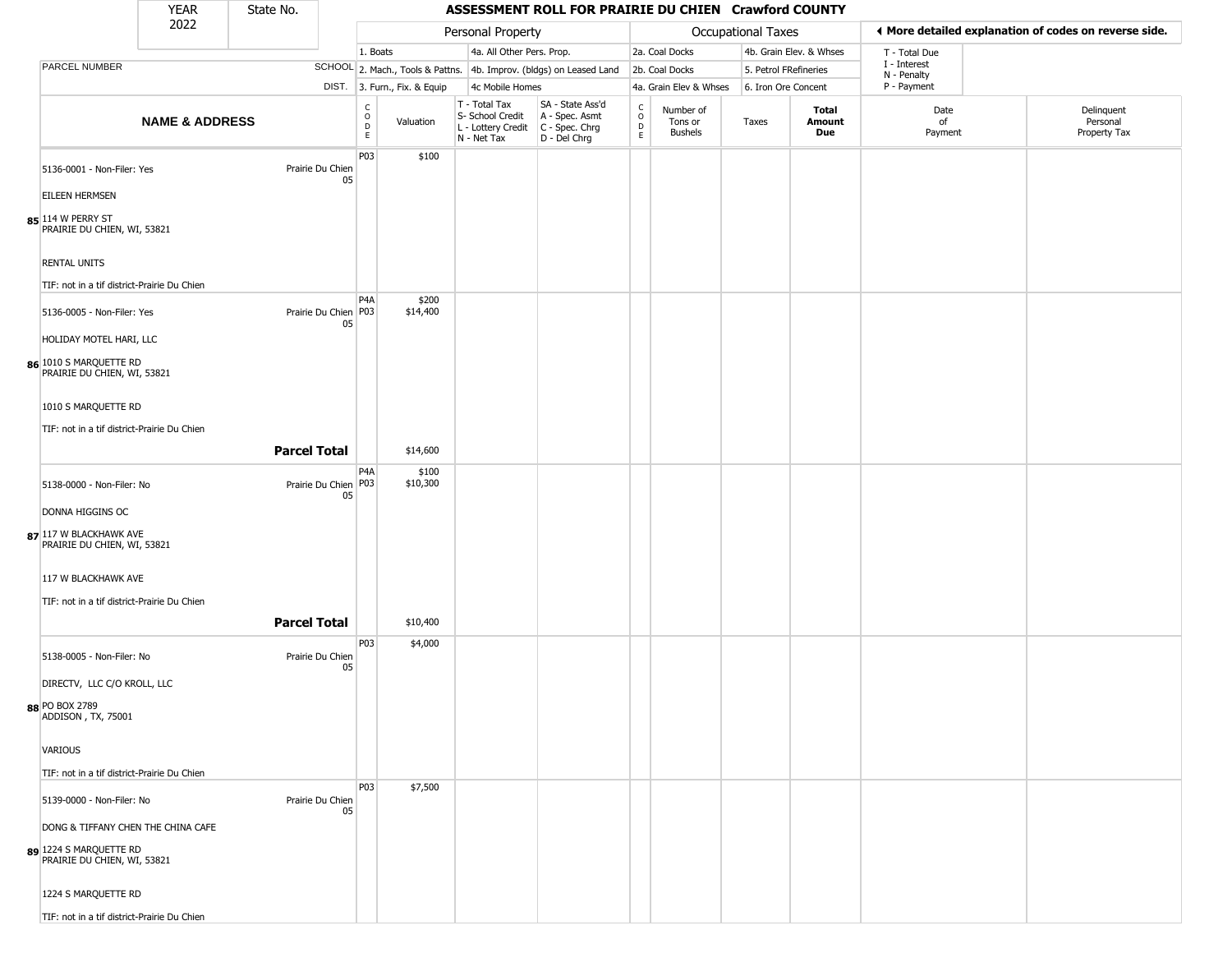## State No.

### YEAR State No. **ASSESSMENT ROLL FOR PRAIRIE DU CHIEN Crawford COUNTY**

|                                                                                             | 2022                      |                     |                              |                        |                              | Personal Property                                                                       |                                                                     |                            |                                        | <b>Occupational Taxes</b> |                         |                            | ♦ More detailed explanation of codes on reverse side. |
|---------------------------------------------------------------------------------------------|---------------------------|---------------------|------------------------------|------------------------|------------------------------|-----------------------------------------------------------------------------------------|---------------------------------------------------------------------|----------------------------|----------------------------------------|---------------------------|-------------------------|----------------------------|-------------------------------------------------------|
|                                                                                             |                           |                     |                              | 1. Boats               |                              | 4a. All Other Pers. Prop.                                                               |                                                                     |                            | 2a. Coal Docks                         |                           | 4b. Grain Elev. & Whses | T - Total Due              |                                                       |
| PARCEL NUMBER                                                                               |                           |                     |                              |                        |                              |                                                                                         | SCHOOL 2. Mach., Tools & Pattns. 4b. Improv. (bldgs) on Leased Land |                            | 2b. Coal Docks                         | 5. Petrol FRefineries     |                         | I - Interest               |                                                       |
|                                                                                             |                           |                     |                              |                        | DIST. 3. Furn., Fix. & Equip | 4c Mobile Homes                                                                         |                                                                     |                            | 4a. Grain Elev & Whses                 | 6. Iron Ore Concent       |                         | N - Penalty<br>P - Payment |                                                       |
|                                                                                             | <b>NAME &amp; ADDRESS</b> |                     |                              | C<br>$\circ$<br>D<br>E | Valuation                    | T - Total Tax<br>S- School Credit<br>L - Lottery Credit   C - Spec. Chrg<br>N - Net Tax | SA - State Ass'd<br>A - Spec. Asmt<br>D - Del Chrg                  | C<br>$\mathsf O$<br>D<br>E | Number of<br>Tons or<br><b>Bushels</b> | Taxes                     | Total<br>Amount<br>Due  | Date<br>of<br>Payment      | Delinquent<br>Personal<br>Property Tax                |
| 5136-0001 - Non-Filer: Yes                                                                  |                           | Prairie Du Chien    | 05                           | P03                    | \$100                        |                                                                                         |                                                                     |                            |                                        |                           |                         |                            |                                                       |
| <b>EILEEN HERMSEN</b>                                                                       |                           |                     |                              |                        |                              |                                                                                         |                                                                     |                            |                                        |                           |                         |                            |                                                       |
| 85 114 W PERRY ST<br>PRAIRIE DU CHIEN, WI, 53821                                            |                           |                     |                              |                        |                              |                                                                                         |                                                                     |                            |                                        |                           |                         |                            |                                                       |
| <b>RENTAL UNITS</b>                                                                         |                           |                     |                              |                        |                              |                                                                                         |                                                                     |                            |                                        |                           |                         |                            |                                                       |
| TIF: not in a tif district-Prairie Du Chien                                                 |                           |                     |                              | P <sub>4</sub> A       | \$200                        |                                                                                         |                                                                     |                            |                                        |                           |                         |                            |                                                       |
| 5136-0005 - Non-Filer: Yes                                                                  |                           |                     | Prairie Du Chien   P03<br>05 |                        | \$14,400                     |                                                                                         |                                                                     |                            |                                        |                           |                         |                            |                                                       |
| HOLIDAY MOTEL HARI, LLC<br>86 1010 S MARQUETTE RD<br>PRAIRIE DU CHIEN, WI, 53821            |                           |                     |                              |                        |                              |                                                                                         |                                                                     |                            |                                        |                           |                         |                            |                                                       |
| 1010 S MARQUETTE RD                                                                         |                           |                     |                              |                        |                              |                                                                                         |                                                                     |                            |                                        |                           |                         |                            |                                                       |
| TIF: not in a tif district-Prairie Du Chien                                                 |                           | <b>Parcel Total</b> |                              |                        | \$14,600                     |                                                                                         |                                                                     |                            |                                        |                           |                         |                            |                                                       |
| 5138-0000 - Non-Filer: No                                                                   |                           |                     | Prairie Du Chien   P03       | P4A                    | \$100<br>\$10,300            |                                                                                         |                                                                     |                            |                                        |                           |                         |                            |                                                       |
| DONNA HIGGINS OC                                                                            |                           |                     | 05                           |                        |                              |                                                                                         |                                                                     |                            |                                        |                           |                         |                            |                                                       |
| 87 117 W BLACKHAWK AVE<br>PRAIRIE DU CHIEN, WI, 53821                                       |                           |                     |                              |                        |                              |                                                                                         |                                                                     |                            |                                        |                           |                         |                            |                                                       |
| 117 W BLACKHAWK AVE                                                                         |                           |                     |                              |                        |                              |                                                                                         |                                                                     |                            |                                        |                           |                         |                            |                                                       |
| TIF: not in a tif district-Prairie Du Chien                                                 |                           | <b>Parcel Total</b> |                              |                        | \$10,400                     |                                                                                         |                                                                     |                            |                                        |                           |                         |                            |                                                       |
|                                                                                             |                           |                     |                              | P03                    | \$4,000                      |                                                                                         |                                                                     |                            |                                        |                           |                         |                            |                                                       |
| 5138-0005 - Non-Filer: No<br>DIRECTV, LLC C/O KROLL, LLC                                    |                           | Prairie Du Chien    | 05                           |                        |                              |                                                                                         |                                                                     |                            |                                        |                           |                         |                            |                                                       |
| 88 PO BOX 2789<br>ADDISON, TX, 75001                                                        |                           |                     |                              |                        |                              |                                                                                         |                                                                     |                            |                                        |                           |                         |                            |                                                       |
| VARIOUS                                                                                     |                           |                     |                              |                        |                              |                                                                                         |                                                                     |                            |                                        |                           |                         |                            |                                                       |
| TIF: not in a tif district-Prairie Du Chien                                                 |                           |                     |                              |                        |                              |                                                                                         |                                                                     |                            |                                        |                           |                         |                            |                                                       |
| 5139-0000 - Non-Filer: No                                                                   |                           | Prairie Du Chien    | 05                           | P03                    | \$7,500                      |                                                                                         |                                                                     |                            |                                        |                           |                         |                            |                                                       |
| DONG & TIFFANY CHEN THE CHINA CAFE<br>89 1224 S MARQUETTE RD<br>PRAIRIE DU CHIEN, WI, 53821 |                           |                     |                              |                        |                              |                                                                                         |                                                                     |                            |                                        |                           |                         |                            |                                                       |
| 1224 S MARQUETTE RD                                                                         |                           |                     |                              |                        |                              |                                                                                         |                                                                     |                            |                                        |                           |                         |                            |                                                       |
| TIF: not in a tif district-Prairie Du Chien                                                 |                           |                     |                              |                        |                              |                                                                                         |                                                                     |                            |                                        |                           |                         |                            |                                                       |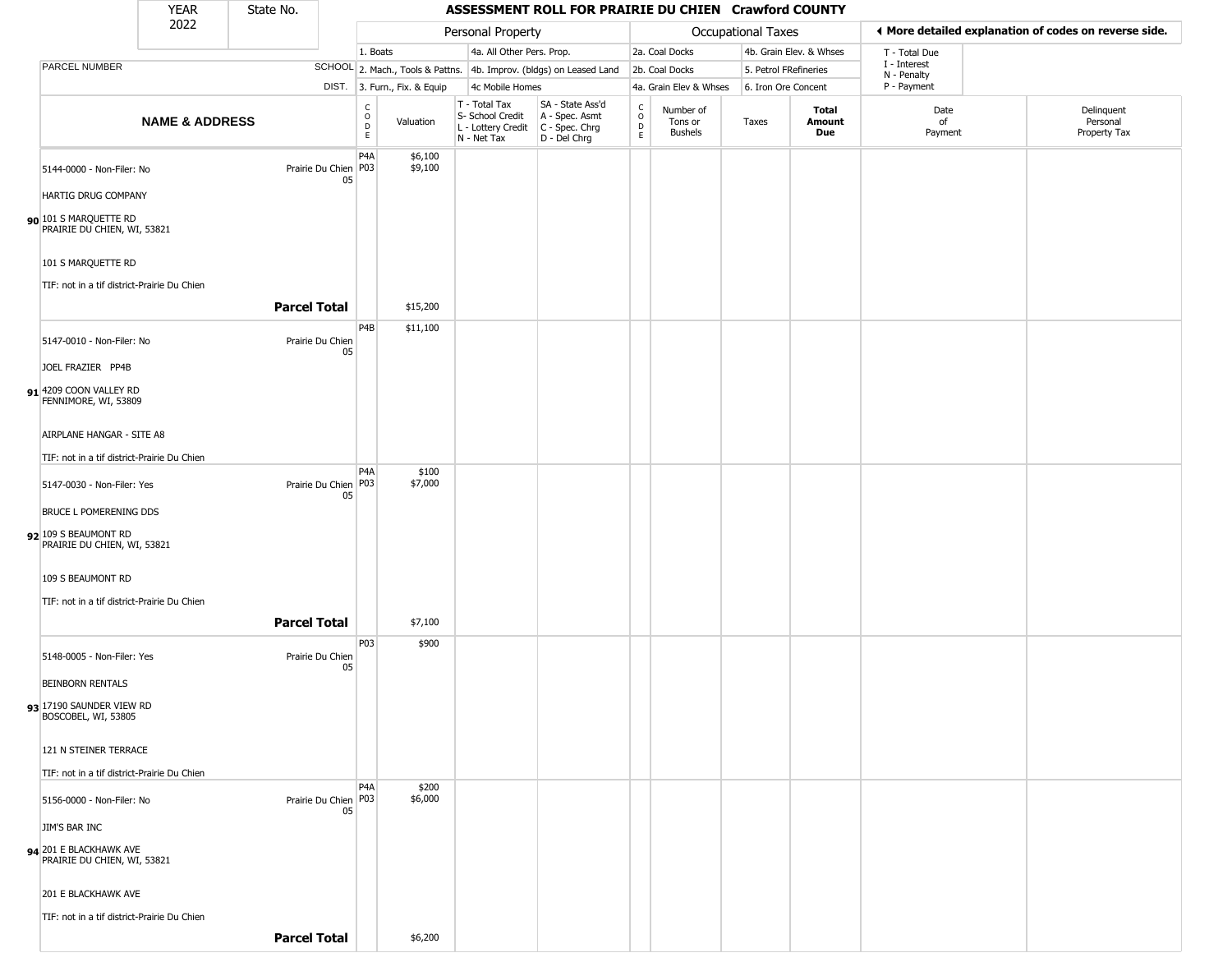#### YEAR **ASSESSMENT ROLL FOR PRAIRIE DU CHIEN Crawford COUNTY** 2022 DIST. 3. Furn., Fix. & Equip PARCEL NUMBER **NAME & ADDRESS** State No. C O D E Valuation T - Total Tax S- School Credit A - Spec. Asmt L - Lottery Credit C - Spec. Chrg N - Net Tax SA - State Ass'd D - Del Chrg C O D E Number of Tons or Bushels Taxes **Total Amount Due** Date of Payment Delinquent Personal Property Tax Personal Property **Calculational Taxes** 1. Boats **4a. All Other Pers. Prop.** 2a. Coal Docks 4b. Grain Elev. & Whses SCHOOL 2. Mach., Tools & Pattns. 4b. Improv. (bldgs) on Leased Land 2b. Coal Docks 5. Petrol FRefineries 4c Mobile Homes 4a. Grain Elev & Whses 6. Iron Ore Concent T - Total Due I - Interest N - Penalty P - Payment 3**More detailed explanation of codes on reverse side. 90** 101 S MARQUETTE RD 5144-0000 - Non-Filer: No 05 HARTIG DRUG COMPANY PRAIRIE DU CHIEN, WI, 53821 101 S MARQUETTE RD TIF: not in a tif district-Prairie Du Chien P4A Prairie Du Chien P03 \$6,100 \$9,100 **Parcel Total** 1 \$15,200 **91** 4209 COON VALLEY RD 5147-0010 - Non-Filer: No Prairie Du Chien 05 JOEL FRAZIER PP4B FENNIMORE, WI, 53809 AIRPLANE HANGAR - SITE A8 TIF: not in a tif district-Prairie Du Chien P4B \$11,100 **92** 109 S BEAUMONT RD 5147-0030 - Non-Filer: Yes 05 BRUCE L POMERENING DDS PRAIRIE DU CHIEN, WI, 53821 109 S BEAUMONT RD TIF: not in a tif district-Prairie Du Chien P4A Prairie Du Chien P03 \$100 \$7,000 **Parcel Total** \$7,100 **93** 17190 SAUNDER VIEW RD 5148-0005 - Non-Filer: Yes Prairie Du Chien 05 BEINBORN RENTALS BOSCOBEL, WI, 53805 121 N STEINER TERRACE TIF: not in a tif district-Prairie Du Chien P03 \$900 **94** 201 E BLACKHAWK AVE 5156-0000 - Non-Filer: No 05 JIM'S BAR INC PRAIRIE DU CHIEN, WI, 53821 201 E BLACKHAWK AVE P4A Prairie Du Chien P03 \$200 \$6,000

TIF: not in a tif district-Prairie Du Chien

**Parcel Total** \$6,200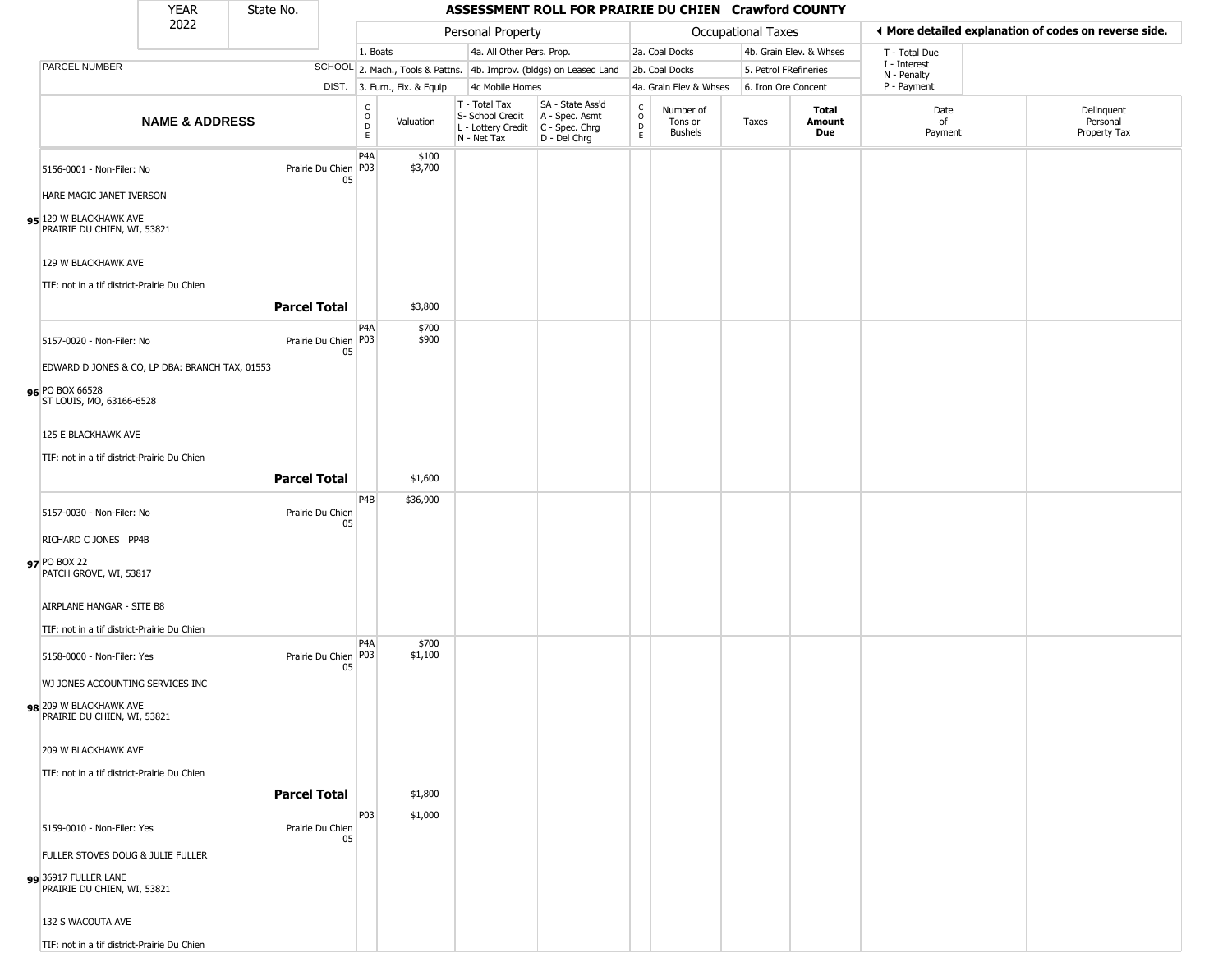#### YEAR **ASSESSMENT ROLL FOR PRAIRIE DU CHIEN Crawford COUNTY** 2022 DIST. 3. Furn., Fix. & Equip PARCEL NUMBER **NAME & ADDRESS** State No. C O D E Valuation T - Total Tax S- School Credit A - Spec. Asmt L - Lottery Credit C - Spec. Chrg N - Net Tax SA - State Ass'd D - Del Chrg C O D E Number of Tons or Bushels Taxes **Total Amount Due** Date of Payment Delinquent Personal Property Tax Personal Property **Calculational Taxes** 1. Boats **4a. All Other Pers. Prop.** 2a. Coal Docks 4b. Grain Elev. & Whses SCHOOL 2. Mach., Tools & Pattns. 4b. Improv. (bldgs) on Leased Land 2b. Coal Docks 5. Petrol FRefineries 4c Mobile Homes 4a. Grain Elev & Whses 6. Iron Ore Concent T - Total Due I - Interest N - Penalty P - Payment 3**More detailed explanation of codes on reverse side. 95** 129 W BLACKHAWK AVE 5156-0001 - Non-Filer: No 05 HARE MAGIC JANET IVERSON PRAIRIE DU CHIEN, WI, 53821 129 W BLACKHAWK AVE TIF: not in a tif district-Prairie Du Chien P4A Prairie Du Chien P03 \$100 \$3,700 **Parcel Total** 1 \$3,800 **96** PO BOX 66528 5157-0020 - Non-Filer: No 05 EDWARD D JONES & CO, LP DBA: BRANCH TAX, 01553 ST LOUIS, MO, 63166-6528 125 E BLACKHAWK AVE TIF: not in a tif district-Prairie Du Chien P4A Prairie Du Chien P03 \$700 \$900 **Parcel Total** \$1,600 **97** PO BOX 22 5157-0030 - Non-Filer: No Prairie Du Chien 05 RICHARD C JONES PP4B PATCH GROVE, WI, 53817 AIRPLANE HANGAR - SITE B8 TIF: not in a tif district-Prairie Du Chien P4B \$36,900 **98** 209 W BLACKHAWK AVE 5158-0000 - Non-Filer: Yes 05 WJ JONES ACCOUNTING SERVICES INC PRAIRIE DU CHIEN, WI, 53821 209 W BLACKHAWK AVE TIF: not in a tif district-Prairie Du Chien  $PA<sub>A</sub>$ Prairie Du Chien P03 \$700 \$1,100 **Parcel Total** \$1,800 **99** 36917 FULLER LANE 5159-0010 - Non-Filer: Yes Prairie Du Chien 05 FULLER STOVES DOUG & JULIE FULLER PRAIRIE DU CHIEN, WI, 53821 132 S WACOUTA AVE P03 \$1,000

TIF: not in a tif district-Prairie Du Chien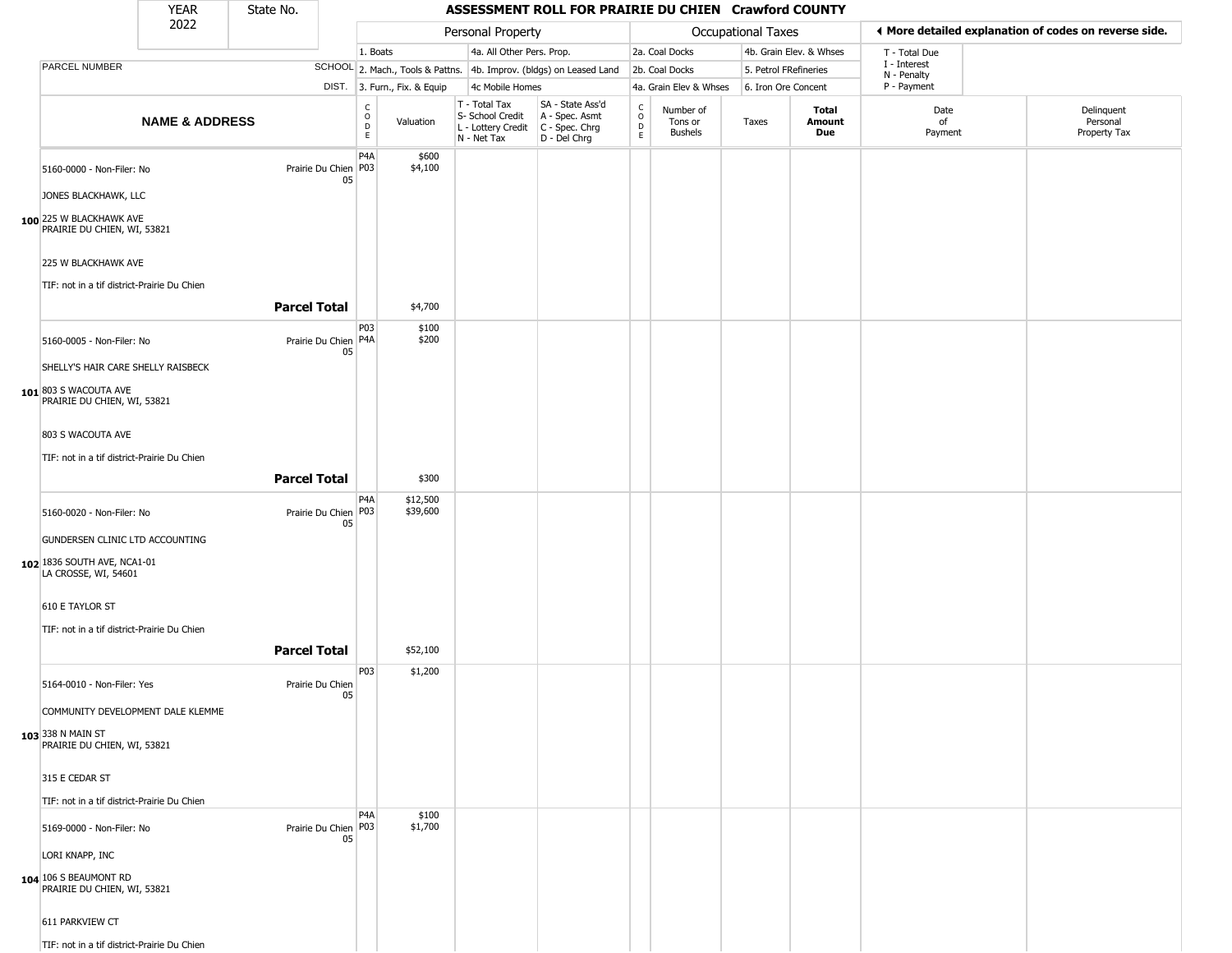#### YEAR **ASSESSMENT ROLL FOR PRAIRIE DU CHIEN Crawford COUNTY** 2022 DIST. 3. Furn., Fix. & Equip PARCEL NUMBER **NAME & ADDRESS** State No. C O D E Valuation T - Total Tax S- School Credit A - Spec. Asmt L - Lottery Credit C - Spec. Chrg N - Net Tax SA - State Ass'd D - Del Chrg C O D E Number of Tons or Bushels Taxes **Total Amount Due** Date of Payment Delinquent Personal Property Tax Personal Property **Calculational Taxes** 1. Boats **4a. All Other Pers. Prop.** 2a. Coal Docks 4b. Grain Elev. & Whses SCHOOL 2. Mach., Tools & Pattns. 4b. Improv. (bldgs) on Leased Land 2b. Coal Docks 5. Petrol FRefineries 4c Mobile Homes 4a. Grain Elev & Whses 6. Iron Ore Concent T - Total Due I - Interest N - Penalty P - Payment 3**More detailed explanation of codes on reverse side. 100** 225 W BLACKHAWK AVE 5160-0000 - Non-Filer: No 05 JONES BLACKHAWK, LLC PRAIRIE DU CHIEN, WI, 53821 225 W BLACKHAWK AVE TIF: not in a tif district-Prairie Du Chien P4A Prairie Du Chien | P03 \$600 \$4,100 **Parcel Total** 1 \$4,700 **101** 803 S WACOUTA AVE 5160-0005 - Non-Filer: No 05 SHELLY'S HAIR CARE SHELLY RAISBECK PRAIRIE DU CHIEN, WI, 53821 803 S WACOUTA AVE TIF: not in a tif district-Prairie Du Chien P03 Prairie Du Chien P4A \$100 \$200 **Parcel Total** | \$300 **102** 1836 SOUTH AVE, NCA1-01 5160-0020 - Non-Filer: No 05 GUNDERSEN CLINIC LTD ACCOUNTING LA CROSSE, WI, 54601 610 E TAYLOR ST TIF: not in a tif district-Prairie Du Chien P4A Prairie Du Chien | P03 \$12,500 \$39,600 **Parcel Total** 1 \$52,100 **103** 338 N MAIN ST 5164-0010 - Non-Filer: Yes **Prairie Du Chien** 05 COMMUNITY DEVELOPMENT DALE KLEMME PRAIRIE DU CHIEN, WI, 53821 315 E CEDAR ST TIF: not in a tif district-Prairie Du Chien P03 \$1,200 **104** 106 S BEAUMONT RD 5169-0000 - Non-Filer: No 05 LORI KNAPP, INC PRAIRIE DU CHIEN, WI, 53821 611 PARKVIEW CT P4A Prairie Du Chien P03 \$100 \$1,700

TIF: not in a tif district-Prairie Du Chien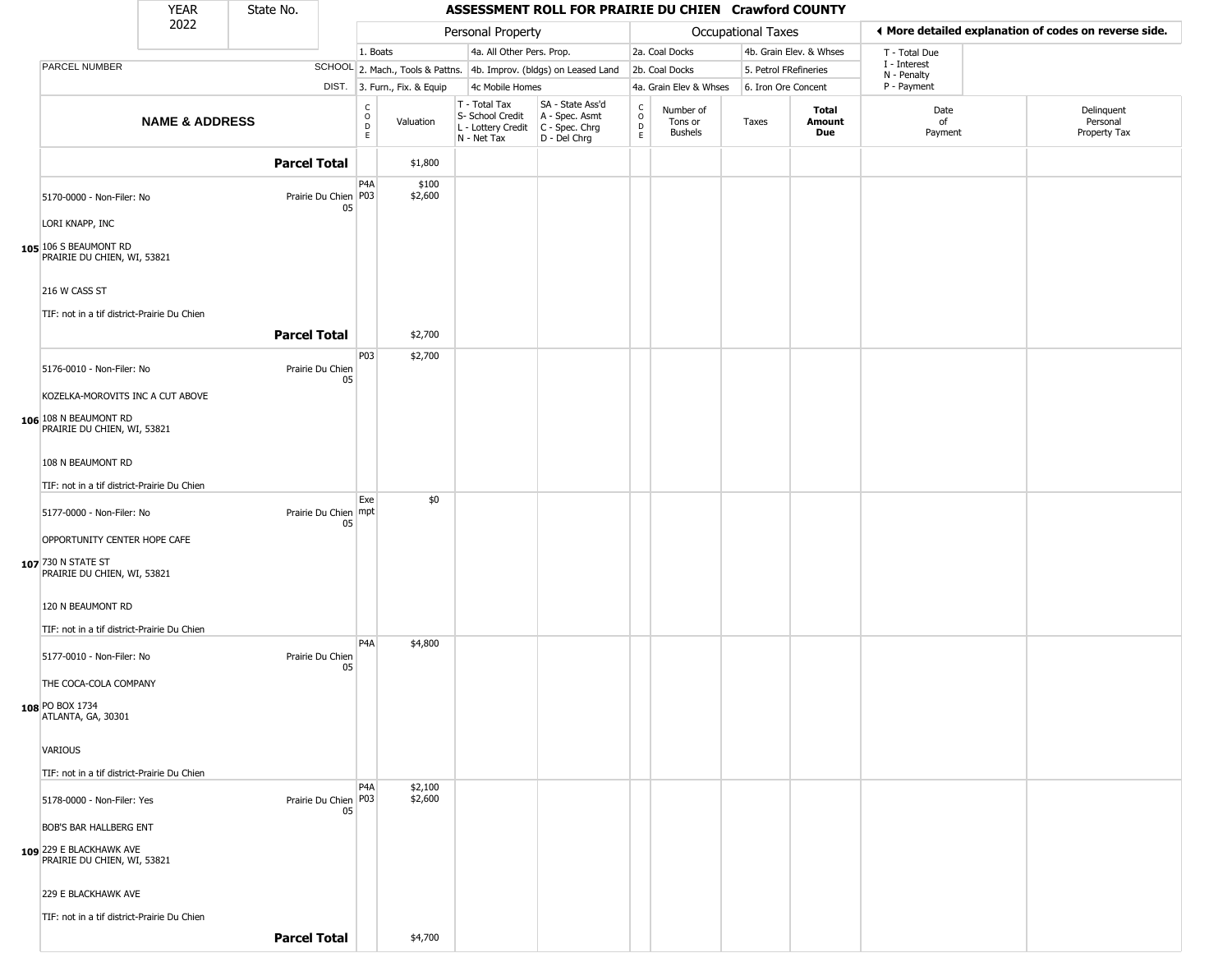|                                                        | <b>YEAR</b>               | State No.            |    |                         |                              |                                                                        | ASSESSMENT ROLL FOR PRAIRIE DU CHIEN Crawford COUNTY                 |                  |                                 |                       |                         |                             |                                                       |
|--------------------------------------------------------|---------------------------|----------------------|----|-------------------------|------------------------------|------------------------------------------------------------------------|----------------------------------------------------------------------|------------------|---------------------------------|-----------------------|-------------------------|-----------------------------|-------------------------------------------------------|
|                                                        | 2022                      |                      |    |                         |                              | Personal Property                                                      |                                                                      |                  |                                 | Occupational Taxes    |                         |                             | ♦ More detailed explanation of codes on reverse side. |
|                                                        |                           |                      |    | 1. Boats                |                              | 4a. All Other Pers. Prop.                                              |                                                                      |                  | 2a. Coal Docks                  |                       | 4b. Grain Elev. & Whses | T - Total Due               |                                                       |
| PARCEL NUMBER                                          |                           |                      |    |                         |                              |                                                                        | SCHOOL 2. Mach., Tools & Pattns. 4b. Improv. (bldgs) on Leased Land  |                  | 2b. Coal Docks                  | 5. Petrol FRefineries |                         | I - Interest<br>N - Penalty |                                                       |
|                                                        |                           |                      |    |                         | DIST. 3. Furn., Fix. & Equip | 4c Mobile Homes                                                        |                                                                      |                  | 4a. Grain Elev & Whses          | 6. Iron Ore Concent   |                         | P - Payment                 |                                                       |
|                                                        | <b>NAME &amp; ADDRESS</b> |                      |    | C<br>$\circ$<br>D<br>E. | Valuation                    | T - Total Tax<br>S- School Credit<br>L - Lottery Credit<br>N - Net Tax | SA - State Ass'd<br>A - Spec. Asmt<br>C - Spec. Chrg<br>D - Del Chrg | C<br>D<br>D<br>E | Number of<br>Tons or<br>Bushels | Taxes                 | Total<br>Amount<br>Due  | Date<br>of<br>Payment       | Delinquent<br>Personal<br>Property Tax                |
|                                                        |                           | <b>Parcel Total</b>  |    |                         | \$1,800                      |                                                                        |                                                                      |                  |                                 |                       |                         |                             |                                                       |
| 5170-0000 - Non-Filer: No                              |                           | Prairie Du Chien P03 | 05 | P <sub>4</sub> A        | \$100<br>\$2,600             |                                                                        |                                                                      |                  |                                 |                       |                         |                             |                                                       |
| LORI KNAPP, INC                                        |                           |                      |    |                         |                              |                                                                        |                                                                      |                  |                                 |                       |                         |                             |                                                       |
| 105 106 S BEAUMONT RD<br>PRAIRIE DU CHIEN, WI, 53821   |                           |                      |    |                         |                              |                                                                        |                                                                      |                  |                                 |                       |                         |                             |                                                       |
| 216 W CASS ST                                          |                           |                      |    |                         |                              |                                                                        |                                                                      |                  |                                 |                       |                         |                             |                                                       |
| TIF: not in a tif district-Prairie Du Chien            |                           | <b>Parcel Total</b>  |    |                         | \$2,700                      |                                                                        |                                                                      |                  |                                 |                       |                         |                             |                                                       |
| 5176-0010 - Non-Filer: No                              |                           | Prairie Du Chien     |    | P <sub>03</sub>         | \$2,700                      |                                                                        |                                                                      |                  |                                 |                       |                         |                             |                                                       |
| KOZELKA-MOROVITS INC A CUT ABOVE                       |                           |                      | 05 |                         |                              |                                                                        |                                                                      |                  |                                 |                       |                         |                             |                                                       |
| 106 108 N BEAUMONT RD<br>PRAIRIE DU CHIEN, WI, 53821   |                           |                      |    |                         |                              |                                                                        |                                                                      |                  |                                 |                       |                         |                             |                                                       |
| 108 N BEAUMONT RD                                      |                           |                      |    |                         |                              |                                                                        |                                                                      |                  |                                 |                       |                         |                             |                                                       |
| TIF: not in a tif district-Prairie Du Chien            |                           |                      |    |                         |                              |                                                                        |                                                                      |                  |                                 |                       |                         |                             |                                                       |
| 5177-0000 - Non-Filer: No                              |                           | Prairie Du Chien mpt | 05 | Exe                     | \$0                          |                                                                        |                                                                      |                  |                                 |                       |                         |                             |                                                       |
| OPPORTUNITY CENTER HOPE CAFE                           |                           |                      |    |                         |                              |                                                                        |                                                                      |                  |                                 |                       |                         |                             |                                                       |
| 107 730 N STATE ST<br>PRAIRIE DU CHIEN, WI, 53821      |                           |                      |    |                         |                              |                                                                        |                                                                      |                  |                                 |                       |                         |                             |                                                       |
| 120 N BEAUMONT RD                                      |                           |                      |    |                         |                              |                                                                        |                                                                      |                  |                                 |                       |                         |                             |                                                       |
| TIF: not in a tif district-Prairie Du Chien            |                           |                      |    | P <sub>4</sub> A        | \$4,800                      |                                                                        |                                                                      |                  |                                 |                       |                         |                             |                                                       |
| 5177-0010 - Non-Filer: No                              |                           | Prairie Du Chien     | 05 |                         |                              |                                                                        |                                                                      |                  |                                 |                       |                         |                             |                                                       |
| THE COCA-COLA COMPANY                                  |                           |                      |    |                         |                              |                                                                        |                                                                      |                  |                                 |                       |                         |                             |                                                       |
| 108 PO BOX 1734<br>ATLANTA, GA, 30301                  |                           |                      |    |                         |                              |                                                                        |                                                                      |                  |                                 |                       |                         |                             |                                                       |
| VARIOUS                                                |                           |                      |    |                         |                              |                                                                        |                                                                      |                  |                                 |                       |                         |                             |                                                       |
| TIF: not in a tif district-Prairie Du Chien            |                           |                      |    |                         |                              |                                                                        |                                                                      |                  |                                 |                       |                         |                             |                                                       |
| 5178-0000 - Non-Filer: Yes                             |                           | Prairie Du Chien P03 | 05 | P <sub>4</sub> A        | \$2,100<br>\$2,600           |                                                                        |                                                                      |                  |                                 |                       |                         |                             |                                                       |
| BOB'S BAR HALLBERG ENT                                 |                           |                      |    |                         |                              |                                                                        |                                                                      |                  |                                 |                       |                         |                             |                                                       |
| 109 229 E BLACKHAWK AVE<br>PRAIRIE DU CHIEN, WI, 53821 |                           |                      |    |                         |                              |                                                                        |                                                                      |                  |                                 |                       |                         |                             |                                                       |
| 229 E BLACKHAWK AVE                                    |                           |                      |    |                         |                              |                                                                        |                                                                      |                  |                                 |                       |                         |                             |                                                       |
| TIF: not in a tif district-Prairie Du Chien            |                           |                      |    |                         |                              |                                                                        |                                                                      |                  |                                 |                       |                         |                             |                                                       |
|                                                        |                           | <b>Parcel Total</b>  |    |                         | \$4,700                      |                                                                        |                                                                      |                  |                                 |                       |                         |                             |                                                       |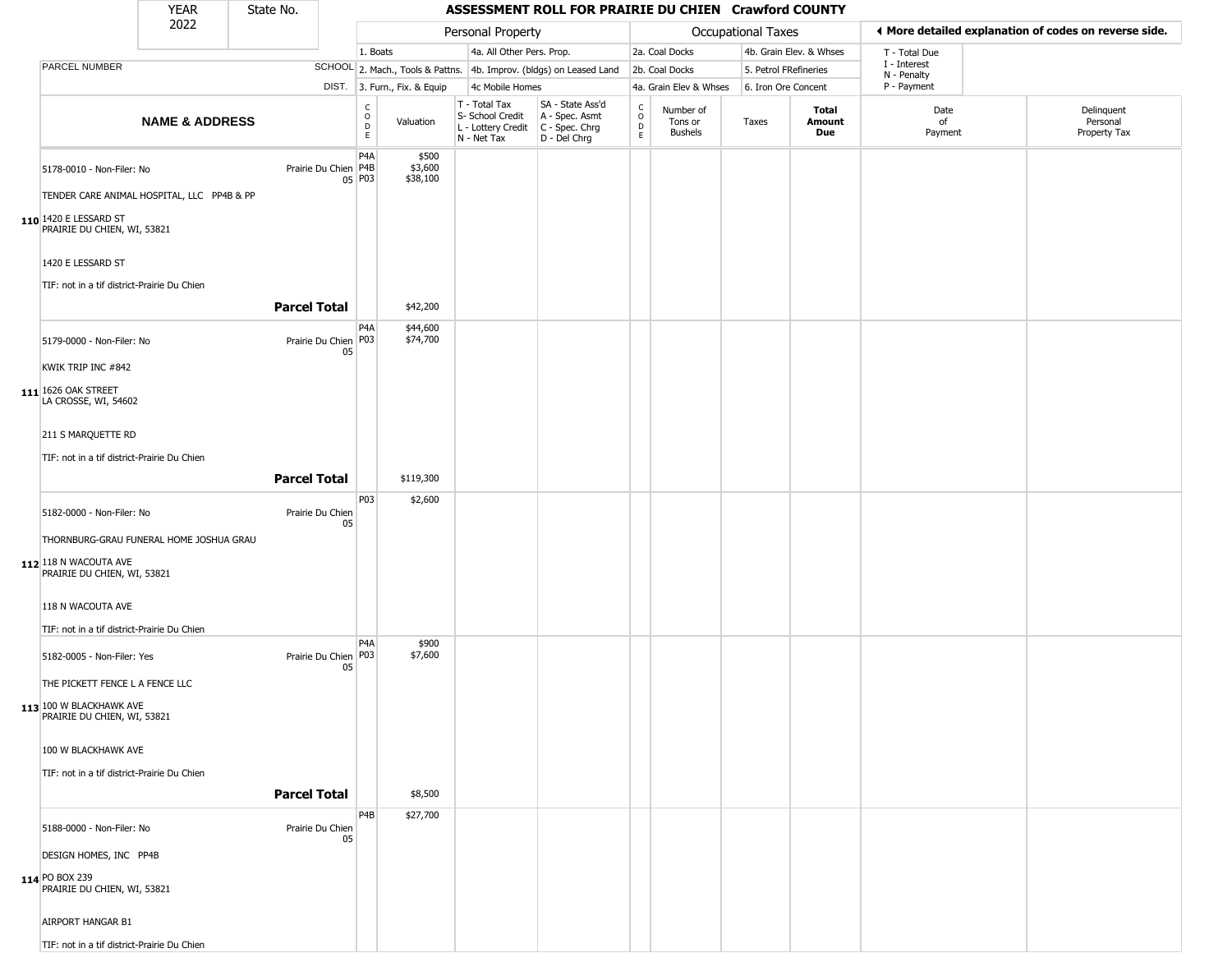| <b>YEAR</b> | State No. |  |
|-------------|-----------|--|
| ----        |           |  |

|                                                                                                  | 2022                      |                        |                            |                              | Personal Property                                                                       |                                                                     |                                     |                                        | <b>Occupational Taxes</b> |                         |                             | ◀ More detailed explanation of codes on reverse side. |
|--------------------------------------------------------------------------------------------------|---------------------------|------------------------|----------------------------|------------------------------|-----------------------------------------------------------------------------------------|---------------------------------------------------------------------|-------------------------------------|----------------------------------------|---------------------------|-------------------------|-----------------------------|-------------------------------------------------------|
|                                                                                                  |                           |                        |                            | 1. Boats                     | 4a. All Other Pers. Prop.                                                               |                                                                     |                                     | 2a. Coal Docks                         |                           | 4b. Grain Elev. & Whses | T - Total Due               |                                                       |
| PARCEL NUMBER                                                                                    |                           |                        |                            |                              |                                                                                         | SCHOOL 2. Mach., Tools & Pattns. 4b. Improv. (bldgs) on Leased Land |                                     | 2b. Coal Docks                         | 5. Petrol FRefineries     |                         | I - Interest<br>N - Penalty |                                                       |
|                                                                                                  |                           |                        |                            | DIST. 3. Furn., Fix. & Equip | 4c Mobile Homes                                                                         |                                                                     |                                     | 4a. Grain Elev & Whses                 | 6. Iron Ore Concent       |                         | P - Payment                 |                                                       |
|                                                                                                  | <b>NAME &amp; ADDRESS</b> |                        | $\frac{c}{0}$<br>D<br>E    | Valuation                    | T - Total Tax<br>S- School Credit<br>L - Lottery Credit   C - Spec. Chrg<br>N - Net Tax | SA - State Ass'd<br>A - Spec. Asmt<br>D - Del Chrg                  | $\int_{0}^{c}$<br>$\mathsf{D}$<br>E | Number of<br>Tons or<br><b>Bushels</b> | Taxes                     | Total<br>Amount<br>Due  | Date<br>of<br>Payment       | Delinquent<br>Personal<br>Property Tax                |
| 5178-0010 - Non-Filer: No<br>TENDER CARE ANIMAL HOSPITAL, LLC PP4B & PP<br>110 1420 E LESSARD ST |                           | Prairie Du Chien   P4B | P <sub>4</sub> A<br>05 P03 | \$500<br>\$3,600<br>\$38,100 |                                                                                         |                                                                     |                                     |                                        |                           |                         |                             |                                                       |
| PRAIRIE DU CHIEN, WI, 53821<br>1420 E LESSARD ST<br>TIF: not in a tif district-Prairie Du Chien  |                           | <b>Parcel Total</b>    |                            |                              |                                                                                         |                                                                     |                                     |                                        |                           |                         |                             |                                                       |
|                                                                                                  |                           |                        |                            | \$42,200                     |                                                                                         |                                                                     |                                     |                                        |                           |                         |                             |                                                       |
| 5179-0000 - Non-Filer: No<br>KWIK TRIP INC #842<br>111 1626 OAK STREET<br>LA CROSSE, WI, 54602   |                           | Prairie Du Chien   P03 | P <sub>4</sub> A<br>05     | \$44,600<br>\$74,700         |                                                                                         |                                                                     |                                     |                                        |                           |                         |                             |                                                       |
| 211 S MARQUETTE RD<br>TIF: not in a tif district-Prairie Du Chien                                |                           | <b>Parcel Total</b>    |                            | \$119,300                    |                                                                                         |                                                                     |                                     |                                        |                           |                         |                             |                                                       |
| 5182-0000 - Non-Filer: No<br>THORNBURG-GRAU FUNERAL HOME JOSHUA GRAU                             |                           | Prairie Du Chien       | P <sub>0</sub> 3<br>05     | \$2,600                      |                                                                                         |                                                                     |                                     |                                        |                           |                         |                             |                                                       |
| 112 118 N WACOUTA AVE<br>PRAIRIE DU CHIEN, WI, 53821                                             |                           |                        |                            |                              |                                                                                         |                                                                     |                                     |                                        |                           |                         |                             |                                                       |
| 118 N WACOUTA AVE<br>TIF: not in a tif district-Prairie Du Chien                                 |                           |                        | P <sub>4</sub> A           | \$900                        |                                                                                         |                                                                     |                                     |                                        |                           |                         |                             |                                                       |
| 5182-0005 - Non-Filer: Yes<br>THE PICKETT FENCE L A FENCE LLC<br>113 100 W BLACKHAWK AVE         |                           | Prairie Du Chien   P03 | 05                         | \$7,600                      |                                                                                         |                                                                     |                                     |                                        |                           |                         |                             |                                                       |
| PRAIRIE DU CHIEN, WI, 53821<br>100 W BLACKHAWK AVE                                               |                           |                        |                            |                              |                                                                                         |                                                                     |                                     |                                        |                           |                         |                             |                                                       |
| TIF: not in a tif district-Prairie Du Chien                                                      |                           | <b>Parcel Total</b>    |                            | \$8,500                      |                                                                                         |                                                                     |                                     |                                        |                           |                         |                             |                                                       |
| 5188-0000 - Non-Filer: No<br>DESIGN HOMES, INC PP4B                                              |                           | Prairie Du Chien       | P <sub>4</sub> B<br>05     | \$27,700                     |                                                                                         |                                                                     |                                     |                                        |                           |                         |                             |                                                       |
| 114 PO BOX 239<br>PRAIRIE DU CHIEN, WI, 53821                                                    |                           |                        |                            |                              |                                                                                         |                                                                     |                                     |                                        |                           |                         |                             |                                                       |
| AIRPORT HANGAR B1                                                                                |                           |                        |                            |                              |                                                                                         |                                                                     |                                     |                                        |                           |                         |                             |                                                       |
| TIF: not in a tif district-Prairie Du Chien                                                      |                           |                        |                            |                              |                                                                                         |                                                                     |                                     |                                        |                           |                         |                             |                                                       |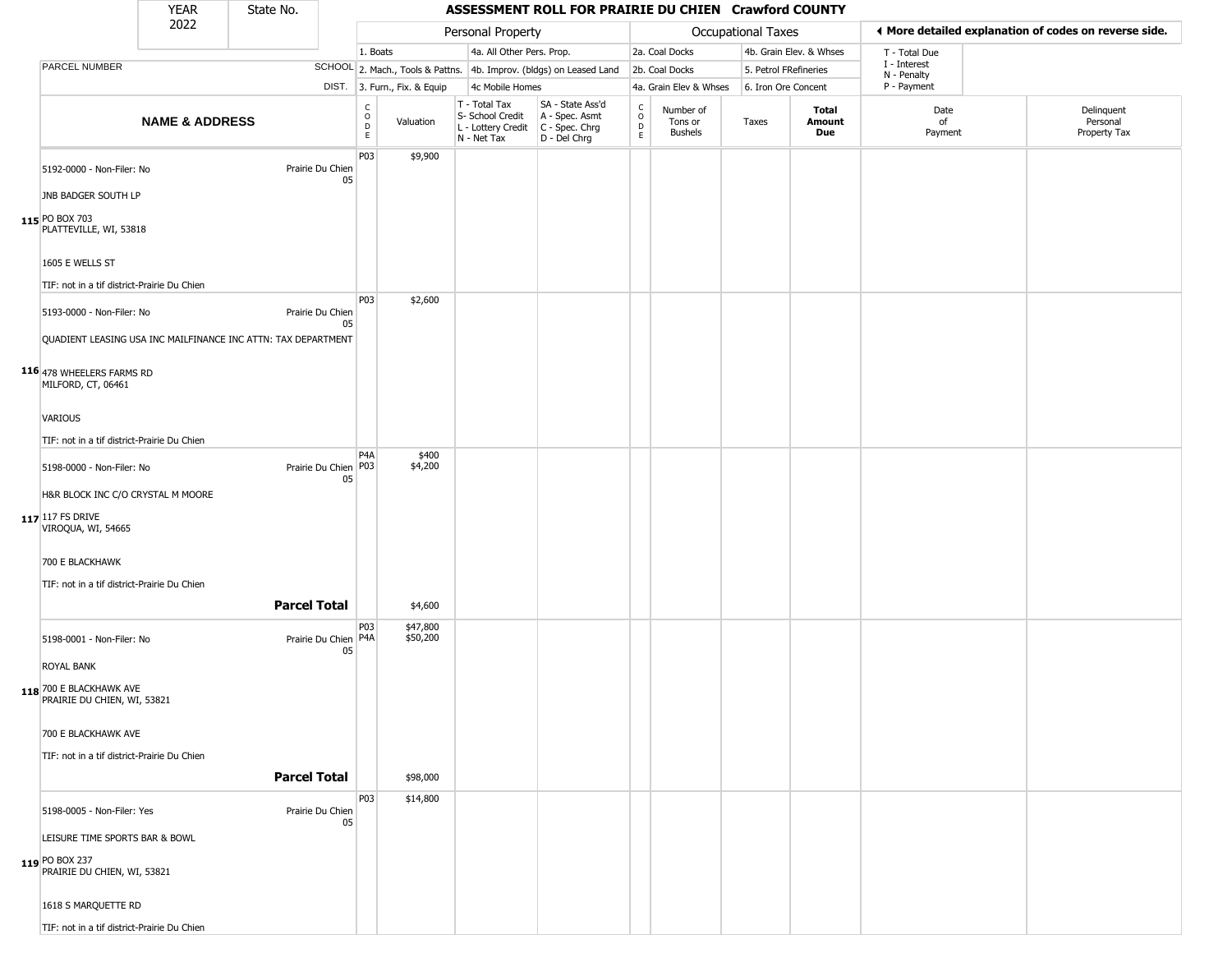| YFAR | State No. |
|------|-----------|
| วกวว |           |

|                                                               | YEAR                      | State No.           |                                |                                         |                              |                                                                                         | ASSESSMENT ROLL FOR PRAIRIE DU CHIEN Crawford COUNTY                |                                                 |                                 |                           |                         |                             |                                                       |
|---------------------------------------------------------------|---------------------------|---------------------|--------------------------------|-----------------------------------------|------------------------------|-----------------------------------------------------------------------------------------|---------------------------------------------------------------------|-------------------------------------------------|---------------------------------|---------------------------|-------------------------|-----------------------------|-------------------------------------------------------|
|                                                               | 2022                      |                     |                                |                                         |                              | Personal Property                                                                       |                                                                     |                                                 |                                 | <b>Occupational Taxes</b> |                         |                             | ◀ More detailed explanation of codes on reverse side. |
|                                                               |                           |                     |                                | 1. Boats                                |                              | 4a. All Other Pers. Prop.                                                               |                                                                     |                                                 | 2a. Coal Docks                  |                           | 4b. Grain Elev. & Whses | T - Total Due               |                                                       |
| PARCEL NUMBER                                                 |                           |                     |                                |                                         |                              |                                                                                         | SCHOOL 2. Mach., Tools & Pattns. 4b. Improv. (bldgs) on Leased Land |                                                 | 2b. Coal Docks                  | 5. Petrol FRefineries     |                         | I - Interest<br>N - Penalty |                                                       |
|                                                               |                           |                     |                                |                                         | DIST. 3. Furn., Fix. & Equip | 4c Mobile Homes                                                                         |                                                                     |                                                 | 4a. Grain Elev & Whses          | 6. Iron Ore Concent       |                         | P - Payment                 |                                                       |
|                                                               | <b>NAME &amp; ADDRESS</b> |                     |                                | $_{\rm o}^{\rm c}$<br>$\mathsf{D}$<br>E | Valuation                    | T - Total Tax<br>S- School Credit<br>L - Lottery Credit   C - Spec. Chrg<br>N - Net Tax | SA - State Ass'd<br>A - Spec. Asmt<br>D - Del Chrg                  | $\begin{array}{c} C \\ O \\ D \\ E \end{array}$ | Number of<br>Tons or<br>Bushels | Taxes                     | Total<br>Amount<br>Due  | Date<br>of<br>Payment       | Delinquent<br>Personal<br>Property Tax                |
| 5192-0000 - Non-Filer: No<br>JNB BADGER SOUTH LP              |                           |                     | Prairie Du Chien<br>05         | P03                                     | \$9,900                      |                                                                                         |                                                                     |                                                 |                                 |                           |                         |                             |                                                       |
| 115 PO BOX 703<br>PLATTEVILLE, WI, 53818<br>1605 E WELLS ST   |                           |                     |                                |                                         |                              |                                                                                         |                                                                     |                                                 |                                 |                           |                         |                             |                                                       |
|                                                               |                           |                     |                                |                                         |                              |                                                                                         |                                                                     |                                                 |                                 |                           |                         |                             |                                                       |
| TIF: not in a tif district-Prairie Du Chien                   |                           |                     |                                |                                         |                              |                                                                                         |                                                                     |                                                 |                                 |                           |                         |                             |                                                       |
| 5193-0000 - Non-Filer: No                                     |                           |                     | Prairie Du Chien<br>05         | P03                                     | \$2,600                      |                                                                                         |                                                                     |                                                 |                                 |                           |                         |                             |                                                       |
| QUADIENT LEASING USA INC MAILFINANCE INC ATTN: TAX DEPARTMENT |                           |                     |                                |                                         |                              |                                                                                         |                                                                     |                                                 |                                 |                           |                         |                             |                                                       |
| 116 478 WHEELERS FARMS RD<br>MILFORD, CT, 06461               |                           |                     |                                |                                         |                              |                                                                                         |                                                                     |                                                 |                                 |                           |                         |                             |                                                       |
| VARIOUS                                                       |                           |                     |                                |                                         |                              |                                                                                         |                                                                     |                                                 |                                 |                           |                         |                             |                                                       |
|                                                               |                           |                     |                                |                                         |                              |                                                                                         |                                                                     |                                                 |                                 |                           |                         |                             |                                                       |
| TIF: not in a tif district-Prairie Du Chien                   |                           |                     |                                |                                         |                              |                                                                                         |                                                                     |                                                 |                                 |                           |                         |                             |                                                       |
| 5198-0000 - Non-Filer: No                                     |                           |                     | Prairie Du Chien P03<br>05     | P <sub>4</sub> A                        | \$400<br>\$4,200             |                                                                                         |                                                                     |                                                 |                                 |                           |                         |                             |                                                       |
| H&R BLOCK INC C/O CRYSTAL M MOORE                             |                           |                     |                                |                                         |                              |                                                                                         |                                                                     |                                                 |                                 |                           |                         |                             |                                                       |
| 117 117 FS DRIVE<br>VIROQUA, WI, 54665                        |                           |                     |                                |                                         |                              |                                                                                         |                                                                     |                                                 |                                 |                           |                         |                             |                                                       |
| 700 E BLACKHAWK                                               |                           |                     |                                |                                         |                              |                                                                                         |                                                                     |                                                 |                                 |                           |                         |                             |                                                       |
| TIF: not in a tif district-Prairie Du Chien                   |                           |                     |                                |                                         |                              |                                                                                         |                                                                     |                                                 |                                 |                           |                         |                             |                                                       |
|                                                               |                           | <b>Parcel Total</b> |                                |                                         | \$4,600                      |                                                                                         |                                                                     |                                                 |                                 |                           |                         |                             |                                                       |
| 5198-0001 - Non-Filer: No                                     |                           |                     | Prairie Du Chien   P4A  <br>05 | P03                                     | \$47,800<br>\$50,200         |                                                                                         |                                                                     |                                                 |                                 |                           |                         |                             |                                                       |
| <b>ROYAL BANK</b>                                             |                           |                     |                                |                                         |                              |                                                                                         |                                                                     |                                                 |                                 |                           |                         |                             |                                                       |
| 118 700 E BLACKHAWK AVE<br>PRAIRIE DU CHIEN, WI, 53821        |                           |                     |                                |                                         |                              |                                                                                         |                                                                     |                                                 |                                 |                           |                         |                             |                                                       |
| 700 E BLACKHAWK AVE                                           |                           |                     |                                |                                         |                              |                                                                                         |                                                                     |                                                 |                                 |                           |                         |                             |                                                       |
|                                                               |                           |                     |                                |                                         |                              |                                                                                         |                                                                     |                                                 |                                 |                           |                         |                             |                                                       |
| TIF: not in a tif district-Prairie Du Chien                   |                           | <b>Parcel Total</b> |                                |                                         | \$98,000                     |                                                                                         |                                                                     |                                                 |                                 |                           |                         |                             |                                                       |
| 5198-0005 - Non-Filer: Yes                                    |                           |                     | Prairie Du Chien<br>05         | P03                                     | \$14,800                     |                                                                                         |                                                                     |                                                 |                                 |                           |                         |                             |                                                       |
| LEISURE TIME SPORTS BAR & BOWL                                |                           |                     |                                |                                         |                              |                                                                                         |                                                                     |                                                 |                                 |                           |                         |                             |                                                       |
| 119 PO BOX 237<br>PRAIRIE DU CHIEN, WI, 53821                 |                           |                     |                                |                                         |                              |                                                                                         |                                                                     |                                                 |                                 |                           |                         |                             |                                                       |
| 1618 S MARQUETTE RD                                           |                           |                     |                                |                                         |                              |                                                                                         |                                                                     |                                                 |                                 |                           |                         |                             |                                                       |
| TIF: not in a tif district-Prairie Du Chien                   |                           |                     |                                |                                         |                              |                                                                                         |                                                                     |                                                 |                                 |                           |                         |                             |                                                       |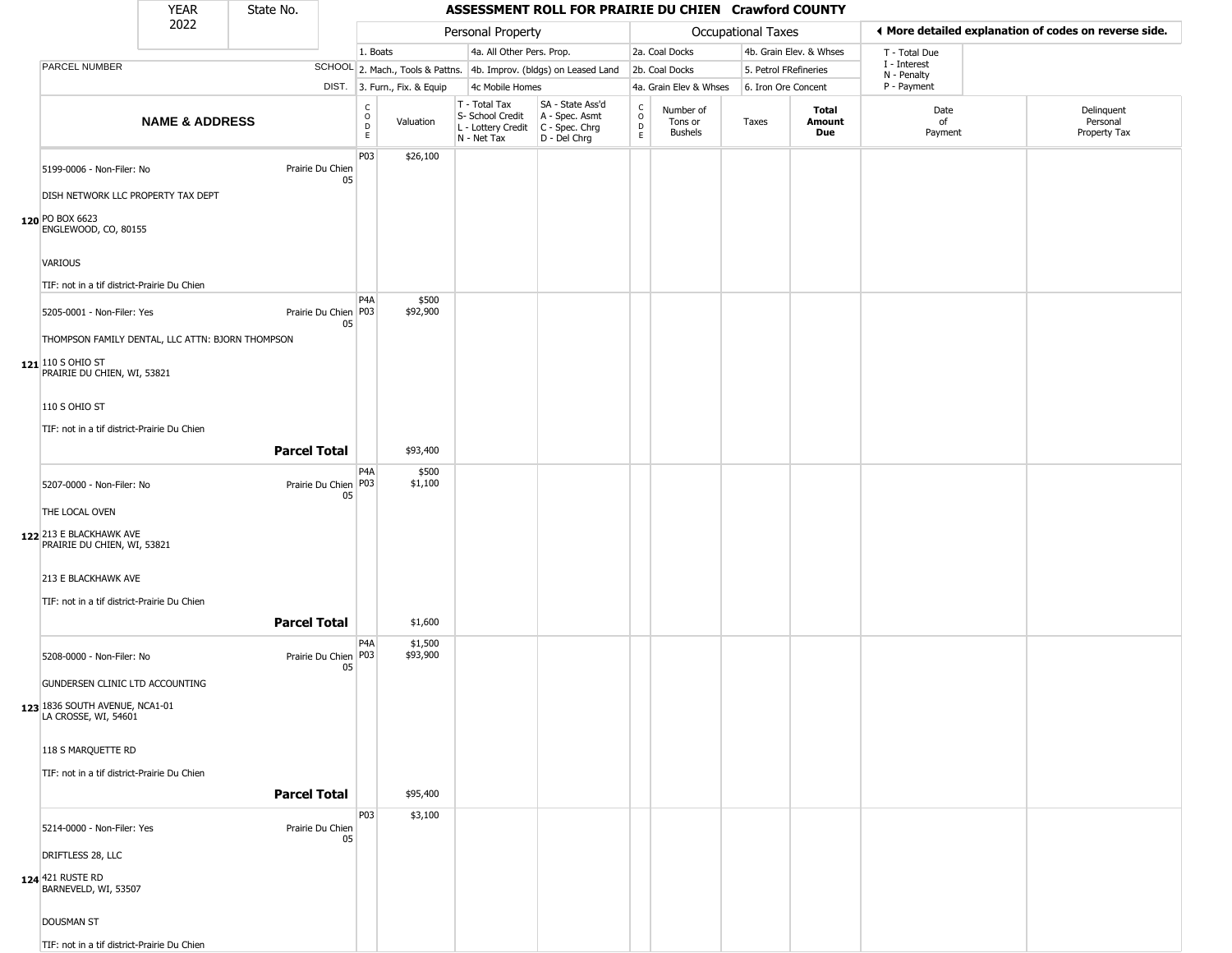| <b>YEAR</b> | State No. |
|-------------|-----------|
| ררחר        |           |

Г

| 2022 |                                                        |                           | Personal Property   |                              |                                 |                              |                                                                                         |                                                                     | <b>Occupational Taxes</b>      |                                        | ◀ More detailed explanation of codes on reverse side. |                         |                             |                                        |
|------|--------------------------------------------------------|---------------------------|---------------------|------------------------------|---------------------------------|------------------------------|-----------------------------------------------------------------------------------------|---------------------------------------------------------------------|--------------------------------|----------------------------------------|-------------------------------------------------------|-------------------------|-----------------------------|----------------------------------------|
|      |                                                        |                           |                     |                              | 1. Boats                        |                              | 4a. All Other Pers. Prop.                                                               |                                                                     | 2a. Coal Docks                 |                                        |                                                       | 4b. Grain Elev. & Whses | T - Total Due               |                                        |
|      | PARCEL NUMBER                                          |                           |                     |                              |                                 |                              |                                                                                         | SCHOOL 2. Mach., Tools & Pattns. 4b. Improv. (bldgs) on Leased Land |                                | 2b. Coal Docks                         | 5. Petrol FRefineries                                 |                         | I - Interest<br>N - Penalty |                                        |
|      |                                                        |                           |                     |                              |                                 | DIST. 3. Furn., Fix. & Equip | 4c Mobile Homes                                                                         |                                                                     |                                | 4a. Grain Elev & Whses                 | 6. Iron Ore Concent                                   |                         | P - Payment                 |                                        |
|      |                                                        | <b>NAME &amp; ADDRESS</b> |                     |                              | $\rm ^c_o$<br>$\mathsf{D}$<br>E | Valuation                    | T - Total Tax<br>S- School Credit<br>L - Lottery Credit   C - Spec. Chrg<br>N - Net Tax | SA - State Ass'd<br>A - Spec. Asmt<br>D - Del Chrg                  | $\frac{c}{0}$<br>$\frac{D}{E}$ | Number of<br>Tons or<br><b>Bushels</b> | Taxes                                                 | Total<br>Amount<br>Due  | Date<br>of<br>Payment       | Delinquent<br>Personal<br>Property Tax |
|      | 5199-0006 - Non-Filer: No                              |                           |                     | Prairie Du Chien<br>05       | P03                             | \$26,100                     |                                                                                         |                                                                     |                                |                                        |                                                       |                         |                             |                                        |
|      | DISH NETWORK LLC PROPERTY TAX DEPT                     |                           |                     |                              |                                 |                              |                                                                                         |                                                                     |                                |                                        |                                                       |                         |                             |                                        |
|      | 120 PO BOX 6623<br>ENGLEWOOD, CO, 80155                |                           |                     |                              |                                 |                              |                                                                                         |                                                                     |                                |                                        |                                                       |                         |                             |                                        |
|      | VARIOUS                                                |                           |                     |                              |                                 |                              |                                                                                         |                                                                     |                                |                                        |                                                       |                         |                             |                                        |
|      | TIF: not in a tif district-Prairie Du Chien            |                           |                     |                              |                                 |                              |                                                                                         |                                                                     |                                |                                        |                                                       |                         |                             |                                        |
|      | 5205-0001 - Non-Filer: Yes                             |                           |                     | Prairie Du Chien   P03<br>05 | P <sub>4</sub> A                | \$500<br>\$92,900            |                                                                                         |                                                                     |                                |                                        |                                                       |                         |                             |                                        |
|      | THOMPSON FAMILY DENTAL, LLC ATTN: BJORN THOMPSON       |                           |                     |                              |                                 |                              |                                                                                         |                                                                     |                                |                                        |                                                       |                         |                             |                                        |
|      | 121 110 S OHIO ST<br>PRAIRIE DU CHIEN, WI, 53821       |                           |                     |                              |                                 |                              |                                                                                         |                                                                     |                                |                                        |                                                       |                         |                             |                                        |
|      | 110 S OHIO ST                                          |                           |                     |                              |                                 |                              |                                                                                         |                                                                     |                                |                                        |                                                       |                         |                             |                                        |
|      | TIF: not in a tif district-Prairie Du Chien            |                           |                     |                              |                                 |                              |                                                                                         |                                                                     |                                |                                        |                                                       |                         |                             |                                        |
|      |                                                        |                           | <b>Parcel Total</b> |                              |                                 | \$93,400                     |                                                                                         |                                                                     |                                |                                        |                                                       |                         |                             |                                        |
|      |                                                        |                           |                     |                              | P <sub>4</sub> A                | \$500                        |                                                                                         |                                                                     |                                |                                        |                                                       |                         |                             |                                        |
|      | 5207-0000 - Non-Filer: No                              |                           |                     | Prairie Du Chien P03<br>05   |                                 | \$1,100                      |                                                                                         |                                                                     |                                |                                        |                                                       |                         |                             |                                        |
|      | THE LOCAL OVEN                                         |                           |                     |                              |                                 |                              |                                                                                         |                                                                     |                                |                                        |                                                       |                         |                             |                                        |
|      | 122 213 E BLACKHAWK AVE<br>PRAIRIE DU CHIEN, WI, 53821 |                           |                     |                              |                                 |                              |                                                                                         |                                                                     |                                |                                        |                                                       |                         |                             |                                        |
|      | 213 E BLACKHAWK AVE                                    |                           |                     |                              |                                 |                              |                                                                                         |                                                                     |                                |                                        |                                                       |                         |                             |                                        |
|      | TIF: not in a tif district-Prairie Du Chien            |                           |                     |                              |                                 |                              |                                                                                         |                                                                     |                                |                                        |                                                       |                         |                             |                                        |
|      |                                                        |                           | <b>Parcel Total</b> |                              |                                 | \$1,600                      |                                                                                         |                                                                     |                                |                                        |                                                       |                         |                             |                                        |
|      |                                                        |                           |                     |                              |                                 |                              |                                                                                         |                                                                     |                                |                                        |                                                       |                         |                             |                                        |
|      | 5208-0000 - Non-Filer: No                              |                           |                     | Prairie Du Chien P03<br>05   | P <sub>4</sub> A                | \$1,500<br>\$93,900          |                                                                                         |                                                                     |                                |                                        |                                                       |                         |                             |                                        |
|      | GUNDERSEN CLINIC LTD ACCOUNTING                        |                           |                     |                              |                                 |                              |                                                                                         |                                                                     |                                |                                        |                                                       |                         |                             |                                        |
|      | 123 1836 SOUTH AVENUE, NCA1-01<br>LA CROSSE, WI, 54601 |                           |                     |                              |                                 |                              |                                                                                         |                                                                     |                                |                                        |                                                       |                         |                             |                                        |
|      | 118 S MARQUETTE RD                                     |                           |                     |                              |                                 |                              |                                                                                         |                                                                     |                                |                                        |                                                       |                         |                             |                                        |
|      | TIF: not in a tif district-Prairie Du Chien            |                           |                     |                              |                                 |                              |                                                                                         |                                                                     |                                |                                        |                                                       |                         |                             |                                        |
|      |                                                        |                           | <b>Parcel Total</b> |                              |                                 | \$95,400                     |                                                                                         |                                                                     |                                |                                        |                                                       |                         |                             |                                        |
|      |                                                        |                           |                     |                              | P03                             | \$3,100                      |                                                                                         |                                                                     |                                |                                        |                                                       |                         |                             |                                        |
|      | 5214-0000 - Non-Filer: Yes                             |                           |                     | Prairie Du Chien<br>05       |                                 |                              |                                                                                         |                                                                     |                                |                                        |                                                       |                         |                             |                                        |
|      | DRIFTLESS 28, LLC                                      |                           |                     |                              |                                 |                              |                                                                                         |                                                                     |                                |                                        |                                                       |                         |                             |                                        |
|      | 124 421 RUSTE RD<br>BARNEVELD, WI, 53507               |                           |                     |                              |                                 |                              |                                                                                         |                                                                     |                                |                                        |                                                       |                         |                             |                                        |
|      | <b>DOUSMAN ST</b>                                      |                           |                     |                              |                                 |                              |                                                                                         |                                                                     |                                |                                        |                                                       |                         |                             |                                        |
|      | TIF: not in a tif district-Prairie Du Chien            |                           |                     |                              |                                 |                              |                                                                                         |                                                                     |                                |                                        |                                                       |                         |                             |                                        |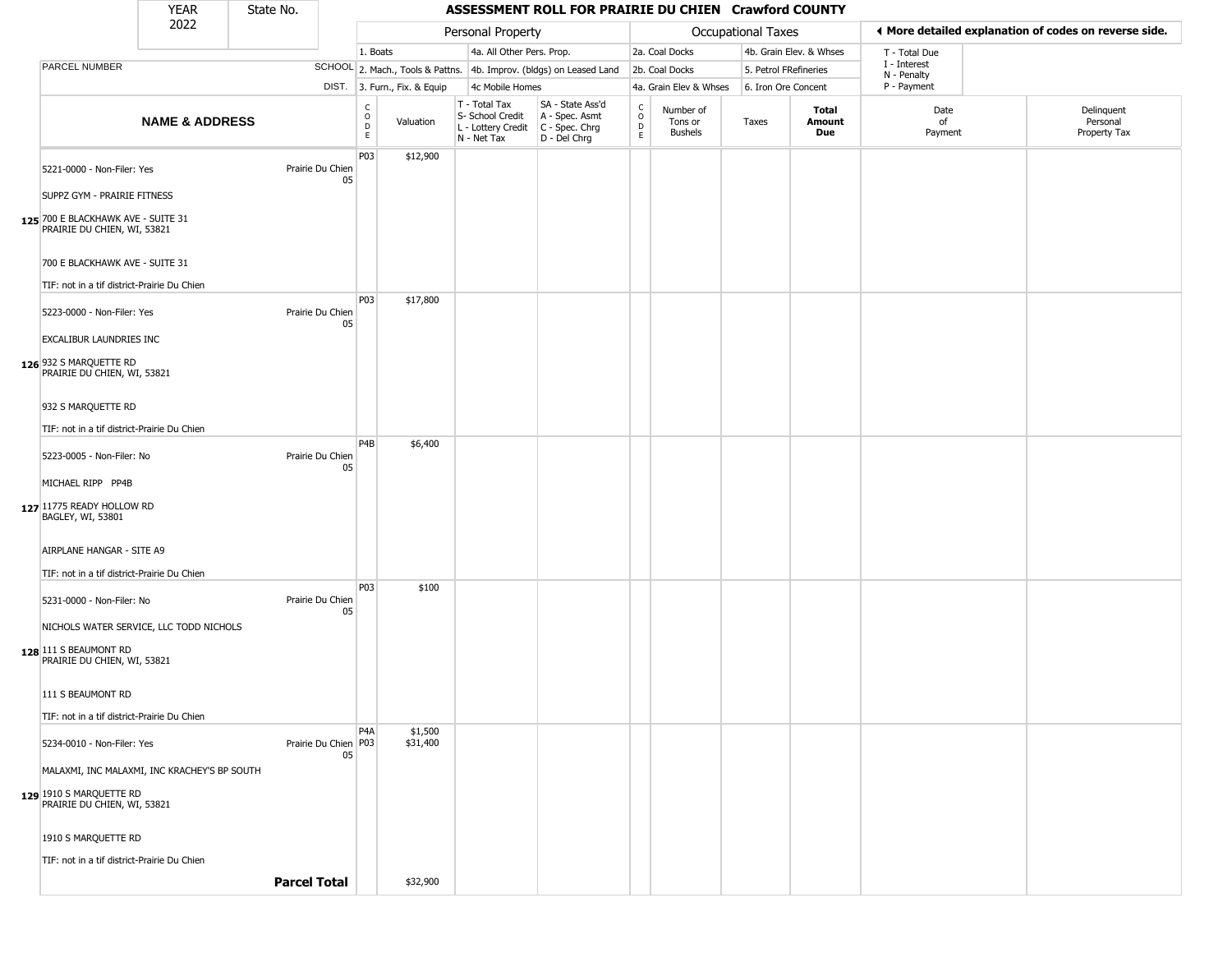| <b>YEAR</b>                                                                                                                                                                                                                                                                                                                                                                          |                           | State No. |                        | ASSESSMENT ROLL FOR PRAIRIE DU CHIEN Crawford COUNTY |                              |                                                                        |                                                                      |                         |                                        |                           |                         |                             |  |                                                       |  |
|--------------------------------------------------------------------------------------------------------------------------------------------------------------------------------------------------------------------------------------------------------------------------------------------------------------------------------------------------------------------------------------|---------------------------|-----------|------------------------|------------------------------------------------------|------------------------------|------------------------------------------------------------------------|----------------------------------------------------------------------|-------------------------|----------------------------------------|---------------------------|-------------------------|-----------------------------|--|-------------------------------------------------------|--|
|                                                                                                                                                                                                                                                                                                                                                                                      | 2022                      |           |                        |                                                      |                              | Personal Property                                                      |                                                                      |                         |                                        | <b>Occupational Taxes</b> |                         |                             |  | ♦ More detailed explanation of codes on reverse side. |  |
|                                                                                                                                                                                                                                                                                                                                                                                      |                           |           |                        | 1. Boats                                             |                              | 4a. All Other Pers. Prop.                                              |                                                                      |                         | 2a. Coal Docks                         |                           | 4b. Grain Elev. & Whses | T - Total Due               |  |                                                       |  |
| <b>PARCEL NUMBER</b>                                                                                                                                                                                                                                                                                                                                                                 |                           |           |                        |                                                      |                              |                                                                        | SCHOOL 2. Mach., Tools & Pattns. 4b. Improv. (bldgs) on Leased Land  |                         | 2b. Coal Docks                         |                           | 5. Petrol FRefineries   | I - Interest<br>N - Penalty |  |                                                       |  |
|                                                                                                                                                                                                                                                                                                                                                                                      |                           |           |                        |                                                      | DIST. 3. Furn., Fix. & Equip | 4c Mobile Homes                                                        |                                                                      |                         | 4a. Grain Elev & Whses                 |                           | 6. Iron Ore Concent     | P - Payment                 |  |                                                       |  |
|                                                                                                                                                                                                                                                                                                                                                                                      | <b>NAME &amp; ADDRESS</b> |           |                        | C<br>$\circ$<br>D<br>E.                              | Valuation                    | T - Total Tax<br>S- School Credit<br>L - Lottery Credit<br>N - Net Tax | SA - State Ass'd<br>A - Spec. Asmt<br>C - Spec. Chrg<br>D - Del Chrq | $\frac{c}{0}$<br>D<br>E | Number of<br>Tons or<br><b>Bushels</b> | Taxes                     | Total<br>Amount<br>Due  | Date<br>0f<br>Payment       |  | Delinguent<br>Personal<br>Property Tax                |  |
| 5221-0000 - Non-Filer: Yes<br>SUPPZ GYM - PRAIRIE FITNESS<br>125 700 E BLACKHAWK AVE - SUITE 31                                                                                                                                                                                                                                                                                      |                           |           | Prairie Du Chien<br>05 | P03                                                  | \$12,900                     |                                                                        |                                                                      |                         |                                        |                           |                         |                             |  |                                                       |  |
| PRAIRIE DU CHIEN, WI, 53821<br>700 E BLACKHAWK AVE - SUITE 31<br>TIF: not in a tif district-Prairie Du Chien                                                                                                                                                                                                                                                                         |                           |           |                        |                                                      |                              |                                                                        |                                                                      |                         |                                        |                           |                         |                             |  |                                                       |  |
| 5223-0000 - Non-Filer: Yes<br>EXCALIBUR LAUNDRIES INC<br>126 932 S MARQUETTE RD<br>PRAIRIE DU CHIEN, WI, 53821                                                                                                                                                                                                                                                                       |                           |           | Prairie Du Chien<br>05 | P03                                                  | \$17,800                     |                                                                        |                                                                      |                         |                                        |                           |                         |                             |  |                                                       |  |
| 932 S MARQUETTE RD<br>TIF: not in a tif district-Prairie Du Chien                                                                                                                                                                                                                                                                                                                    |                           |           |                        |                                                      |                              |                                                                        |                                                                      |                         |                                        |                           |                         |                             |  |                                                       |  |
| 5223-0005 - Non-Filer: No<br>MICHAEL RIPP PP4B                                                                                                                                                                                                                                                                                                                                       |                           |           | Prairie Du Chien<br>05 | P <sub>4</sub> B                                     | \$6,400                      |                                                                        |                                                                      |                         |                                        |                           |                         |                             |  |                                                       |  |
| 127 11775 READY HOLLOW RD<br>BAGLEY, WI, 53801<br>AIRPLANE HANGAR - SITE A9                                                                                                                                                                                                                                                                                                          |                           |           |                        |                                                      |                              |                                                                        |                                                                      |                         |                                        |                           |                         |                             |  |                                                       |  |
| TIF: not in a tif district-Prairie Du Chien                                                                                                                                                                                                                                                                                                                                          |                           |           |                        |                                                      |                              |                                                                        |                                                                      |                         |                                        |                           |                         |                             |  |                                                       |  |
| 5231-0000 - Non-Filer: No                                                                                                                                                                                                                                                                                                                                                            |                           |           | Prairie Du Chien<br>05 | <b>P03</b>                                           | \$100                        |                                                                        |                                                                      |                         |                                        |                           |                         |                             |  |                                                       |  |
| NICHOLS WATER SERVICE, LLC TODD NICHOLS                                                                                                                                                                                                                                                                                                                                              |                           |           |                        |                                                      |                              |                                                                        |                                                                      |                         |                                        |                           |                         |                             |  |                                                       |  |
| $\overline{a}$ $\overline{a}$ $\overline{b}$ $\overline{c}$ $\overline{a}$ $\overline{b}$ $\overline{a}$ $\overline{b}$ $\overline{c}$ $\overline{c}$ $\overline{c}$ $\overline{c}$ $\overline{c}$ $\overline{c}$ $\overline{c}$ $\overline{c}$ $\overline{c}$ $\overline{c}$ $\overline{c}$ $\overline{c}$ $\overline{c}$ $\overline{c}$ $\overline{c}$ $\overline{c}$ $\overline{$ |                           |           |                        |                                                      |                              |                                                                        |                                                                      |                         |                                        |                           |                         |                             |  |                                                       |  |

| 128 111 S BEAUMONT RD<br>PRAIRIE DU CHIEN, WI, 53821   |                              |                  |                     |  |  |  |
|--------------------------------------------------------|------------------------------|------------------|---------------------|--|--|--|
| 111 S BEAUMONT RD                                      |                              |                  |                     |  |  |  |
| TIF: not in a tif district-Prairie Du Chien            |                              |                  |                     |  |  |  |
| 5234-0010 - Non-Filer: Yes                             | Prairie Du Chien   P03<br>05 | P <sub>4</sub> A | \$1,500<br>\$31,400 |  |  |  |
| MALAXMI, INC MALAXMI, INC KRACHEY'S BP SOUTH           |                              |                  |                     |  |  |  |
| 129 1910 S MARQUETTE RD<br>PRAIRIE DU CHIEN, WI, 53821 |                              |                  |                     |  |  |  |
| 1910 S MARQUETTE RD                                    |                              |                  |                     |  |  |  |
| TIF: not in a tif district-Prairie Du Chien            |                              |                  |                     |  |  |  |
|                                                        | <b>Parcel Total</b>          |                  | \$32,900            |  |  |  |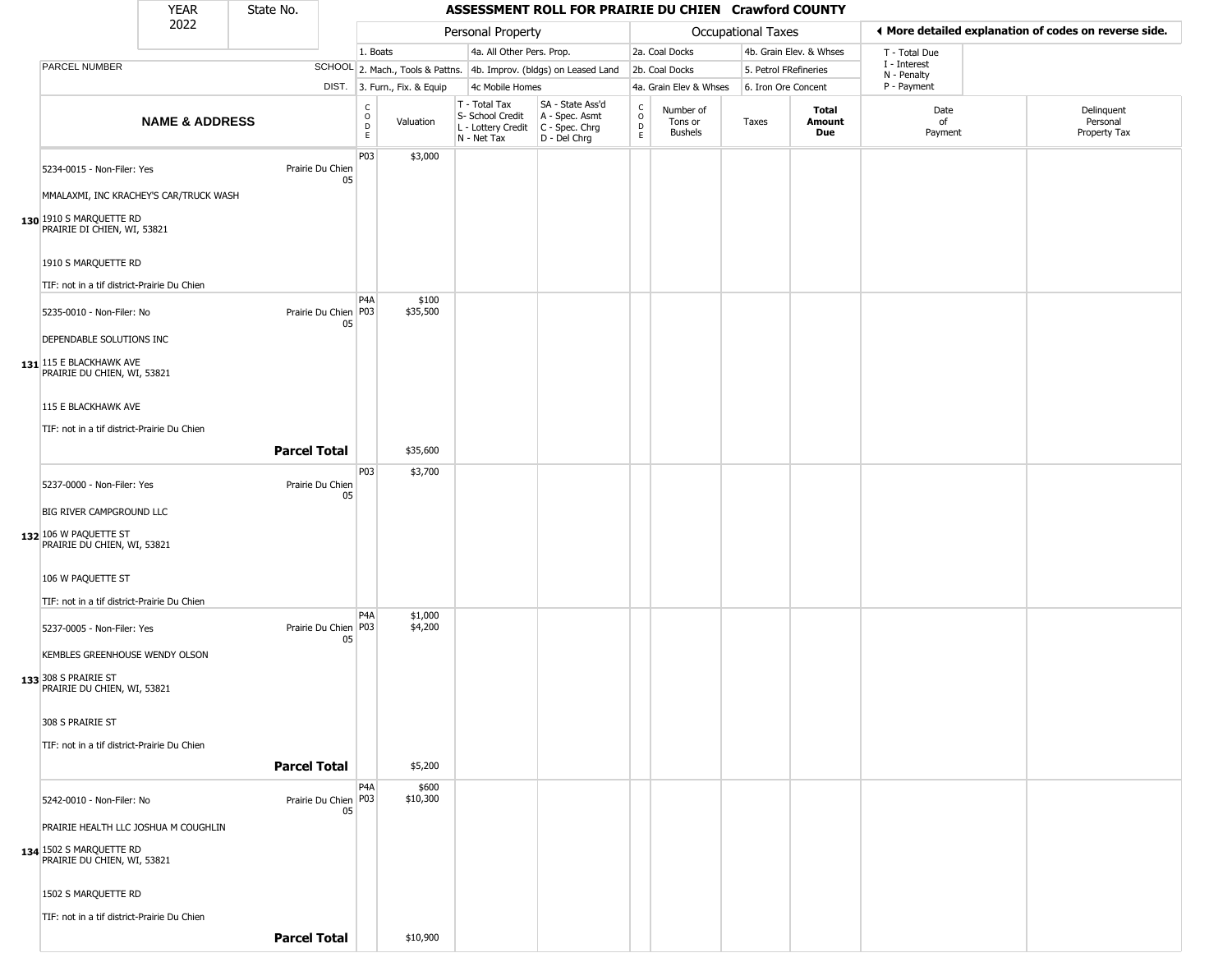| <b>YEAR</b> | State No. |
|-------------|-----------|
| ררחר        |           |

|                                                                                                                                | <b>YEAR</b>               | State No.           |                              | ASSESSMENT ROLL FOR PRAIRIE DU CHIEN Crawford COUNTY |                              |                                                                        |                                                                        |                                  |                                 |                       |                         |                                                       |                                        |  |  |
|--------------------------------------------------------------------------------------------------------------------------------|---------------------------|---------------------|------------------------------|------------------------------------------------------|------------------------------|------------------------------------------------------------------------|------------------------------------------------------------------------|----------------------------------|---------------------------------|-----------------------|-------------------------|-------------------------------------------------------|----------------------------------------|--|--|
|                                                                                                                                | 2022                      |                     |                              |                                                      |                              | Personal Property                                                      |                                                                        |                                  |                                 | Occupational Taxes    |                         | ♦ More detailed explanation of codes on reverse side. |                                        |  |  |
|                                                                                                                                |                           |                     |                              | 1. Boats                                             |                              | 4a. All Other Pers. Prop.                                              |                                                                        |                                  | 2a. Coal Docks                  |                       | 4b. Grain Elev. & Whses | T - Total Due                                         |                                        |  |  |
| PARCEL NUMBER                                                                                                                  |                           |                     |                              |                                                      |                              |                                                                        | SCHOOL 2. Mach., Tools & Pattns. 4b. Improv. (bldgs) on Leased Land    |                                  | 2b. Coal Docks                  | 5. Petrol FRefineries |                         | I - Interest<br>N - Penalty                           |                                        |  |  |
|                                                                                                                                |                           |                     |                              |                                                      | DIST. 3. Furn., Fix. & Equip | 4c Mobile Homes                                                        |                                                                        |                                  | 4a. Grain Elev & Whses          | 6. Iron Ore Concent   |                         | P - Payment                                           |                                        |  |  |
|                                                                                                                                | <b>NAME &amp; ADDRESS</b> |                     |                              | $_{\rm o}^{\rm c}$<br>$\mathsf D$<br>E               | Valuation                    | T - Total Tax<br>S- School Credit<br>L - Lottery Credit<br>N - Net Tax | SA - State Ass'd<br>A - Spec. Asmt<br>$C - Spec. Chrg$<br>D - Del Chrg | C<br>$\circ$<br>D<br>$\mathsf E$ | Number of<br>Tons or<br>Bushels | Taxes                 | Total<br>Amount<br>Due  | Date<br>of<br>Payment                                 | Delinquent<br>Personal<br>Property Tax |  |  |
| 5234-0015 - Non-Filer: Yes<br>MMALAXMI, INC KRACHEY'S CAR/TRUCK WASH<br>130 1910 S MARQUETTE RD<br>PRAIRIE DI CHIEN, WI, 53821 |                           |                     | Prairie Du Chien<br>05       | P03                                                  | \$3,000                      |                                                                        |                                                                        |                                  |                                 |                       |                         |                                                       |                                        |  |  |
| 1910 S MARQUETTE RD<br>TIF: not in a tif district-Prairie Du Chien                                                             |                           |                     |                              |                                                      |                              |                                                                        |                                                                        |                                  |                                 |                       |                         |                                                       |                                        |  |  |
| 5235-0010 - Non-Filer: No<br>DEPENDABLE SOLUTIONS INC<br>131 115 E BLACKHAWK AVE                                               |                           |                     | Prairie Du Chien P03<br>05   | P <sub>4</sub> A                                     | \$100<br>\$35,500            |                                                                        |                                                                        |                                  |                                 |                       |                         |                                                       |                                        |  |  |
| PRAIRIE DU CHIEN, WI, 53821<br>115 E BLACKHAWK AVE<br>TIF: not in a tif district-Prairie Du Chien                              |                           | <b>Parcel Total</b> |                              |                                                      | \$35,600                     |                                                                        |                                                                        |                                  |                                 |                       |                         |                                                       |                                        |  |  |
| 5237-0000 - Non-Filer: Yes<br><b>BIG RIVER CAMPGROUND LLC</b>                                                                  |                           |                     | Prairie Du Chien<br>05       | P03                                                  | \$3,700                      |                                                                        |                                                                        |                                  |                                 |                       |                         |                                                       |                                        |  |  |
| 132 106 W PAQUETTE ST<br>PRAIRIE DU CHIEN, WI, 53821<br>106 W PAQUETTE ST                                                      |                           |                     |                              |                                                      |                              |                                                                        |                                                                        |                                  |                                 |                       |                         |                                                       |                                        |  |  |
| TIF: not in a tif district-Prairie Du Chien                                                                                    |                           |                     |                              | P4A                                                  | \$1,000                      |                                                                        |                                                                        |                                  |                                 |                       |                         |                                                       |                                        |  |  |
| 5237-0005 - Non-Filer: Yes<br>KEMBLES GREENHOUSE WENDY OLSON<br>133 308 S PRAIRIE ST<br>PRAIRIE DU CHIEN, WI, 53821            |                           |                     | Prairie Du Chien   P03<br>05 |                                                      | \$4,200                      |                                                                        |                                                                        |                                  |                                 |                       |                         |                                                       |                                        |  |  |
| 308 S PRAIRIE ST<br>TIF: not in a tif district-Prairie Du Chien                                                                |                           |                     |                              |                                                      |                              |                                                                        |                                                                        |                                  |                                 |                       |                         |                                                       |                                        |  |  |
|                                                                                                                                |                           | <b>Parcel Total</b> |                              |                                                      | \$5,200                      |                                                                        |                                                                        |                                  |                                 |                       |                         |                                                       |                                        |  |  |
| 5242-0010 - Non-Filer: No<br>PRAIRIE HEALTH LLC JOSHUA M COUGHLIN<br>134 1502 S MARQUETTE RD                                   |                           |                     | Prairie Du Chien P03<br>05   | P4A                                                  | \$600<br>\$10,300            |                                                                        |                                                                        |                                  |                                 |                       |                         |                                                       |                                        |  |  |
| PRAIRIE DU CHIEN, WI, 53821<br>1502 S MARQUETTE RD<br>TIF: not in a tif district-Prairie Du Chien                              |                           |                     |                              |                                                      |                              |                                                                        |                                                                        |                                  |                                 |                       |                         |                                                       |                                        |  |  |
|                                                                                                                                |                           | <b>Parcel Total</b> |                              |                                                      | \$10,900                     |                                                                        |                                                                        |                                  |                                 |                       |                         |                                                       |                                        |  |  |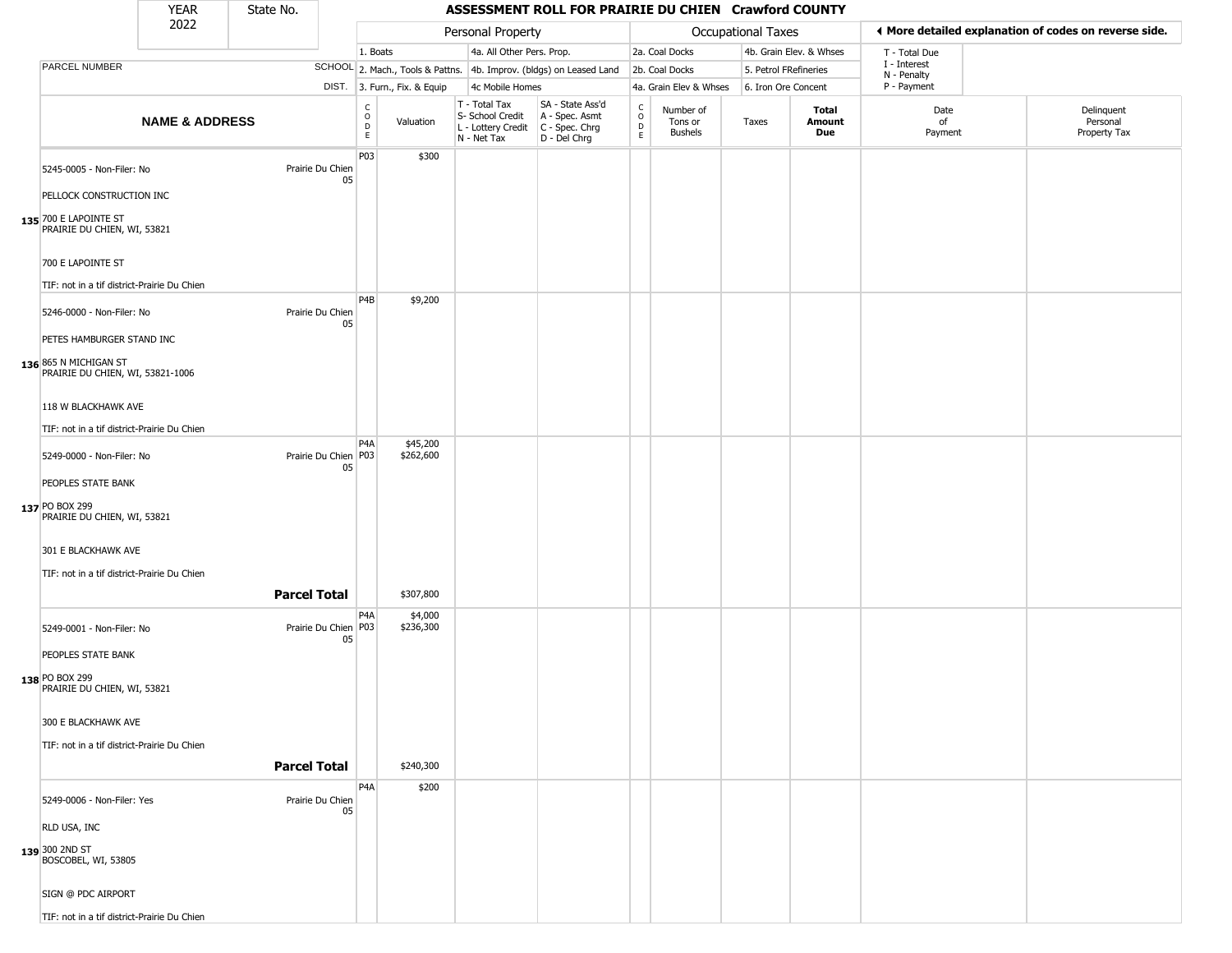## State No.

|                                                                                                                     | YEAR                      | State No.           |                            | ASSESSMENT ROLL FOR PRAIRIE DU CHIEN Crawford COUNTY |                              |                                                                                       |                                                                     |                                     |                                        |                       |                         |                             |                                                       |  |
|---------------------------------------------------------------------------------------------------------------------|---------------------------|---------------------|----------------------------|------------------------------------------------------|------------------------------|---------------------------------------------------------------------------------------|---------------------------------------------------------------------|-------------------------------------|----------------------------------------|-----------------------|-------------------------|-----------------------------|-------------------------------------------------------|--|
|                                                                                                                     | 2022                      |                     |                            |                                                      |                              | Personal Property                                                                     |                                                                     |                                     |                                        | Occupational Taxes    |                         |                             | ◀ More detailed explanation of codes on reverse side. |  |
|                                                                                                                     |                           |                     |                            | 1. Boats                                             |                              | 4a. All Other Pers. Prop.                                                             |                                                                     |                                     | 2a. Coal Docks                         |                       | 4b. Grain Elev. & Whses | T - Total Due               |                                                       |  |
| PARCEL NUMBER                                                                                                       |                           |                     |                            |                                                      |                              |                                                                                       | SCHOOL 2. Mach., Tools & Pattns. 4b. Improv. (bldgs) on Leased Land |                                     | 2b. Coal Docks                         | 5. Petrol FRefineries |                         | I - Interest<br>N - Penalty |                                                       |  |
|                                                                                                                     |                           |                     |                            |                                                      | DIST. 3. Furn., Fix. & Equip | 4c Mobile Homes                                                                       |                                                                     |                                     | 4a. Grain Elev & Whses                 | 6. Iron Ore Concent   |                         | P - Payment                 |                                                       |  |
|                                                                                                                     | <b>NAME &amp; ADDRESS</b> |                     |                            | $_{\rm o}^{\rm c}$<br>D<br>$\mathsf E$               | Valuation                    | T - Total Tax<br>S- School Credit<br>L - Lottery Credit C - Spec. Chrg<br>N - Net Tax | SA - State Ass'd<br>A - Spec. Asmt<br>D - Del Chrg                  | $\int_{0}^{c}$<br>$\mathsf{D}$<br>E | Number of<br>Tons or<br><b>Bushels</b> | Taxes                 | Total<br>Amount<br>Due  | Date<br>of<br>Payment       | Delinquent<br>Personal<br>Property Tax                |  |
| 5245-0005 - Non-Filer: No<br>PELLOCK CONSTRUCTION INC<br>135 700 E LAPOINTE ST<br>PRAIRIE DU CHIEN, WI, 53821       |                           |                     | Prairie Du Chien<br>05     | P <sub>03</sub>                                      | \$300                        |                                                                                       |                                                                     |                                     |                                        |                       |                         |                             |                                                       |  |
| 700 E LAPOINTE ST                                                                                                   |                           |                     |                            |                                                      |                              |                                                                                       |                                                                     |                                     |                                        |                       |                         |                             |                                                       |  |
| TIF: not in a tif district-Prairie Du Chien                                                                         |                           |                     |                            | P <sub>4</sub> B                                     | \$9,200                      |                                                                                       |                                                                     |                                     |                                        |                       |                         |                             |                                                       |  |
| 5246-0000 - Non-Filer: No<br>PETES HAMBURGER STAND INC                                                              |                           |                     | Prairie Du Chien<br>05     |                                                      |                              |                                                                                       |                                                                     |                                     |                                        |                       |                         |                             |                                                       |  |
| 136 865 N MICHIGAN ST<br>PRAIRIE DU CHIEN, WI, 53821-1006                                                           |                           |                     |                            |                                                      |                              |                                                                                       |                                                                     |                                     |                                        |                       |                         |                             |                                                       |  |
| 118 W BLACKHAWK AVE<br>TIF: not in a tif district-Prairie Du Chien                                                  |                           |                     |                            |                                                      |                              |                                                                                       |                                                                     |                                     |                                        |                       |                         |                             |                                                       |  |
| 5249-0000 - Non-Filer: No<br>PEOPLES STATE BANK                                                                     |                           |                     | Prairie Du Chien P03<br>05 | P <sub>4</sub> A                                     | \$45,200<br>\$262,600        |                                                                                       |                                                                     |                                     |                                        |                       |                         |                             |                                                       |  |
| 137 PO BOX 299<br>PRAIRIE DU CHIEN, WI, 53821<br>301 E BLACKHAWK AVE<br>TIF: not in a tif district-Prairie Du Chien |                           | <b>Parcel Total</b> |                            |                                                      | \$307,800                    |                                                                                       |                                                                     |                                     |                                        |                       |                         |                             |                                                       |  |
|                                                                                                                     |                           |                     |                            | P <sub>4</sub> A                                     | \$4,000                      |                                                                                       |                                                                     |                                     |                                        |                       |                         |                             |                                                       |  |
| 5249-0001 - Non-Filer: No<br>PEOPLES STATE BANK<br>138 PO BOX 299<br>PRAIRIE DU CHIEN, WI, 53821                    |                           |                     | Prairie Du Chien P03<br>05 |                                                      | \$236,300                    |                                                                                       |                                                                     |                                     |                                        |                       |                         |                             |                                                       |  |
| 300 E BLACKHAWK AVE<br>TIF: not in a tif district-Prairie Du Chien                                                  |                           |                     |                            |                                                      |                              |                                                                                       |                                                                     |                                     |                                        |                       |                         |                             |                                                       |  |
|                                                                                                                     |                           | <b>Parcel Total</b> |                            |                                                      | \$240,300                    |                                                                                       |                                                                     |                                     |                                        |                       |                         |                             |                                                       |  |
| 5249-0006 - Non-Filer: Yes<br>RLD USA, INC<br>139 300 2ND ST<br>BOSCOBEL, WI, 53805                                 |                           |                     | Prairie Du Chien<br>05     | P <sub>4</sub> A                                     | \$200                        |                                                                                       |                                                                     |                                     |                                        |                       |                         |                             |                                                       |  |
| SIGN @ PDC AIRPORT<br>TIF: not in a tif district-Prairie Du Chien                                                   |                           |                     |                            |                                                      |                              |                                                                                       |                                                                     |                                     |                                        |                       |                         |                             |                                                       |  |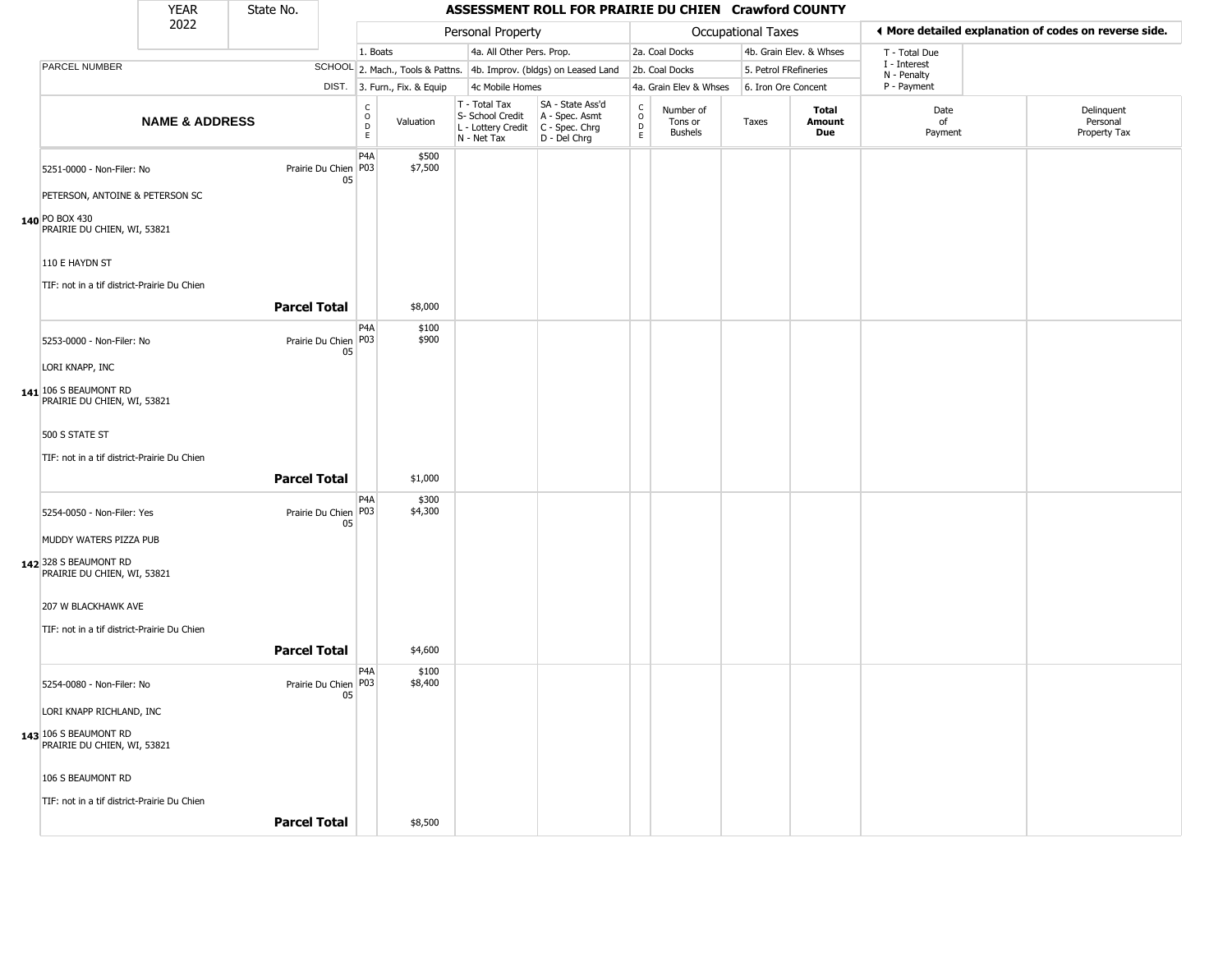| YEAR | State No. |
|------|-----------|
| ררחר |           |

|                                                                    | <b>YEAR</b>               | State No.           |                                                  |                              |                                                                        | ASSESSMENT ROLL FOR PRAIRIE DU CHIEN Crawford COUNTY                 |                         |                                 |                           |                               |                             |                                                       |  |
|--------------------------------------------------------------------|---------------------------|---------------------|--------------------------------------------------|------------------------------|------------------------------------------------------------------------|----------------------------------------------------------------------|-------------------------|---------------------------------|---------------------------|-------------------------------|-----------------------------|-------------------------------------------------------|--|
|                                                                    | 2022                      |                     |                                                  |                              | Personal Property                                                      |                                                                      |                         |                                 | <b>Occupational Taxes</b> |                               |                             | ♦ More detailed explanation of codes on reverse side. |  |
|                                                                    |                           |                     |                                                  | 1. Boats                     | 4a. All Other Pers. Prop.                                              |                                                                      |                         | 2a. Coal Docks                  |                           | 4b. Grain Elev. & Whses       | T - Total Due               |                                                       |  |
| PARCEL NUMBER                                                      |                           |                     |                                                  |                              |                                                                        | SCHOOL 2. Mach., Tools & Pattns. 4b. Improv. (bldgs) on Leased Land  |                         | 2b. Coal Docks                  | 5. Petrol FRefineries     |                               | I - Interest<br>N - Penalty |                                                       |  |
|                                                                    |                           |                     |                                                  | DIST. 3. Furn., Fix. & Equip | 4c Mobile Homes                                                        |                                                                      |                         | 4a. Grain Elev & Whses          | 6. Iron Ore Concent       |                               | P - Payment                 |                                                       |  |
|                                                                    | <b>NAME &amp; ADDRESS</b> |                     | $\begin{array}{c}\nC \\ O \\ D\n\end{array}$     | Valuation                    | T - Total Tax<br>S- School Credit<br>L - Lottery Credit<br>N - Net Tax | SA - State Ass'd<br>A - Spec. Asmt<br>C - Spec. Chrg<br>D - Del Chrg | $\frac{C}{O}$<br>D<br>E | Number of<br>Tons or<br>Bushels | Taxes                     | <b>Total</b><br>Amount<br>Due | Date<br>of<br>Payment       | Delinquent<br>Personal<br>Property Tax                |  |
| 5251-0000 - Non-Filer: No                                          |                           |                     | P <sub>4</sub> A<br>Prairie Du Chien   P03<br>05 | \$500<br>\$7,500             |                                                                        |                                                                      |                         |                                 |                           |                               |                             |                                                       |  |
| PETERSON, ANTOINE & PETERSON SC                                    |                           |                     |                                                  |                              |                                                                        |                                                                      |                         |                                 |                           |                               |                             |                                                       |  |
| 140 PO BOX 430<br>PRAIRIE DU CHIEN, WI, 53821                      |                           |                     |                                                  |                              |                                                                        |                                                                      |                         |                                 |                           |                               |                             |                                                       |  |
| 110 E HAYDN ST                                                     |                           |                     |                                                  |                              |                                                                        |                                                                      |                         |                                 |                           |                               |                             |                                                       |  |
| TIF: not in a tif district-Prairie Du Chien                        |                           | <b>Parcel Total</b> |                                                  | \$8,000                      |                                                                        |                                                                      |                         |                                 |                           |                               |                             |                                                       |  |
| 5253-0000 - Non-Filer: No                                          |                           |                     | P <sub>4</sub> A<br>Prairie Du Chien P03<br>05   | \$100<br>\$900               |                                                                        |                                                                      |                         |                                 |                           |                               |                             |                                                       |  |
| LORI KNAPP, INC                                                    |                           |                     |                                                  |                              |                                                                        |                                                                      |                         |                                 |                           |                               |                             |                                                       |  |
| 141 106 S BEAUMONT RD<br>PRAIRIE DU CHIEN, WI, 53821               |                           |                     |                                                  |                              |                                                                        |                                                                      |                         |                                 |                           |                               |                             |                                                       |  |
| 500 S STATE ST                                                     |                           |                     |                                                  |                              |                                                                        |                                                                      |                         |                                 |                           |                               |                             |                                                       |  |
| TIF: not in a tif district-Prairie Du Chien                        |                           | <b>Parcel Total</b> |                                                  | \$1,000                      |                                                                        |                                                                      |                         |                                 |                           |                               |                             |                                                       |  |
| 5254-0050 - Non-Filer: Yes                                         |                           |                     | P <sub>4</sub> A<br>Prairie Du Chien   P03<br>05 | \$300<br>\$4,300             |                                                                        |                                                                      |                         |                                 |                           |                               |                             |                                                       |  |
| MUDDY WATERS PIZZA PUB                                             |                           |                     |                                                  |                              |                                                                        |                                                                      |                         |                                 |                           |                               |                             |                                                       |  |
| 142 328 S BEAUMONT RD<br>PRAIRIE DU CHIEN, WI, 53821               |                           |                     |                                                  |                              |                                                                        |                                                                      |                         |                                 |                           |                               |                             |                                                       |  |
| 207 W BLACKHAWK AVE<br>TIF: not in a tif district-Prairie Du Chien |                           |                     |                                                  |                              |                                                                        |                                                                      |                         |                                 |                           |                               |                             |                                                       |  |
|                                                                    |                           | <b>Parcel Total</b> |                                                  | \$4,600                      |                                                                        |                                                                      |                         |                                 |                           |                               |                             |                                                       |  |
| 5254-0080 - Non-Filer: No                                          |                           |                     | P4A<br>Prairie Du Chien P03<br>05                | \$100<br>\$8,400             |                                                                        |                                                                      |                         |                                 |                           |                               |                             |                                                       |  |
| LORI KNAPP RICHLAND, INC                                           |                           |                     |                                                  |                              |                                                                        |                                                                      |                         |                                 |                           |                               |                             |                                                       |  |
| 143 106 S BEAUMONT RD<br>PRAIRIE DU CHIEN, WI, 53821               |                           |                     |                                                  |                              |                                                                        |                                                                      |                         |                                 |                           |                               |                             |                                                       |  |
| 106 S BEAUMONT RD                                                  |                           |                     |                                                  |                              |                                                                        |                                                                      |                         |                                 |                           |                               |                             |                                                       |  |
| TIF: not in a tif district-Prairie Du Chien                        |                           | <b>Parcel Total</b> |                                                  | \$8,500                      |                                                                        |                                                                      |                         |                                 |                           |                               |                             |                                                       |  |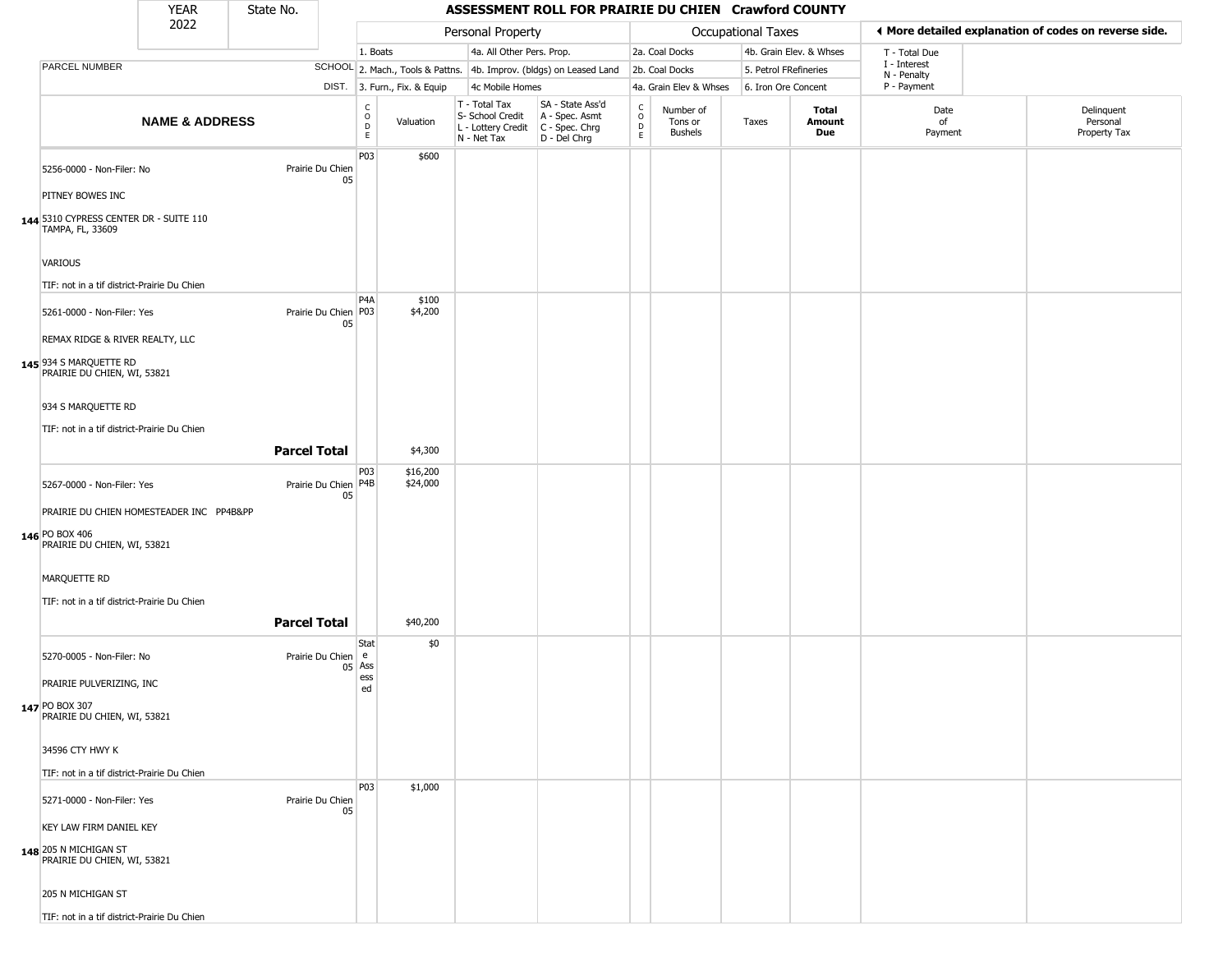## State No.

| 2022                                                                                      |                           |                     |                                |                                      |                              | Personal Property                                                                       |                                                                     | Occupational Taxes                              |                                 |                       |                         | ◀ More detailed explanation of codes on reverse side. |                                        |  |
|-------------------------------------------------------------------------------------------|---------------------------|---------------------|--------------------------------|--------------------------------------|------------------------------|-----------------------------------------------------------------------------------------|---------------------------------------------------------------------|-------------------------------------------------|---------------------------------|-----------------------|-------------------------|-------------------------------------------------------|----------------------------------------|--|
|                                                                                           |                           |                     |                                | 1. Boats                             |                              | 4a. All Other Pers. Prop.                                                               |                                                                     |                                                 | 2a. Coal Docks                  |                       | 4b. Grain Elev. & Whses | T - Total Due                                         |                                        |  |
| PARCEL NUMBER                                                                             |                           |                     |                                |                                      |                              |                                                                                         | SCHOOL 2. Mach., Tools & Pattns. 4b. Improv. (bldgs) on Leased Land |                                                 | 2b. Coal Docks                  | 5. Petrol FRefineries |                         | I - Interest<br>N - Penalty                           |                                        |  |
|                                                                                           |                           |                     |                                |                                      | DIST. 3. Furn., Fix. & Equip | 4c Mobile Homes                                                                         |                                                                     |                                                 | 4a. Grain Elev & Whses          | 6. Iron Ore Concent   |                         | P - Payment                                           |                                        |  |
|                                                                                           | <b>NAME &amp; ADDRESS</b> |                     |                                | $\rm\frac{C}{O}$<br>$\mathsf D$<br>E | Valuation                    | T - Total Tax<br>S- School Credit<br>L - Lottery Credit   C - Spec. Chrg<br>N - Net Tax | SA - State Ass'd<br>A - Spec. Asmt<br>D - Del Chrg                  | $\begin{array}{c} C \\ C \\ D \\ E \end{array}$ | Number of<br>Tons or<br>Bushels | Taxes                 | Total<br>Amount<br>Due  | Date<br>of<br>Payment                                 | Delinquent<br>Personal<br>Property Tax |  |
| 5256-0000 - Non-Filer: No                                                                 |                           | Prairie Du Chien    | 05                             | P03                                  | \$600                        |                                                                                         |                                                                     |                                                 |                                 |                       |                         |                                                       |                                        |  |
| PITNEY BOWES INC                                                                          |                           |                     |                                |                                      |                              |                                                                                         |                                                                     |                                                 |                                 |                       |                         |                                                       |                                        |  |
| 144 5310 CYPRESS CENTER DR - SUITE 110<br>TAMPA, FL, 33609                                |                           |                     |                                |                                      |                              |                                                                                         |                                                                     |                                                 |                                 |                       |                         |                                                       |                                        |  |
| VARIOUS                                                                                   |                           |                     |                                |                                      |                              |                                                                                         |                                                                     |                                                 |                                 |                       |                         |                                                       |                                        |  |
| TIF: not in a tif district-Prairie Du Chien                                               |                           |                     |                                | P <sub>4</sub> A                     |                              |                                                                                         |                                                                     |                                                 |                                 |                       |                         |                                                       |                                        |  |
| 5261-0000 - Non-Filer: Yes                                                                |                           |                     | Prairie Du Chien   P03<br>05   |                                      | \$100<br>\$4,200             |                                                                                         |                                                                     |                                                 |                                 |                       |                         |                                                       |                                        |  |
| REMAX RIDGE & RIVER REALTY, LLC<br>145 934 S MARQUETTE RD<br>PRAIRIE DU CHIEN, WI, 53821  |                           |                     |                                |                                      |                              |                                                                                         |                                                                     |                                                 |                                 |                       |                         |                                                       |                                        |  |
| 934 S MARQUETTE RD                                                                        |                           |                     |                                |                                      |                              |                                                                                         |                                                                     |                                                 |                                 |                       |                         |                                                       |                                        |  |
| TIF: not in a tif district-Prairie Du Chien                                               |                           |                     |                                |                                      |                              |                                                                                         |                                                                     |                                                 |                                 |                       |                         |                                                       |                                        |  |
|                                                                                           |                           | <b>Parcel Total</b> |                                |                                      | \$4,300                      |                                                                                         |                                                                     |                                                 |                                 |                       |                         |                                                       |                                        |  |
| 5267-0000 - Non-Filer: Yes                                                                |                           |                     | Prairie Du Chien P4B<br>05     | P03                                  | \$16,200<br>\$24,000         |                                                                                         |                                                                     |                                                 |                                 |                       |                         |                                                       |                                        |  |
| PRAIRIE DU CHIEN HOMESTEADER INC PP4B&PP<br>146 PO BOX 406<br>PRAIRIE DU CHIEN, WI, 53821 |                           |                     |                                |                                      |                              |                                                                                         |                                                                     |                                                 |                                 |                       |                         |                                                       |                                        |  |
| MARQUETTE RD                                                                              |                           |                     |                                |                                      |                              |                                                                                         |                                                                     |                                                 |                                 |                       |                         |                                                       |                                        |  |
| TIF: not in a tif district-Prairie Du Chien                                               |                           | <b>Parcel Total</b> |                                |                                      | \$40,200                     |                                                                                         |                                                                     |                                                 |                                 |                       |                         |                                                       |                                        |  |
| 5270-0005 - Non-Filer: No                                                                 |                           |                     | Prairie Du Chien e<br>$05$ Ass | Stat                                 | \$0                          |                                                                                         |                                                                     |                                                 |                                 |                       |                         |                                                       |                                        |  |
| PRAIRIE PULVERIZING, INC                                                                  |                           |                     |                                | ess<br>ed                            |                              |                                                                                         |                                                                     |                                                 |                                 |                       |                         |                                                       |                                        |  |
| 147 PO BOX 307<br>PRAIRIE DU CHIEN, WI, 53821                                             |                           |                     |                                |                                      |                              |                                                                                         |                                                                     |                                                 |                                 |                       |                         |                                                       |                                        |  |
| 34596 CTY HWY K                                                                           |                           |                     |                                |                                      |                              |                                                                                         |                                                                     |                                                 |                                 |                       |                         |                                                       |                                        |  |
| TIF: not in a tif district-Prairie Du Chien                                               |                           |                     |                                |                                      |                              |                                                                                         |                                                                     |                                                 |                                 |                       |                         |                                                       |                                        |  |
| 5271-0000 - Non-Filer: Yes                                                                |                           | Prairie Du Chien    | 05                             | <b>P03</b>                           | \$1,000                      |                                                                                         |                                                                     |                                                 |                                 |                       |                         |                                                       |                                        |  |
| KEY LAW FIRM DANIEL KEY                                                                   |                           |                     |                                |                                      |                              |                                                                                         |                                                                     |                                                 |                                 |                       |                         |                                                       |                                        |  |
| 148 205 N MICHIGAN ST<br>PRAIRIE DU CHIEN, WI, 53821                                      |                           |                     |                                |                                      |                              |                                                                                         |                                                                     |                                                 |                                 |                       |                         |                                                       |                                        |  |
| 205 N MICHIGAN ST                                                                         |                           |                     |                                |                                      |                              |                                                                                         |                                                                     |                                                 |                                 |                       |                         |                                                       |                                        |  |
| TIF: not in a tif district-Prairie Du Chien                                               |                           |                     |                                |                                      |                              |                                                                                         |                                                                     |                                                 |                                 |                       |                         |                                                       |                                        |  |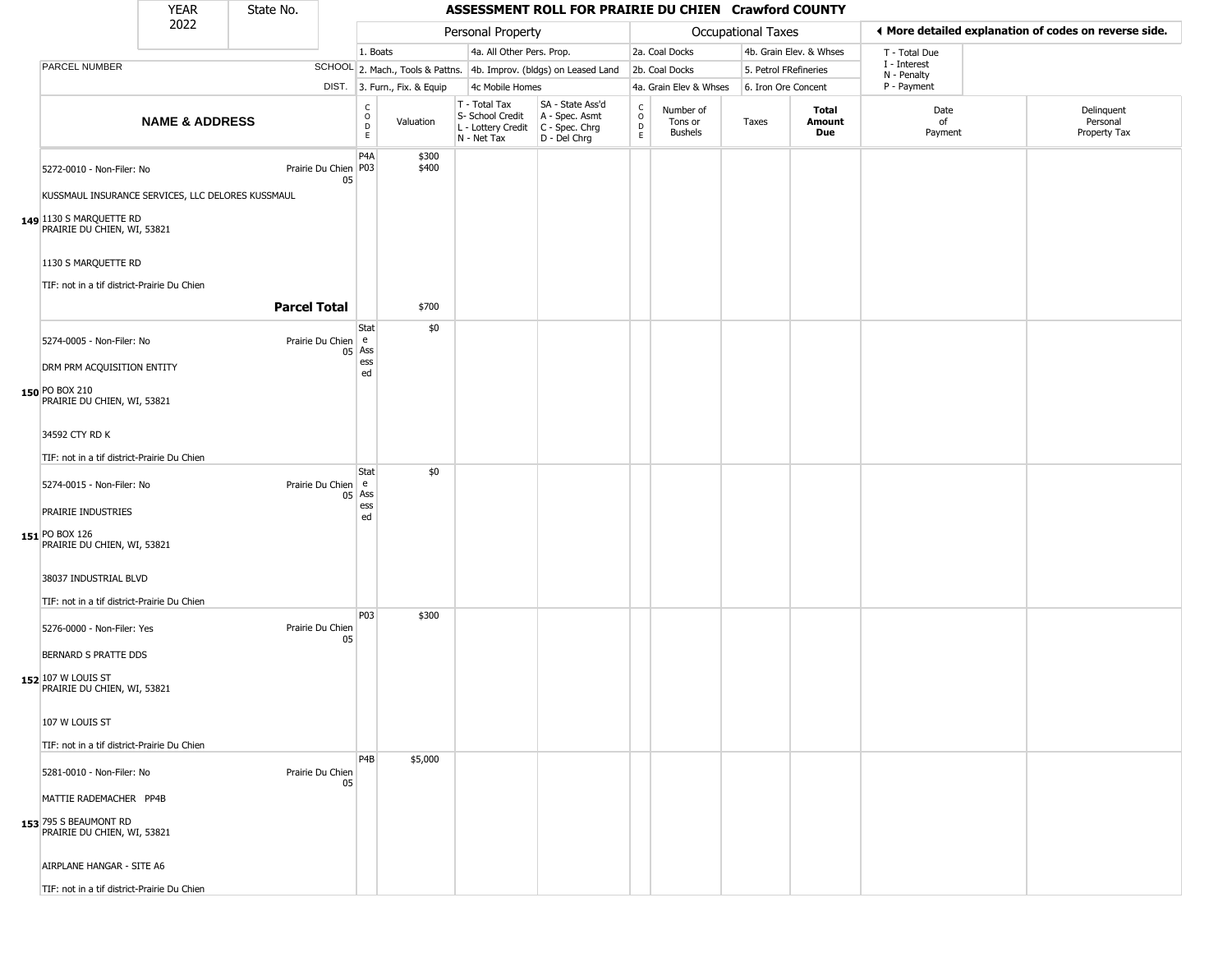#### YEAR **ASSESSMENT ROLL FOR PRAIRIE DU CHIEN Crawford COUNTY** 2022 DIST. 3. Furn., Fix. & Equip PARCEL NUMBER **NAME & ADDRESS** State No. C O D E Valuation T - Total Tax S- School Credit A - Spec. Asmt L - Lottery Credit C - Spec. Chrg N - Net Tax SA - State Ass'd D - Del Chrg C O D E Number of Tons or Bushels Taxes **Total Amount Due** Date of Payment Delinquent Personal Property Tax Personal Property **Personal Property Personal Taxes** 1. Boats **4a. All Other Pers. Prop.** 2a. Coal Docks 4b. Grain Elev. & Whses SCHOOL 2. Mach., Tools & Pattns. 4b. Improv. (bldgs) on Leased Land 2b. Coal Docks 5. Petrol FRefineries 4c Mobile Homes 4a. Grain Elev & Whses 6. Iron Ore Concent T - Total Due I - Interest N - Penalty P - Payment 3**More detailed explanation of codes on reverse side. 149** 1130 S MARQUETTE RD 5272-0010 - Non-Filer: No 05 KUSSMAUL INSURANCE SERVICES, LLC DELORES KUSSMAUL PRAIRIE DU CHIEN, WI, 53821 1130 S MARQUETTE RD TIF: not in a tif district-Prairie Du Chien P4A Prairie Du Chien | P03 \$300 \$400 **Parcel Total** | \$700 **150** PO BOX 210 5274-0005 - Non-Filer: No 05 Ass DRM PRM ACQUISITION ENTITY PRAIRIE DU CHIEN, WI, 53821 34592 CTY RD K TIF: not in a tif district-Prairie Du Chien **Stat** Prairie Du Chien e ess ed \$0 **151** PO BOX 126 5274-0015 - Non-Filer: No 05 Ass PRAIRIE INDUSTRIES PRAIRIE DU CHIEN, WI, 53821 38037 INDUSTRIAL BLVD TIF: not in a tif district-Prairie Du Chien **Stat** Prairie Du Chien e ess ed \$0 **152** 107 W LOUIS ST 5276-0000 - Non-Filer: Yes Prairie Du Chien 05 BERNARD S PRATTE DDS PRAIRIE DU CHIEN, WI, 53821 107 W LOUIS ST TIF: not in a tif district-Prairie Du Chien P03 \$300 **153** 795 S BEAUMONT RD 5281-0010 - Non-Filer: No Prairie Du Chien 05 MATTIE RADEMACHER PP4B PRAIRIE DU CHIEN, WI, 53821 AIRPLANE HANGAR - SITE A6 P4B \$5,000

TIF: not in a tif district-Prairie Du Chien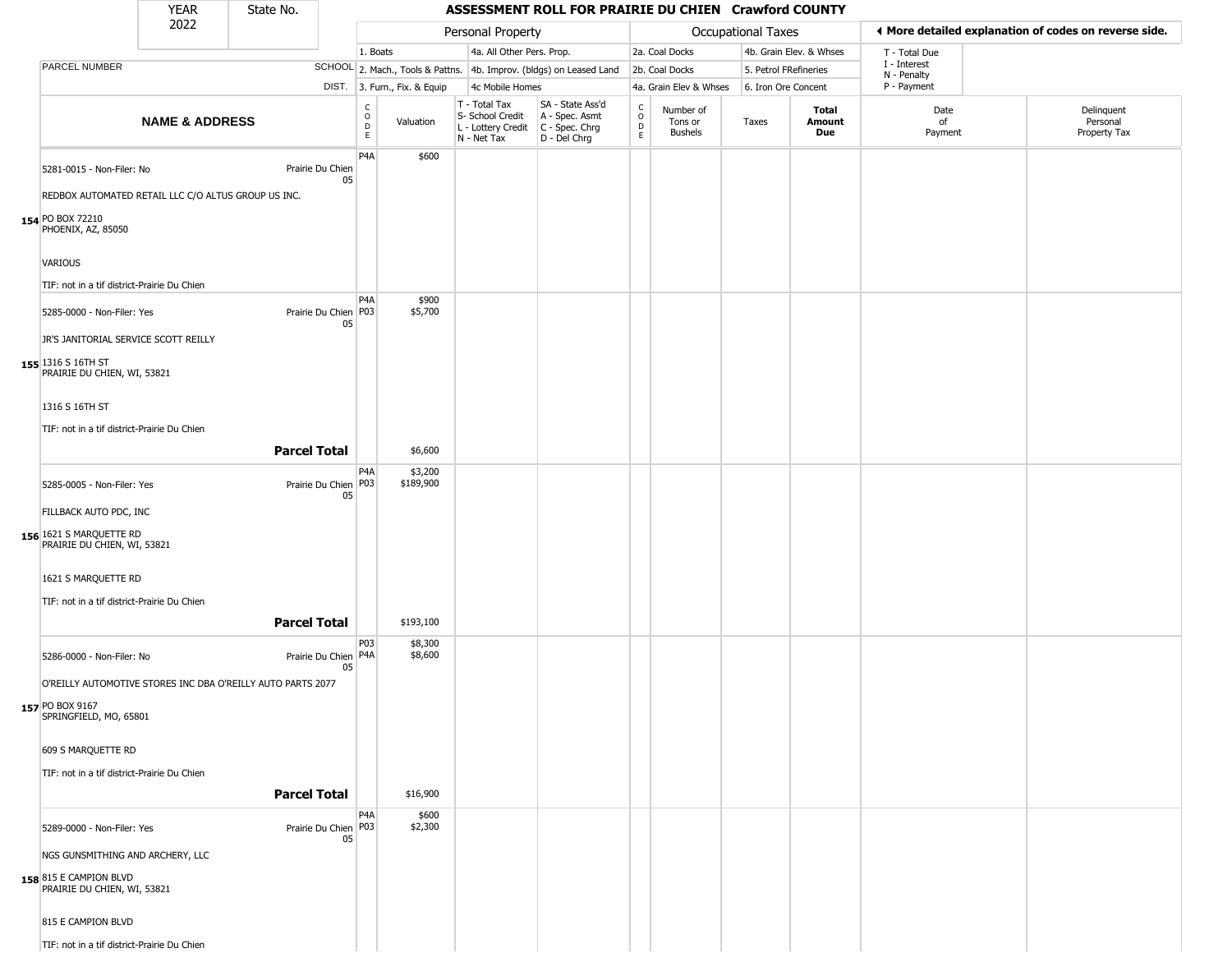| <b>YEAR</b> | State No. |
|-------------|-----------|
| ררחר        |           |

Г

|                                                             | 2022                      |                     |                              |                                             |                      | Personal Property                                                      |                                                                      |                                          |                                 | Occupational Taxes    |                         | ◀ More detailed explanation of codes on reverse side. |                                        |
|-------------------------------------------------------------|---------------------------|---------------------|------------------------------|---------------------------------------------|----------------------|------------------------------------------------------------------------|----------------------------------------------------------------------|------------------------------------------|---------------------------------|-----------------------|-------------------------|-------------------------------------------------------|----------------------------------------|
|                                                             |                           |                     |                              | 1. Boats                                    |                      | 4a. All Other Pers. Prop.                                              |                                                                      |                                          | 2a. Coal Docks                  |                       | 4b. Grain Elev. & Whses | T - Total Due                                         |                                        |
| PARCEL NUMBER                                               |                           |                     |                              |                                             |                      |                                                                        | SCHOOL 2. Mach., Tools & Pattns. 4b. Improv. (bldgs) on Leased Land  |                                          | 2b. Coal Docks                  | 5. Petrol FRefineries |                         | I - Interest<br>N - Penalty                           |                                        |
|                                                             |                           |                     |                              | DIST. 3. Furn., Fix. & Equip                |                      | 4c Mobile Homes                                                        |                                                                      |                                          | 4a. Grain Elev & Whses          | 6. Iron Ore Concent   |                         | P - Payment                                           |                                        |
|                                                             | <b>NAME &amp; ADDRESS</b> |                     |                              | $\frac{c}{0}$<br>$\mathsf D$<br>$\mathsf E$ | Valuation            | T - Total Tax<br>S- School Credit<br>L - Lottery Credit<br>N - Net Tax | SA - State Ass'd<br>A - Spec. Asmt<br>C - Spec. Chrg<br>D - Del Chrg | $\rm _o^c$<br>$\mathsf D$<br>$\mathsf E$ | Number of<br>Tons or<br>Bushels | Taxes                 | Total<br>Amount<br>Due  | Date<br>of<br>Payment                                 | Delinquent<br>Personal<br>Property Tax |
|                                                             |                           |                     |                              | P4A                                         | \$600                |                                                                        |                                                                      |                                          |                                 |                       |                         |                                                       |                                        |
| 5281-0015 - Non-Filer: No                                   |                           |                     | Prairie Du Chien<br>05       |                                             |                      |                                                                        |                                                                      |                                          |                                 |                       |                         |                                                       |                                        |
| REDBOX AUTOMATED RETAIL LLC C/O ALTUS GROUP US INC.         |                           |                     |                              |                                             |                      |                                                                        |                                                                      |                                          |                                 |                       |                         |                                                       |                                        |
| 154 PO BOX 72210<br>PHOENIX, AZ, 85050                      |                           |                     |                              |                                             |                      |                                                                        |                                                                      |                                          |                                 |                       |                         |                                                       |                                        |
| <b>VARIOUS</b>                                              |                           |                     |                              |                                             |                      |                                                                        |                                                                      |                                          |                                 |                       |                         |                                                       |                                        |
| TIF: not in a tif district-Prairie Du Chien                 |                           |                     |                              |                                             |                      |                                                                        |                                                                      |                                          |                                 |                       |                         |                                                       |                                        |
| 5285-0000 - Non-Filer: Yes                                  |                           |                     | Prairie Du Chien   P03<br>05 | P <sub>4</sub> A                            | \$900<br>\$5,700     |                                                                        |                                                                      |                                          |                                 |                       |                         |                                                       |                                        |
| JR'S JANITORIAL SERVICE SCOTT REILLY                        |                           |                     |                              |                                             |                      |                                                                        |                                                                      |                                          |                                 |                       |                         |                                                       |                                        |
| 155 1316 S 16TH ST<br>PRAIRIE DU CHIEN, WI, 53821           |                           |                     |                              |                                             |                      |                                                                        |                                                                      |                                          |                                 |                       |                         |                                                       |                                        |
| 1316 S 16TH ST                                              |                           |                     |                              |                                             |                      |                                                                        |                                                                      |                                          |                                 |                       |                         |                                                       |                                        |
| TIF: not in a tif district-Prairie Du Chien                 |                           |                     |                              |                                             |                      |                                                                        |                                                                      |                                          |                                 |                       |                         |                                                       |                                        |
|                                                             |                           | <b>Parcel Total</b> |                              |                                             | \$6,600              |                                                                        |                                                                      |                                          |                                 |                       |                         |                                                       |                                        |
| 5285-0005 - Non-Filer: Yes                                  |                           |                     | Prairie Du Chien P03<br>05   | P4A                                         | \$3,200<br>\$189,900 |                                                                        |                                                                      |                                          |                                 |                       |                         |                                                       |                                        |
| FILLBACK AUTO PDC, INC                                      |                           |                     |                              |                                             |                      |                                                                        |                                                                      |                                          |                                 |                       |                         |                                                       |                                        |
| 156 1621 S MARQUETTE RD<br>PRAIRIE DU CHIEN, WI, 53821      |                           |                     |                              |                                             |                      |                                                                        |                                                                      |                                          |                                 |                       |                         |                                                       |                                        |
| 1621 S MARQUETTE RD                                         |                           |                     |                              |                                             |                      |                                                                        |                                                                      |                                          |                                 |                       |                         |                                                       |                                        |
| TIF: not in a tif district-Prairie Du Chien                 |                           |                     |                              |                                             |                      |                                                                        |                                                                      |                                          |                                 |                       |                         |                                                       |                                        |
|                                                             |                           |                     |                              |                                             |                      |                                                                        |                                                                      |                                          |                                 |                       |                         |                                                       |                                        |
|                                                             |                           | <b>Parcel Total</b> |                              |                                             | \$193,100            |                                                                        |                                                                      |                                          |                                 |                       |                         |                                                       |                                        |
| 5286-0000 - Non-Filer: No                                   |                           |                     | Prairie Du Chien P4A         | P03                                         | \$8,300<br>\$8,600   |                                                                        |                                                                      |                                          |                                 |                       |                         |                                                       |                                        |
| O'REILLY AUTOMOTIVE STORES INC DBA O'REILLY AUTO PARTS 2077 |                           |                     | 05                           |                                             |                      |                                                                        |                                                                      |                                          |                                 |                       |                         |                                                       |                                        |
|                                                             |                           |                     |                              |                                             |                      |                                                                        |                                                                      |                                          |                                 |                       |                         |                                                       |                                        |
| 157 PO BOX 9167<br>SPRINGFIELD, MO, 65801                   |                           |                     |                              |                                             |                      |                                                                        |                                                                      |                                          |                                 |                       |                         |                                                       |                                        |
| 609 S MARQUETTE RD                                          |                           |                     |                              |                                             |                      |                                                                        |                                                                      |                                          |                                 |                       |                         |                                                       |                                        |
| TIF: not in a tif district-Prairie Du Chien                 |                           |                     |                              |                                             |                      |                                                                        |                                                                      |                                          |                                 |                       |                         |                                                       |                                        |
|                                                             |                           | <b>Parcel Total</b> |                              |                                             | \$16,900             |                                                                        |                                                                      |                                          |                                 |                       |                         |                                                       |                                        |
| 5289-0000 - Non-Filer: Yes                                  |                           |                     | Prairie Du Chien P03<br>05   | P4A                                         | \$600<br>\$2,300     |                                                                        |                                                                      |                                          |                                 |                       |                         |                                                       |                                        |
| NGS GUNSMITHING AND ARCHERY, LLC                            |                           |                     |                              |                                             |                      |                                                                        |                                                                      |                                          |                                 |                       |                         |                                                       |                                        |
| 158 815 E CAMPION BLVD<br>PRAIRIE DU CHIEN, WI, 53821       |                           |                     |                              |                                             |                      |                                                                        |                                                                      |                                          |                                 |                       |                         |                                                       |                                        |
| 815 E CAMPION BLVD                                          |                           |                     |                              |                                             |                      |                                                                        |                                                                      |                                          |                                 |                       |                         |                                                       |                                        |
| TIF: not in a tif district-Prairie Du Chien                 |                           |                     |                              |                                             |                      |                                                                        |                                                                      |                                          |                                 |                       |                         |                                                       |                                        |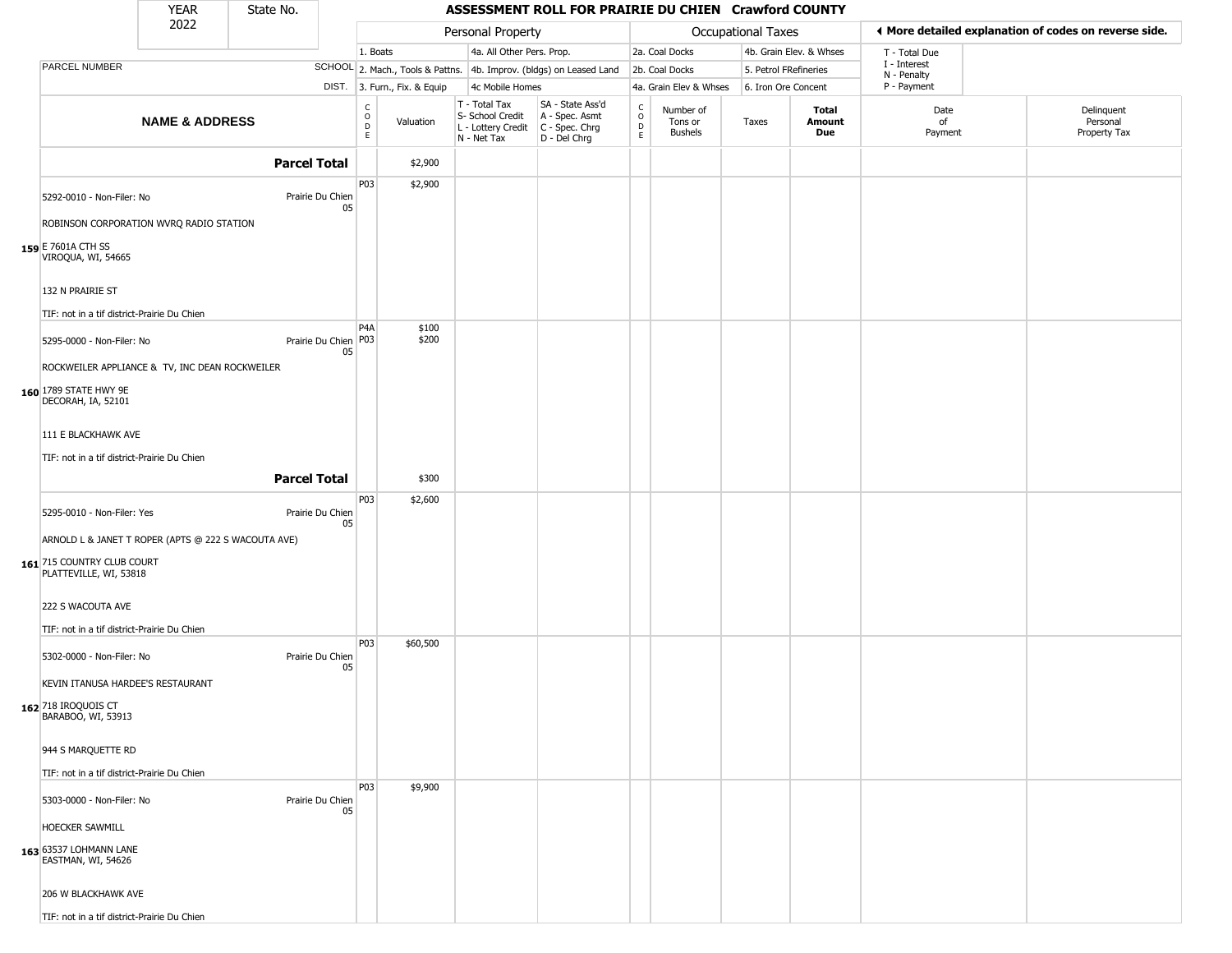|                                                                 | <b>YEAR</b>               | State No.              |                                              |                              |                                                  | ASSESSMENT ROLL FOR PRAIRIE DU CHIEN Crawford COUNTY                                      |                                   |                                        |                           |                         |                                                       |                                        |  |
|-----------------------------------------------------------------|---------------------------|------------------------|----------------------------------------------|------------------------------|--------------------------------------------------|-------------------------------------------------------------------------------------------|-----------------------------------|----------------------------------------|---------------------------|-------------------------|-------------------------------------------------------|----------------------------------------|--|
|                                                                 | 2022                      |                        |                                              |                              | Personal Property                                |                                                                                           |                                   |                                        | <b>Occupational Taxes</b> |                         | ◀ More detailed explanation of codes on reverse side. |                                        |  |
|                                                                 |                           |                        |                                              | 1. Boats                     | 4a. All Other Pers. Prop.                        |                                                                                           |                                   | 2a. Coal Docks                         |                           | 4b. Grain Elev. & Whses | T - Total Due                                         |                                        |  |
| PARCEL NUMBER                                                   |                           |                        |                                              |                              |                                                  | SCHOOL 2. Mach., Tools & Pattns. 4b. Improv. (bldgs) on Leased Land                       |                                   | 2b. Coal Docks                         | 5. Petrol FRefineries     |                         | I - Interest<br>N - Penalty                           |                                        |  |
|                                                                 |                           |                        |                                              | DIST. 3. Furn., Fix. & Equip | 4c Mobile Homes                                  |                                                                                           |                                   | 4a. Grain Elev & Whses                 | 6. Iron Ore Concent       |                         | P - Payment                                           |                                        |  |
|                                                                 | <b>NAME &amp; ADDRESS</b> |                        | $\begin{array}{c}\nC \\ O \\ D\n\end{array}$ | Valuation                    | T - Total Tax<br>S- School Credit<br>N - Net Tax | SA - State Ass'd<br>A - Spec. Asmt<br>L - Lottery Credit   C - Spec. Chrg<br>D - Del Chrg | $\mathsf{C}$<br>$\circ$<br>D<br>E | Number of<br>Tons or<br><b>Bushels</b> | Taxes                     | Total<br>Amount<br>Due  | Date<br>of<br>Payment                                 | Delinquent<br>Personal<br>Property Tax |  |
|                                                                 |                           | <b>Parcel Total</b>    |                                              | \$2,900                      |                                                  |                                                                                           |                                   |                                        |                           |                         |                                                       |                                        |  |
| 5292-0010 - Non-Filer: No                                       |                           | Prairie Du Chien       | P03<br>05                                    | \$2,900                      |                                                  |                                                                                           |                                   |                                        |                           |                         |                                                       |                                        |  |
| ROBINSON CORPORATION WVRQ RADIO STATION                         |                           |                        |                                              |                              |                                                  |                                                                                           |                                   |                                        |                           |                         |                                                       |                                        |  |
| 159 E 7601A CTH SS<br>VIROQUA, WI, 54665                        |                           |                        |                                              |                              |                                                  |                                                                                           |                                   |                                        |                           |                         |                                                       |                                        |  |
| 132 N PRAIRIE ST<br>TIF: not in a tif district-Prairie Du Chien |                           |                        |                                              |                              |                                                  |                                                                                           |                                   |                                        |                           |                         |                                                       |                                        |  |
| 5295-0000 - Non-Filer: No                                       |                           | Prairie Du Chien   P03 | P <sub>4</sub> A                             | \$100<br>\$200               |                                                  |                                                                                           |                                   |                                        |                           |                         |                                                       |                                        |  |
| ROCKWEILER APPLIANCE & TV, INC DEAN ROCKWEILER                  |                           |                        | 05                                           |                              |                                                  |                                                                                           |                                   |                                        |                           |                         |                                                       |                                        |  |
| 160 1789 STATE HWY 9E<br>DECORAH, IA, 52101                     |                           |                        |                                              |                              |                                                  |                                                                                           |                                   |                                        |                           |                         |                                                       |                                        |  |
| 111 E BLACKHAWK AVE                                             |                           |                        |                                              |                              |                                                  |                                                                                           |                                   |                                        |                           |                         |                                                       |                                        |  |
| TIF: not in a tif district-Prairie Du Chien                     |                           |                        |                                              |                              |                                                  |                                                                                           |                                   |                                        |                           |                         |                                                       |                                        |  |
|                                                                 |                           | <b>Parcel Total</b>    |                                              | \$300                        |                                                  |                                                                                           |                                   |                                        |                           |                         |                                                       |                                        |  |
| 5295-0010 - Non-Filer: Yes                                      |                           | Prairie Du Chien       | P03<br>05                                    | \$2,600                      |                                                  |                                                                                           |                                   |                                        |                           |                         |                                                       |                                        |  |
| ARNOLD L & JANET T ROPER (APTS @ 222 S WACOUTA AVE)             |                           |                        |                                              |                              |                                                  |                                                                                           |                                   |                                        |                           |                         |                                                       |                                        |  |
| 161 715 COUNTRY CLUB COURT<br>PLATTEVILLE, WI, 53818            |                           |                        |                                              |                              |                                                  |                                                                                           |                                   |                                        |                           |                         |                                                       |                                        |  |
| 222 S WACOUTA AVE                                               |                           |                        |                                              |                              |                                                  |                                                                                           |                                   |                                        |                           |                         |                                                       |                                        |  |
| TIF: not in a tif district-Prairie Du Chien                     |                           |                        |                                              |                              |                                                  |                                                                                           |                                   |                                        |                           |                         |                                                       |                                        |  |
| 5302-0000 - Non-Filer: No                                       |                           | Prairie Du Chien       | P03<br>05                                    | \$60,500                     |                                                  |                                                                                           |                                   |                                        |                           |                         |                                                       |                                        |  |
| KEVIN ITANUSA HARDEE'S RESTAURANT                               |                           |                        |                                              |                              |                                                  |                                                                                           |                                   |                                        |                           |                         |                                                       |                                        |  |
| 162 718 IROQUOIS CT<br>BARABOO, WI, 53913                       |                           |                        |                                              |                              |                                                  |                                                                                           |                                   |                                        |                           |                         |                                                       |                                        |  |
| 944 S MARQUETTE RD                                              |                           |                        |                                              |                              |                                                  |                                                                                           |                                   |                                        |                           |                         |                                                       |                                        |  |
| TIF: not in a tif district-Prairie Du Chien                     |                           |                        |                                              |                              |                                                  |                                                                                           |                                   |                                        |                           |                         |                                                       |                                        |  |
| 5303-0000 - Non-Filer: No                                       |                           | Prairie Du Chien       | P03<br>05                                    | \$9,900                      |                                                  |                                                                                           |                                   |                                        |                           |                         |                                                       |                                        |  |
| HOECKER SAWMILL                                                 |                           |                        |                                              |                              |                                                  |                                                                                           |                                   |                                        |                           |                         |                                                       |                                        |  |
| 163 63537 LOHMANN LANE<br>EASTMAN, WI, 54626                    |                           |                        |                                              |                              |                                                  |                                                                                           |                                   |                                        |                           |                         |                                                       |                                        |  |
| 206 W BLACKHAWK AVE                                             |                           |                        |                                              |                              |                                                  |                                                                                           |                                   |                                        |                           |                         |                                                       |                                        |  |
| TIF: not in a tif district-Prairie Du Chien                     |                           |                        |                                              |                              |                                                  |                                                                                           |                                   |                                        |                           |                         |                                                       |                                        |  |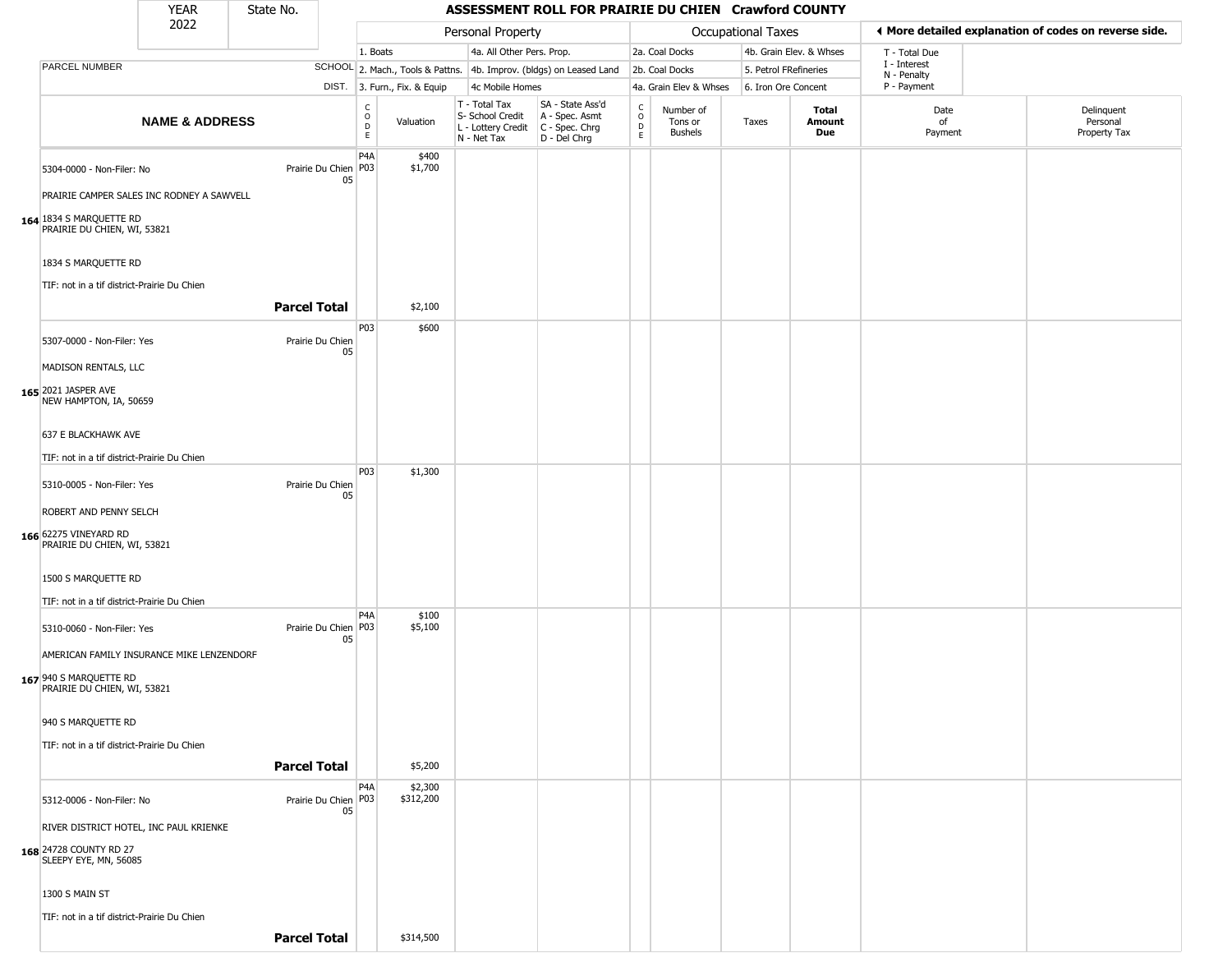#### YEAR **ASSESSMENT ROLL FOR PRAIRIE DU CHIEN Crawford COUNTY** 2022 DIST. 3. Furn., Fix. & Equip PARCEL NUMBER **NAME & ADDRESS** State No. C O D E Valuation T - Total Tax S- School Credit A - Spec. Asmt L - Lottery Credit C - Spec. Chrg N - Net Tax SA - State Ass'd D - Del Chrg C O D E Number of Tons or Bushels Taxes **Total Amount Due** Date of Payment Delinquent Personal Property Tax Personal Property **Department Controller Service Controller** Occupational Taxes 1. Boats **4a. All Other Pers. Prop.** 2a. Coal Docks 4b. Grain Elev. & Whses SCHOOL 2. Mach., Tools & Pattns. 4b. Improv. (bldgs) on Leased Land 2b. Coal Docks 5. Petrol FRefineries 4c Mobile Homes 4a. Grain Elev & Whses 6. Iron Ore Concent T - Total Due I - Interest N - Penalty P - Payment 3**More detailed explanation of codes on reverse side. 164** 1834 S MARQUETTE RD 5304-0000 - Non-Filer: No 05 PRAIRIE CAMPER SALES INC RODNEY A SAWVELL PRAIRIE DU CHIEN, WI, 53821 1834 S MARQUETTE RD TIF: not in a tif district-Prairie Du Chien P4A Prairie Du Chien P03 \$400 \$1,700 **Parcel Total** 1 \$2,100 **165** 2021 JASPER AVE 5307-0000 - Non-Filer: Yes Prairie Du Chien 05 MADISON RENTALS, LLC NEW HAMPTON, IA, 50659 637 E BLACKHAWK AVE TIF: not in a tif district-Prairie Du Chien P03 \$600 **166** 62275 VINEYARD RD 5310-0005 - Non-Filer: Yes Prairie Du Chien 05 ROBERT AND PENNY SELCH PRAIRIE DU CHIEN, WI, 53821 1500 S MARQUETTE RD TIF: not in a tif district-Prairie Du Chien P03 \$1,300 **167** 940 S MARQUETTE RD 5310-0060 - Non-Filer: Yes 05 AMERICAN FAMILY INSURANCE MIKE LENZENDORF PRAIRIE DU CHIEN, WI, 53821 940 S MARQUETTE RD TIF: not in a tif district-Prairie Du Chien  $PA<sub>A</sub>$ Prairie Du Chien P03 \$100 \$5,100 **Parcel Total** | \$5,200 **168** 24728 COUNTY RD 27 5312-0006 - Non-Filer: No 05 RIVER DISTRICT HOTEL, INC PAUL KRIENKE SLEEPY EYE, MN, 56085 1300 S MAIN ST P4A Prairie Du Chien | P03 \$2,300 \$312,200

TIF: not in a tif district-Prairie Du Chien

**Parcel Total** | \$314,500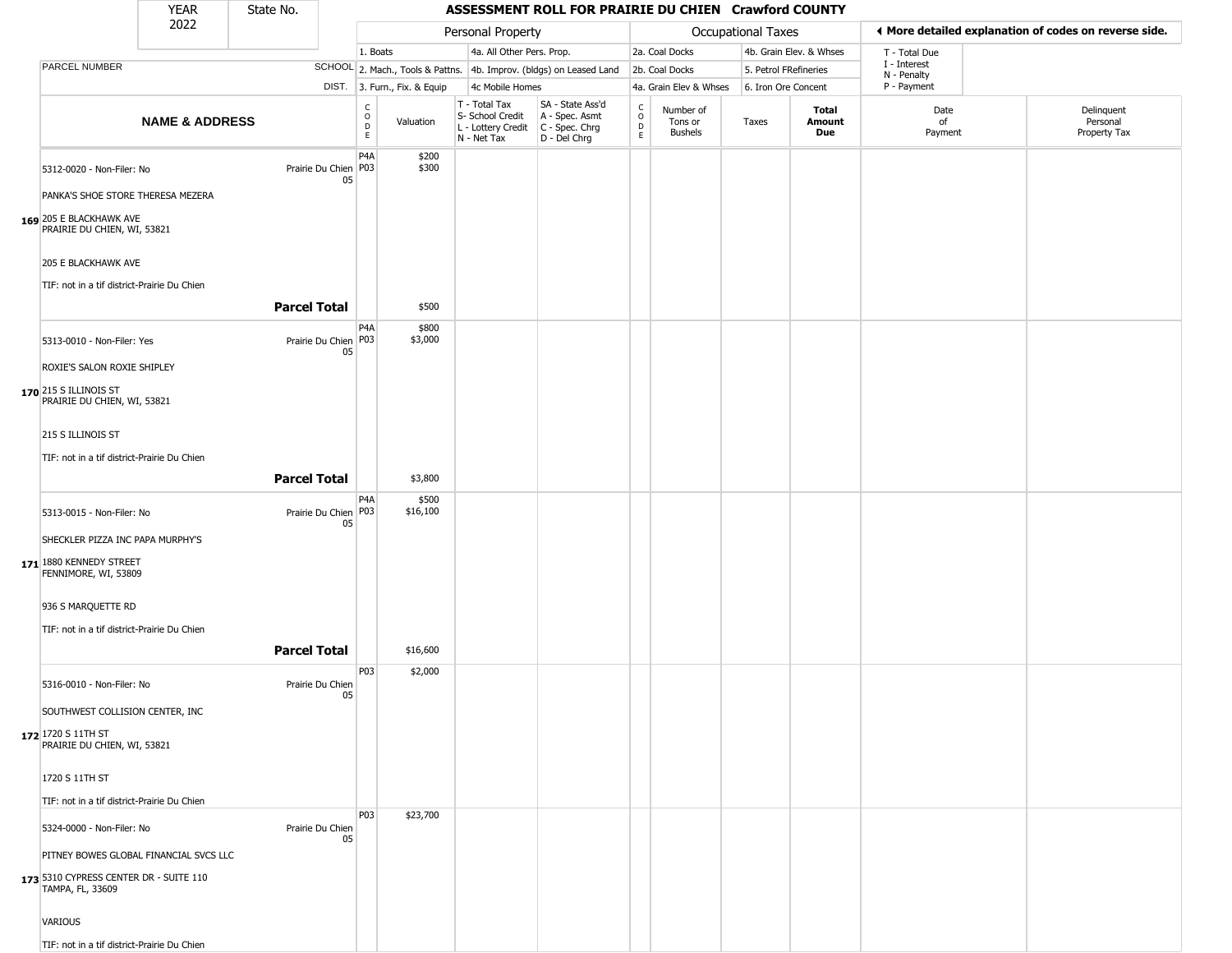| YEAR | State No. |
|------|-----------|
| ררחר |           |

Г

| 2022 |                                                            |                           | Personal Property          |                                                |                              |                                                                        |                                                                        |                                            | Occupational Taxes                     |                     | ◀ More detailed explanation of codes on reverse side. |                             |                                        |
|------|------------------------------------------------------------|---------------------------|----------------------------|------------------------------------------------|------------------------------|------------------------------------------------------------------------|------------------------------------------------------------------------|--------------------------------------------|----------------------------------------|---------------------|-------------------------------------------------------|-----------------------------|----------------------------------------|
|      |                                                            |                           |                            | 1. Boats                                       |                              | 4a. All Other Pers. Prop.                                              |                                                                        |                                            | 2a. Coal Docks                         |                     | 4b. Grain Elev. & Whses                               | T - Total Due               |                                        |
|      | PARCEL NUMBER                                              |                           |                            |                                                |                              |                                                                        | SCHOOL 2. Mach., Tools & Pattns. 4b. Improv. (bldgs) on Leased Land    |                                            | 2b. Coal Docks                         |                     | 5. Petrol FRefineries                                 | I - Interest<br>N - Penalty |                                        |
|      |                                                            |                           |                            |                                                | DIST. 3. Furn., Fix. & Equip | 4c Mobile Homes                                                        |                                                                        |                                            | 4a. Grain Elev & Whses                 | 6. Iron Ore Concent |                                                       | P - Payment                 |                                        |
|      |                                                            | <b>NAME &amp; ADDRESS</b> |                            | $\begin{matrix} 0 \\ 0 \\ D \end{matrix}$<br>E | Valuation                    | T - Total Tax<br>S- School Credit<br>L - Lottery Credit<br>N - Net Tax | SA - State Ass'd<br>A - Spec. Asmt<br>$C - Spec. Chrg$<br>D - Del Chrg | $\begin{array}{c} C \\ O \\ E \end{array}$ | Number of<br>Tons or<br><b>Bushels</b> | Taxes               | Total<br>Amount<br>Due                                | Date<br>of<br>Payment       | Delinquent<br>Personal<br>Property Tax |
|      | 5312-0020 - Non-Filer: No                                  |                           | Prairie Du Chien P03<br>05 | P <sub>4</sub> A                               | \$200<br>\$300               |                                                                        |                                                                        |                                            |                                        |                     |                                                       |                             |                                        |
|      | PANKA'S SHOE STORE THERESA MEZERA                          |                           |                            |                                                |                              |                                                                        |                                                                        |                                            |                                        |                     |                                                       |                             |                                        |
|      | 169 205 E BLACKHAWK AVE<br>PRAIRIE DU CHIEN, WI, 53821     |                           |                            |                                                |                              |                                                                        |                                                                        |                                            |                                        |                     |                                                       |                             |                                        |
|      | 205 E BLACKHAWK AVE                                        |                           |                            |                                                |                              |                                                                        |                                                                        |                                            |                                        |                     |                                                       |                             |                                        |
|      | TIF: not in a tif district-Prairie Du Chien                |                           |                            |                                                |                              |                                                                        |                                                                        |                                            |                                        |                     |                                                       |                             |                                        |
|      |                                                            |                           | <b>Parcel Total</b>        |                                                | \$500                        |                                                                        |                                                                        |                                            |                                        |                     |                                                       |                             |                                        |
|      | 5313-0010 - Non-Filer: Yes                                 |                           | Prairie Du Chien P03<br>05 | P <sub>4</sub> A                               | \$800<br>\$3,000             |                                                                        |                                                                        |                                            |                                        |                     |                                                       |                             |                                        |
|      | ROXIE'S SALON ROXIE SHIPLEY                                |                           |                            |                                                |                              |                                                                        |                                                                        |                                            |                                        |                     |                                                       |                             |                                        |
|      | 170 215 S ILLINOIS ST<br>PRAIRIE DU CHIEN, WI, 53821       |                           |                            |                                                |                              |                                                                        |                                                                        |                                            |                                        |                     |                                                       |                             |                                        |
|      | 215 S ILLINOIS ST                                          |                           |                            |                                                |                              |                                                                        |                                                                        |                                            |                                        |                     |                                                       |                             |                                        |
|      | TIF: not in a tif district-Prairie Du Chien                |                           |                            |                                                |                              |                                                                        |                                                                        |                                            |                                        |                     |                                                       |                             |                                        |
|      |                                                            |                           | <b>Parcel Total</b>        |                                                | \$3,800                      |                                                                        |                                                                        |                                            |                                        |                     |                                                       |                             |                                        |
|      |                                                            |                           |                            | P <sub>4</sub> A                               | \$500                        |                                                                        |                                                                        |                                            |                                        |                     |                                                       |                             |                                        |
|      | 5313-0015 - Non-Filer: No                                  |                           | Prairie Du Chien P03<br>05 |                                                | \$16,100                     |                                                                        |                                                                        |                                            |                                        |                     |                                                       |                             |                                        |
|      | SHECKLER PIZZA INC PAPA MURPHY'S                           |                           |                            |                                                |                              |                                                                        |                                                                        |                                            |                                        |                     |                                                       |                             |                                        |
|      | 171 1880 KENNEDY STREET<br>FENNIMORE, WI, 53809            |                           |                            |                                                |                              |                                                                        |                                                                        |                                            |                                        |                     |                                                       |                             |                                        |
|      | 936 S MARQUETTE RD                                         |                           |                            |                                                |                              |                                                                        |                                                                        |                                            |                                        |                     |                                                       |                             |                                        |
|      | TIF: not in a tif district-Prairie Du Chien                |                           |                            |                                                |                              |                                                                        |                                                                        |                                            |                                        |                     |                                                       |                             |                                        |
|      |                                                            |                           | <b>Parcel Total</b>        |                                                | \$16,600                     |                                                                        |                                                                        |                                            |                                        |                     |                                                       |                             |                                        |
|      |                                                            |                           |                            | P03                                            | \$2,000                      |                                                                        |                                                                        |                                            |                                        |                     |                                                       |                             |                                        |
|      | 5316-0010 - Non-Filer: No                                  |                           | Prairie Du Chien<br>05     |                                                |                              |                                                                        |                                                                        |                                            |                                        |                     |                                                       |                             |                                        |
|      | SOUTHWEST COLLISION CENTER, INC                            |                           |                            |                                                |                              |                                                                        |                                                                        |                                            |                                        |                     |                                                       |                             |                                        |
|      | 172 1720 S 11TH ST<br>PRAIRIE DU CHIEN, WI, 53821          |                           |                            |                                                |                              |                                                                        |                                                                        |                                            |                                        |                     |                                                       |                             |                                        |
|      | 1720 S 11TH ST                                             |                           |                            |                                                |                              |                                                                        |                                                                        |                                            |                                        |                     |                                                       |                             |                                        |
|      | TIF: not in a tif district-Prairie Du Chien                |                           |                            |                                                |                              |                                                                        |                                                                        |                                            |                                        |                     |                                                       |                             |                                        |
|      |                                                            |                           |                            | <b>P03</b>                                     | \$23,700                     |                                                                        |                                                                        |                                            |                                        |                     |                                                       |                             |                                        |
|      | 5324-0000 - Non-Filer: No                                  |                           | Prairie Du Chien<br>05     |                                                |                              |                                                                        |                                                                        |                                            |                                        |                     |                                                       |                             |                                        |
|      | PITNEY BOWES GLOBAL FINANCIAL SVCS LLC                     |                           |                            |                                                |                              |                                                                        |                                                                        |                                            |                                        |                     |                                                       |                             |                                        |
|      | 173 5310 CYPRESS CENTER DR - SUITE 110<br>TAMPA, FL, 33609 |                           |                            |                                                |                              |                                                                        |                                                                        |                                            |                                        |                     |                                                       |                             |                                        |
|      | VARIOUS                                                    |                           |                            |                                                |                              |                                                                        |                                                                        |                                            |                                        |                     |                                                       |                             |                                        |
|      | TIF: not in a tif district-Prairie Du Chien                |                           |                            |                                                |                              |                                                                        |                                                                        |                                            |                                        |                     |                                                       |                             |                                        |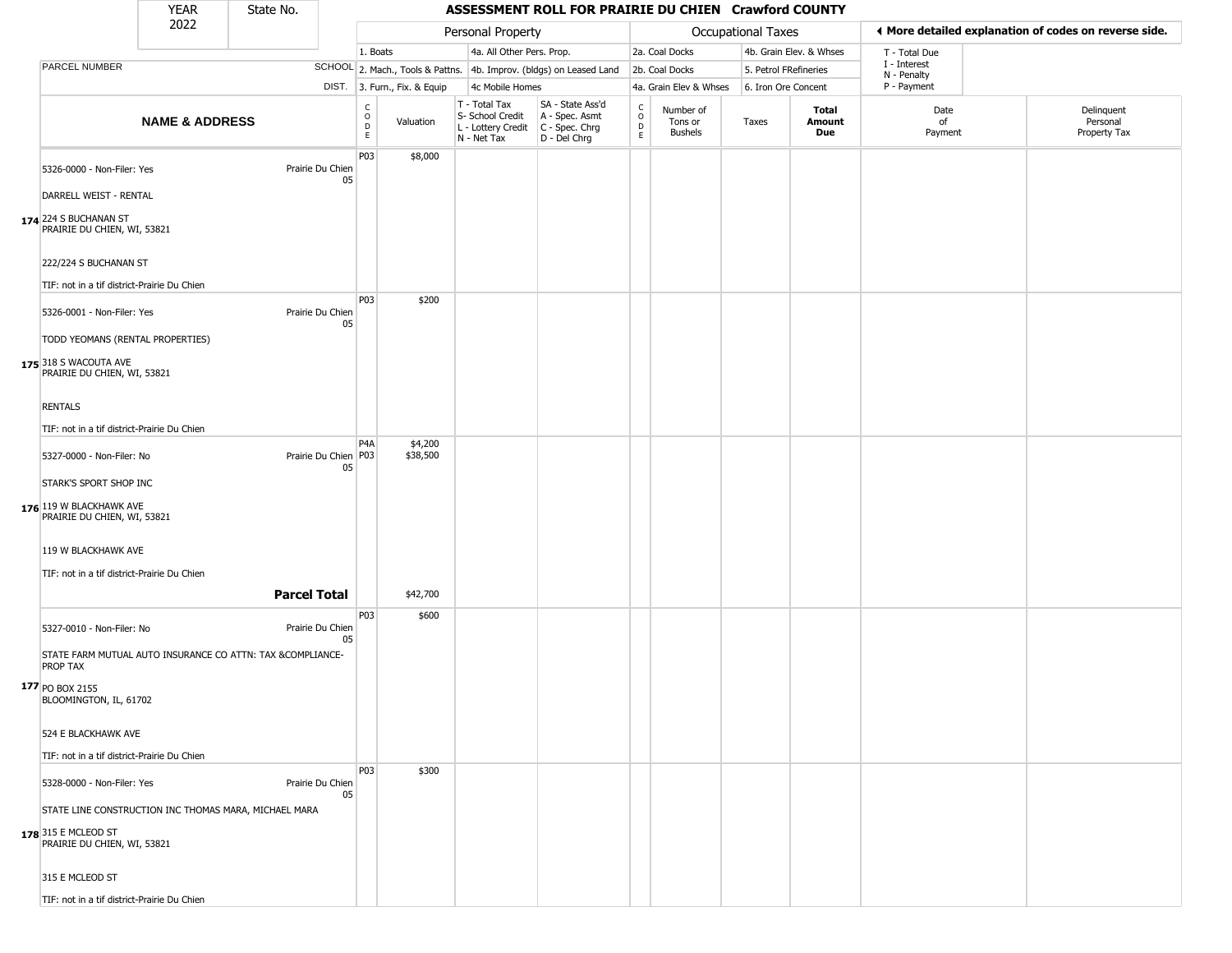| YEAR | State No. |
|------|-----------|
| ררחר |           |

|                     |                                                                                    | <b>YEAR</b>                      | State No.                                                  |                              |                         |                              |                                                                          | ASSESSMENT ROLL FOR PRAIRIE DU CHIEN Crawford COUNTY                   |                  |                                 |                       |                         |                             |                                                       |
|---------------------|------------------------------------------------------------------------------------|----------------------------------|------------------------------------------------------------|------------------------------|-------------------------|------------------------------|--------------------------------------------------------------------------|------------------------------------------------------------------------|------------------|---------------------------------|-----------------------|-------------------------|-----------------------------|-------------------------------------------------------|
|                     |                                                                                    | 2022                             |                                                            |                              |                         |                              | Personal Property                                                        |                                                                        |                  |                                 | Occupational Taxes    |                         |                             | ♦ More detailed explanation of codes on reverse side. |
|                     |                                                                                    |                                  |                                                            |                              | 1. Boats                |                              | 4a. All Other Pers. Prop.                                                |                                                                        |                  | 2a. Coal Docks                  |                       | 4b. Grain Elev. & Whses | T - Total Due               |                                                       |
|                     | PARCEL NUMBER                                                                      |                                  |                                                            |                              |                         |                              |                                                                          | SCHOOL 2. Mach., Tools & Pattns. 4b. Improv. (bldgs) on Leased Land    |                  | 2b. Coal Docks                  | 5. Petrol FRefineries |                         | I - Interest<br>N - Penalty |                                                       |
|                     |                                                                                    |                                  |                                                            |                              |                         | DIST. 3. Furn., Fix. & Equip | 4c Mobile Homes                                                          |                                                                        |                  | 4a. Grain Elev & Whses          | 6. Iron Ore Concent   |                         | P - Payment                 |                                                       |
|                     |                                                                                    | <b>NAME &amp; ADDRESS</b>        |                                                            |                              | C<br>$\circ$<br>D<br>E. | Valuation                    | $T - Total Tax$<br>S- School Credit<br>L - Lottery Credit<br>N - Net Tax | SA - State Ass'd<br>A - Spec. Asmt<br>C - Spec. Chrg<br>$D - Del Chrg$ | C<br>D<br>D<br>E | Number of<br>Tons or<br>Bushels | Taxes                 | Total<br>Amount<br>Due  | Date<br>of<br>Payment       | Delinquent<br>Personal<br>Property Tax                |
|                     | 5326-0000 - Non-Filer: Yes<br>DARRELL WEIST - RENTAL                               |                                  |                                                            | Prairie Du Chien<br>05       | P03                     | \$8,000                      |                                                                          |                                                                        |                  |                                 |                       |                         |                             |                                                       |
|                     | 174 224 S BUCHANAN ST<br>PRAIRIE DU CHIEN, WI, 53821<br>222/224 S BUCHANAN ST      |                                  |                                                            |                              |                         |                              |                                                                          |                                                                        |                  |                                 |                       |                         |                             |                                                       |
|                     | TIF: not in a tif district-Prairie Du Chien                                        |                                  |                                                            |                              |                         |                              |                                                                          |                                                                        |                  |                                 |                       |                         |                             |                                                       |
|                     | 5326-0001 - Non-Filer: Yes<br>175 318 S WACOUTA AVE<br>PRAIRIE DU CHIEN, WI, 53821 | TODD YEOMANS (RENTAL PROPERTIES) |                                                            | Prairie Du Chien<br>05       | P03                     | \$200                        |                                                                          |                                                                        |                  |                                 |                       |                         |                             |                                                       |
| <b>RENTALS</b>      |                                                                                    |                                  |                                                            |                              |                         |                              |                                                                          |                                                                        |                  |                                 |                       |                         |                             |                                                       |
|                     | TIF: not in a tif district-Prairie Du Chien                                        |                                  |                                                            |                              | P <sub>4</sub> A        | \$4,200                      |                                                                          |                                                                        |                  |                                 |                       |                         |                             |                                                       |
|                     | 5327-0000 - Non-Filer: No                                                          |                                  |                                                            | Prairie Du Chien   P03<br>05 |                         | \$38,500                     |                                                                          |                                                                        |                  |                                 |                       |                         |                             |                                                       |
|                     | STARK'S SPORT SHOP INC                                                             |                                  |                                                            |                              |                         |                              |                                                                          |                                                                        |                  |                                 |                       |                         |                             |                                                       |
|                     | 176 119 W BLACKHAWK AVE<br>PRAIRIE DU CHIEN, WI, 53821                             |                                  |                                                            |                              |                         |                              |                                                                          |                                                                        |                  |                                 |                       |                         |                             |                                                       |
|                     | 119 W BLACKHAWK AVE                                                                |                                  |                                                            |                              |                         |                              |                                                                          |                                                                        |                  |                                 |                       |                         |                             |                                                       |
|                     | TIF: not in a tif district-Prairie Du Chien                                        |                                  |                                                            |                              |                         |                              |                                                                          |                                                                        |                  |                                 |                       |                         |                             |                                                       |
|                     |                                                                                    |                                  | <b>Parcel Total</b>                                        |                              |                         | \$42,700                     |                                                                          |                                                                        |                  |                                 |                       |                         |                             |                                                       |
|                     | 5327-0010 - Non-Filer: No                                                          |                                  |                                                            | Prairie Du Chien<br>05       | P <sub>03</sub>         | \$600                        |                                                                          |                                                                        |                  |                                 |                       |                         |                             |                                                       |
| <b>PROP TAX</b>     |                                                                                    |                                  | STATE FARM MUTUAL AUTO INSURANCE CO ATTN: TAX &COMPLIANCE- |                              |                         |                              |                                                                          |                                                                        |                  |                                 |                       |                         |                             |                                                       |
| 177 PO BOX 2155     | BLOOMINGTON, IL, 61702                                                             |                                  |                                                            |                              |                         |                              |                                                                          |                                                                        |                  |                                 |                       |                         |                             |                                                       |
|                     | 524 E BLACKHAWK AVE                                                                |                                  |                                                            |                              |                         |                              |                                                                          |                                                                        |                  |                                 |                       |                         |                             |                                                       |
|                     | TIF: not in a tif district-Prairie Du Chien                                        |                                  |                                                            |                              |                         |                              |                                                                          |                                                                        |                  |                                 |                       |                         |                             |                                                       |
|                     | 5328-0000 - Non-Filer: Yes                                                         |                                  |                                                            | Prairie Du Chien<br>05       | P03                     | \$300                        |                                                                          |                                                                        |                  |                                 |                       |                         |                             |                                                       |
| 178 315 E MCLEOD ST | PRAIRIE DU CHIEN, WI, 53821                                                        |                                  | STATE LINE CONSTRUCTION INC THOMAS MARA, MICHAEL MARA      |                              |                         |                              |                                                                          |                                                                        |                  |                                 |                       |                         |                             |                                                       |
|                     | 315 E MCLEOD ST                                                                    |                                  |                                                            |                              |                         |                              |                                                                          |                                                                        |                  |                                 |                       |                         |                             |                                                       |
|                     | TIF: not in a tif district-Prairie Du Chien                                        |                                  |                                                            |                              |                         |                              |                                                                          |                                                                        |                  |                                 |                       |                         |                             |                                                       |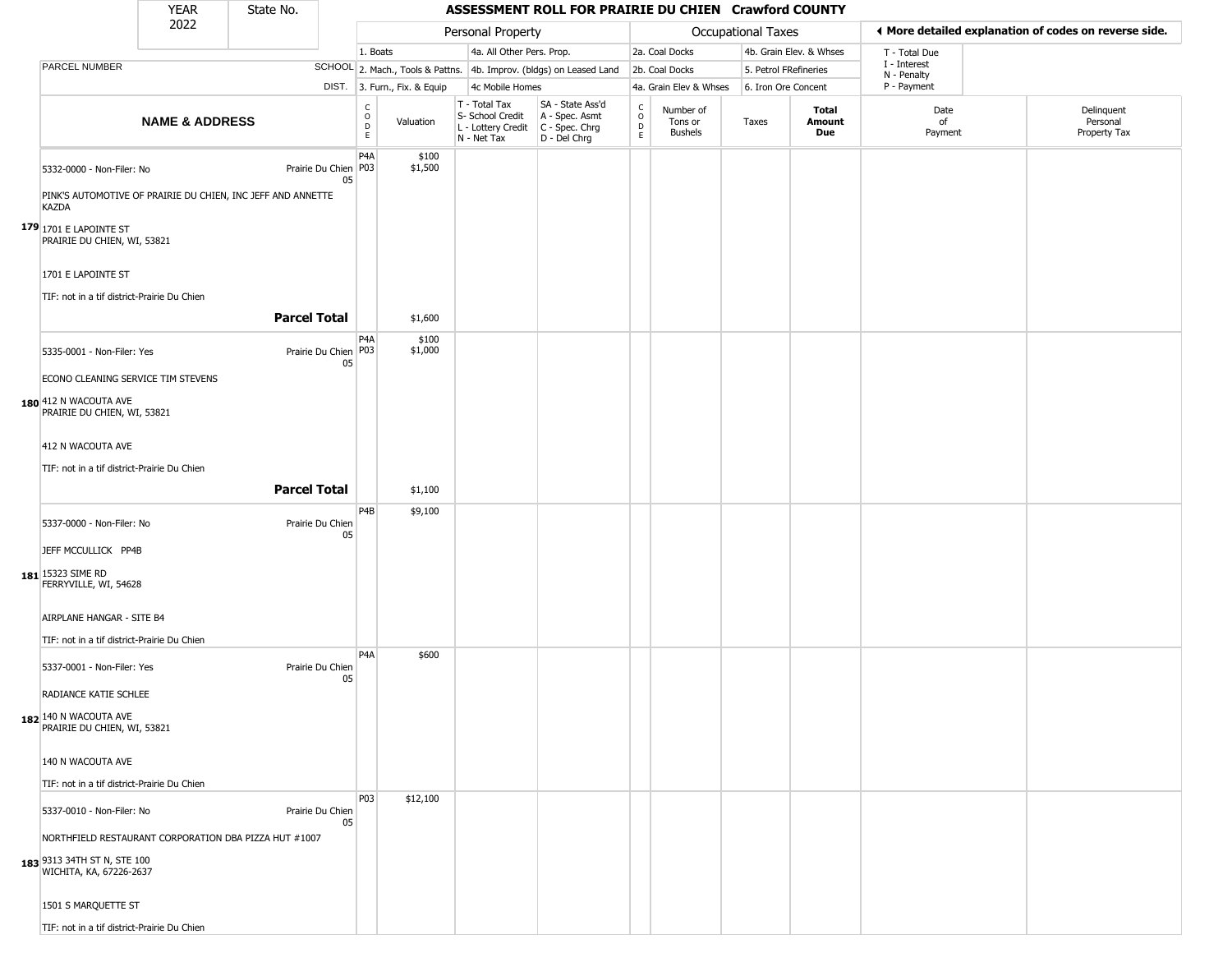| <b>YEAR</b> | State No. |
|-------------|-----------|
| ררחר        |           |

|                                                                                                                                              | <b>YEAR</b>               | State No.           |                            |                                                            |                              |                                                                        | ASSESSMENT ROLL FOR PRAIRIE DU CHIEN Crawford COUNTY                 |                                         |                                 |                           |                         |                                                       |                                        |
|----------------------------------------------------------------------------------------------------------------------------------------------|---------------------------|---------------------|----------------------------|------------------------------------------------------------|------------------------------|------------------------------------------------------------------------|----------------------------------------------------------------------|-----------------------------------------|---------------------------------|---------------------------|-------------------------|-------------------------------------------------------|----------------------------------------|
|                                                                                                                                              | 2022                      |                     |                            |                                                            |                              | Personal Property                                                      |                                                                      |                                         |                                 | <b>Occupational Taxes</b> |                         | ◀ More detailed explanation of codes on reverse side. |                                        |
|                                                                                                                                              |                           |                     |                            | 1. Boats                                                   |                              | 4a. All Other Pers. Prop.                                              |                                                                      |                                         | 2a. Coal Docks                  |                           | 4b. Grain Elev. & Whses | T - Total Due                                         |                                        |
| PARCEL NUMBER                                                                                                                                |                           |                     |                            |                                                            |                              |                                                                        | SCHOOL 2. Mach., Tools & Pattns. 4b. Improv. (bldgs) on Leased Land  |                                         | 2b. Coal Docks                  | 5. Petrol FRefineries     |                         | I - Interest<br>N - Penalty                           |                                        |
|                                                                                                                                              |                           |                     |                            |                                                            | DIST. 3. Furn., Fix. & Equip | 4c Mobile Homes                                                        |                                                                      |                                         | 4a. Grain Elev & Whses          | 6. Iron Ore Concent       |                         | P - Payment                                           |                                        |
|                                                                                                                                              | <b>NAME &amp; ADDRESS</b> |                     |                            | $\begin{smallmatrix} C\\ O\\ O\\ D \end{smallmatrix}$<br>E | Valuation                    | T - Total Tax<br>S- School Credit<br>L - Lottery Credit<br>N - Net Tax | SA - State Ass'd<br>A - Spec. Asmt<br>C - Spec. Chrg<br>D - Del Chrg | $_{\rm o}^{\rm c}$<br>D<br>$\mathsf{E}$ | Number of<br>Tons or<br>Bushels | Taxes                     | Total<br>Amount<br>Due  | Date<br>of<br>Payment                                 | Delinquent<br>Personal<br>Property Tax |
| 5332-0000 - Non-Filer: No<br>PINK'S AUTOMOTIVE OF PRAIRIE DU CHIEN, INC JEFF AND ANNETTE<br><b>KAZDA</b>                                     |                           |                     | Prairie Du Chien P03<br>05 | P <sub>4</sub> A                                           | \$100<br>\$1,500             |                                                                        |                                                                      |                                         |                                 |                           |                         |                                                       |                                        |
| <b>179</b> 1701 E LAPOINTE ST<br>PRAIRIE DU CHIEN, WI, 53821                                                                                 |                           |                     |                            |                                                            |                              |                                                                        |                                                                      |                                         |                                 |                           |                         |                                                       |                                        |
| 1701 E LAPOINTE ST<br>TIF: not in a tif district-Prairie Du Chien                                                                            |                           |                     |                            |                                                            |                              |                                                                        |                                                                      |                                         |                                 |                           |                         |                                                       |                                        |
|                                                                                                                                              |                           | <b>Parcel Total</b> |                            |                                                            | \$1,600                      |                                                                        |                                                                      |                                         |                                 |                           |                         |                                                       |                                        |
| 5335-0001 - Non-Filer: Yes<br>ECONO CLEANING SERVICE TIM STEVENS                                                                             |                           |                     | Prairie Du Chien P03<br>05 | P <sub>4</sub> A                                           | \$100<br>\$1,000             |                                                                        |                                                                      |                                         |                                 |                           |                         |                                                       |                                        |
| 180 412 N WACOUTA AVE<br>PRAIRIE DU CHIEN, WI, 53821                                                                                         |                           |                     |                            |                                                            |                              |                                                                        |                                                                      |                                         |                                 |                           |                         |                                                       |                                        |
| 412 N WACOUTA AVE                                                                                                                            |                           |                     |                            |                                                            |                              |                                                                        |                                                                      |                                         |                                 |                           |                         |                                                       |                                        |
| TIF: not in a tif district-Prairie Du Chien                                                                                                  |                           |                     |                            |                                                            |                              |                                                                        |                                                                      |                                         |                                 |                           |                         |                                                       |                                        |
|                                                                                                                                              |                           | <b>Parcel Total</b> |                            |                                                            | \$1,100                      |                                                                        |                                                                      |                                         |                                 |                           |                         |                                                       |                                        |
|                                                                                                                                              |                           |                     |                            |                                                            |                              |                                                                        |                                                                      |                                         |                                 |                           |                         |                                                       |                                        |
| 5337-0000 - Non-Filer: No<br>JEFF MCCULLICK PP4B                                                                                             |                           |                     | Prairie Du Chien<br>05     | P <sub>4</sub> B                                           | \$9,100                      |                                                                        |                                                                      |                                         |                                 |                           |                         |                                                       |                                        |
| 181 15323 SIME RD<br>FERRYVILLE, WI, 54628                                                                                                   |                           |                     |                            |                                                            |                              |                                                                        |                                                                      |                                         |                                 |                           |                         |                                                       |                                        |
| AIRPLANE HANGAR - SITE B4<br>TIF: not in a tif district-Prairie Du Chien                                                                     |                           |                     |                            |                                                            |                              |                                                                        |                                                                      |                                         |                                 |                           |                         |                                                       |                                        |
| 5337-0001 - Non-Filer: Yes<br>RADIANCE KATIE SCHLEE                                                                                          |                           |                     | Prairie Du Chien<br>05     | P <sub>4</sub> A                                           | \$600                        |                                                                        |                                                                      |                                         |                                 |                           |                         |                                                       |                                        |
| 182 140 N WACOUTA AVE<br>PRAIRIE DU CHIEN, WI, 53821                                                                                         |                           |                     |                            |                                                            |                              |                                                                        |                                                                      |                                         |                                 |                           |                         |                                                       |                                        |
| 140 N WACOUTA AVE<br>TIF: not in a tif district-Prairie Du Chien                                                                             |                           |                     |                            |                                                            |                              |                                                                        |                                                                      |                                         |                                 |                           |                         |                                                       |                                        |
| 5337-0010 - Non-Filer: No<br>NORTHFIELD RESTAURANT CORPORATION DBA PIZZA HUT #1007<br>183 9313 34TH ST N, STE 100<br>WICHITA, KA, 67226-2637 |                           |                     | Prairie Du Chien<br>05     | P03                                                        | \$12,100                     |                                                                        |                                                                      |                                         |                                 |                           |                         |                                                       |                                        |
| 1501 S MARQUETTE ST<br>TIF: not in a tif district-Prairie Du Chien                                                                           |                           |                     |                            |                                                            |                              |                                                                        |                                                                      |                                         |                                 |                           |                         |                                                       |                                        |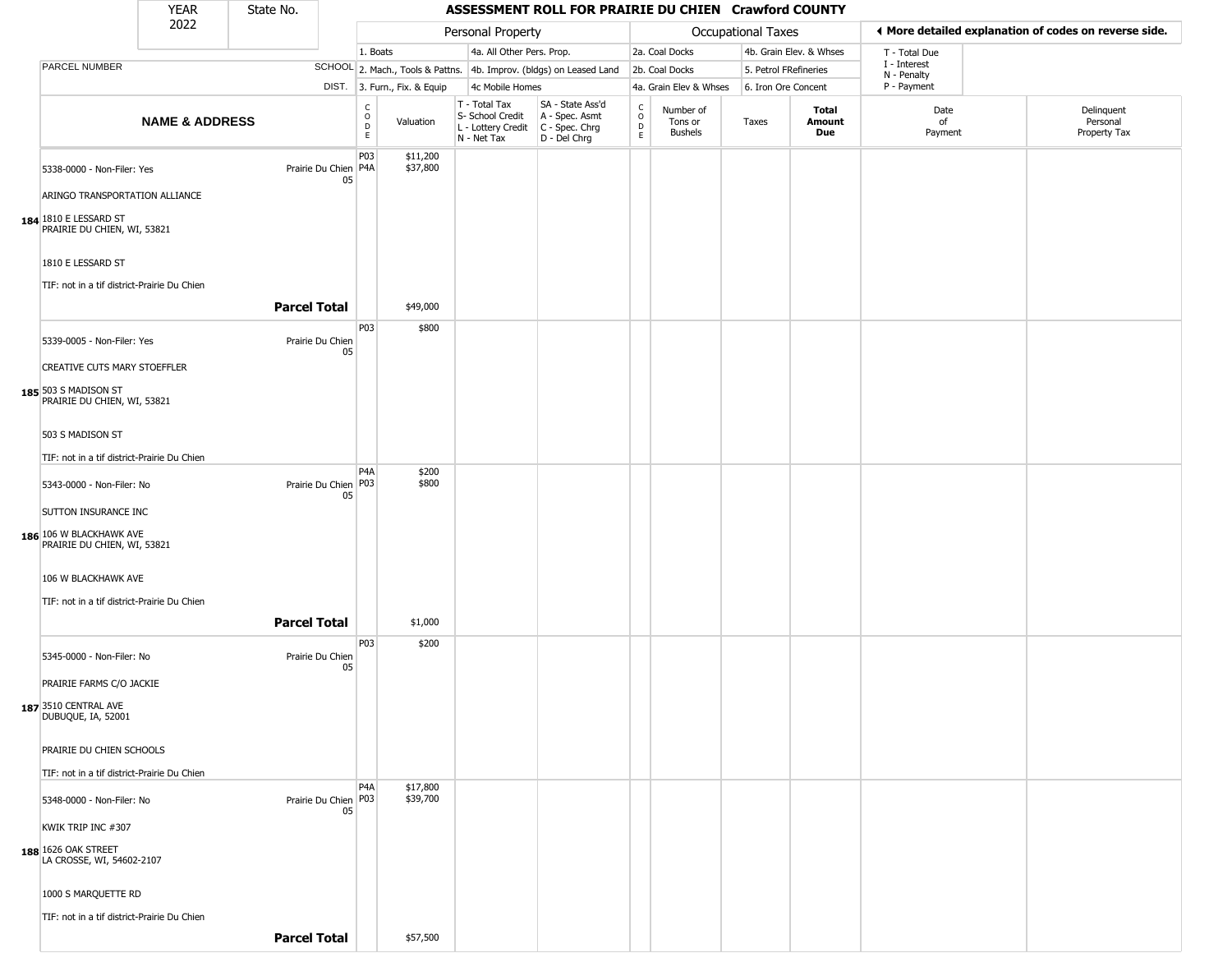|                                                        | <b>YEAR</b>               | State No.           |                            |                                                     |                                                                        |                                                                      | ASSESSMENT ROLL FOR PRAIRIE DU CHIEN Crawford COUNTY |                                        |                    |                         |                             |                                                       |  |  |
|--------------------------------------------------------|---------------------------|---------------------|----------------------------|-----------------------------------------------------|------------------------------------------------------------------------|----------------------------------------------------------------------|------------------------------------------------------|----------------------------------------|--------------------|-------------------------|-----------------------------|-------------------------------------------------------|--|--|
|                                                        | 2022                      |                     |                            |                                                     | Personal Property                                                      |                                                                      |                                                      |                                        | Occupational Taxes |                         |                             | I More detailed explanation of codes on reverse side. |  |  |
|                                                        |                           |                     |                            | 1. Boats                                            | 4a. All Other Pers. Prop.                                              |                                                                      |                                                      | 2a. Coal Docks                         |                    | 4b. Grain Elev. & Whses | T - Total Due               |                                                       |  |  |
| PARCEL NUMBER                                          |                           |                     |                            |                                                     |                                                                        | SCHOOL 2. Mach., Tools & Pattns. 4b. Improv. (bldgs) on Leased Land  |                                                      | 2b. Coal Docks                         |                    | 5. Petrol FRefineries   | I - Interest<br>N - Penalty |                                                       |  |  |
|                                                        |                           |                     |                            | DIST. 3. Furn., Fix. & Equip                        | 4c Mobile Homes                                                        |                                                                      |                                                      | 4a. Grain Elev & Whses                 |                    | 6. Iron Ore Concent     | P - Payment                 |                                                       |  |  |
|                                                        | <b>NAME &amp; ADDRESS</b> |                     |                            | $_{\rm o}^{\rm c}$<br>Valuation<br>$\mathsf D$<br>E | T - Total Tax<br>S- School Credit<br>L - Lottery Credit<br>N - Net Tax | SA - State Ass'd<br>A - Spec. Asmt<br>C - Spec. Chrg<br>D - Del Chrg | $\rm _o^C$<br>$\frac{D}{E}$                          | Number of<br>Tons or<br><b>Bushels</b> | Taxes              | Total<br>Amount<br>Due  | Date<br>of<br>Payment       | Delinquent<br>Personal<br>Property Tax                |  |  |
| 5338-0000 - Non-Filer: Yes                             |                           |                     | Prairie Du Chien P4A<br>05 | P <sub>0</sub> 3<br>\$11,200<br>\$37,800            |                                                                        |                                                                      |                                                      |                                        |                    |                         |                             |                                                       |  |  |
| ARINGO TRANSPORTATION ALLIANCE                         |                           |                     |                            |                                                     |                                                                        |                                                                      |                                                      |                                        |                    |                         |                             |                                                       |  |  |
| 184 1810 E LESSARD ST<br>PRAIRIE DU CHIEN, WI, 53821   |                           |                     |                            |                                                     |                                                                        |                                                                      |                                                      |                                        |                    |                         |                             |                                                       |  |  |
| 1810 E LESSARD ST                                      |                           |                     |                            |                                                     |                                                                        |                                                                      |                                                      |                                        |                    |                         |                             |                                                       |  |  |
| TIF: not in a tif district-Prairie Du Chien            |                           |                     |                            |                                                     |                                                                        |                                                                      |                                                      |                                        |                    |                         |                             |                                                       |  |  |
|                                                        |                           | <b>Parcel Total</b> |                            | \$49,000                                            |                                                                        |                                                                      |                                                      |                                        |                    |                         |                             |                                                       |  |  |
| 5339-0005 - Non-Filer: Yes                             |                           |                     | Prairie Du Chien<br>05     | P03<br>\$800                                        |                                                                        |                                                                      |                                                      |                                        |                    |                         |                             |                                                       |  |  |
| CREATIVE CUTS MARY STOEFFLER                           |                           |                     |                            |                                                     |                                                                        |                                                                      |                                                      |                                        |                    |                         |                             |                                                       |  |  |
| 185 503 S MADISON ST<br>PRAIRIE DU CHIEN, WI, 53821    |                           |                     |                            |                                                     |                                                                        |                                                                      |                                                      |                                        |                    |                         |                             |                                                       |  |  |
| 503 S MADISON ST                                       |                           |                     |                            |                                                     |                                                                        |                                                                      |                                                      |                                        |                    |                         |                             |                                                       |  |  |
| TIF: not in a tif district-Prairie Du Chien            |                           |                     |                            |                                                     |                                                                        |                                                                      |                                                      |                                        |                    |                         |                             |                                                       |  |  |
| 5343-0000 - Non-Filer: No                              |                           |                     | Prairie Du Chien P03<br>05 | P <sub>4</sub> A<br>\$200<br>\$800                  |                                                                        |                                                                      |                                                      |                                        |                    |                         |                             |                                                       |  |  |
| SUTTON INSURANCE INC                                   |                           |                     |                            |                                                     |                                                                        |                                                                      |                                                      |                                        |                    |                         |                             |                                                       |  |  |
| 186 106 W BLACKHAWK AVE<br>PRAIRIE DU CHIEN, WI, 53821 |                           |                     |                            |                                                     |                                                                        |                                                                      |                                                      |                                        |                    |                         |                             |                                                       |  |  |
| 106 W BLACKHAWK AVE                                    |                           |                     |                            |                                                     |                                                                        |                                                                      |                                                      |                                        |                    |                         |                             |                                                       |  |  |
| TIF: not in a tif district-Prairie Du Chien            |                           |                     |                            |                                                     |                                                                        |                                                                      |                                                      |                                        |                    |                         |                             |                                                       |  |  |
|                                                        |                           | <b>Parcel Total</b> |                            | \$1,000                                             |                                                                        |                                                                      |                                                      |                                        |                    |                         |                             |                                                       |  |  |
| 5345-0000 - Non-Filer: No                              |                           |                     | Prairie Du Chien<br>05     | P03<br>\$200                                        |                                                                        |                                                                      |                                                      |                                        |                    |                         |                             |                                                       |  |  |
| PRAIRIE FARMS C/O JACKIE                               |                           |                     |                            |                                                     |                                                                        |                                                                      |                                                      |                                        |                    |                         |                             |                                                       |  |  |
| 187 3510 CENTRAL AVE<br>DUBUQUE, IA, 52001             |                           |                     |                            |                                                     |                                                                        |                                                                      |                                                      |                                        |                    |                         |                             |                                                       |  |  |
| PRAIRIE DU CHIEN SCHOOLS                               |                           |                     |                            |                                                     |                                                                        |                                                                      |                                                      |                                        |                    |                         |                             |                                                       |  |  |
| TIF: not in a tif district-Prairie Du Chien            |                           |                     |                            |                                                     |                                                                        |                                                                      |                                                      |                                        |                    |                         |                             |                                                       |  |  |
| 5348-0000 - Non-Filer: No                              |                           |                     | Prairie Du Chien P03<br>05 | P <sub>4</sub> A<br>\$17,800<br>\$39,700            |                                                                        |                                                                      |                                                      |                                        |                    |                         |                             |                                                       |  |  |

**188** 1626 OAK STREET LA CROSSE, WI, 54602-2107

1000 S MARQUETTE RD

TIF: not in a tif district-Prairie Du Chien

**Parcel Total | \$57,500** 

KWIK TRIP INC #307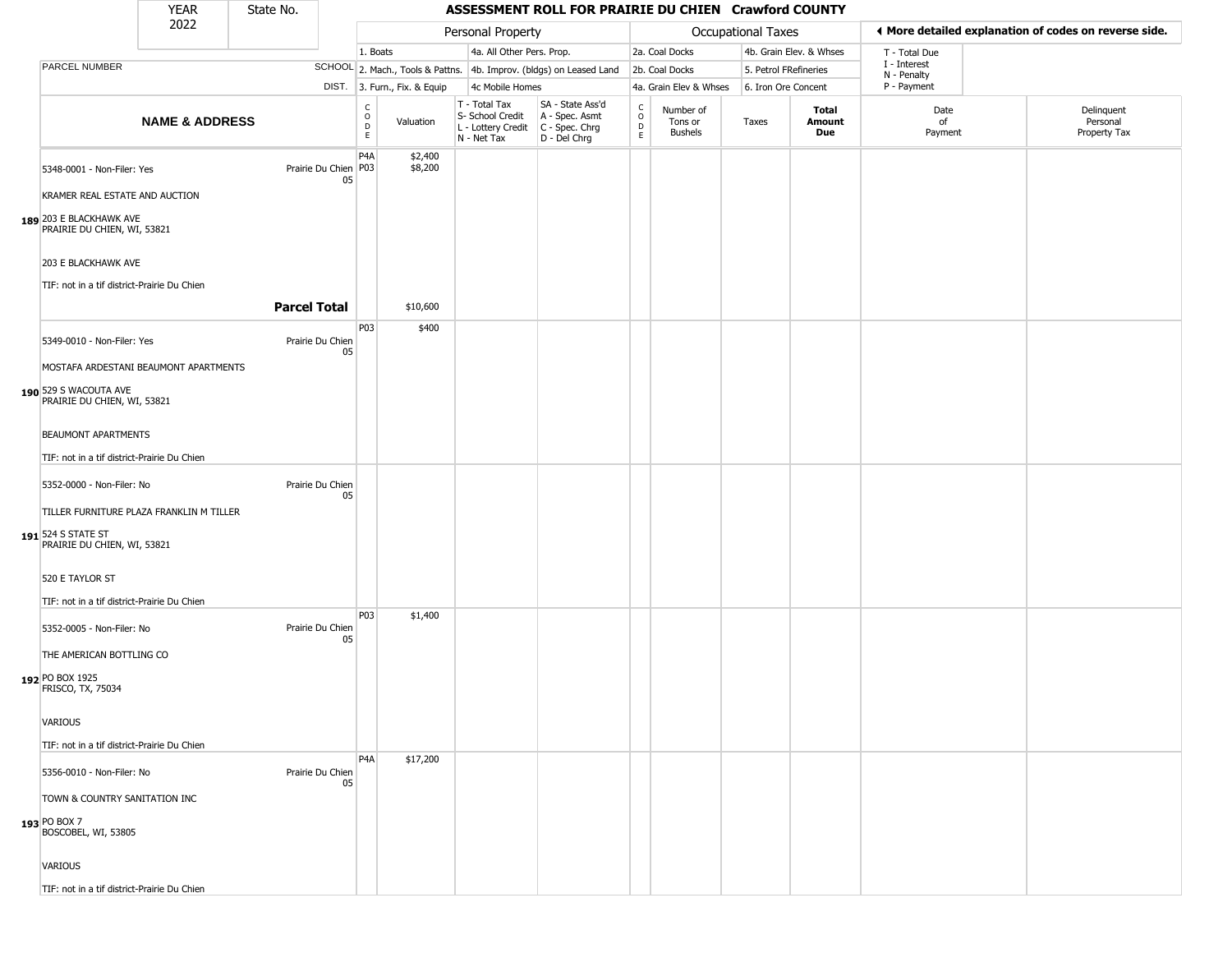#### YEAR **ASSESSMENT ROLL FOR PRAIRIE DU CHIEN Crawford COUNTY** 2022 DIST. 3. Furn., Fix. & Equip PARCEL NUMBER **NAME & ADDRESS** State No. C O D E Valuation T - Total Tax S- School Credit A - Spec. Asmt L - Lottery Credit C - Spec. Chrg N - Net Tax SA - State Ass'd D - Del Chrg C O D E Number of Tons or Bushels Taxes **Total Amount Due** Date of Payment Delinquent Personal Property Tax Personal Property **Personal Property Personal Taxes** 1. Boats **4a. All Other Pers. Prop.** 2a. Coal Docks 4b. Grain Elev. & Whses SCHOOL 2. Mach., Tools & Pattns. 4b. Improv. (bldgs) on Leased Land 2b. Coal Docks 5. Petrol FRefineries 4c Mobile Homes 4a. Grain Elev & Whses 6. Iron Ore Concent T - Total Due I - Interest N - Penalty P - Payment 3**More detailed explanation of codes on reverse side. 189** 203 E BLACKHAWK AVE 5348-0001 - Non-Filer: Yes 05 KRAMER REAL ESTATE AND AUCTION PRAIRIE DU CHIEN, WI, 53821 203 E BLACKHAWK AVE TIF: not in a tif district-Prairie Du Chien P4A Prairie Du Chien | P03 \$2,400 \$8,200 **Parcel Total | \$10,600 190** 529 S WACOUTA AVE 5349-0010 - Non-Filer: Yes Prairie Du Chien 05 MOSTAFA ARDESTANI BEAUMONT APARTMENTS PRAIRIE DU CHIEN, WI, 53821 BEAUMONT APARTMENTS TIF: not in a tif district-Prairie Du Chien P03 \$400 **191** 524 S STATE ST 5352-0000 - Non-Filer: No Prairie Du Chien 05 TILLER FURNITURE PLAZA FRANKLIN M TILLER PRAIRIE DU CHIEN, WI, 53821 520 E TAYLOR ST TIF: not in a tif district-Prairie Du Chien **192** PO BOX 1925 5352-0005 - Non-Filer: No Prairie Du Chien 05 THE AMERICAN BOTTLING CO FRISCO, TX, 75034 VARIOUS TIF: not in a tif district-Prairie Du Chien P03 \$1,400 **193** PO BOX 7 5356-0010 - Non-Filer: No Prairie Du Chien 05 TOWN & COUNTRY SANITATION INC BOSCOBEL, WI, 53805 **VARIOUS** P4A \$17,200

TIF: not in a tif district-Prairie Du Chien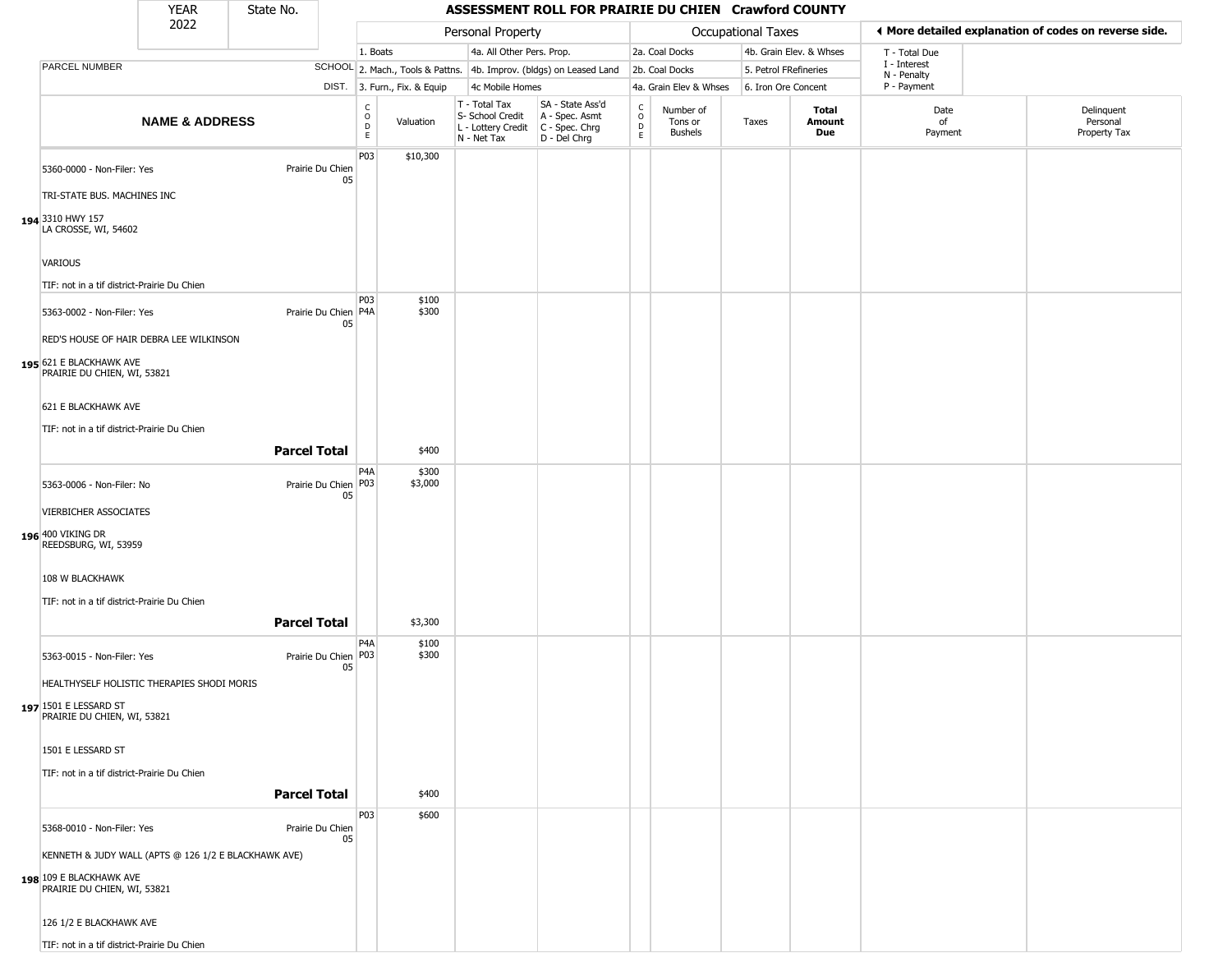| <b>YEAR</b> | State No. |  |
|-------------|-----------|--|
| רמפ         |           |  |

Г

| 2022 |                                                        |                           | Personal Property   |                              |                                     |                              |                                                                                         |                                                                     | Occupational Taxes                |                                 | ♦ More detailed explanation of codes on reverse side. |                         |                             |                                        |
|------|--------------------------------------------------------|---------------------------|---------------------|------------------------------|-------------------------------------|------------------------------|-----------------------------------------------------------------------------------------|---------------------------------------------------------------------|-----------------------------------|---------------------------------|-------------------------------------------------------|-------------------------|-----------------------------|----------------------------------------|
|      |                                                        |                           |                     |                              | 1. Boats                            |                              | 4a. All Other Pers. Prop.                                                               |                                                                     |                                   | 2a. Coal Docks                  |                                                       | 4b. Grain Elev. & Whses | T - Total Due               |                                        |
|      | PARCEL NUMBER                                          |                           |                     |                              |                                     |                              |                                                                                         | SCHOOL 2. Mach., Tools & Pattns. 4b. Improv. (bldgs) on Leased Land |                                   | 2b. Coal Docks                  | 5. Petrol FRefineries                                 |                         | I - Interest<br>N - Penalty |                                        |
|      |                                                        |                           |                     |                              |                                     | DIST. 3. Furn., Fix. & Equip | 4c Mobile Homes                                                                         |                                                                     |                                   | 4a. Grain Elev & Whses          | 6. Iron Ore Concent                                   |                         | P - Payment                 |                                        |
|      |                                                        | <b>NAME &amp; ADDRESS</b> |                     |                              | $\int_{0}^{c}$<br>$\mathsf{D}$<br>E | Valuation                    | T - Total Tax<br>S- School Credit<br>L - Lottery Credit   C - Spec. Chrg<br>N - Net Tax | SA - State Ass'd<br>A - Spec. Asmt<br>D - Del Chrg                  | $\frac{c}{0}$<br>$\mathsf D$<br>E | Number of<br>Tons or<br>Bushels | Taxes                                                 | Total<br>Amount<br>Due  | Date<br>of<br>Payment       | Delinquent<br>Personal<br>Property Tax |
|      | 5360-0000 - Non-Filer: Yes                             |                           |                     | Prairie Du Chien<br>05       | P03                                 | \$10,300                     |                                                                                         |                                                                     |                                   |                                 |                                                       |                         |                             |                                        |
|      | TRI-STATE BUS. MACHINES INC                            |                           |                     |                              |                                     |                              |                                                                                         |                                                                     |                                   |                                 |                                                       |                         |                             |                                        |
|      | 194 3310 HWY 157<br>LA CROSSE, WI, 54602               |                           |                     |                              |                                     |                              |                                                                                         |                                                                     |                                   |                                 |                                                       |                         |                             |                                        |
|      | VARIOUS                                                |                           |                     |                              |                                     |                              |                                                                                         |                                                                     |                                   |                                 |                                                       |                         |                             |                                        |
|      | TIF: not in a tif district-Prairie Du Chien            |                           |                     |                              | P03                                 | \$100                        |                                                                                         |                                                                     |                                   |                                 |                                                       |                         |                             |                                        |
|      | 5363-0002 - Non-Filer: Yes                             |                           |                     | Prairie Du Chien P4A<br>05   |                                     | \$300                        |                                                                                         |                                                                     |                                   |                                 |                                                       |                         |                             |                                        |
|      | RED'S HOUSE OF HAIR DEBRA LEE WILKINSON                |                           |                     |                              |                                     |                              |                                                                                         |                                                                     |                                   |                                 |                                                       |                         |                             |                                        |
|      | 195 621 E BLACKHAWK AVE<br>PRAIRIE DU CHIEN, WI, 53821 |                           |                     |                              |                                     |                              |                                                                                         |                                                                     |                                   |                                 |                                                       |                         |                             |                                        |
|      | 621 E BLACKHAWK AVE                                    |                           |                     |                              |                                     |                              |                                                                                         |                                                                     |                                   |                                 |                                                       |                         |                             |                                        |
|      | TIF: not in a tif district-Prairie Du Chien            |                           |                     |                              |                                     |                              |                                                                                         |                                                                     |                                   |                                 |                                                       |                         |                             |                                        |
|      |                                                        |                           | <b>Parcel Total</b> |                              |                                     | \$400                        |                                                                                         |                                                                     |                                   |                                 |                                                       |                         |                             |                                        |
|      | 5363-0006 - Non-Filer: No                              |                           |                     | Prairie Du Chien P03<br>05   | P <sub>4</sub> A                    | \$300<br>\$3,000             |                                                                                         |                                                                     |                                   |                                 |                                                       |                         |                             |                                        |
|      | VIERBICHER ASSOCIATES                                  |                           |                     |                              |                                     |                              |                                                                                         |                                                                     |                                   |                                 |                                                       |                         |                             |                                        |
|      | 196 400 VIKING DR<br>REEDSBURG, WI, 53959              |                           |                     |                              |                                     |                              |                                                                                         |                                                                     |                                   |                                 |                                                       |                         |                             |                                        |
|      | 108 W BLACKHAWK                                        |                           |                     |                              |                                     |                              |                                                                                         |                                                                     |                                   |                                 |                                                       |                         |                             |                                        |
|      | TIF: not in a tif district-Prairie Du Chien            |                           |                     |                              |                                     |                              |                                                                                         |                                                                     |                                   |                                 |                                                       |                         |                             |                                        |
|      |                                                        |                           | <b>Parcel Total</b> |                              | P <sub>4</sub> A                    | \$3,300<br>\$100             |                                                                                         |                                                                     |                                   |                                 |                                                       |                         |                             |                                        |
|      | 5363-0015 - Non-Filer: Yes                             |                           |                     | Prairie Du Chien   P03<br>05 |                                     | \$300                        |                                                                                         |                                                                     |                                   |                                 |                                                       |                         |                             |                                        |
|      | HEALTHYSELF HOLISTIC THERAPIES SHODI MORIS             |                           |                     |                              |                                     |                              |                                                                                         |                                                                     |                                   |                                 |                                                       |                         |                             |                                        |
|      | 197 1501 E LESSARD ST<br>PRAIRIE DU CHIEN, WI, 53821   |                           |                     |                              |                                     |                              |                                                                                         |                                                                     |                                   |                                 |                                                       |                         |                             |                                        |
|      | 1501 E LESSARD ST                                      |                           |                     |                              |                                     |                              |                                                                                         |                                                                     |                                   |                                 |                                                       |                         |                             |                                        |
|      | TIF: not in a tif district-Prairie Du Chien            |                           |                     |                              |                                     |                              |                                                                                         |                                                                     |                                   |                                 |                                                       |                         |                             |                                        |
|      |                                                        |                           | <b>Parcel Total</b> |                              |                                     | \$400                        |                                                                                         |                                                                     |                                   |                                 |                                                       |                         |                             |                                        |
|      | 5368-0010 - Non-Filer: Yes                             |                           |                     | Prairie Du Chien<br>05       | P03                                 | \$600                        |                                                                                         |                                                                     |                                   |                                 |                                                       |                         |                             |                                        |
|      | KENNETH & JUDY WALL (APTS @ 126 1/2 E BLACKHAWK AVE)   |                           |                     |                              |                                     |                              |                                                                                         |                                                                     |                                   |                                 |                                                       |                         |                             |                                        |
|      | 198 109 E BLACKHAWK AVE<br>PRAIRIE DU CHIEN, WI, 53821 |                           |                     |                              |                                     |                              |                                                                                         |                                                                     |                                   |                                 |                                                       |                         |                             |                                        |
|      | 126 1/2 E BLACKHAWK AVE                                |                           |                     |                              |                                     |                              |                                                                                         |                                                                     |                                   |                                 |                                                       |                         |                             |                                        |
|      | TIF: not in a tif district-Prairie Du Chien            |                           |                     |                              |                                     |                              |                                                                                         |                                                                     |                                   |                                 |                                                       |                         |                             |                                        |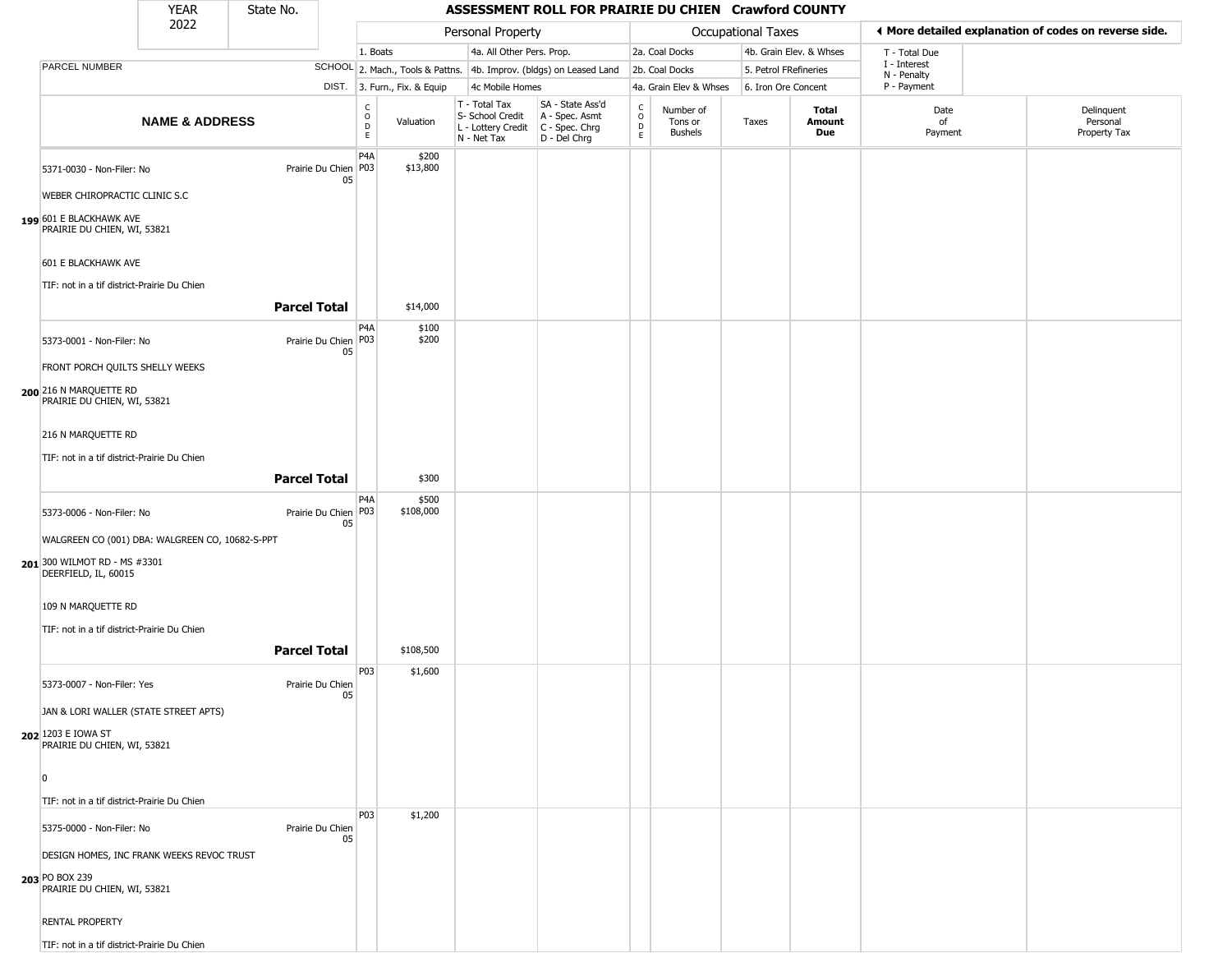#### YEAR **ASSESSMENT ROLL FOR PRAIRIE DU CHIEN Crawford COUNTY** 2022 DIST. 3. Furn., Fix. & Equip PARCEL NUMBER **NAME & ADDRESS** State No. C O D E Valuation T - Total Tax S- School Credit A - Spec. Asmt L - Lottery Credit C - Spec. Chrg N - Net Tax SA - State Ass'd D - Del Chrg C O D E Number of Tons or Bushels Taxes **Total Amount Due** Date of Payment Delinquent Personal Property Tax Personal Property **Department Controller Service Controller** Occupational Taxes 1. Boats **4a. All Other Pers. Prop.** 2a. Coal Docks 4b. Grain Elev. & Whses SCHOOL 2. Mach., Tools & Pattns. 4b. Improv. (bldgs) on Leased Land 2b. Coal Docks 5. Petrol FRefineries 4c Mobile Homes 4a. Grain Elev & Whses 6. Iron Ore Concent T - Total Due I - Interest N - Penalty P - Payment 3**More detailed explanation of codes on reverse side. 199** 601 E BLACKHAWK AVE 5371-0030 - Non-Filer: No 05 WEBER CHIROPRACTIC CLINIC S.C PRAIRIE DU CHIEN, WI, 53821 601 E BLACKHAWK AVE TIF: not in a tif district-Prairie Du Chien P4A Prairie Du Chien | P03 \$200 \$13,800 **Parcel Total** 1 \$14,000 **200** 216 N MARQUETTE RD 5373-0001 - Non-Filer: No 05 FRONT PORCH QUILTS SHELLY WEEKS PRAIRIE DU CHIEN, WI, 53821 216 N MARQUETTE RD TIF: not in a tif district-Prairie Du Chien P4A Prairie Du Chien P03 \$100 \$200 **Parcel Total** | \$300 **201** 300 WILMOT RD - MS #3301 5373-0006 - Non-Filer: No 05 WALGREEN CO (001) DBA: WALGREEN CO, 10682-S-PPT DEERFIELD, IL, 60015 109 N MARQUETTE RD TIF: not in a tif district-Prairie Du Chien P4A Prairie Du Chien | P03 \$500 \$108,000 **Parcel Total | \$108,500 202** 1203 E IOWA ST 5373-0007 - Non-Filer: Yes Prairie Du Chien 05 JAN & LORI WALLER (STATE STREET APTS) PRAIRIE DU CHIEN, WI, 53821 0 TIF: not in a tif district-Prairie Du Chien P03 \$1,600 **203** PO BOX 239 5375-0000 - Non-Filer: No Prairie Du Chien 05 DESIGN HOMES, INC FRANK WEEKS REVOC TRUST PRAIRIE DU CHIEN, WI, 53821 RENTAL PROPERTY P03 \$1,200

TIF: not in a tif district-Prairie Du Chien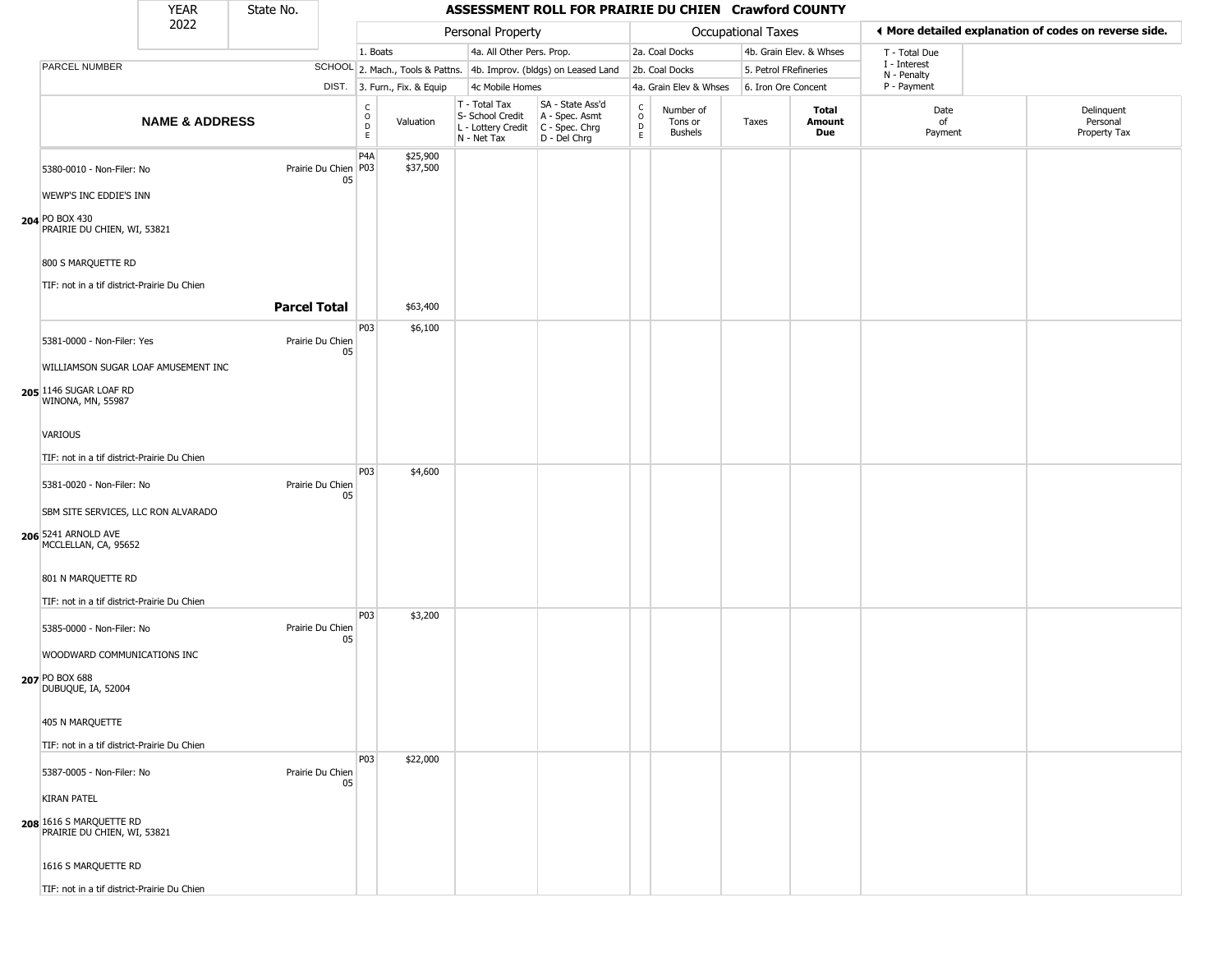| YFAR | State No. |  |
|------|-----------|--|
| วกวว |           |  |

|                                                                                                                 |                           |                     |                            |                              |                      |                                                                                         |                                                                     |                                     |                                 |                    | ASSESSMENT ROLL FOR PRAIRIE DU CHIEN Crawford COUNTY |                             |                                                       |
|-----------------------------------------------------------------------------------------------------------------|---------------------------|---------------------|----------------------------|------------------------------|----------------------|-----------------------------------------------------------------------------------------|---------------------------------------------------------------------|-------------------------------------|---------------------------------|--------------------|------------------------------------------------------|-----------------------------|-------------------------------------------------------|
| 2022                                                                                                            |                           |                     |                            |                              |                      | Personal Property                                                                       |                                                                     |                                     |                                 | Occupational Taxes |                                                      |                             | ◀ More detailed explanation of codes on reverse side. |
|                                                                                                                 |                           |                     |                            | 1. Boats                     |                      | 4a. All Other Pers. Prop.                                                               |                                                                     |                                     | 2a. Coal Docks                  |                    | 4b. Grain Elev. & Whses                              | T - Total Due               |                                                       |
| PARCEL NUMBER                                                                                                   |                           |                     |                            |                              |                      |                                                                                         | SCHOOL 2. Mach., Tools & Pattns. 4b. Improv. (bldgs) on Leased Land |                                     | 2b. Coal Docks                  |                    | 5. Petrol FRefineries                                | I - Interest<br>N - Penalty |                                                       |
|                                                                                                                 |                           |                     |                            | DIST. 3. Furn., Fix. & Equip |                      | 4c Mobile Homes                                                                         |                                                                     |                                     | 4a. Grain Elev & Whses          |                    | 6. Iron Ore Concent                                  | P - Payment                 |                                                       |
|                                                                                                                 | <b>NAME &amp; ADDRESS</b> |                     |                            | $\frac{c}{0}$<br>D<br>E      | Valuation            | T - Total Tax<br>S- School Credit<br>L - Lottery Credit   C - Spec. Chrg<br>N - Net Tax | SA - State Ass'd<br>A - Spec. Asmt<br>D - Del Chrg                  | $_{\rm o}^{\rm c}$<br>$\frac{D}{E}$ | Number of<br>Tons or<br>Bushels | Taxes              | Total<br>Amount<br>Due                               | Date<br>of<br>Payment       | Delinquent<br>Personal<br>Property Tax                |
| 5380-0010 - Non-Filer: No<br>WEWP'S INC EDDIE'S INN                                                             |                           |                     | Prairie Du Chien P03<br>05 | P <sub>4</sub> A             | \$25,900<br>\$37,500 |                                                                                         |                                                                     |                                     |                                 |                    |                                                      |                             |                                                       |
| 204 PO BOX 430<br>PRAIRIE DU CHIEN, WI, 53821                                                                   |                           |                     |                            |                              |                      |                                                                                         |                                                                     |                                     |                                 |                    |                                                      |                             |                                                       |
| 800 S MARQUETTE RD<br>TIF: not in a tif district-Prairie Du Chien                                               |                           |                     |                            |                              |                      |                                                                                         |                                                                     |                                     |                                 |                    |                                                      |                             |                                                       |
|                                                                                                                 |                           | <b>Parcel Total</b> |                            |                              | \$63,400             |                                                                                         |                                                                     |                                     |                                 |                    |                                                      |                             |                                                       |
| 5381-0000 - Non-Filer: Yes                                                                                      |                           |                     | Prairie Du Chien<br>05     | P03                          | \$6,100              |                                                                                         |                                                                     |                                     |                                 |                    |                                                      |                             |                                                       |
| WILLIAMSON SUGAR LOAF AMUSEMENT INC<br>205 1146 SUGAR LOAF RD<br>WINONA, MN, 55987                              |                           |                     |                            |                              |                      |                                                                                         |                                                                     |                                     |                                 |                    |                                                      |                             |                                                       |
| VARIOUS                                                                                                         |                           |                     |                            |                              |                      |                                                                                         |                                                                     |                                     |                                 |                    |                                                      |                             |                                                       |
| TIF: not in a tif district-Prairie Du Chien<br>5381-0020 - Non-Filer: No<br>SBM SITE SERVICES, LLC RON ALVARADO |                           |                     | Prairie Du Chien<br>05     | P03                          | \$4,600              |                                                                                         |                                                                     |                                     |                                 |                    |                                                      |                             |                                                       |
| 206 5241 ARNOLD AVE<br>MCCLELLAN, CA, 95652                                                                     |                           |                     |                            |                              |                      |                                                                                         |                                                                     |                                     |                                 |                    |                                                      |                             |                                                       |
| 801 N MARQUETTE RD<br>TIF: not in a tif district-Prairie Du Chien                                               |                           |                     |                            | P03                          | \$3,200              |                                                                                         |                                                                     |                                     |                                 |                    |                                                      |                             |                                                       |
| 5385-0000 - Non-Filer: No<br>WOODWARD COMMUNICATIONS INC<br>207 PO BOX 688<br>DUBUQUE, IA, 52004                |                           |                     | Prairie Du Chien<br>05     |                              |                      |                                                                                         |                                                                     |                                     |                                 |                    |                                                      |                             |                                                       |
| 405 N MARQUETTE<br>TIF: not in a tif district-Prairie Du Chien                                                  |                           |                     |                            |                              |                      |                                                                                         |                                                                     |                                     |                                 |                    |                                                      |                             |                                                       |
| 5387-0005 - Non-Filer: No<br><b>KIRAN PATEL</b>                                                                 |                           |                     | Prairie Du Chien<br>05     | P03                          | \$22,000             |                                                                                         |                                                                     |                                     |                                 |                    |                                                      |                             |                                                       |
| 208 1616 S MARQUETTE RD<br>PRAIRIE DU CHIEN, WI, 53821                                                          |                           |                     |                            |                              |                      |                                                                                         |                                                                     |                                     |                                 |                    |                                                      |                             |                                                       |
| 1616 S MARQUETTE RD<br>TIF: not in a tif district-Prairie Du Chien                                              |                           |                     |                            |                              |                      |                                                                                         |                                                                     |                                     |                                 |                    |                                                      |                             |                                                       |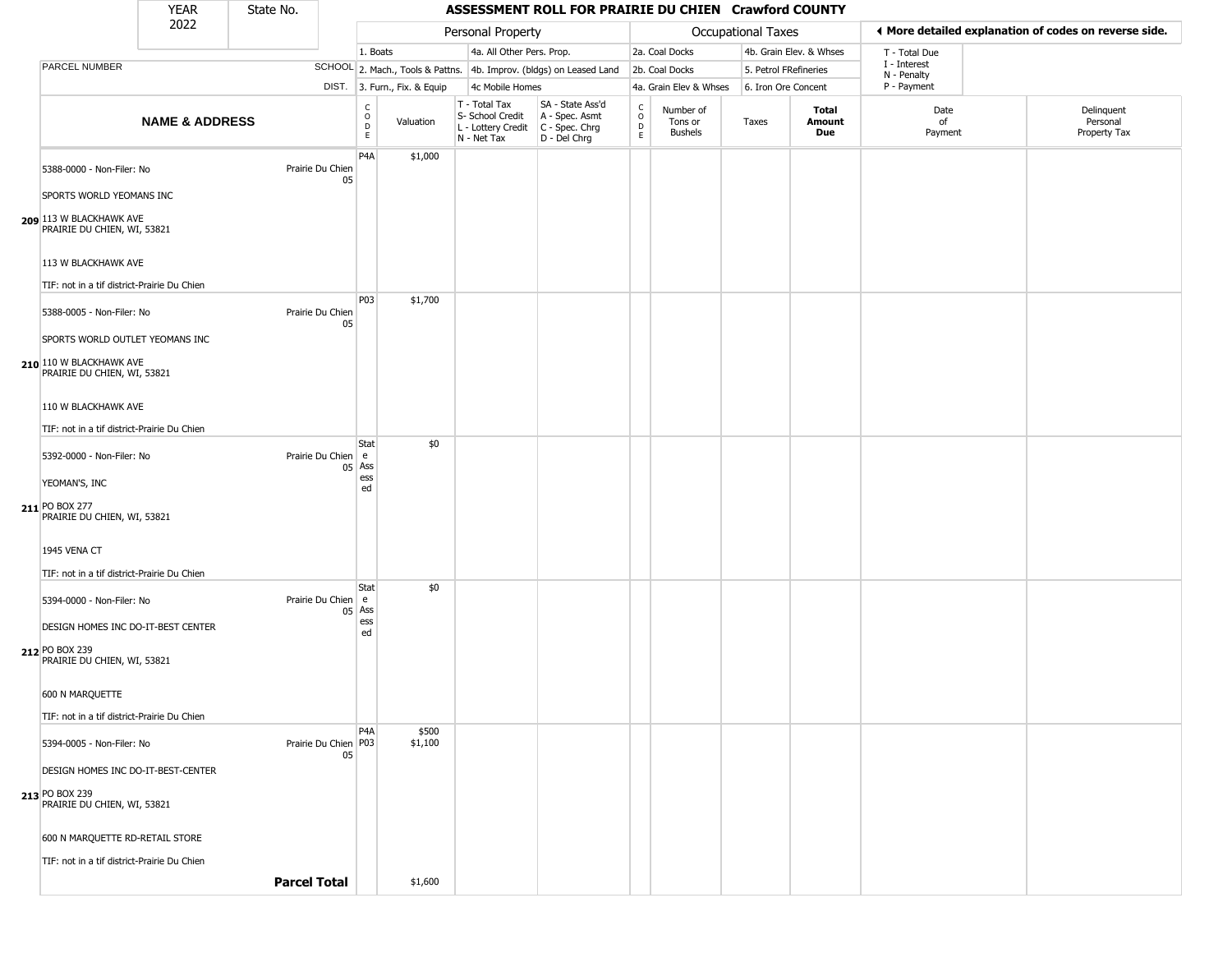| YFAR | State No. |
|------|-----------|
| วกวว |           |

|                                                        | <b>YEAR</b>               | State No.           |                            |                                                           |                              |                                                                        |                                                                      | ASSESSMENT ROLL FOR PRAIRIE DU CHIEN Crawford COUNTY |                                 |                       |                         |                             |                                                       |  |  |
|--------------------------------------------------------|---------------------------|---------------------|----------------------------|-----------------------------------------------------------|------------------------------|------------------------------------------------------------------------|----------------------------------------------------------------------|------------------------------------------------------|---------------------------------|-----------------------|-------------------------|-----------------------------|-------------------------------------------------------|--|--|
|                                                        | 2022                      |                     |                            |                                                           |                              | Personal Property                                                      |                                                                      |                                                      |                                 | Occupational Taxes    |                         |                             | ◀ More detailed explanation of codes on reverse side. |  |  |
|                                                        |                           |                     |                            | 1. Boats                                                  |                              | 4a. All Other Pers. Prop.                                              |                                                                      |                                                      | 2a. Coal Docks                  |                       | 4b. Grain Elev. & Whses | T - Total Due               |                                                       |  |  |
| PARCEL NUMBER                                          |                           |                     |                            |                                                           |                              |                                                                        | SCHOOL 2. Mach., Tools & Pattns. 4b. Improv. (bldgs) on Leased Land  |                                                      | 2b. Coal Docks                  | 5. Petrol FRefineries |                         | I - Interest<br>N - Penalty |                                                       |  |  |
|                                                        |                           |                     |                            |                                                           | DIST. 3. Furn., Fix. & Equip | 4c Mobile Homes                                                        |                                                                      |                                                      | 4a. Grain Elev & Whses          | 6. Iron Ore Concent   |                         | P - Payment                 |                                                       |  |  |
|                                                        | <b>NAME &amp; ADDRESS</b> |                     |                            | $\overset{\mathsf{C}}{\underset{\mathsf{D}}{\circ}}$<br>E | Valuation                    | T - Total Tax<br>S- School Credit<br>L - Lottery Credit<br>N - Net Tax | SA - State Ass'd<br>A - Spec. Asmt<br>C - Spec. Chrg<br>D - Del Chrg | $\frac{C}{O}$<br>D<br>E                              | Number of<br>Tons or<br>Bushels | Taxes                 | Total<br>Amount<br>Due  | Date<br>of<br>Payment       | Delinquent<br>Personal<br>Property Tax                |  |  |
| 5388-0000 - Non-Filer: No                              |                           |                     | Prairie Du Chien<br>05     | P <sub>4</sub> A                                          | \$1,000                      |                                                                        |                                                                      |                                                      |                                 |                       |                         |                             |                                                       |  |  |
| SPORTS WORLD YEOMANS INC                               |                           |                     |                            |                                                           |                              |                                                                        |                                                                      |                                                      |                                 |                       |                         |                             |                                                       |  |  |
| 209 113 W BLACKHAWK AVE<br>PRAIRIE DU CHIEN, WI, 53821 |                           |                     |                            |                                                           |                              |                                                                        |                                                                      |                                                      |                                 |                       |                         |                             |                                                       |  |  |
| 113 W BLACKHAWK AVE                                    |                           |                     |                            |                                                           |                              |                                                                        |                                                                      |                                                      |                                 |                       |                         |                             |                                                       |  |  |
| TIF: not in a tif district-Prairie Du Chien            |                           |                     |                            | P03                                                       | \$1,700                      |                                                                        |                                                                      |                                                      |                                 |                       |                         |                             |                                                       |  |  |
| 5388-0005 - Non-Filer: No                              |                           |                     | Prairie Du Chien<br>05     |                                                           |                              |                                                                        |                                                                      |                                                      |                                 |                       |                         |                             |                                                       |  |  |
| SPORTS WORLD OUTLET YEOMANS INC                        |                           |                     |                            |                                                           |                              |                                                                        |                                                                      |                                                      |                                 |                       |                         |                             |                                                       |  |  |
| 210 110 W BLACKHAWK AVE<br>PRAIRIE DU CHIEN, WI, 53821 |                           |                     |                            |                                                           |                              |                                                                        |                                                                      |                                                      |                                 |                       |                         |                             |                                                       |  |  |
| 110 W BLACKHAWK AVE                                    |                           |                     |                            |                                                           |                              |                                                                        |                                                                      |                                                      |                                 |                       |                         |                             |                                                       |  |  |
| TIF: not in a tif district-Prairie Du Chien            |                           |                     |                            |                                                           |                              |                                                                        |                                                                      |                                                      |                                 |                       |                         |                             |                                                       |  |  |
| 5392-0000 - Non-Filer: No                              |                           |                     | Prairie Du Chien e         | Stat                                                      | \$0                          |                                                                        |                                                                      |                                                      |                                 |                       |                         |                             |                                                       |  |  |
| YEOMAN'S, INC                                          |                           |                     |                            | $05$ Ass<br>ess                                           |                              |                                                                        |                                                                      |                                                      |                                 |                       |                         |                             |                                                       |  |  |
| 211 PO BOX 277<br>PRAIRIE DU CHIEN, WI, 53821          |                           |                     |                            | ed                                                        |                              |                                                                        |                                                                      |                                                      |                                 |                       |                         |                             |                                                       |  |  |
| 1945 VENA CT                                           |                           |                     |                            |                                                           |                              |                                                                        |                                                                      |                                                      |                                 |                       |                         |                             |                                                       |  |  |
| TIF: not in a tif district-Prairie Du Chien            |                           |                     |                            |                                                           |                              |                                                                        |                                                                      |                                                      |                                 |                       |                         |                             |                                                       |  |  |
| 5394-0000 - Non-Filer: No                              |                           |                     | Prairie Du Chien           | Stat<br>e e<br>$05$ Ass<br>ess                            | \$0                          |                                                                        |                                                                      |                                                      |                                 |                       |                         |                             |                                                       |  |  |
| DESIGN HOMES INC DO-IT-BEST CENTER                     |                           |                     |                            | ed                                                        |                              |                                                                        |                                                                      |                                                      |                                 |                       |                         |                             |                                                       |  |  |
| 212 PO BOX 239<br>PRAIRIE DU CHIEN, WI, 53821          |                           |                     |                            |                                                           |                              |                                                                        |                                                                      |                                                      |                                 |                       |                         |                             |                                                       |  |  |
| 600 N MARQUETTE                                        |                           |                     |                            |                                                           |                              |                                                                        |                                                                      |                                                      |                                 |                       |                         |                             |                                                       |  |  |
| TIF: not in a tif district-Prairie Du Chien            |                           |                     |                            |                                                           |                              |                                                                        |                                                                      |                                                      |                                 |                       |                         |                             |                                                       |  |  |
| 5394-0005 - Non-Filer: No                              |                           |                     | Prairie Du Chien P03<br>05 | P <sub>4</sub> A                                          | \$500<br>\$1,100             |                                                                        |                                                                      |                                                      |                                 |                       |                         |                             |                                                       |  |  |
| DESIGN HOMES INC DO-IT-BEST-CENTER                     |                           |                     |                            |                                                           |                              |                                                                        |                                                                      |                                                      |                                 |                       |                         |                             |                                                       |  |  |
| 213 PO BOX 239<br>PRAIRIE DU CHIEN, WI, 53821          |                           |                     |                            |                                                           |                              |                                                                        |                                                                      |                                                      |                                 |                       |                         |                             |                                                       |  |  |
| 600 N MARQUETTE RD-RETAIL STORE                        |                           |                     |                            |                                                           |                              |                                                                        |                                                                      |                                                      |                                 |                       |                         |                             |                                                       |  |  |
| TIF: not in a tif district-Prairie Du Chien            |                           |                     |                            |                                                           |                              |                                                                        |                                                                      |                                                      |                                 |                       |                         |                             |                                                       |  |  |
|                                                        |                           | <b>Parcel Total</b> |                            |                                                           | \$1,600                      |                                                                        |                                                                      |                                                      |                                 |                       |                         |                             |                                                       |  |  |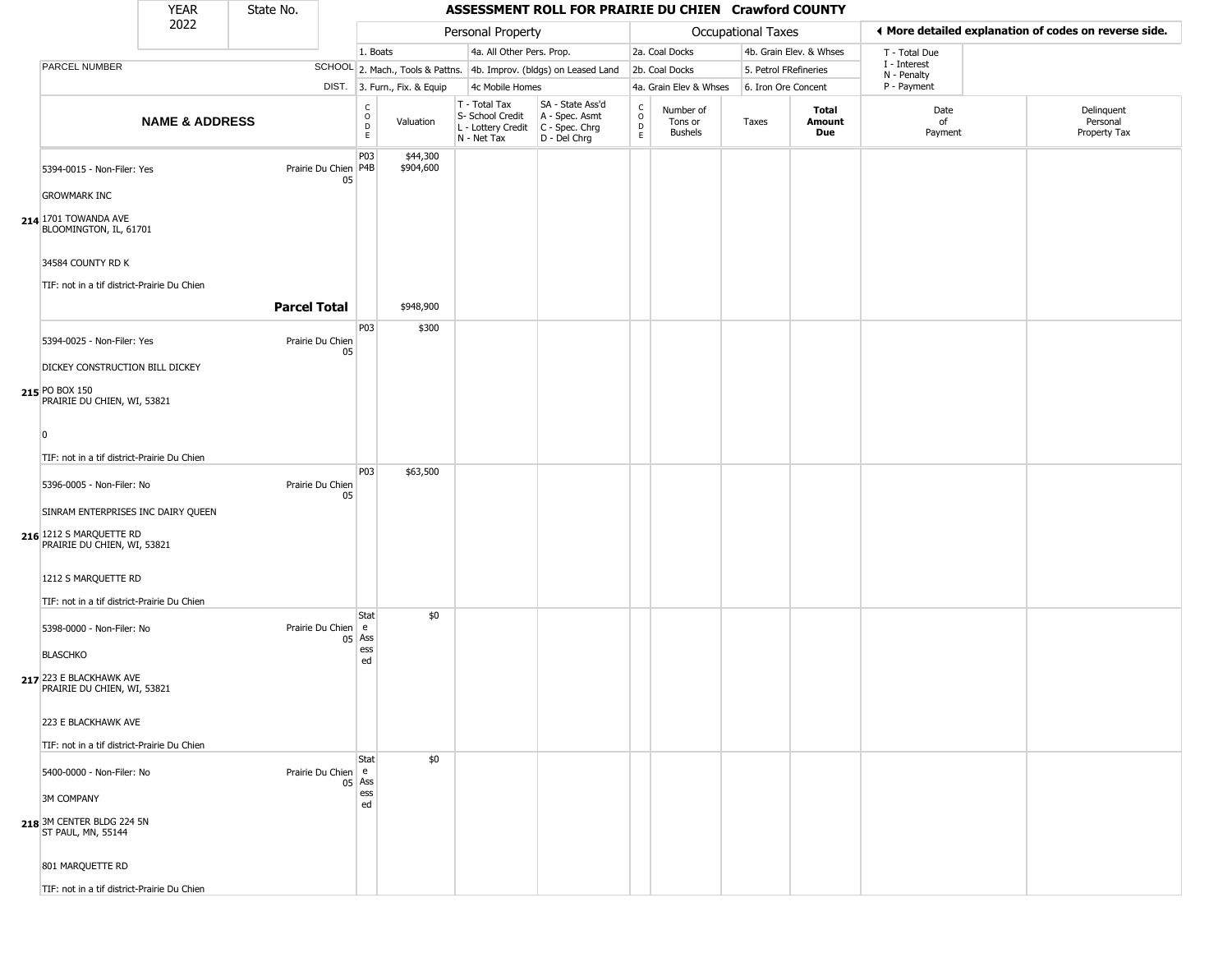#### YEAR **ASSESSMENT ROLL FOR PRAIRIE DU CHIEN Crawford COUNTY** 2022 DIST. 3. Furn., Fix. & Equip PARCEL NUMBER **NAME & ADDRESS** State No. C O D E Valuation T - Total Tax S- School Credit A - Spec. Asmt L - Lottery Credit C - Spec. Chrg N - Net Tax SA - State Ass'd D - Del Chrg C O D E Number of Tons or Bushels Taxes **Total Amount Due** Date of Payment Delinquent Personal Property Tax Personal Property **Personal Property Personal Taxes** 1. Boats **4a. All Other Pers. Prop.** 2a. Coal Docks 4b. Grain Elev. & Whses SCHOOL 2. Mach., Tools & Pattns. 4b. Improv. (bldgs) on Leased Land 2b. Coal Docks 5. Petrol FRefineries 4c Mobile Homes 4a. Grain Elev & Whses 6. Iron Ore Concent T - Total Due I - Interest N - Penalty P - Payment 3**More detailed explanation of codes on reverse side. 214** 1701 TOWANDA AVE 5394-0015 - Non-Filer: Yes 05 GROWMARK INC BLOOMINGTON, IL, 61701 34584 COUNTY RD K TIF: not in a tif district-Prairie Du Chien P03 Prairie Du Chien P4B \$44,300 \$904,600 **Parcel Total | \$948,900 215** PO BOX 150 5394-0025 - Non-Filer: Yes Prairie Du Chien 05 DICKEY CONSTRUCTION BILL DICKEY PRAIRIE DU CHIEN, WI, 53821  $\overline{0}$ TIF: not in a tif district-Prairie Du Chien P03 \$300 **216** 1212 S MARQUETTE RD 5396-0005 - Non-Filer: No Prairie Du Chien 05 SINRAM ENTERPRISES INC DAIRY QUEEN PRAIRIE DU CHIEN, WI, 53821 1212 S MARQUETTE RD TIF: not in a tif district-Prairie Du Chien P03 \$63,500 **217** 223 E BLACKHAWK AVE 5398-0000 - Non-Filer: No 05 Ass **BLASCHKO** PRAIRIE DU CHIEN, WI, 53821 223 E BLACKHAWK AVE TIF: not in a tif district-Prairie Du Chien **Stat** Prairie Du Chien e ess ed \$0 **218** 3M CENTER BLDG 224 5N 5400-0000 - Non-Filer: No 05 Ass 3M COMPANY ST PAUL, MN, 55144 801 MARQUETTE RD **Stat** Prairie Du Chien e ess ed \$0

TIF: not in a tif district-Prairie Du Chien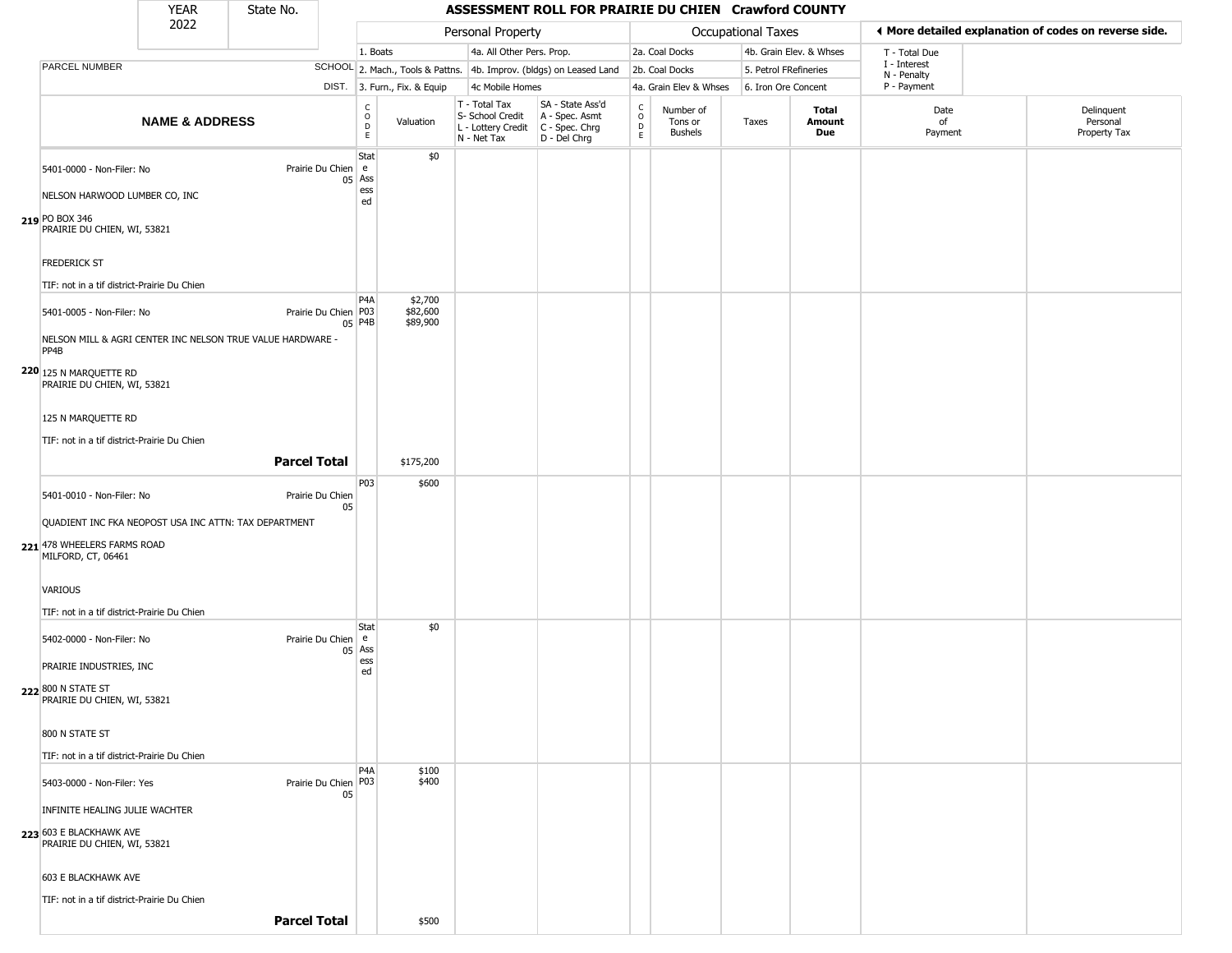## State No.

### YEAR State No. **ASSESSMENT ROLL FOR PRAIRIE DU CHIEN Crawford COUNTY**

|                                                        | 2022                      |                                                            |                                   |                                                                     | Personal Property                                                      |                                                                        |                                |                                        | Occupational Taxes    |                         | ◀ More detailed explanation of codes on reverse side. |                                        |  |
|--------------------------------------------------------|---------------------------|------------------------------------------------------------|-----------------------------------|---------------------------------------------------------------------|------------------------------------------------------------------------|------------------------------------------------------------------------|--------------------------------|----------------------------------------|-----------------------|-------------------------|-------------------------------------------------------|----------------------------------------|--|
|                                                        |                           |                                                            | 1. Boats                          |                                                                     | 4a. All Other Pers. Prop.                                              |                                                                        |                                | 2a. Coal Docks                         |                       | 4b. Grain Elev. & Whses | T - Total Due                                         |                                        |  |
| <b>PARCEL NUMBER</b>                                   |                           |                                                            |                                   | SCHOOL 2. Mach., Tools & Pattns. 4b. Improv. (bldgs) on Leased Land |                                                                        |                                                                        |                                | 2b. Coal Docks                         | 5. Petrol FRefineries |                         | I - Interest<br>N - Penalty                           |                                        |  |
|                                                        |                           |                                                            |                                   | DIST. 3. Furn., Fix. & Equip                                        | 4c Mobile Homes                                                        |                                                                        |                                | 4a. Grain Elev & Whses                 | 6. Iron Ore Concent   |                         | P - Payment                                           |                                        |  |
|                                                        | <b>NAME &amp; ADDRESS</b> |                                                            | C<br>$\circ$<br>$\mathsf D$<br>E. | Valuation                                                           | T - Total Tax<br>S- School Credit<br>L - Lottery Credit<br>N - Net Tax | SA - State Ass'd<br>A - Spec. Asmt<br>$C - Spec. Chrg$<br>D - Del Chrg | $\frac{c}{0}$<br>$\frac{D}{E}$ | Number of<br>Tons or<br><b>Bushels</b> | Taxes                 | Total<br>Amount<br>Due  | Date<br>of<br>Payment                                 | Delinquent<br>Personal<br>Property Tax |  |
| 5401-0000 - Non-Filer: No                              |                           | Prairie Du Chien e                                         | Stat                              | \$0                                                                 |                                                                        |                                                                        |                                |                                        |                       |                         |                                                       |                                        |  |
| NELSON HARWOOD LUMBER CO, INC                          |                           |                                                            | $05$ Ass<br>ess<br>ed             |                                                                     |                                                                        |                                                                        |                                |                                        |                       |                         |                                                       |                                        |  |
| 219 PO BOX 346<br>PRAIRIE DU CHIEN, WI, 53821          |                           |                                                            |                                   |                                                                     |                                                                        |                                                                        |                                |                                        |                       |                         |                                                       |                                        |  |
| <b>FREDERICK ST</b>                                    |                           |                                                            |                                   |                                                                     |                                                                        |                                                                        |                                |                                        |                       |                         |                                                       |                                        |  |
| TIF: not in a tif district-Prairie Du Chien            |                           |                                                            | P4A                               | \$2,700                                                             |                                                                        |                                                                        |                                |                                        |                       |                         |                                                       |                                        |  |
| 5401-0005 - Non-Filer: No                              |                           | Prairie Du Chien P03                                       | 05 P4B                            | \$82,600<br>\$89,900                                                |                                                                        |                                                                        |                                |                                        |                       |                         |                                                       |                                        |  |
| PP4B                                                   |                           | NELSON MILL & AGRI CENTER INC NELSON TRUE VALUE HARDWARE - |                                   |                                                                     |                                                                        |                                                                        |                                |                                        |                       |                         |                                                       |                                        |  |
| 220 125 N MARQUETTE RD<br>PRAIRIE DU CHIEN, WI, 53821  |                           |                                                            |                                   |                                                                     |                                                                        |                                                                        |                                |                                        |                       |                         |                                                       |                                        |  |
| 125 N MARQUETTE RD                                     |                           |                                                            |                                   |                                                                     |                                                                        |                                                                        |                                |                                        |                       |                         |                                                       |                                        |  |
| TIF: not in a tif district-Prairie Du Chien            |                           |                                                            |                                   |                                                                     |                                                                        |                                                                        |                                |                                        |                       |                         |                                                       |                                        |  |
|                                                        |                           | <b>Parcel Total</b>                                        |                                   | \$175,200                                                           |                                                                        |                                                                        |                                |                                        |                       |                         |                                                       |                                        |  |
| 5401-0010 - Non-Filer: No                              |                           | Prairie Du Chien<br>05                                     | P <sub>0</sub> 3                  | \$600                                                               |                                                                        |                                                                        |                                |                                        |                       |                         |                                                       |                                        |  |
| QUADIENT INC FKA NEOPOST USA INC ATTN: TAX DEPARTMENT  |                           |                                                            |                                   |                                                                     |                                                                        |                                                                        |                                |                                        |                       |                         |                                                       |                                        |  |
| 221 478 WHEELERS FARMS ROAD<br>MILFORD, CT, 06461      |                           |                                                            |                                   |                                                                     |                                                                        |                                                                        |                                |                                        |                       |                         |                                                       |                                        |  |
| VARIOUS                                                |                           |                                                            |                                   |                                                                     |                                                                        |                                                                        |                                |                                        |                       |                         |                                                       |                                        |  |
| TIF: not in a tif district-Prairie Du Chien            |                           |                                                            | Stat                              | \$0                                                                 |                                                                        |                                                                        |                                |                                        |                       |                         |                                                       |                                        |  |
| 5402-0000 - Non-Filer: No                              |                           | Prairie Du Chien   e                                       | $05$ Ass                          |                                                                     |                                                                        |                                                                        |                                |                                        |                       |                         |                                                       |                                        |  |
| PRAIRIE INDUSTRIES, INC                                |                           |                                                            | ess<br>ed                         |                                                                     |                                                                        |                                                                        |                                |                                        |                       |                         |                                                       |                                        |  |
| 222 800 N STATE ST<br>PRAIRIE DU CHIEN, WI, 53821      |                           |                                                            |                                   |                                                                     |                                                                        |                                                                        |                                |                                        |                       |                         |                                                       |                                        |  |
| 800 N STATE ST                                         |                           |                                                            |                                   |                                                                     |                                                                        |                                                                        |                                |                                        |                       |                         |                                                       |                                        |  |
| TIF: not in a tif district-Prairie Du Chien            |                           |                                                            |                                   |                                                                     |                                                                        |                                                                        |                                |                                        |                       |                         |                                                       |                                        |  |
| 5403-0000 - Non-Filer: Yes                             |                           | Prairie Du Chien P03<br>05                                 | P <sub>4</sub> A                  | \$100<br>\$400                                                      |                                                                        |                                                                        |                                |                                        |                       |                         |                                                       |                                        |  |
| INFINITE HEALING JULIE WACHTER                         |                           |                                                            |                                   |                                                                     |                                                                        |                                                                        |                                |                                        |                       |                         |                                                       |                                        |  |
| 223 603 E BLACKHAWK AVE<br>PRAIRIE DU CHIEN, WI, 53821 |                           |                                                            |                                   |                                                                     |                                                                        |                                                                        |                                |                                        |                       |                         |                                                       |                                        |  |
| 603 E BLACKHAWK AVE                                    |                           |                                                            |                                   |                                                                     |                                                                        |                                                                        |                                |                                        |                       |                         |                                                       |                                        |  |
| TIF: not in a tif district-Prairie Du Chien            |                           |                                                            |                                   |                                                                     |                                                                        |                                                                        |                                |                                        |                       |                         |                                                       |                                        |  |
|                                                        |                           | <b>Parcel Total</b>                                        |                                   | \$500                                                               |                                                                        |                                                                        |                                |                                        |                       |                         |                                                       |                                        |  |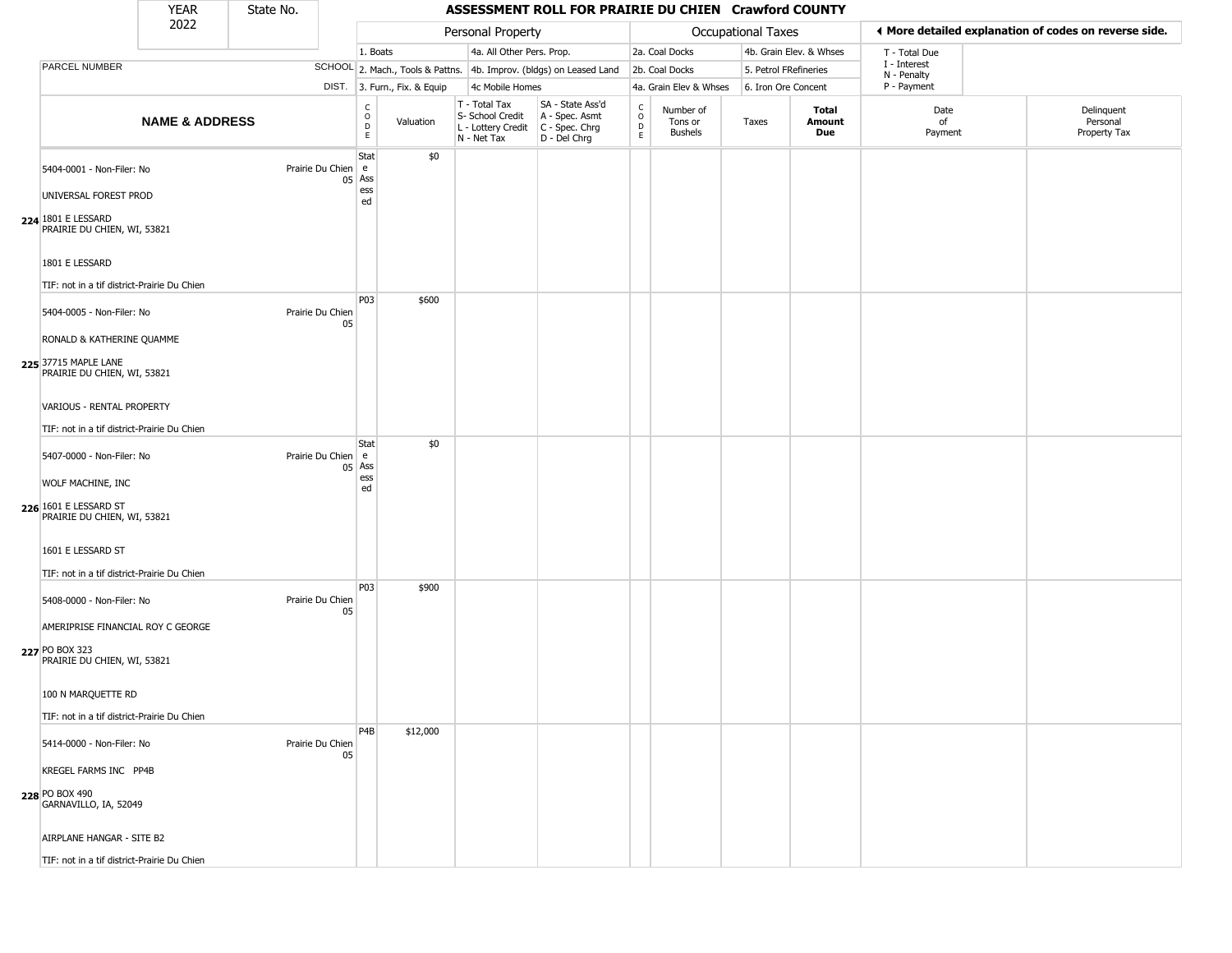## State No.

|                                                                                                               | <b>YEAR</b>               | State No. |                                                     |                              |                                                                        | ASSESSMENT ROLL FOR PRAIRIE DU CHIEN Crawford COUNTY                 |                         |                                 |                           |                         |                             |                                                       |
|---------------------------------------------------------------------------------------------------------------|---------------------------|-----------|-----------------------------------------------------|------------------------------|------------------------------------------------------------------------|----------------------------------------------------------------------|-------------------------|---------------------------------|---------------------------|-------------------------|-----------------------------|-------------------------------------------------------|
|                                                                                                               | 2022                      |           |                                                     |                              | Personal Property                                                      |                                                                      |                         |                                 | <b>Occupational Taxes</b> |                         |                             | ◀ More detailed explanation of codes on reverse side. |
|                                                                                                               |                           |           |                                                     | 1. Boats                     | 4a. All Other Pers. Prop.                                              |                                                                      |                         | 2a. Coal Docks                  |                           | 4b. Grain Elev. & Whses | T - Total Due               |                                                       |
| PARCEL NUMBER                                                                                                 |                           |           |                                                     |                              |                                                                        | SCHOOL 2. Mach., Tools & Pattns. 4b. Improv. (bldgs) on Leased Land  |                         | 2b. Coal Docks                  |                           | 5. Petrol FRefineries   | I - Interest<br>N - Penalty |                                                       |
|                                                                                                               |                           |           |                                                     | DIST. 3. Furn., Fix. & Equip | 4c Mobile Homes                                                        |                                                                      |                         | 4a. Grain Elev & Whses          |                           | 6. Iron Ore Concent     | P - Payment                 |                                                       |
|                                                                                                               | <b>NAME &amp; ADDRESS</b> |           | $\begin{array}{c}\nC \\ O \\ D\n\end{array}$        | Valuation                    | T - Total Tax<br>S- School Credit<br>L - Lottery Credit<br>N - Net Tax | SA - State Ass'd<br>A - Spec. Asmt<br>C - Spec. Chrg<br>D - Del Chrg | $\frac{c}{0}$<br>D<br>E | Number of<br>Tons or<br>Bushels | Taxes                     | Total<br>Amount<br>Due  | Date<br>of<br>Payment       | Delinquent<br>Personal<br>Property Tax                |
| 5404-0001 - Non-Filer: No<br>UNIVERSAL FOREST PROD<br>224 1801 E LESSARD<br>PRAIRIE DU CHIEN, WI, 53821       |                           |           | Stat<br>Prairie Du Chien e<br>$05$ Ass<br>ess<br>ed | \$0                          |                                                                        |                                                                      |                         |                                 |                           |                         |                             |                                                       |
| 1801 E LESSARD<br>TIF: not in a tif district-Prairie Du Chien                                                 |                           |           |                                                     |                              |                                                                        |                                                                      |                         |                                 |                           |                         |                             |                                                       |
| 5404-0005 - Non-Filer: No<br>RONALD & KATHERINE QUAMME<br>225 37715 MAPLE LANE<br>PRAIRIE DU CHIEN, WI, 53821 |                           |           | <b>P03</b><br>Prairie Du Chien<br>05                | \$600                        |                                                                        |                                                                      |                         |                                 |                           |                         |                             |                                                       |
| VARIOUS - RENTAL PROPERTY<br>TIF: not in a tif district-Prairie Du Chien                                      |                           |           | Stat                                                | \$0                          |                                                                        |                                                                      |                         |                                 |                           |                         |                             |                                                       |
| 5407-0000 - Non-Filer: No<br>WOLF MACHINE, INC<br>226 1601 E LESSARD ST<br>PRAIRIE DU CHIEN, WI, 53821        |                           |           | Prairie Du Chien e<br>$05$ Ass<br>ess<br>ed         |                              |                                                                        |                                                                      |                         |                                 |                           |                         |                             |                                                       |
| 1601 E LESSARD ST<br>TIF: not in a tif district-Prairie Du Chien                                              |                           |           |                                                     |                              |                                                                        |                                                                      |                         |                                 |                           |                         |                             |                                                       |
| 5408-0000 - Non-Filer: No<br>AMERIPRISE FINANCIAL ROY C GEORGE                                                |                           |           | P03<br>Prairie Du Chien<br>05                       | \$900                        |                                                                        |                                                                      |                         |                                 |                           |                         |                             |                                                       |
| 227 PO BOX 323<br>PRAIRIE DU CHIEN, WI, 53821                                                                 |                           |           |                                                     |                              |                                                                        |                                                                      |                         |                                 |                           |                         |                             |                                                       |
| 100 N MARQUETTE RD                                                                                            |                           |           |                                                     |                              |                                                                        |                                                                      |                         |                                 |                           |                         |                             |                                                       |
| TIF: not in a tif district-Prairie Du Chien<br>5414-0000 - Non-Filer: No                                      |                           |           | P <sub>4</sub> B<br>Prairie Du Chien<br>05          | \$12,000                     |                                                                        |                                                                      |                         |                                 |                           |                         |                             |                                                       |
| <b>KREGEL FARMS INC PP4B</b><br>228 PO BOX 490<br>GARNAVILLO, IA, 52049                                       |                           |           |                                                     |                              |                                                                        |                                                                      |                         |                                 |                           |                         |                             |                                                       |
| AIRPLANE HANGAR - SITE B2                                                                                     |                           |           |                                                     |                              |                                                                        |                                                                      |                         |                                 |                           |                         |                             |                                                       |
| TIF: not in a tif district-Prairie Du Chien                                                                   |                           |           |                                                     |                              |                                                                        |                                                                      |                         |                                 |                           |                         |                             |                                                       |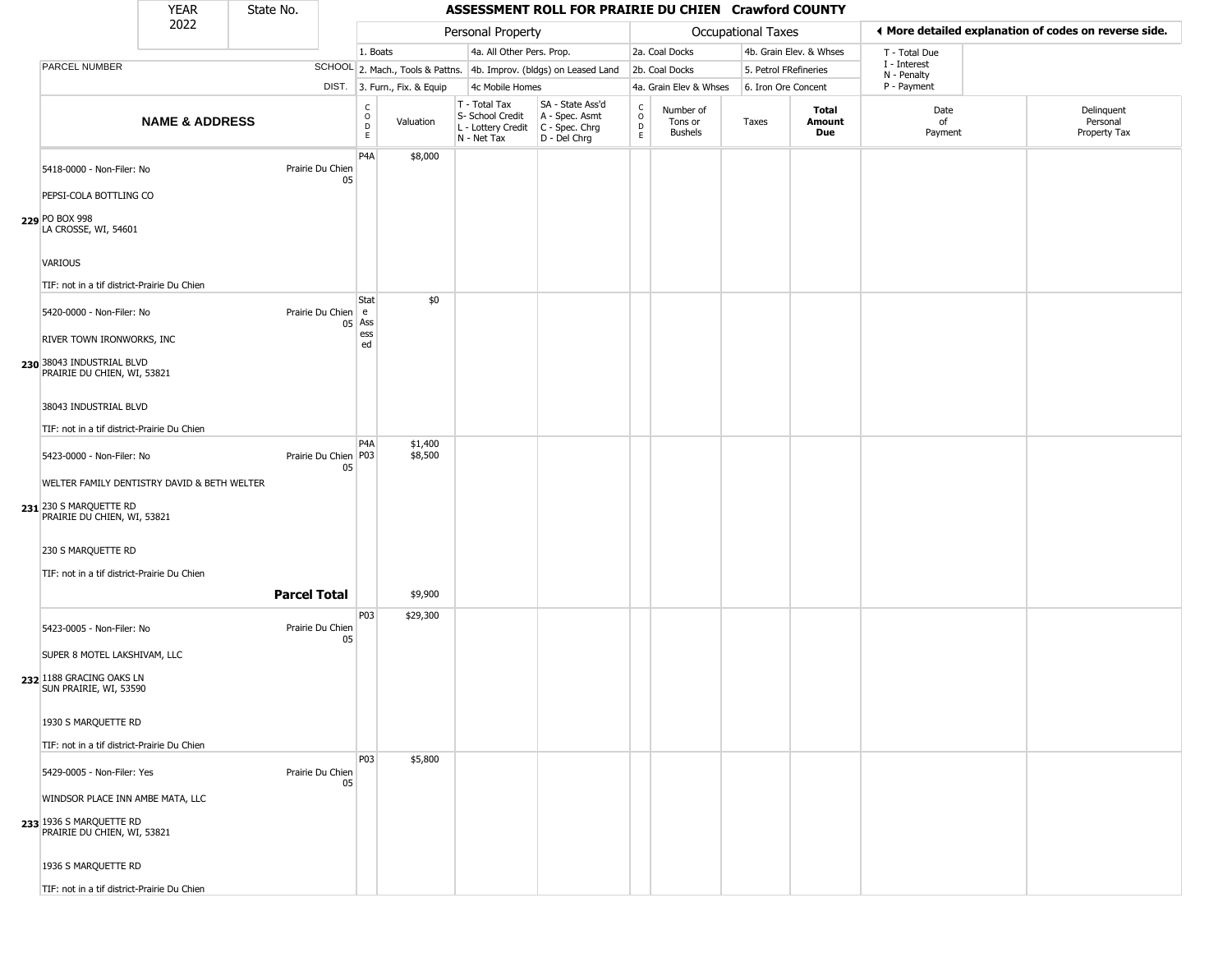| <b>YEAR</b> | State No. |
|-------------|-----------|
| ררחר        |           |

|                                                                                            | <b>YEAR</b>               | State No. |                              |                         |                              |                                                  | ASSESSMENT ROLL FOR PRAIRIE DU CHIEN Crawford COUNTY                                      |                                     |                                 |                    |                         |                             |                                                       |
|--------------------------------------------------------------------------------------------|---------------------------|-----------|------------------------------|-------------------------|------------------------------|--------------------------------------------------|-------------------------------------------------------------------------------------------|-------------------------------------|---------------------------------|--------------------|-------------------------|-----------------------------|-------------------------------------------------------|
|                                                                                            | 2022                      |           |                              |                         |                              | Personal Property                                |                                                                                           |                                     |                                 | Occupational Taxes |                         |                             | ◀ More detailed explanation of codes on reverse side. |
|                                                                                            |                           |           |                              | 1. Boats                |                              | 4a. All Other Pers. Prop.                        |                                                                                           |                                     | 2a. Coal Docks                  |                    | 4b. Grain Elev. & Whses | T - Total Due               |                                                       |
| <b>PARCEL NUMBER</b>                                                                       |                           |           |                              |                         |                              |                                                  | SCHOOL 2. Mach., Tools & Pattns. 4b. Improv. (bldgs) on Leased Land                       |                                     | 2b. Coal Docks                  |                    | 5. Petrol FRefineries   | I - Interest<br>N - Penalty |                                                       |
|                                                                                            |                           |           |                              |                         | DIST. 3. Furn., Fix. & Equip | 4c Mobile Homes                                  |                                                                                           |                                     | 4a. Grain Elev & Whses          |                    | 6. Iron Ore Concent     | P - Payment                 |                                                       |
|                                                                                            | <b>NAME &amp; ADDRESS</b> |           |                              | $\frac{c}{0}$<br>D<br>E | Valuation                    | T - Total Tax<br>S- School Credit<br>N - Net Tax | SA - State Ass'd<br>A - Spec. Asmt<br>L - Lottery Credit   C - Spec. Chrg<br>D - Del Chrg | $_{\rm o}^{\rm c}$<br>$\frac{D}{E}$ | Number of<br>Tons or<br>Bushels | Taxes              | Total<br>Amount<br>Due  | Date<br>of<br>Payment       | Delinquent<br>Personal<br>Property Tax                |
| 5418-0000 - Non-Filer: No                                                                  |                           |           | Prairie Du Chien<br>05       | P <sub>4</sub> A        | \$8,000                      |                                                  |                                                                                           |                                     |                                 |                    |                         |                             |                                                       |
| PEPSI-COLA BOTTLING CO                                                                     |                           |           |                              |                         |                              |                                                  |                                                                                           |                                     |                                 |                    |                         |                             |                                                       |
| 229 PO BOX 998<br>LA CROSSE, WI, 54601                                                     |                           |           |                              |                         |                              |                                                  |                                                                                           |                                     |                                 |                    |                         |                             |                                                       |
| VARIOUS                                                                                    |                           |           |                              |                         |                              |                                                  |                                                                                           |                                     |                                 |                    |                         |                             |                                                       |
| TIF: not in a tif district-Prairie Du Chien                                                |                           |           |                              |                         |                              |                                                  |                                                                                           |                                     |                                 |                    |                         |                             |                                                       |
| 5420-0000 - Non-Filer: No<br>RIVER TOWN IRONWORKS, INC                                     |                           |           | Prairie Du Chien e<br>05 Ass | Stat<br>ess             | \$0                          |                                                  |                                                                                           |                                     |                                 |                    |                         |                             |                                                       |
| 230 38043 INDUSTRIAL BLVD<br>PRAIRIE DU CHIEN, WI, 53821                                   |                           |           |                              | ed                      |                              |                                                  |                                                                                           |                                     |                                 |                    |                         |                             |                                                       |
| 38043 INDUSTRIAL BLVD                                                                      |                           |           |                              |                         |                              |                                                  |                                                                                           |                                     |                                 |                    |                         |                             |                                                       |
| TIF: not in a tif district-Prairie Du Chien                                                |                           |           |                              |                         |                              |                                                  |                                                                                           |                                     |                                 |                    |                         |                             |                                                       |
| 5423-0000 - Non-Filer: No                                                                  |                           |           | Prairie Du Chien P03<br>05   | P <sub>4</sub> A        | \$1,400<br>\$8,500           |                                                  |                                                                                           |                                     |                                 |                    |                         |                             |                                                       |
| WELTER FAMILY DENTISTRY DAVID & BETH WELTER                                                |                           |           |                              |                         |                              |                                                  |                                                                                           |                                     |                                 |                    |                         |                             |                                                       |
| 231 230 S MARQUETTE RD<br>PRAIRIE DU CHIEN, WI, 53821                                      |                           |           |                              |                         |                              |                                                  |                                                                                           |                                     |                                 |                    |                         |                             |                                                       |
| 230 S MARQUETTE RD                                                                         |                           |           |                              |                         |                              |                                                  |                                                                                           |                                     |                                 |                    |                         |                             |                                                       |
| TIF: not in a tif district-Prairie Du Chien                                                |                           |           |                              |                         |                              |                                                  |                                                                                           |                                     |                                 |                    |                         |                             |                                                       |
|                                                                                            |                           |           | <b>Parcel Total</b>          |                         | \$9,900                      |                                                  |                                                                                           |                                     |                                 |                    |                         |                             |                                                       |
| 5423-0005 - Non-Filer: No                                                                  |                           |           | Prairie Du Chien<br>05       | P03                     | \$29,300                     |                                                  |                                                                                           |                                     |                                 |                    |                         |                             |                                                       |
| SUPER 8 MOTEL LAKSHIVAM, LLC<br>232 1188 GRACING OAKS LN<br>SUN PRAIRIE, WI, 53590         |                           |           |                              |                         |                              |                                                  |                                                                                           |                                     |                                 |                    |                         |                             |                                                       |
| 1930 S MARQUETTE RD                                                                        |                           |           |                              |                         |                              |                                                  |                                                                                           |                                     |                                 |                    |                         |                             |                                                       |
| TIF: not in a tif district-Prairie Du Chien                                                |                           |           |                              | P03                     | \$5,800                      |                                                  |                                                                                           |                                     |                                 |                    |                         |                             |                                                       |
| 5429-0005 - Non-Filer: Yes                                                                 |                           |           | Prairie Du Chien<br>05       |                         |                              |                                                  |                                                                                           |                                     |                                 |                    |                         |                             |                                                       |
| WINDSOR PLACE INN AMBE MATA, LLC<br>233 1936 S MARQUETTE RD<br>PRAIRIE DU CHIEN, WI, 53821 |                           |           |                              |                         |                              |                                                  |                                                                                           |                                     |                                 |                    |                         |                             |                                                       |
| 1936 S MARQUETTE RD                                                                        |                           |           |                              |                         |                              |                                                  |                                                                                           |                                     |                                 |                    |                         |                             |                                                       |
| TIF: not in a tif district-Prairie Du Chien                                                |                           |           |                              |                         |                              |                                                  |                                                                                           |                                     |                                 |                    |                         |                             |                                                       |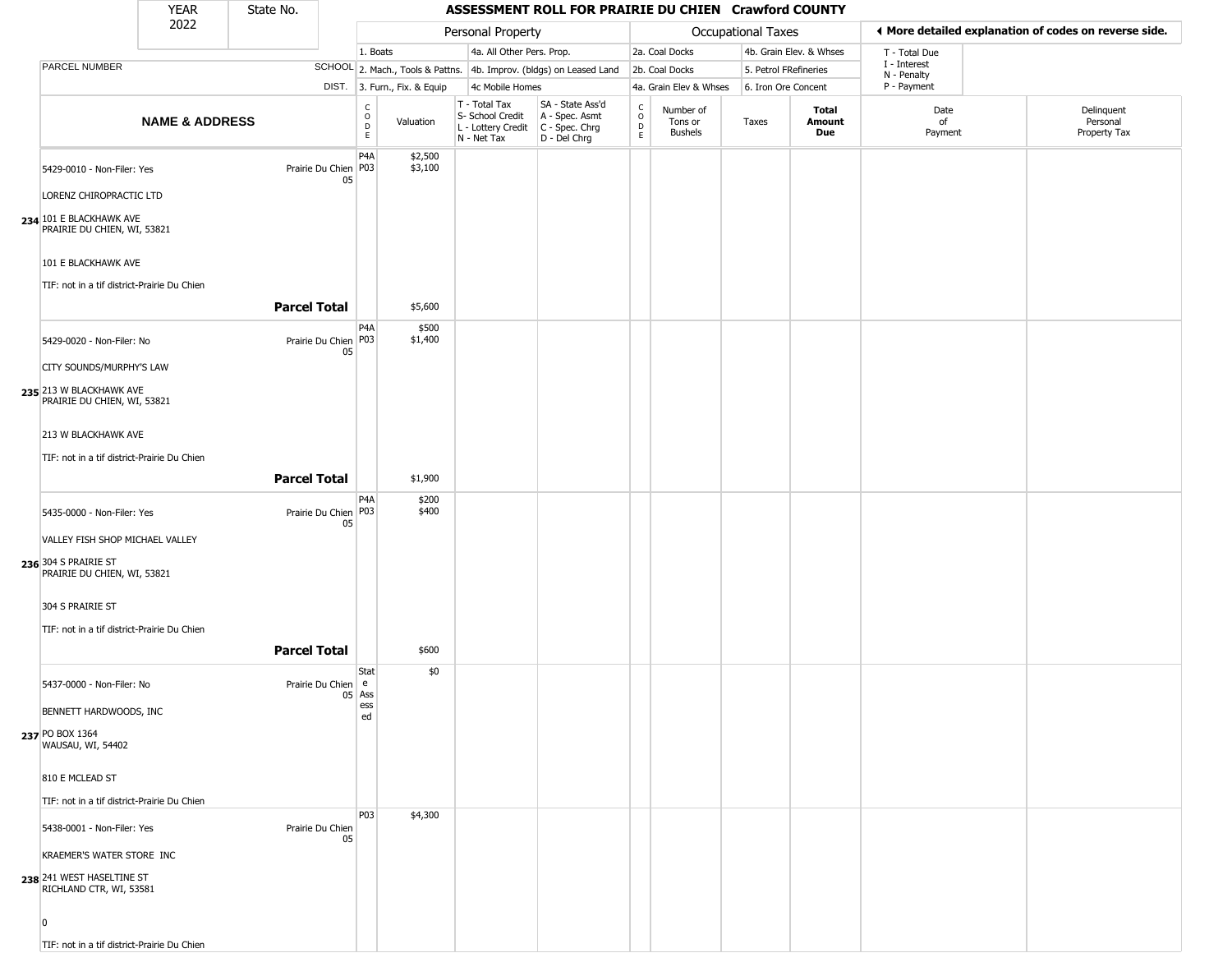#### YEAR **ASSESSMENT ROLL FOR PRAIRIE DU CHIEN Crawford COUNTY** 2022 DIST. 3. Furn., Fix. & Equip PARCEL NUMBER **NAME & ADDRESS** State No. C O D E Valuation T - Total Tax S- School Credit A - Spec. Asmt L - Lottery Credit C - Spec. Chrg N - Net Tax SA - State Ass'd D - Del Chrg C O D E Number of Tons or Bushels Taxes **Total Amount Due** Date of Payment Delinquent Personal Property Tax Personal Property **Department Controller Service Controller** Occupational Taxes 1. Boats **4a. All Other Pers. Prop.** 2a. Coal Docks 4b. Grain Elev. & Whses SCHOOL 2. Mach., Tools & Pattns. 4b. Improv. (bldgs) on Leased Land 2b. Coal Docks 5. Petrol FRefineries 4c Mobile Homes 4a. Grain Elev & Whses 6. Iron Ore Concent T - Total Due I - Interest N - Penalty P - Payment 3**More detailed explanation of codes on reverse side. 234** 101 E BLACKHAWK AVE 5429-0010 - Non-Filer: Yes 05 LORENZ CHIROPRACTIC LTD PRAIRIE DU CHIEN, WI, 53821 101 E BLACKHAWK AVE TIF: not in a tif district-Prairie Du Chien P4A Prairie Du Chien P03 \$2,500 \$3,100 **Parcel Total** 1 \$5,600 **235** 213 W BLACKHAWK AVE 5429-0020 - Non-Filer: No 05 CITY SOUNDS/MURPHY'S LAW PRAIRIE DU CHIEN, WI, 53821 213 W BLACKHAWK AVE TIF: not in a tif district-Prairie Du Chien P4A Prairie Du Chien P03 \$500 \$1,400 **Parcel Total 1** \$1,900 **236** 304 S PRAIRIE ST 5435-0000 - Non-Filer: Yes 05 VALLEY FISH SHOP MICHAEL VALLEY PRAIRIE DU CHIEN, WI, 53821 304 S PRAIRIE ST TIF: not in a tif district-Prairie Du Chien P4A Prairie Du Chien P03 \$200 \$400 **Parcel Total 1** \$600 **237** PO BOX 1364 5437-0000 - Non-Filer: No 05 Ass BENNETT HARDWOODS, INC WAUSAU, WI, 54402 810 E MCLEAD ST TIF: not in a tif district-Prairie Du Chien **Stat** Prairie Du Chien e ess ed \$0 **238** 241 WEST HASELTINE ST 5438-0001 - Non-Filer: Yes Prairie Du Chien 05 KRAEMER'S WATER STORE INC RICHLAND CTR, WI, 53581  $\sqrt{2}$ P03 \$4,300

TIF: not in a tif district-Prairie Du Chien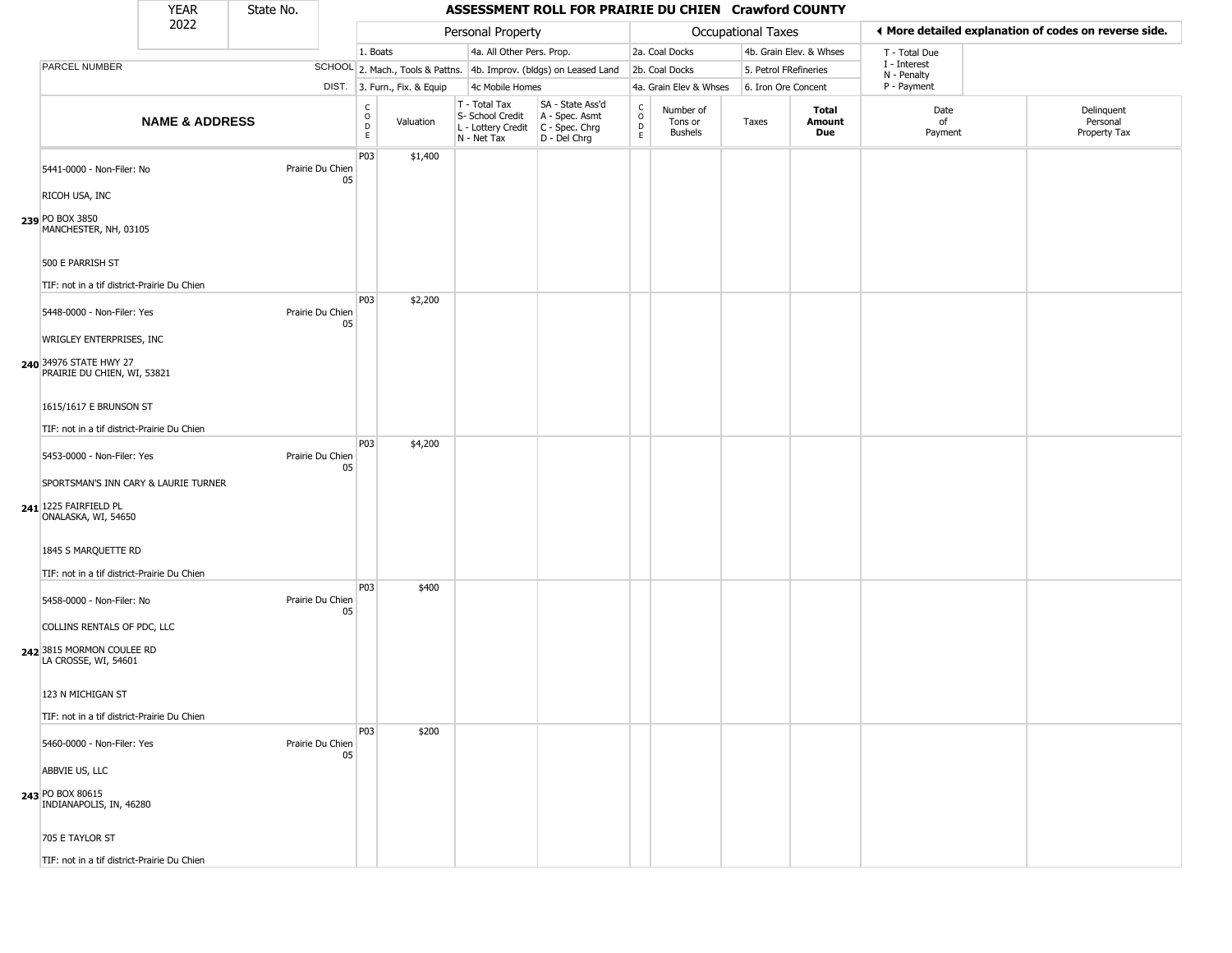# State No.

### YEAR State No. **ASSESSMENT ROLL FOR PRAIRIE DU CHIEN Crawford COUNTY**

|                                                                                      | 2022<br>Personal Property |  |                  |                                                 |                              | Occupational Taxes                                                     |                                                                      | ♦ More detailed explanation of codes on reverse side. |                                 |                       |                         |                             |                                        |
|--------------------------------------------------------------------------------------|---------------------------|--|------------------|-------------------------------------------------|------------------------------|------------------------------------------------------------------------|----------------------------------------------------------------------|-------------------------------------------------------|---------------------------------|-----------------------|-------------------------|-----------------------------|----------------------------------------|
|                                                                                      |                           |  |                  | 1. Boats                                        |                              | 4a. All Other Pers. Prop.                                              |                                                                      |                                                       | 2a. Coal Docks                  |                       | 4b. Grain Elev. & Whses | T - Total Due               |                                        |
| PARCEL NUMBER                                                                        |                           |  |                  |                                                 |                              |                                                                        | SCHOOL 2. Mach., Tools & Pattns. 4b. Improv. (bldgs) on Leased Land  |                                                       | 2b. Coal Docks                  | 5. Petrol FRefineries |                         | I - Interest<br>N - Penalty |                                        |
|                                                                                      |                           |  |                  |                                                 | DIST. 3. Furn., Fix. & Equip | 4c Mobile Homes                                                        |                                                                      |                                                       | 4a. Grain Elev & Whses          | 6. Iron Ore Concent   |                         | P - Payment                 |                                        |
|                                                                                      | <b>NAME &amp; ADDRESS</b> |  |                  | $\begin{array}{c} C \\ O \\ D \\ E \end{array}$ | Valuation                    | T - Total Tax<br>S- School Credit<br>L - Lottery Credit<br>N - Net Tax | SA - State Ass'd<br>A - Spec. Asmt<br>C - Spec. Chrg<br>D - Del Chrg | $\frac{C}{O}$<br>D<br>E                               | Number of<br>Tons or<br>Bushels | Taxes                 | Total<br>Amount<br>Due  | Date<br>of<br>Payment       | Delinquent<br>Personal<br>Property Tax |
| 5441-0000 - Non-Filer: No<br>RICOH USA, INC                                          |                           |  | Prairie Du Chien | P03<br>05                                       | \$1,400                      |                                                                        |                                                                      |                                                       |                                 |                       |                         |                             |                                        |
| 239 PO BOX 3850<br>MANCHESTER, NH, 03105                                             |                           |  |                  |                                                 |                              |                                                                        |                                                                      |                                                       |                                 |                       |                         |                             |                                        |
| 500 E PARRISH ST<br>TIF: not in a tif district-Prairie Du Chien                      |                           |  |                  |                                                 |                              |                                                                        |                                                                      |                                                       |                                 |                       |                         |                             |                                        |
| 5448-0000 - Non-Filer: Yes<br>WRIGLEY ENTERPRISES, INC                               |                           |  | Prairie Du Chien | P03<br>05                                       | \$2,200                      |                                                                        |                                                                      |                                                       |                                 |                       |                         |                             |                                        |
| 240 34976 STATE HWY 27<br>PRAIRIE DU CHIEN, WI, 53821                                |                           |  |                  |                                                 |                              |                                                                        |                                                                      |                                                       |                                 |                       |                         |                             |                                        |
| 1615/1617 E BRUNSON ST<br>TIF: not in a tif district-Prairie Du Chien                |                           |  |                  |                                                 |                              |                                                                        |                                                                      |                                                       |                                 |                       |                         |                             |                                        |
| 5453-0000 - Non-Filer: Yes                                                           |                           |  | Prairie Du Chien | P03<br>05                                       | \$4,200                      |                                                                        |                                                                      |                                                       |                                 |                       |                         |                             |                                        |
| SPORTSMAN'S INN CARY & LAURIE TURNER<br>241 1225 FAIRFIELD PL<br>ONALASKA, WI, 54650 |                           |  |                  |                                                 |                              |                                                                        |                                                                      |                                                       |                                 |                       |                         |                             |                                        |
| 1845 S MARQUETTE RD<br>TIF: not in a tif district-Prairie Du Chien                   |                           |  |                  |                                                 |                              |                                                                        |                                                                      |                                                       |                                 |                       |                         |                             |                                        |
| 5458-0000 - Non-Filer: No                                                            |                           |  | Prairie Du Chien | P03<br>05                                       | \$400                        |                                                                        |                                                                      |                                                       |                                 |                       |                         |                             |                                        |
| COLLINS RENTALS OF PDC, LLC<br>242 3815 MORMON COULEE RD<br>LA CROSSE, WI, 54601     |                           |  |                  |                                                 |                              |                                                                        |                                                                      |                                                       |                                 |                       |                         |                             |                                        |
| 123 N MICHIGAN ST                                                                    |                           |  |                  |                                                 |                              |                                                                        |                                                                      |                                                       |                                 |                       |                         |                             |                                        |
| TIF: not in a tif district-Prairie Du Chien                                          |                           |  |                  | P03                                             | \$200                        |                                                                        |                                                                      |                                                       |                                 |                       |                         |                             |                                        |
| 5460-0000 - Non-Filer: Yes                                                           |                           |  | Prairie Du Chien | 05                                              |                              |                                                                        |                                                                      |                                                       |                                 |                       |                         |                             |                                        |
| ABBVIE US, LLC<br>243 PO BOX 80615<br>INDIANAPOLIS, IN, 46280                        |                           |  |                  |                                                 |                              |                                                                        |                                                                      |                                                       |                                 |                       |                         |                             |                                        |
| 705 E TAYLOR ST                                                                      |                           |  |                  |                                                 |                              |                                                                        |                                                                      |                                                       |                                 |                       |                         |                             |                                        |
| TIF: not in a tif district-Prairie Du Chien                                          |                           |  |                  |                                                 |                              |                                                                        |                                                                      |                                                       |                                 |                       |                         |                             |                                        |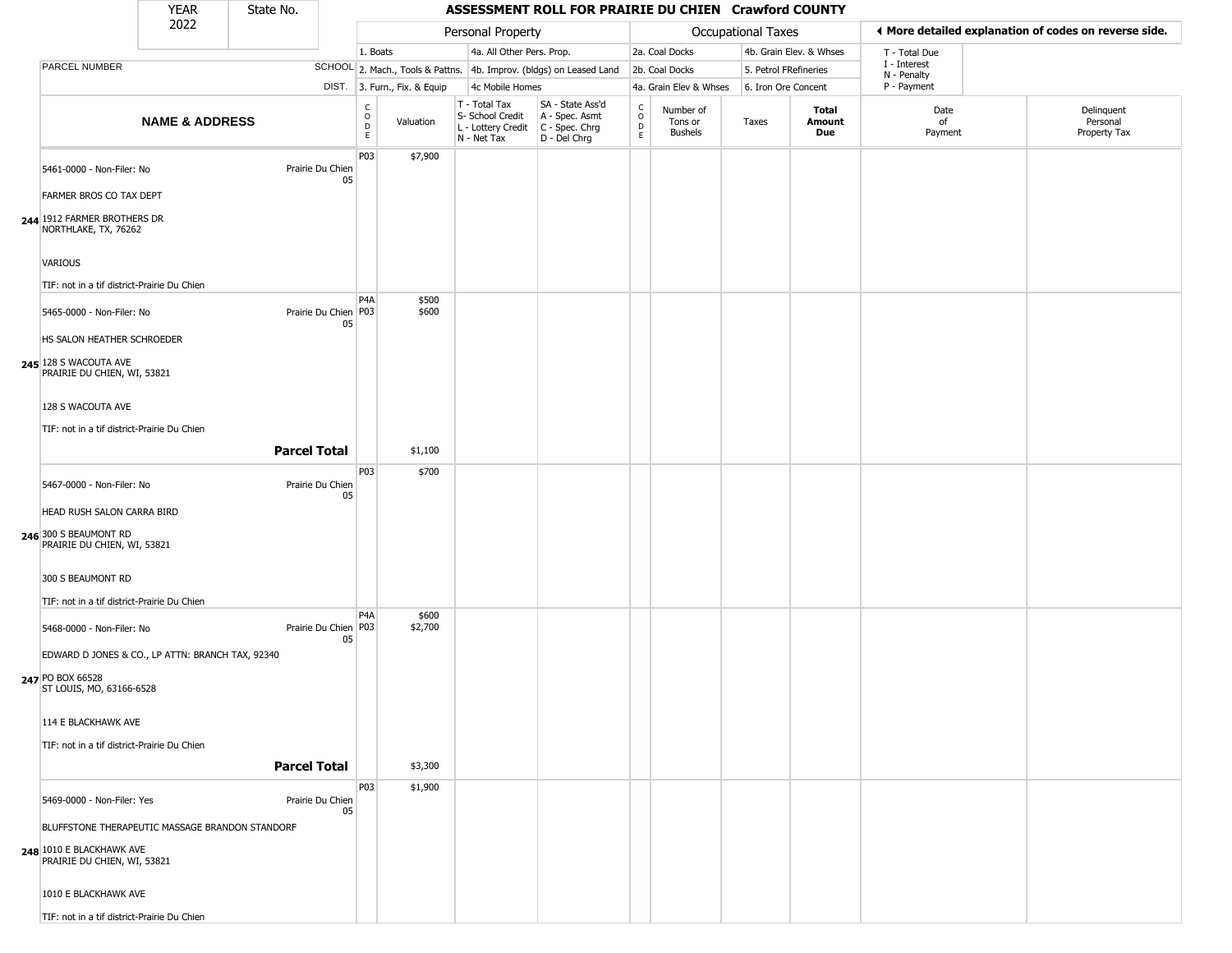| YFAR | State No. |
|------|-----------|
| 2022 |           |

|                                                                                                            | 2022                      |                        |    |                                      |                              |                                                                        | Personal Property                                                      |                                   |                                        | <b>Occupational Taxes</b> |                         | ♦ More detailed explanation of codes on reverse side. |                                        |  |
|------------------------------------------------------------------------------------------------------------|---------------------------|------------------------|----|--------------------------------------|------------------------------|------------------------------------------------------------------------|------------------------------------------------------------------------|-----------------------------------|----------------------------------------|---------------------------|-------------------------|-------------------------------------------------------|----------------------------------------|--|
|                                                                                                            |                           |                        |    | 1. Boats                             |                              | 4a. All Other Pers. Prop.                                              |                                                                        |                                   | 2a. Coal Docks                         |                           | 4b. Grain Elev. & Whses | T - Total Due                                         |                                        |  |
| PARCEL NUMBER                                                                                              |                           |                        |    |                                      |                              |                                                                        | SCHOOL 2. Mach., Tools & Pattns. 4b. Improv. (bldgs) on Leased Land    |                                   | 2b. Coal Docks                         | 5. Petrol FRefineries     |                         | I - Interest                                          |                                        |  |
|                                                                                                            |                           |                        |    |                                      | DIST. 3. Furn., Fix. & Equip | 4c Mobile Homes                                                        |                                                                        |                                   | 4a. Grain Elev & Whses                 | 6. Iron Ore Concent       |                         | N - Penalty<br>P - Payment                            |                                        |  |
|                                                                                                            | <b>NAME &amp; ADDRESS</b> |                        |    | C<br>$\mathsf O$<br>D<br>$\mathsf E$ | Valuation                    | T - Total Tax<br>S- School Credit<br>L - Lottery Credit<br>N - Net Tax | SA - State Ass'd<br>A - Spec. Asmt<br>$C - Spec. Chrg$<br>D - Del Chrg | $\frac{c}{0}$<br>$\mathsf D$<br>E | Number of<br>Tons or<br><b>Bushels</b> | Taxes                     | Total<br>Amount<br>Due  | Date<br>of<br>Payment                                 | Delinquent<br>Personal<br>Property Tax |  |
| 5461-0000 - Non-Filer: No                                                                                  |                           | Prairie Du Chien       | 05 | P03                                  | \$7,900                      |                                                                        |                                                                        |                                   |                                        |                           |                         |                                                       |                                        |  |
| FARMER BROS CO TAX DEPT                                                                                    |                           |                        |    |                                      |                              |                                                                        |                                                                        |                                   |                                        |                           |                         |                                                       |                                        |  |
| 244 1912 FARMER BROTHERS DR<br>NORTHLAKE, TX, 76262                                                        |                           |                        |    |                                      |                              |                                                                        |                                                                        |                                   |                                        |                           |                         |                                                       |                                        |  |
| VARIOUS<br>TIF: not in a tif district-Prairie Du Chien                                                     |                           |                        |    |                                      |                              |                                                                        |                                                                        |                                   |                                        |                           |                         |                                                       |                                        |  |
| 5465-0000 - Non-Filer: No<br>HS SALON HEATHER SCHROEDER                                                    |                           | Prairie Du Chien P03   | 05 | P <sub>4</sub> A                     | \$500<br>\$600               |                                                                        |                                                                        |                                   |                                        |                           |                         |                                                       |                                        |  |
| 245 128 S WACOUTA AVE<br>PRAIRIE DU CHIEN, WI, 53821                                                       |                           |                        |    |                                      |                              |                                                                        |                                                                        |                                   |                                        |                           |                         |                                                       |                                        |  |
| 128 S WACOUTA AVE<br>TIF: not in a tif district-Prairie Du Chien                                           |                           |                        |    |                                      |                              |                                                                        |                                                                        |                                   |                                        |                           |                         |                                                       |                                        |  |
|                                                                                                            |                           | <b>Parcel Total</b>    |    |                                      | \$1,100                      |                                                                        |                                                                        |                                   |                                        |                           |                         |                                                       |                                        |  |
| 5467-0000 - Non-Filer: No                                                                                  |                           | Prairie Du Chien       |    | P <sub>0</sub> 3                     | \$700                        |                                                                        |                                                                        |                                   |                                        |                           |                         |                                                       |                                        |  |
| HEAD RUSH SALON CARRA BIRD                                                                                 |                           |                        | 05 |                                      |                              |                                                                        |                                                                        |                                   |                                        |                           |                         |                                                       |                                        |  |
| 246 300 S BEAUMONT RD<br>PRAIRIE DU CHIEN, WI, 53821                                                       |                           |                        |    |                                      |                              |                                                                        |                                                                        |                                   |                                        |                           |                         |                                                       |                                        |  |
| 300 S BEAUMONT RD                                                                                          |                           |                        |    |                                      |                              |                                                                        |                                                                        |                                   |                                        |                           |                         |                                                       |                                        |  |
| TIF: not in a tif district-Prairie Du Chien                                                                |                           |                        |    | P4A                                  | \$600                        |                                                                        |                                                                        |                                   |                                        |                           |                         |                                                       |                                        |  |
| 5468-0000 - Non-Filer: No<br>EDWARD D JONES & CO., LP ATTN: BRANCH TAX, 92340                              |                           | Prairie Du Chien   P03 | 05 |                                      | \$2,700                      |                                                                        |                                                                        |                                   |                                        |                           |                         |                                                       |                                        |  |
| 247 PO BOX 66528<br>ST LOUIS, MO, 63166-6528                                                               |                           |                        |    |                                      |                              |                                                                        |                                                                        |                                   |                                        |                           |                         |                                                       |                                        |  |
| 114 E BLACKHAWK AVE                                                                                        |                           |                        |    |                                      |                              |                                                                        |                                                                        |                                   |                                        |                           |                         |                                                       |                                        |  |
| TIF: not in a tif district-Prairie Du Chien                                                                |                           | <b>Parcel Total</b>    |    |                                      | \$3,300                      |                                                                        |                                                                        |                                   |                                        |                           |                         |                                                       |                                        |  |
|                                                                                                            |                           |                        |    | P <sub>0</sub> 3                     | \$1,900                      |                                                                        |                                                                        |                                   |                                        |                           |                         |                                                       |                                        |  |
| 5469-0000 - Non-Filer: Yes                                                                                 |                           | Prairie Du Chien       | 05 |                                      |                              |                                                                        |                                                                        |                                   |                                        |                           |                         |                                                       |                                        |  |
| BLUFFSTONE THERAPEUTIC MASSAGE BRANDON STANDORF<br>248 1010 E BLACKHAWK AVE<br>PRAIRIE DU CHIEN, WI, 53821 |                           |                        |    |                                      |                              |                                                                        |                                                                        |                                   |                                        |                           |                         |                                                       |                                        |  |
| 1010 E BLACKHAWK AVE                                                                                       |                           |                        |    |                                      |                              |                                                                        |                                                                        |                                   |                                        |                           |                         |                                                       |                                        |  |
| TIF: not in a tif district-Prairie Du Chien                                                                |                           |                        |    |                                      |                              |                                                                        |                                                                        |                                   |                                        |                           |                         |                                                       |                                        |  |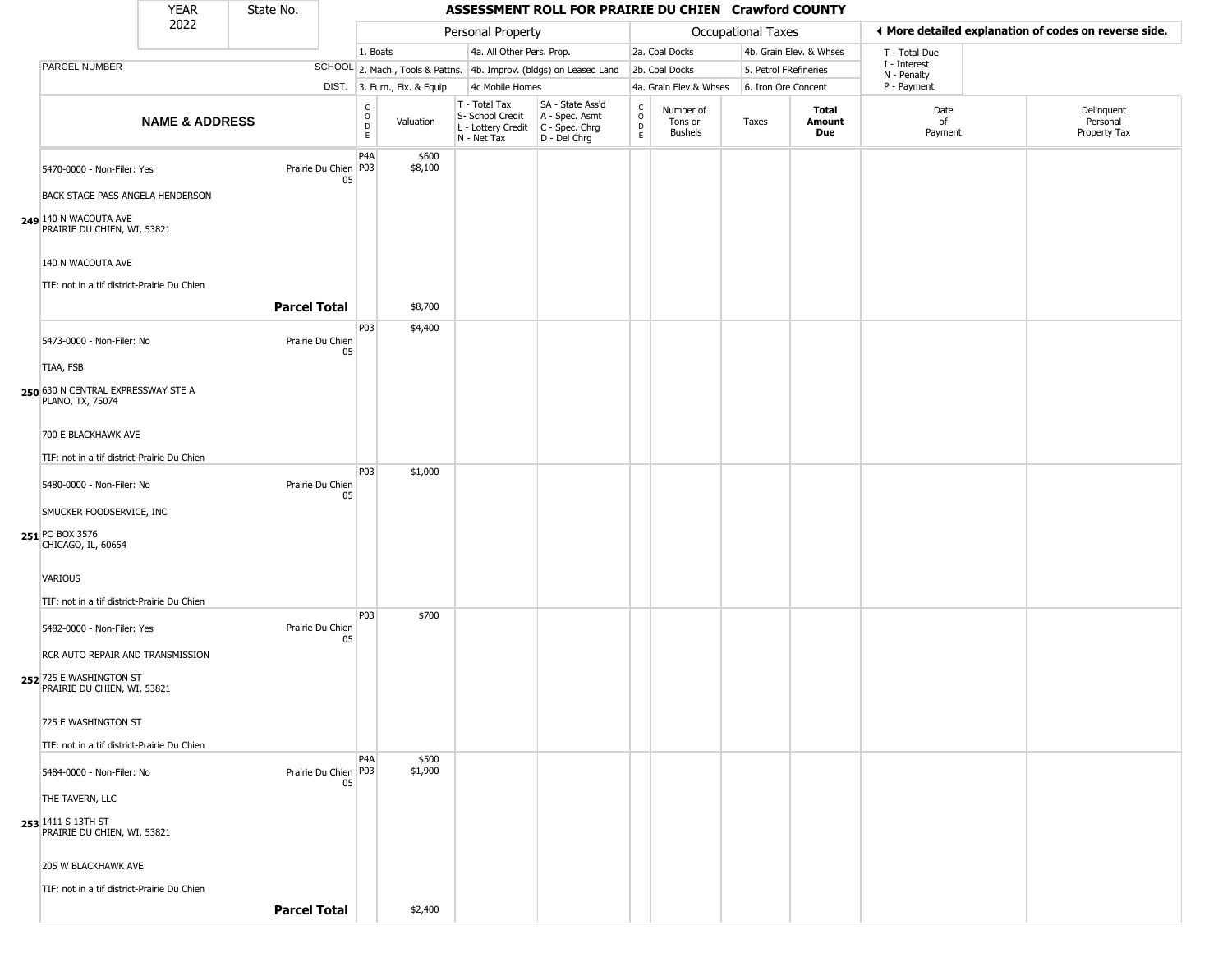#### YEAR **ASSESSMENT ROLL FOR PRAIRIE DU CHIEN Crawford COUNTY** 2022 DIST. 3. Furn., Fix. & Equip PARCEL NUMBER **NAME & ADDRESS** State No. C O D E Valuation T - Total Tax S- School Credit A - Spec. Asmt L - Lottery Credit C - Spec. Chrg N - Net Tax SA - State Ass'd D - Del Chrg C O D E Number of Tons or Bushels Taxes **Total Amount Due** Date of Payment Delinquent Personal Property Tax Personal Property **Department Controller Service Controller** Occupational Taxes 1. Boats **4a. All Other Pers. Prop.** 2a. Coal Docks 4b. Grain Elev. & Whses SCHOOL 2. Mach., Tools & Pattns. 4b. Improv. (bldgs) on Leased Land 2b. Coal Docks 5. Petrol FRefineries 4c Mobile Homes 4a. Grain Elev & Whses 6. Iron Ore Concent T - Total Due I - Interest N - Penalty P - Payment 3**More detailed explanation of codes on reverse side. 249** 140 N WACOUTA AVE 5470-0000 - Non-Filer: Yes 05 BACK STAGE PASS ANGELA HENDERSON PRAIRIE DU CHIEN, WI, 53821 140 N WACOUTA AVE TIF: not in a tif district-Prairie Du Chien P4A Prairie Du Chien | P03 \$600 \$8,100 **Parcel Total 1** \$8,700 **250** 630 N CENTRAL EXPRESSWAY STE A 5473-0000 - Non-Filer: No Prairie Du Chien 05 TIAA, FSB PLANO, TX, 75074 700 E BLACKHAWK AVE TIF: not in a tif district-Prairie Du Chien P03 \$4,400 **251** PO BOX 3576 5480-0000 - Non-Filer: No Prairie Du Chien 05 SMUCKER FOODSERVICE, INC CHICAGO, IL, 60654 VARIOUS TIF: not in a tif district-Prairie Du Chien P03 \$1,000 **252** 725 E WASHINGTON ST 5482-0000 - Non-Filer: Yes Prairie Du Chien 05 RCR AUTO REPAIR AND TRANSMISSION PRAIRIE DU CHIEN, WI, 53821 725 E WASHINGTON ST TIF: not in a tif district-Prairie Du Chien P03 \$700 **253** 1411 S 13TH ST 5484-0000 - Non-Filer: No 05 THE TAVERN, LLC PRAIRIE DU CHIEN, WI, 53821 205 W BLACKHAWK AVE TIF: not in a tif district-Prairie Du Chien P4A Prairie Du Chien | P03 \$500 \$1,900

**Parcel Total Figure 1** \$2,400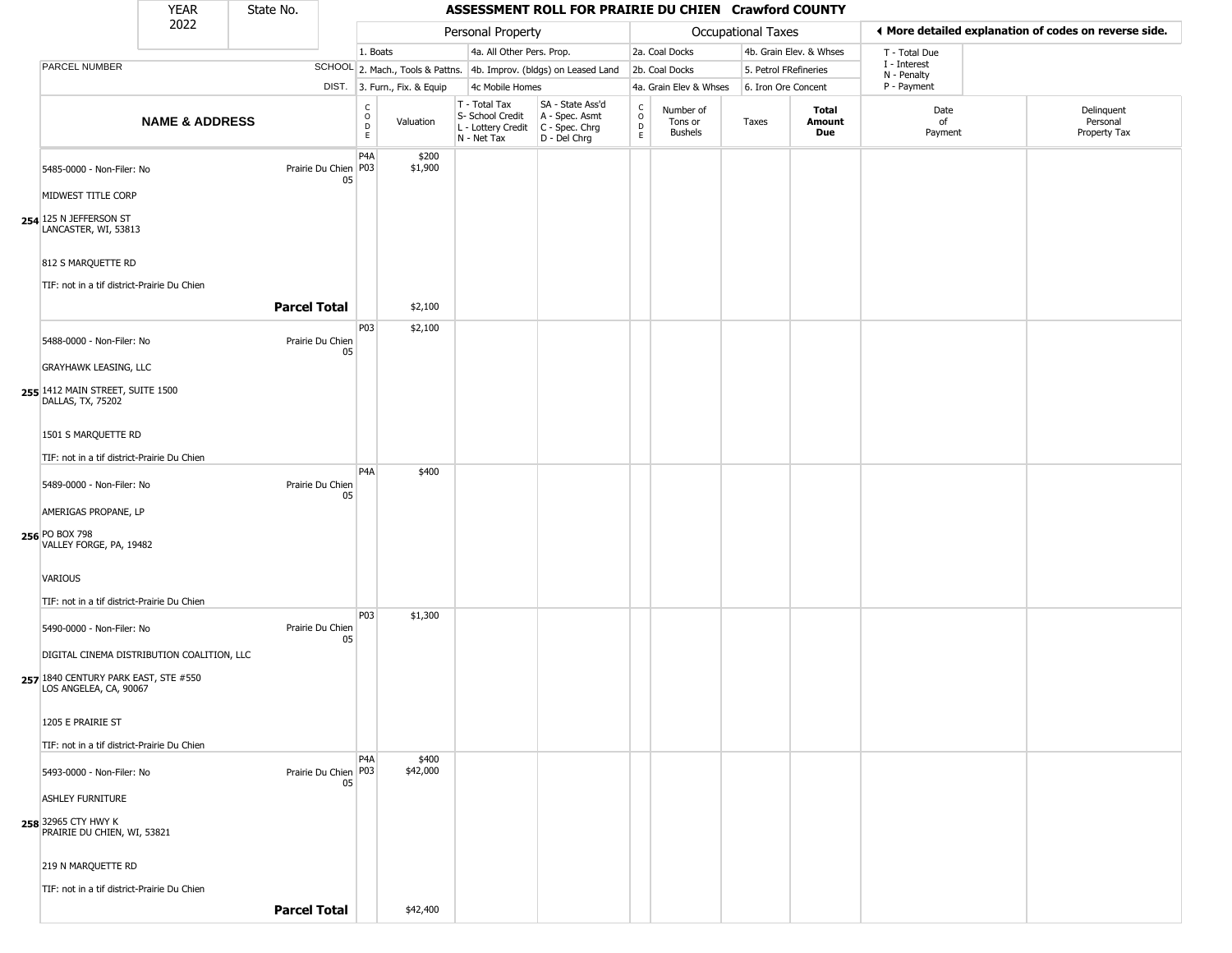#### YEAR **ASSESSMENT ROLL FOR PRAIRIE DU CHIEN Crawford COUNTY** 2022 DIST. 3. Furn., Fix. & Equip PARCEL NUMBER **NAME & ADDRESS** State No. C O D E Valuation T - Total Tax S- School Credit A - Spec. Asmt L - Lottery Credit C - Spec. Chrg N - Net Tax SA - State Ass'd D - Del Chrg C O D E Number of Tons or Bushels Taxes **Total Amount Due** Date of Payment Delinquent Personal Property Tax Personal Property **Department Controller Service Controller** Occupational Taxes 1. Boats **4a. All Other Pers. Prop.** 2a. Coal Docks 4b. Grain Elev. & Whses SCHOOL 2. Mach., Tools & Pattns. 4b. Improv. (bldgs) on Leased Land 2b. Coal Docks 5. Petrol FRefineries 4c Mobile Homes 4a. Grain Elev & Whses 6. Iron Ore Concent T - Total Due I - Interest N - Penalty P - Payment 3**More detailed explanation of codes on reverse side. 254** 125 N JEFFERSON ST 5485-0000 - Non-Filer: No 05 MIDWEST TITLE CORP LANCASTER, WI, 53813 812 S MARQUETTE RD TIF: not in a tif district-Prairie Du Chien P4A Prairie Du Chien | P03 \$200 \$1,900 **Parcel Total 1** \$2,100 **255** 1412 MAIN STREET, SUITE 1500 5488-0000 - Non-Filer: No Prairie Du Chien 05 GRAYHAWK LEASING, LLC DALLAS, TX, 75202 1501 S MARQUETTE RD TIF: not in a tif district-Prairie Du Chien P03 \$2,100 **256** PO BOX 798 5489-0000 - Non-Filer: No Prairie Du Chien 05 AMERIGAS PROPANE, LP VALLEY FORGE, PA, 19482 VARIOUS TIF: not in a tif district-Prairie Du Chien P4A \$400 **257** 1840 CENTURY PARK EAST, STE #550 5490-0000 - Non-Filer: No Prairie Du Chien 05 DIGITAL CINEMA DISTRIBUTION COALITION, LLC LOS ANGELEA, CA, 90067 1205 E PRAIRIE ST TIF: not in a tif district-Prairie Du Chien P03 \$1,300 **258** 32965 CTY HWY K 5493-0000 - Non-Filer: No 05 ASHLEY FURNITURE PRAIRIE DU CHIEN, WI, 53821 219 N MARQUETTE RD TIF: not in a tif district-Prairie Du Chien P4A Prairie Du Chien | P03 \$400 \$42,000 **Parcel Total** | \$42,400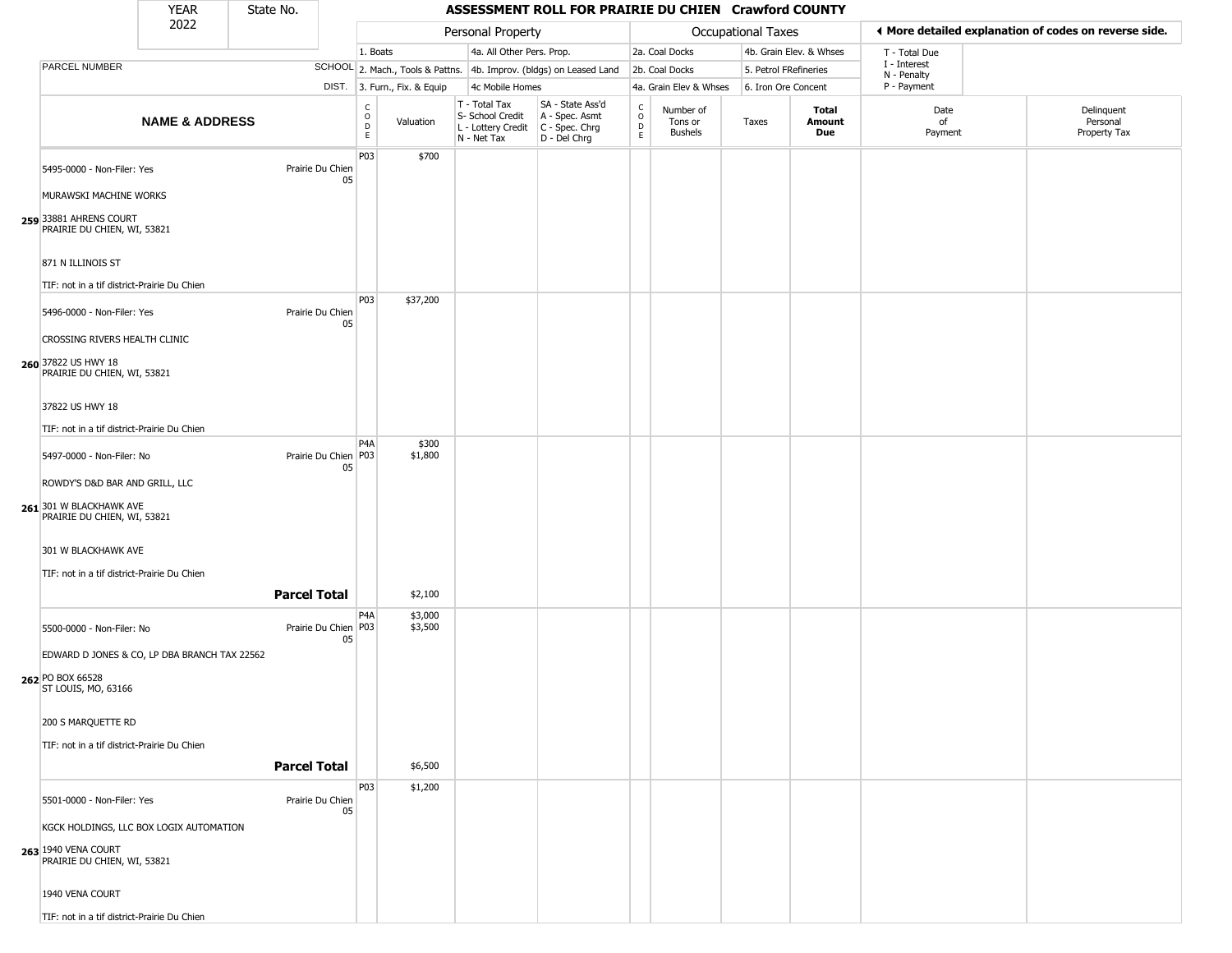| YFAR | State No. |
|------|-----------|
| ררחר |           |

|                                                                                 | <b>YEAR</b>               | State No.           |                        |                              |                    | ASSESSMENT ROLL FOR PRAIRIE DU CHIEN Crawford COUNTY                   |                                                                      |                                                 |                                 |                           |                         |                                                       |                                        |  |  |
|---------------------------------------------------------------------------------|---------------------------|---------------------|------------------------|------------------------------|--------------------|------------------------------------------------------------------------|----------------------------------------------------------------------|-------------------------------------------------|---------------------------------|---------------------------|-------------------------|-------------------------------------------------------|----------------------------------------|--|--|
|                                                                                 | 2022                      |                     |                        |                              |                    | Personal Property                                                      |                                                                      |                                                 |                                 | <b>Occupational Taxes</b> |                         | ◀ More detailed explanation of codes on reverse side. |                                        |  |  |
|                                                                                 |                           |                     |                        | 1. Boats                     |                    | 4a. All Other Pers. Prop.                                              |                                                                      |                                                 | 2a. Coal Docks                  |                           | 4b. Grain Elev. & Whses | T - Total Due                                         |                                        |  |  |
| PARCEL NUMBER                                                                   |                           |                     |                        |                              |                    |                                                                        | SCHOOL 2. Mach., Tools & Pattns. 4b. Improv. (bldgs) on Leased Land  |                                                 | 2b. Coal Docks                  | 5. Petrol FRefineries     |                         | I - Interest<br>N - Penalty                           |                                        |  |  |
|                                                                                 |                           |                     |                        | DIST. 3. Furn., Fix. & Equip |                    | 4c Mobile Homes                                                        |                                                                      |                                                 | 4a. Grain Elev & Whses          | 6. Iron Ore Concent       |                         | P - Payment                                           |                                        |  |  |
|                                                                                 | <b>NAME &amp; ADDRESS</b> |                     |                        | C<br>$\circ$<br>D<br>E       | Valuation          | T - Total Tax<br>S- School Credit<br>L - Lottery Credit<br>N - Net Tax | SA - State Ass'd<br>A - Spec. Asmt<br>C - Spec. Chrg<br>D - Del Chrg | $\begin{array}{c} C \\ O \\ D \\ E \end{array}$ | Number of<br>Tons or<br>Bushels | Taxes                     | Total<br>Amount<br>Due  | Date<br>of<br>Payment                                 | Delinquent<br>Personal<br>Property Tax |  |  |
| 5495-0000 - Non-Filer: Yes                                                      |                           |                     | Prairie Du Chien<br>05 | P03                          | \$700              |                                                                        |                                                                      |                                                 |                                 |                           |                         |                                                       |                                        |  |  |
| MURAWSKI MACHINE WORKS<br>259 33881 AHRENS COURT<br>PRAIRIE DU CHIEN, WI, 53821 |                           |                     |                        |                              |                    |                                                                        |                                                                      |                                                 |                                 |                           |                         |                                                       |                                        |  |  |
| 871 N ILLINOIS ST                                                               |                           |                     |                        |                              |                    |                                                                        |                                                                      |                                                 |                                 |                           |                         |                                                       |                                        |  |  |
| TIF: not in a tif district-Prairie Du Chien                                     |                           |                     |                        | P03                          | \$37,200           |                                                                        |                                                                      |                                                 |                                 |                           |                         |                                                       |                                        |  |  |
| 5496-0000 - Non-Filer: Yes                                                      |                           |                     | Prairie Du Chien<br>05 |                              |                    |                                                                        |                                                                      |                                                 |                                 |                           |                         |                                                       |                                        |  |  |
| CROSSING RIVERS HEALTH CLINIC                                                   |                           |                     |                        |                              |                    |                                                                        |                                                                      |                                                 |                                 |                           |                         |                                                       |                                        |  |  |
| 260 37822 US HWY 18<br>PRAIRIE DU CHIEN, WI, 53821                              |                           |                     |                        |                              |                    |                                                                        |                                                                      |                                                 |                                 |                           |                         |                                                       |                                        |  |  |
| 37822 US HWY 18                                                                 |                           |                     |                        |                              |                    |                                                                        |                                                                      |                                                 |                                 |                           |                         |                                                       |                                        |  |  |
| TIF: not in a tif district-Prairie Du Chien                                     |                           |                     |                        | P <sub>4</sub> A             | \$300              |                                                                        |                                                                      |                                                 |                                 |                           |                         |                                                       |                                        |  |  |
| 5497-0000 - Non-Filer: No                                                       |                           |                     | Prairie Du Chien<br>05 | P03                          | \$1,800            |                                                                        |                                                                      |                                                 |                                 |                           |                         |                                                       |                                        |  |  |
| ROWDY'S D&D BAR AND GRILL, LLC                                                  |                           |                     |                        |                              |                    |                                                                        |                                                                      |                                                 |                                 |                           |                         |                                                       |                                        |  |  |
| 261 301 W BLACKHAWK AVE<br>PRAIRIE DU CHIEN, WI, 53821                          |                           |                     |                        |                              |                    |                                                                        |                                                                      |                                                 |                                 |                           |                         |                                                       |                                        |  |  |
| 301 W BLACKHAWK AVE                                                             |                           |                     |                        |                              |                    |                                                                        |                                                                      |                                                 |                                 |                           |                         |                                                       |                                        |  |  |
| TIF: not in a tif district-Prairie Du Chien                                     |                           |                     |                        |                              |                    |                                                                        |                                                                      |                                                 |                                 |                           |                         |                                                       |                                        |  |  |
|                                                                                 |                           | <b>Parcel Total</b> |                        |                              | \$2,100            |                                                                        |                                                                      |                                                 |                                 |                           |                         |                                                       |                                        |  |  |
| 5500-0000 - Non-Filer: No                                                       |                           |                     | Prairie Du Chien<br>05 | P4A<br>P03                   | \$3,000<br>\$3,500 |                                                                        |                                                                      |                                                 |                                 |                           |                         |                                                       |                                        |  |  |
| EDWARD D JONES & CO, LP DBA BRANCH TAX 22562                                    |                           |                     |                        |                              |                    |                                                                        |                                                                      |                                                 |                                 |                           |                         |                                                       |                                        |  |  |
| 262 PO BOX 66528<br>ST LOUIS, MO, 63166                                         |                           |                     |                        |                              |                    |                                                                        |                                                                      |                                                 |                                 |                           |                         |                                                       |                                        |  |  |
| 200 S MARQUETTE RD                                                              |                           |                     |                        |                              |                    |                                                                        |                                                                      |                                                 |                                 |                           |                         |                                                       |                                        |  |  |
| TIF: not in a tif district-Prairie Du Chien                                     |                           |                     |                        |                              |                    |                                                                        |                                                                      |                                                 |                                 |                           |                         |                                                       |                                        |  |  |
|                                                                                 |                           | <b>Parcel Total</b> |                        |                              | \$6,500            |                                                                        |                                                                      |                                                 |                                 |                           |                         |                                                       |                                        |  |  |
| 5501-0000 - Non-Filer: Yes                                                      |                           |                     | Prairie Du Chien<br>05 | P03                          | \$1,200            |                                                                        |                                                                      |                                                 |                                 |                           |                         |                                                       |                                        |  |  |
| KGCK HOLDINGS, LLC BOX LOGIX AUTOMATION                                         |                           |                     |                        |                              |                    |                                                                        |                                                                      |                                                 |                                 |                           |                         |                                                       |                                        |  |  |
| 263 1940 VENA COURT<br>PRAIRIE DU CHIEN, WI, 53821                              |                           |                     |                        |                              |                    |                                                                        |                                                                      |                                                 |                                 |                           |                         |                                                       |                                        |  |  |
| 1940 VENA COURT                                                                 |                           |                     |                        |                              |                    |                                                                        |                                                                      |                                                 |                                 |                           |                         |                                                       |                                        |  |  |
| TIF: not in a tif district-Prairie Du Chien                                     |                           |                     |                        |                              |                    |                                                                        |                                                                      |                                                 |                                 |                           |                         |                                                       |                                        |  |  |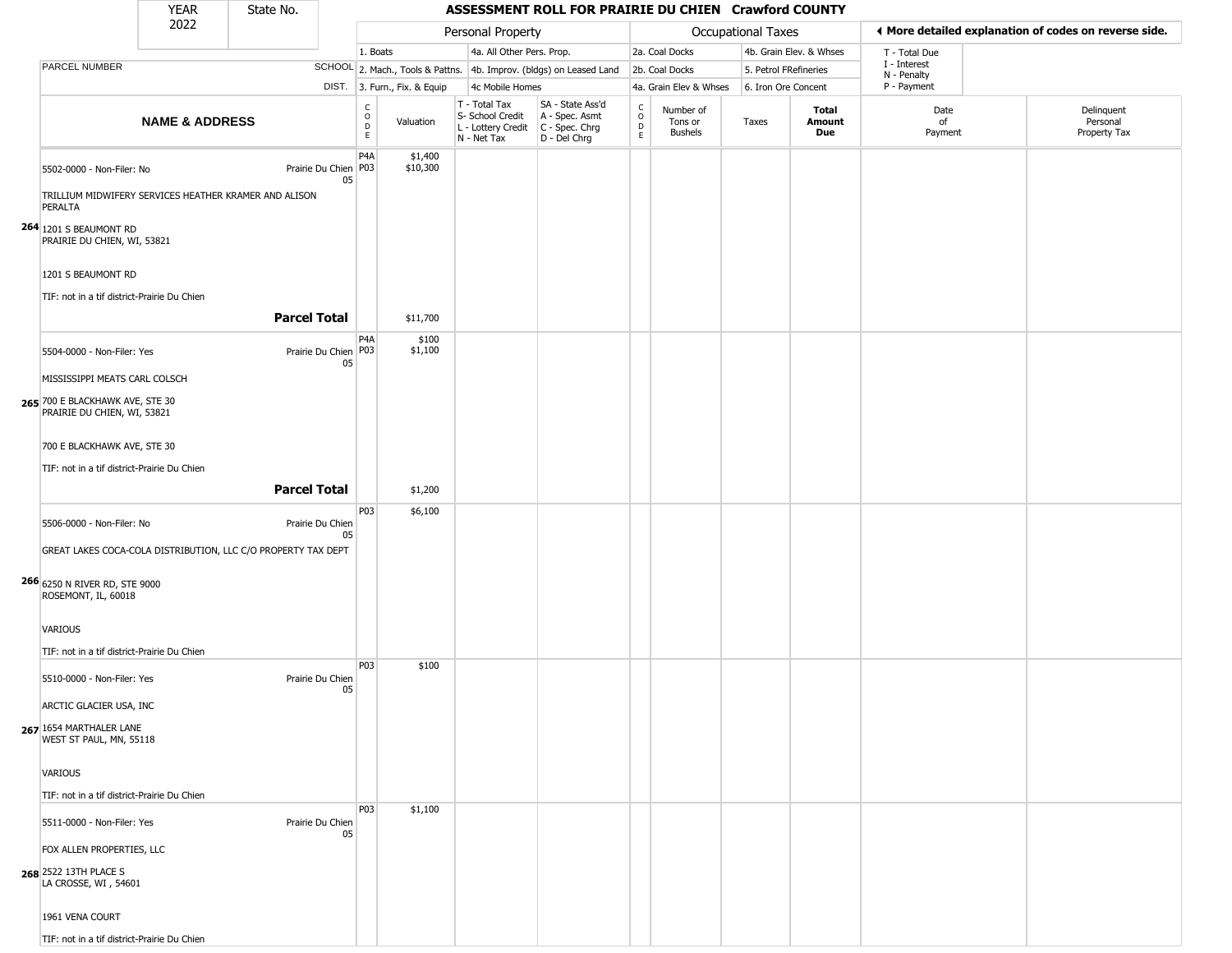| YFAR | State No. |
|------|-----------|
| วกวว |           |

L

|                                                                | 2022<br>Personal Property<br><b>Occupational Taxes</b>        |                      |                                     | ♦ More detailed explanation of codes on reverse side. |                                                                        |                                                                      |                  |                                        |                       |                         |                             |                                        |
|----------------------------------------------------------------|---------------------------------------------------------------|----------------------|-------------------------------------|-------------------------------------------------------|------------------------------------------------------------------------|----------------------------------------------------------------------|------------------|----------------------------------------|-----------------------|-------------------------|-----------------------------|----------------------------------------|
|                                                                |                                                               |                      |                                     | 1. Boats                                              | 4a. All Other Pers. Prop.                                              |                                                                      |                  | 2a. Coal Docks                         |                       | 4b. Grain Elev. & Whses | T - Total Due               |                                        |
| PARCEL NUMBER                                                  |                                                               |                      |                                     |                                                       |                                                                        | SCHOOL 2. Mach., Tools & Pattns. 4b. Improv. (bldgs) on Leased Land  |                  | 2b. Coal Docks                         | 5. Petrol FRefineries |                         | I - Interest<br>N - Penalty |                                        |
|                                                                |                                                               |                      |                                     | DIST. 3. Furn., Fix. & Equip                          | 4c Mobile Homes                                                        |                                                                      |                  | 4a. Grain Elev & Whses                 | 6. Iron Ore Concent   |                         | P - Payment                 |                                        |
|                                                                | <b>NAME &amp; ADDRESS</b>                                     |                      | $\rm_{o}^{\rm c}$<br>$\overline{D}$ | Valuation                                             | T - Total Tax<br>S- School Credit<br>L - Lottery Credit<br>N - Net Tax | SA - State Ass'd<br>A - Spec. Asmt<br>C - Spec. Chrg<br>D - Del Chrg | C<br>D<br>D<br>E | Number of<br>Tons or<br><b>Bushels</b> | Taxes                 | Total<br>Amount<br>Due  | Date<br>of<br>Payment       | Delinquent<br>Personal<br>Property Tax |
| 5502-0000 - Non-Filer: No                                      |                                                               | Prairie Du Chien P03 | P <sub>4</sub> A<br>05              | \$1,400<br>\$10,300                                   |                                                                        |                                                                      |                  |                                        |                       |                         |                             |                                        |
| PERALTA                                                        | TRILLIUM MIDWIFERY SERVICES HEATHER KRAMER AND ALISON         |                      |                                     |                                                       |                                                                        |                                                                      |                  |                                        |                       |                         |                             |                                        |
| 264 1201 S BEAUMONT RD<br>PRAIRIE DU CHIEN, WI, 53821          |                                                               |                      |                                     |                                                       |                                                                        |                                                                      |                  |                                        |                       |                         |                             |                                        |
| 1201 S BEAUMONT RD                                             |                                                               |                      |                                     |                                                       |                                                                        |                                                                      |                  |                                        |                       |                         |                             |                                        |
| TIF: not in a tif district-Prairie Du Chien                    |                                                               | <b>Parcel Total</b>  |                                     | \$11,700                                              |                                                                        |                                                                      |                  |                                        |                       |                         |                             |                                        |
| 5504-0000 - Non-Filer: Yes                                     |                                                               | Prairie Du Chien P03 | P <sub>4</sub> A<br>05              | \$100<br>\$1,100                                      |                                                                        |                                                                      |                  |                                        |                       |                         |                             |                                        |
| MISSISSIPPI MEATS CARL COLSCH                                  |                                                               |                      |                                     |                                                       |                                                                        |                                                                      |                  |                                        |                       |                         |                             |                                        |
| 265 700 E BLACKHAWK AVE, STE 30<br>PRAIRIE DU CHIEN, WI, 53821 |                                                               |                      |                                     |                                                       |                                                                        |                                                                      |                  |                                        |                       |                         |                             |                                        |
| 700 E BLACKHAWK AVE, STE 30                                    |                                                               |                      |                                     |                                                       |                                                                        |                                                                      |                  |                                        |                       |                         |                             |                                        |
| TIF: not in a tif district-Prairie Du Chien                    |                                                               |                      |                                     |                                                       |                                                                        |                                                                      |                  |                                        |                       |                         |                             |                                        |
|                                                                |                                                               | <b>Parcel Total</b>  |                                     | \$1,200                                               |                                                                        |                                                                      |                  |                                        |                       |                         |                             |                                        |
|                                                                |                                                               |                      | P03                                 | \$6,100                                               |                                                                        |                                                                      |                  |                                        |                       |                         |                             |                                        |
| 5506-0000 - Non-Filer: No                                      |                                                               | Prairie Du Chien     |                                     |                                                       |                                                                        |                                                                      |                  |                                        |                       |                         |                             |                                        |
|                                                                | GREAT LAKES COCA-COLA DISTRIBUTION, LLC C/O PROPERTY TAX DEPT |                      | 05                                  |                                                       |                                                                        |                                                                      |                  |                                        |                       |                         |                             |                                        |
| 266 6250 N RIVER RD, STE 9000<br>ROSEMONT, IL, 60018           |                                                               |                      |                                     |                                                       |                                                                        |                                                                      |                  |                                        |                       |                         |                             |                                        |
| VARIOUS                                                        |                                                               |                      |                                     |                                                       |                                                                        |                                                                      |                  |                                        |                       |                         |                             |                                        |
| TIF: not in a tif district-Prairie Du Chien                    |                                                               |                      |                                     |                                                       |                                                                        |                                                                      |                  |                                        |                       |                         |                             |                                        |
| 5510-0000 - Non-Filer: Yes                                     |                                                               | Prairie Du Chien     | P03<br>05                           | \$100                                                 |                                                                        |                                                                      |                  |                                        |                       |                         |                             |                                        |
| ARCTIC GLACIER USA, INC                                        |                                                               |                      |                                     |                                                       |                                                                        |                                                                      |                  |                                        |                       |                         |                             |                                        |
| 267 1654 MARTHALER LANE<br>WEST ST PAUL, MN, 55118             |                                                               |                      |                                     |                                                       |                                                                        |                                                                      |                  |                                        |                       |                         |                             |                                        |
| VARIOUS                                                        |                                                               |                      |                                     |                                                       |                                                                        |                                                                      |                  |                                        |                       |                         |                             |                                        |
| TIF: not in a tif district-Prairie Du Chien                    |                                                               |                      |                                     |                                                       |                                                                        |                                                                      |                  |                                        |                       |                         |                             |                                        |
| 5511-0000 - Non-Filer: Yes                                     |                                                               | Prairie Du Chien     | P03<br>05                           | \$1,100                                               |                                                                        |                                                                      |                  |                                        |                       |                         |                             |                                        |
| FOX ALLEN PROPERTIES, LLC                                      |                                                               |                      |                                     |                                                       |                                                                        |                                                                      |                  |                                        |                       |                         |                             |                                        |
| 268 2522 13TH PLACE S<br>LA CROSSE, WI, 54601                  |                                                               |                      |                                     |                                                       |                                                                        |                                                                      |                  |                                        |                       |                         |                             |                                        |
| 1961 VENA COURT                                                |                                                               |                      |                                     |                                                       |                                                                        |                                                                      |                  |                                        |                       |                         |                             |                                        |
| TIF: not in a tif district-Prairie Du Chien                    |                                                               |                      |                                     |                                                       |                                                                        |                                                                      |                  |                                        |                       |                         |                             |                                        |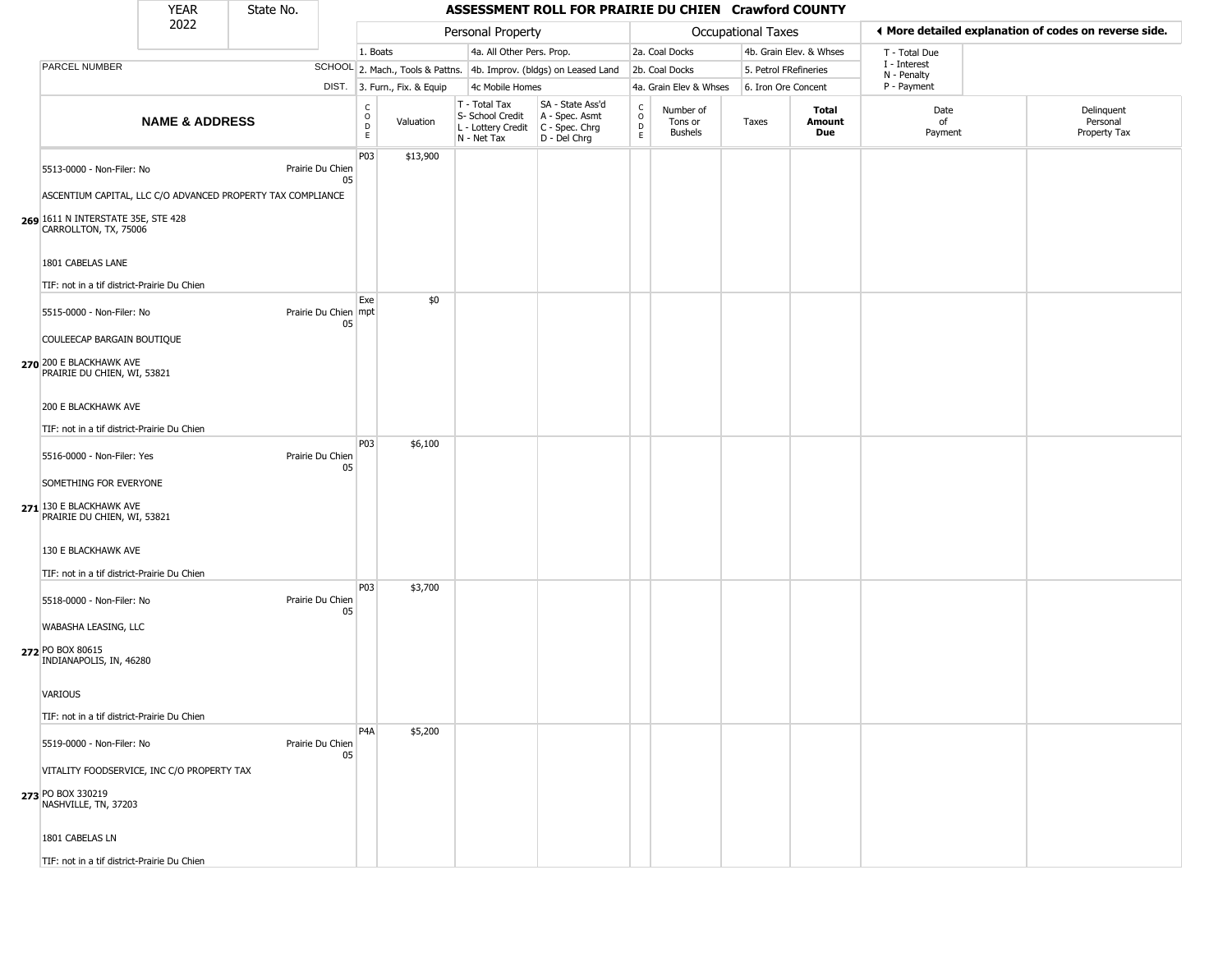#### YEAR **ASSESSMENT ROLL FOR PRAIRIE DU CHIEN Crawford COUNTY** 2022 DIST. 3. Furn., Fix. & Equip PARCEL NUMBER **NAME & ADDRESS** State No. C O D E Valuation T - Total Tax S- School Credit A - Spec. Asmt L - Lottery Credit C - Spec. Chrg N - Net Tax SA - State Ass'd D - Del Chrg C O D E Number of Tons or Bushels Taxes **Total Amount Due** Date of Payment Delinquent Personal Property Tax Personal Property **Personal Property Personal Taxes** 1. Boats **4a. All Other Pers. Prop.** 2a. Coal Docks 4b. Grain Elev. & Whses SCHOOL 2. Mach., Tools & Pattns. 4b. Improv. (bldgs) on Leased Land 2b. Coal Docks 5. Petrol FRefineries 4c Mobile Homes 4a. Grain Elev & Whses 6. Iron Ore Concent T - Total Due I - Interest N - Penalty P - Payment 3**More detailed explanation of codes on reverse side. 269** 1611 N INTERSTATE 35E, STE 428 5513-0000 - Non-Filer: No Prairie Du Chien 05 ASCENTIUM CAPITAL, LLC C/O ADVANCED PROPERTY TAX COMPLIANCE CARROLLTON, TX, 75006 1801 CABELAS LANE TIF: not in a tif district-Prairie Du Chien P03 \$13,900 **270** 200 E BLACKHAWK AVE 5515-0000 - Non-Filer: No 05 COULEECAP BARGAIN BOUTIQUE PRAIRIE DU CHIEN, WI, 53821 200 E BLACKHAWK AVE TIF: not in a tif district-Prairie Du Chien Exe Prairie Du Chien mpt \$0 **271** 130 E BLACKHAWK AVE 5516-0000 - Non-Filer: Yes Prairie Du Chien 05 SOMETHING FOR EVERYONE PRAIRIE DU CHIEN, WI, 53821 130 E BLACKHAWK AVE TIF: not in a tif district-Prairie Du Chien P03 \$6,100 **272** PO BOX 80615 5518-0000 - Non-Filer: No Prairie Du Chien 05 WABASHA LEASING, LLC INDIANAPOLIS, IN, 46280 VARIOUS TIF: not in a tif district-Prairie Du Chien P03 \$3,700 **273** PO BOX 330219 5519-0000 - Non-Filer: No Prairie Du Chien 05 VITALITY FOODSERVICE, INC C/O PROPERTY TAX NASHVILLE, TN, 37203 P4A \$5,200

1801 CABELAS LN

TIF: not in a tif district-Prairie Du Chien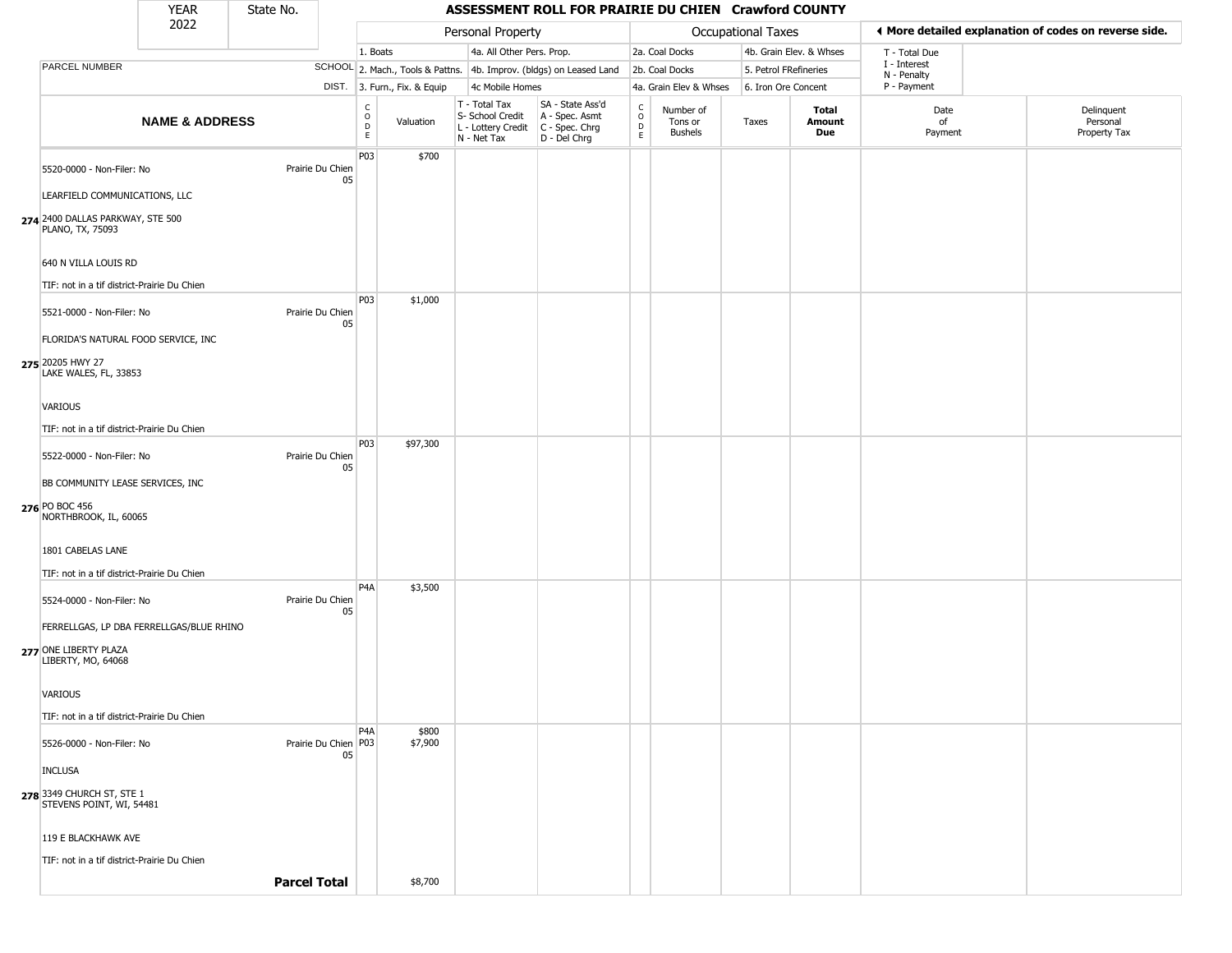| <b>YEAR</b> | State No. |
|-------------|-----------|
| ררחר        |           |

|                                                                          | YEAR                      | State No.           |                        |                                                |                              |                                                                        | ASSESSMENT ROLL FOR PRAIRIE DU CHIEN Crawford COUNTY                 |                                                          |                                 |                    |                         |                             |  |                                                       |
|--------------------------------------------------------------------------|---------------------------|---------------------|------------------------|------------------------------------------------|------------------------------|------------------------------------------------------------------------|----------------------------------------------------------------------|----------------------------------------------------------|---------------------------------|--------------------|-------------------------|-----------------------------|--|-------------------------------------------------------|
|                                                                          | 2022                      |                     |                        |                                                |                              | Personal Property                                                      |                                                                      |                                                          |                                 | Occupational Taxes |                         |                             |  | ◀ More detailed explanation of codes on reverse side. |
|                                                                          |                           |                     |                        | 1. Boats                                       |                              | 4a. All Other Pers. Prop.                                              |                                                                      |                                                          | 2a. Coal Docks                  |                    | 4b. Grain Elev. & Whses | T - Total Due               |  |                                                       |
| PARCEL NUMBER                                                            |                           |                     |                        |                                                |                              |                                                                        | SCHOOL 2. Mach., Tools & Pattns. 4b. Improv. (bldgs) on Leased Land  |                                                          | 2b. Coal Docks                  |                    | 5. Petrol FRefineries   | I - Interest<br>N - Penalty |  |                                                       |
|                                                                          |                           |                     |                        |                                                | DIST. 3. Furn., Fix. & Equip | 4c Mobile Homes                                                        |                                                                      |                                                          | 4a. Grain Elev & Whses          |                    | 6. Iron Ore Concent     | P - Payment                 |  |                                                       |
|                                                                          | <b>NAME &amp; ADDRESS</b> |                     |                        | $\begin{matrix} 0 \\ 0 \\ D \end{matrix}$<br>E | Valuation                    | T - Total Tax<br>S- School Credit<br>L - Lottery Credit<br>N - Net Tax | SA - State Ass'd<br>A - Spec. Asmt<br>C - Spec. Chrg<br>D - Del Chrg | $\begin{smallmatrix} C \\ O \\ D \end{smallmatrix}$<br>E | Number of<br>Tons or<br>Bushels | Taxes              | Total<br>Amount<br>Due  | Date<br>of<br>Payment       |  | Delinquent<br>Personal<br>Property Tax                |
| 5520-0000 - Non-Filer: No                                                |                           |                     | Prairie Du Chien<br>05 | P03                                            | \$700                        |                                                                        |                                                                      |                                                          |                                 |                    |                         |                             |  |                                                       |
| LEARFIELD COMMUNICATIONS, LLC                                            |                           |                     |                        |                                                |                              |                                                                        |                                                                      |                                                          |                                 |                    |                         |                             |  |                                                       |
| 274 2400 DALLAS PARKWAY, STE 500<br>PLANO, TX, 75093                     |                           |                     |                        |                                                |                              |                                                                        |                                                                      |                                                          |                                 |                    |                         |                             |  |                                                       |
| 640 N VILLA LOUIS RD                                                     |                           |                     |                        |                                                |                              |                                                                        |                                                                      |                                                          |                                 |                    |                         |                             |  |                                                       |
| TIF: not in a tif district-Prairie Du Chien                              |                           |                     |                        | P03                                            | \$1,000                      |                                                                        |                                                                      |                                                          |                                 |                    |                         |                             |  |                                                       |
| 5521-0000 - Non-Filer: No                                                |                           |                     | Prairie Du Chien<br>05 |                                                |                              |                                                                        |                                                                      |                                                          |                                 |                    |                         |                             |  |                                                       |
| FLORIDA'S NATURAL FOOD SERVICE, INC                                      |                           |                     |                        |                                                |                              |                                                                        |                                                                      |                                                          |                                 |                    |                         |                             |  |                                                       |
| 275 20205 HWY 27<br>LAKE WALES, FL, 33853                                |                           |                     |                        |                                                |                              |                                                                        |                                                                      |                                                          |                                 |                    |                         |                             |  |                                                       |
| VARIOUS                                                                  |                           |                     |                        |                                                |                              |                                                                        |                                                                      |                                                          |                                 |                    |                         |                             |  |                                                       |
| TIF: not in a tif district-Prairie Du Chien                              |                           |                     |                        | P03                                            | \$97,300                     |                                                                        |                                                                      |                                                          |                                 |                    |                         |                             |  |                                                       |
| 5522-0000 - Non-Filer: No                                                |                           |                     | Prairie Du Chien<br>05 |                                                |                              |                                                                        |                                                                      |                                                          |                                 |                    |                         |                             |  |                                                       |
| BB COMMUNITY LEASE SERVICES, INC                                         |                           |                     |                        |                                                |                              |                                                                        |                                                                      |                                                          |                                 |                    |                         |                             |  |                                                       |
| 276 PO BOC 456<br>NORTHBROOK, IL, 60065                                  |                           |                     |                        |                                                |                              |                                                                        |                                                                      |                                                          |                                 |                    |                         |                             |  |                                                       |
| 1801 CABELAS LANE                                                        |                           |                     |                        |                                                |                              |                                                                        |                                                                      |                                                          |                                 |                    |                         |                             |  |                                                       |
| TIF: not in a tif district-Prairie Du Chien                              |                           |                     |                        | P <sub>4</sub> A                               | \$3,500                      |                                                                        |                                                                      |                                                          |                                 |                    |                         |                             |  |                                                       |
| 5524-0000 - Non-Filer: No                                                |                           |                     | Prairie Du Chien<br>05 |                                                |                              |                                                                        |                                                                      |                                                          |                                 |                    |                         |                             |  |                                                       |
| FERRELLGAS, LP DBA FERRELLGAS/BLUE RHINO                                 |                           |                     |                        |                                                |                              |                                                                        |                                                                      |                                                          |                                 |                    |                         |                             |  |                                                       |
| 277 ONE LIBERTY PLAZA<br>LIBERTY, MO, 64068                              |                           |                     |                        |                                                |                              |                                                                        |                                                                      |                                                          |                                 |                    |                         |                             |  |                                                       |
| <b>VARIOUS</b>                                                           |                           |                     |                        |                                                |                              |                                                                        |                                                                      |                                                          |                                 |                    |                         |                             |  |                                                       |
| TIF: not in a tif district-Prairie Du Chien<br>5526-0000 - Non-Filer: No |                           |                     | Prairie Du Chien   P03 | P <sub>4</sub> A                               | \$800<br>\$7,900             |                                                                        |                                                                      |                                                          |                                 |                    |                         |                             |  |                                                       |
| <b>INCLUSA</b>                                                           |                           |                     | 05                     |                                                |                              |                                                                        |                                                                      |                                                          |                                 |                    |                         |                             |  |                                                       |
| 278 3349 CHURCH ST, STE 1<br>STEVENS POINT, WI, 54481                    |                           |                     |                        |                                                |                              |                                                                        |                                                                      |                                                          |                                 |                    |                         |                             |  |                                                       |
| 119 E BLACKHAWK AVE                                                      |                           |                     |                        |                                                |                              |                                                                        |                                                                      |                                                          |                                 |                    |                         |                             |  |                                                       |
| TIF: not in a tif district-Prairie Du Chien                              |                           | <b>Parcel Total</b> |                        |                                                | \$8,700                      |                                                                        |                                                                      |                                                          |                                 |                    |                         |                             |  |                                                       |
|                                                                          |                           |                     |                        |                                                |                              |                                                                        |                                                                      |                                                          |                                 |                    |                         |                             |  |                                                       |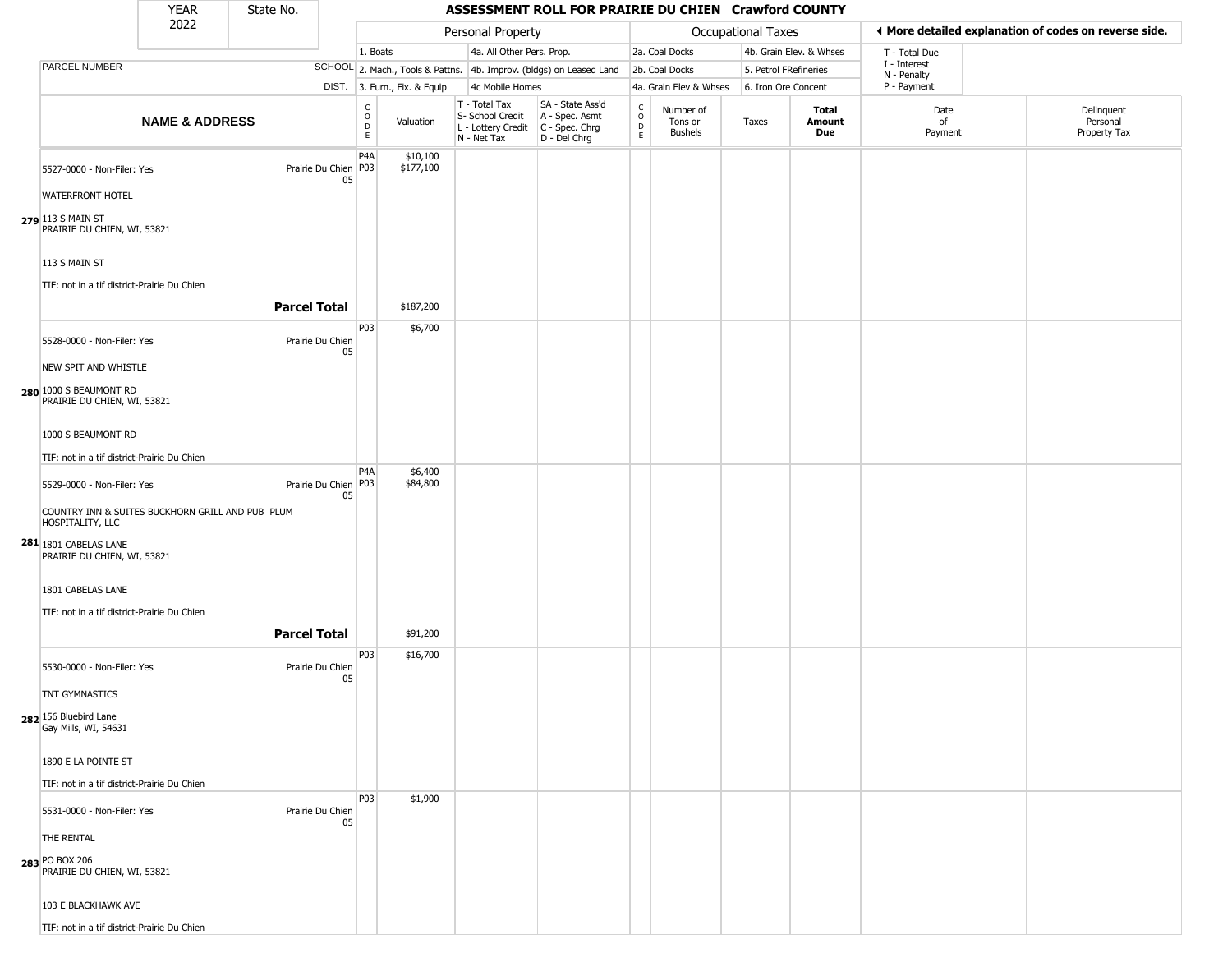| YFAR | State No. |
|------|-----------|
| วกวว |           |

|                                                                                | <b>YEAR</b>               | State No.           |                              |                                         |                              |                                                                                         | ASSESSMENT ROLL FOR PRAIRIE DU CHIEN Crawford COUNTY                |                                                 |                                        |                       |                         |                                                       |                                        |  |
|--------------------------------------------------------------------------------|---------------------------|---------------------|------------------------------|-----------------------------------------|------------------------------|-----------------------------------------------------------------------------------------|---------------------------------------------------------------------|-------------------------------------------------|----------------------------------------|-----------------------|-------------------------|-------------------------------------------------------|----------------------------------------|--|
|                                                                                | 2022                      |                     |                              |                                         |                              | Personal Property                                                                       |                                                                     |                                                 |                                        | Occupational Taxes    |                         | ◀ More detailed explanation of codes on reverse side. |                                        |  |
|                                                                                |                           |                     |                              | 1. Boats                                |                              | 4a. All Other Pers. Prop.                                                               |                                                                     |                                                 | 2a. Coal Docks                         |                       | 4b. Grain Elev. & Whses | T - Total Due                                         |                                        |  |
| PARCEL NUMBER                                                                  |                           |                     |                              |                                         |                              |                                                                                         | SCHOOL 2. Mach., Tools & Pattns. 4b. Improv. (bldgs) on Leased Land |                                                 | 2b. Coal Docks                         | 5. Petrol FRefineries |                         | I - Interest<br>N - Penalty                           |                                        |  |
|                                                                                |                           |                     |                              |                                         | DIST. 3. Furn., Fix. & Equip | 4c Mobile Homes                                                                         |                                                                     |                                                 | 4a. Grain Elev & Whses                 | 6. Iron Ore Concent   |                         | P - Payment                                           |                                        |  |
|                                                                                | <b>NAME &amp; ADDRESS</b> |                     |                              | $_{\rm o}^{\rm c}$<br>$\mathsf{D}$<br>E | Valuation                    | T - Total Tax<br>S- School Credit<br>L - Lottery Credit   C - Spec. Chrg<br>N - Net Tax | SA - State Ass'd<br>A - Spec. Asmt<br>D - Del Chrg                  | $\begin{array}{c} C \\ O \\ D \\ E \end{array}$ | Number of<br>Tons or<br><b>Bushels</b> | Taxes                 | Total<br>Amount<br>Due  | Date<br>of<br>Payment                                 | Delinquent<br>Personal<br>Property Tax |  |
| 5527-0000 - Non-Filer: Yes<br><b>WATERFRONT HOTEL</b>                          |                           |                     | Prairie Du Chien   P03<br>05 | P4A                                     | \$10,100<br>\$177,100        |                                                                                         |                                                                     |                                                 |                                        |                       |                         |                                                       |                                        |  |
| 279 113 S MAIN ST<br>PRAIRIE DU CHIEN, WI, 53821                               |                           |                     |                              |                                         |                              |                                                                                         |                                                                     |                                                 |                                        |                       |                         |                                                       |                                        |  |
| 113 S MAIN ST<br>TIF: not in a tif district-Prairie Du Chien                   |                           |                     |                              |                                         |                              |                                                                                         |                                                                     |                                                 |                                        |                       |                         |                                                       |                                        |  |
|                                                                                |                           | <b>Parcel Total</b> |                              |                                         | \$187,200                    |                                                                                         |                                                                     |                                                 |                                        |                       |                         |                                                       |                                        |  |
| 5528-0000 - Non-Filer: Yes                                                     |                           |                     | Prairie Du Chien<br>05       | P03                                     | \$6,700                      |                                                                                         |                                                                     |                                                 |                                        |                       |                         |                                                       |                                        |  |
| NEW SPIT AND WHISTLE<br>280 1000 S BEAUMONT RD<br>PRAIRIE DU CHIEN, WI, 53821  |                           |                     |                              |                                         |                              |                                                                                         |                                                                     |                                                 |                                        |                       |                         |                                                       |                                        |  |
| 1000 S BEAUMONT RD<br>TIF: not in a tif district-Prairie Du Chien              |                           |                     |                              |                                         |                              |                                                                                         |                                                                     |                                                 |                                        |                       |                         |                                                       |                                        |  |
| 5529-0000 - Non-Filer: Yes<br>COUNTRY INN & SUITES BUCKHORN GRILL AND PUB PLUM |                           |                     | Prairie Du Chien   P03<br>05 | P <sub>4</sub> A                        | \$6,400<br>\$84,800          |                                                                                         |                                                                     |                                                 |                                        |                       |                         |                                                       |                                        |  |
| HOSPITALITY, LLC<br>281 1801 CABELAS LANE<br>PRAIRIE DU CHIEN, WI, 53821       |                           |                     |                              |                                         |                              |                                                                                         |                                                                     |                                                 |                                        |                       |                         |                                                       |                                        |  |
| 1801 CABELAS LANE<br>TIF: not in a tif district-Prairie Du Chien               |                           |                     |                              |                                         |                              |                                                                                         |                                                                     |                                                 |                                        |                       |                         |                                                       |                                        |  |
|                                                                                |                           | <b>Parcel Total</b> |                              | P03                                     | \$91,200<br>\$16,700         |                                                                                         |                                                                     |                                                 |                                        |                       |                         |                                                       |                                        |  |
| 5530-0000 - Non-Filer: Yes<br>TNT GYMNASTICS                                   |                           |                     | Prairie Du Chien<br>05       |                                         |                              |                                                                                         |                                                                     |                                                 |                                        |                       |                         |                                                       |                                        |  |
| 282 156 Bluebird Lane<br>Gay Mills, WI, 54631                                  |                           |                     |                              |                                         |                              |                                                                                         |                                                                     |                                                 |                                        |                       |                         |                                                       |                                        |  |
| 1890 E LA POINTE ST<br>TIF: not in a tif district-Prairie Du Chien             |                           |                     |                              |                                         |                              |                                                                                         |                                                                     |                                                 |                                        |                       |                         |                                                       |                                        |  |
| 5531-0000 - Non-Filer: Yes                                                     |                           |                     | Prairie Du Chien<br>05       | P03                                     | \$1,900                      |                                                                                         |                                                                     |                                                 |                                        |                       |                         |                                                       |                                        |  |
| THE RENTAL<br>283 PO BOX 206<br>PRAIRIE DU CHIEN, WI, 53821                    |                           |                     |                              |                                         |                              |                                                                                         |                                                                     |                                                 |                                        |                       |                         |                                                       |                                        |  |
| 103 E BLACKHAWK AVE                                                            |                           |                     |                              |                                         |                              |                                                                                         |                                                                     |                                                 |                                        |                       |                         |                                                       |                                        |  |
| TIF: not in a tif district-Prairie Du Chien                                    |                           |                     |                              |                                         |                              |                                                                                         |                                                                     |                                                 |                                        |                       |                         |                                                       |                                        |  |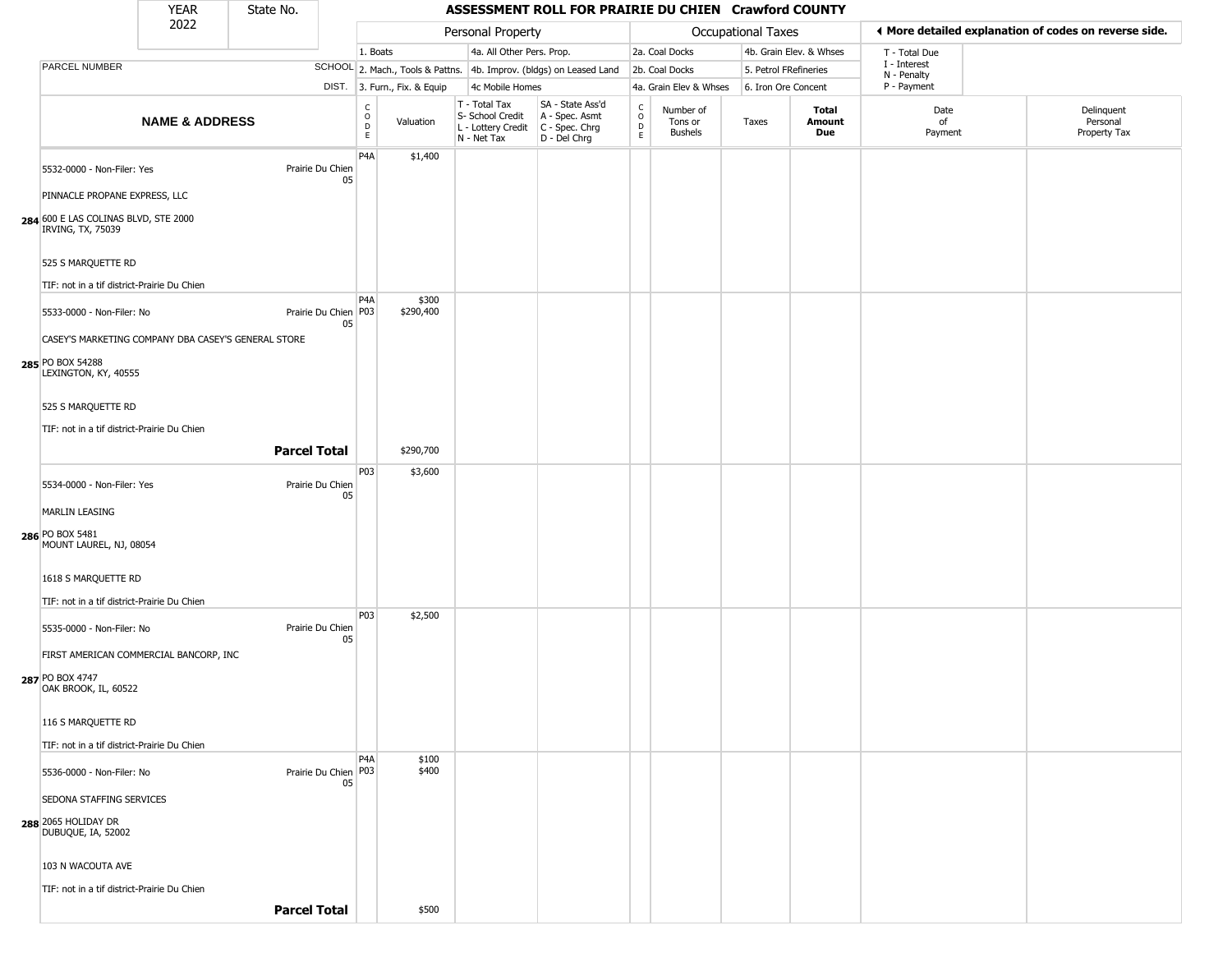| YFAR | State No. |
|------|-----------|
| 2022 |           |

| --------<br>2022                                                                              |                           |                     | Personal Property            |                                  |                    |                                                                        |                                                                      |                                | Occupational Taxes                     |                       | ♦ More detailed explanation of codes on reverse side. |                            |                                        |
|-----------------------------------------------------------------------------------------------|---------------------------|---------------------|------------------------------|----------------------------------|--------------------|------------------------------------------------------------------------|----------------------------------------------------------------------|--------------------------------|----------------------------------------|-----------------------|-------------------------------------------------------|----------------------------|----------------------------------------|
|                                                                                               |                           |                     |                              | 1. Boats                         |                    | 4a. All Other Pers. Prop.                                              |                                                                      |                                | 2a. Coal Docks                         |                       | 4b. Grain Elev. & Whses                               | T - Total Due              |                                        |
| PARCEL NUMBER                                                                                 |                           |                     |                              |                                  |                    |                                                                        | SCHOOL 2. Mach., Tools & Pattns. 4b. Improv. (bldgs) on Leased Land  |                                | 2b. Coal Docks                         | 5. Petrol FRefineries |                                                       | I - Interest               |                                        |
|                                                                                               |                           |                     |                              | DIST. 3. Furn., Fix. & Equip     |                    | 4c Mobile Homes                                                        |                                                                      |                                | 4a. Grain Elev & Whses                 | 6. Iron Ore Concent   |                                                       | N - Penalty<br>P - Payment |                                        |
|                                                                                               | <b>NAME &amp; ADDRESS</b> |                     |                              | C<br>$\circ$<br>D<br>$\mathsf E$ | Valuation          | T - Total Tax<br>S- School Credit<br>L - Lottery Credit<br>N - Net Tax | SA - State Ass'd<br>A - Spec. Asmt<br>C - Spec. Chrg<br>D - Del Chrg | $\rm _o^C$<br>D<br>$\mathsf E$ | Number of<br>Tons or<br><b>Bushels</b> | Taxes                 | Total<br>Amount<br>Due                                | Date<br>of<br>Payment      | Delinquent<br>Personal<br>Property Tax |
| 5532-0000 - Non-Filer: Yes                                                                    |                           |                     | Prairie Du Chien<br>05       | P4A                              | \$1,400            |                                                                        |                                                                      |                                |                                        |                       |                                                       |                            |                                        |
| PINNACLE PROPANE EXPRESS, LLC<br>284 600 E LAS COLINAS BLVD, STE 2000<br>IRVING, TX, 75039    |                           |                     |                              |                                  |                    |                                                                        |                                                                      |                                |                                        |                       |                                                       |                            |                                        |
| 525 S MARQUETTE RD<br>TIF: not in a tif district-Prairie Du Chien                             |                           |                     |                              |                                  |                    |                                                                        |                                                                      |                                |                                        |                       |                                                       |                            |                                        |
| 5533-0000 - Non-Filer: No                                                                     |                           |                     | Prairie Du Chien   P03<br>05 | P <sub>4</sub> A                 | \$300<br>\$290,400 |                                                                        |                                                                      |                                |                                        |                       |                                                       |                            |                                        |
| CASEY'S MARKETING COMPANY DBA CASEY'S GENERAL STORE<br>285 PO BOX 54288                       |                           |                     |                              |                                  |                    |                                                                        |                                                                      |                                |                                        |                       |                                                       |                            |                                        |
| LEXINGTON, KY, 40555<br>525 S MARQUETTE RD                                                    |                           |                     |                              |                                  |                    |                                                                        |                                                                      |                                |                                        |                       |                                                       |                            |                                        |
| TIF: not in a tif district-Prairie Du Chien                                                   |                           | <b>Parcel Total</b> |                              |                                  | \$290,700          |                                                                        |                                                                      |                                |                                        |                       |                                                       |                            |                                        |
| 5534-0000 - Non-Filer: Yes                                                                    |                           |                     | Prairie Du Chien<br>05       | P03                              | \$3,600            |                                                                        |                                                                      |                                |                                        |                       |                                                       |                            |                                        |
| <b>MARLIN LEASING</b><br>286 PO BOX 5481                                                      |                           |                     |                              |                                  |                    |                                                                        |                                                                      |                                |                                        |                       |                                                       |                            |                                        |
| MOUNT LAUREL, NJ, 08054<br>1618 S MARQUETTE RD<br>TIF: not in a tif district-Prairie Du Chien |                           |                     |                              |                                  |                    |                                                                        |                                                                      |                                |                                        |                       |                                                       |                            |                                        |
| 5535-0000 - Non-Filer: No<br>FIRST AMERICAN COMMERCIAL BANCORP, INC                           |                           |                     | Prairie Du Chien<br>05       | P <sub>0</sub> 3                 | \$2,500            |                                                                        |                                                                      |                                |                                        |                       |                                                       |                            |                                        |
| 287 PO BOX 4747<br>OAK BROOK, IL, 60522                                                       |                           |                     |                              |                                  |                    |                                                                        |                                                                      |                                |                                        |                       |                                                       |                            |                                        |
| 116 S MARQUETTE RD<br>TIF: not in a tif district-Prairie Du Chien                             |                           |                     |                              |                                  |                    |                                                                        |                                                                      |                                |                                        |                       |                                                       |                            |                                        |
| 5536-0000 - Non-Filer: No                                                                     |                           |                     | Prairie Du Chien P03<br>05   | P <sub>4</sub> A                 | \$100<br>\$400     |                                                                        |                                                                      |                                |                                        |                       |                                                       |                            |                                        |
| SEDONA STAFFING SERVICES<br>288 2065 HOLIDAY DR<br>DUBUQUE, IA, 52002                         |                           |                     |                              |                                  |                    |                                                                        |                                                                      |                                |                                        |                       |                                                       |                            |                                        |
| 103 N WACOUTA AVE<br>TIF: not in a tif district-Prairie Du Chien                              |                           |                     |                              |                                  |                    |                                                                        |                                                                      |                                |                                        |                       |                                                       |                            |                                        |
|                                                                                               |                           | <b>Parcel Total</b> |                              |                                  | \$500              |                                                                        |                                                                      |                                |                                        |                       |                                                       |                            |                                        |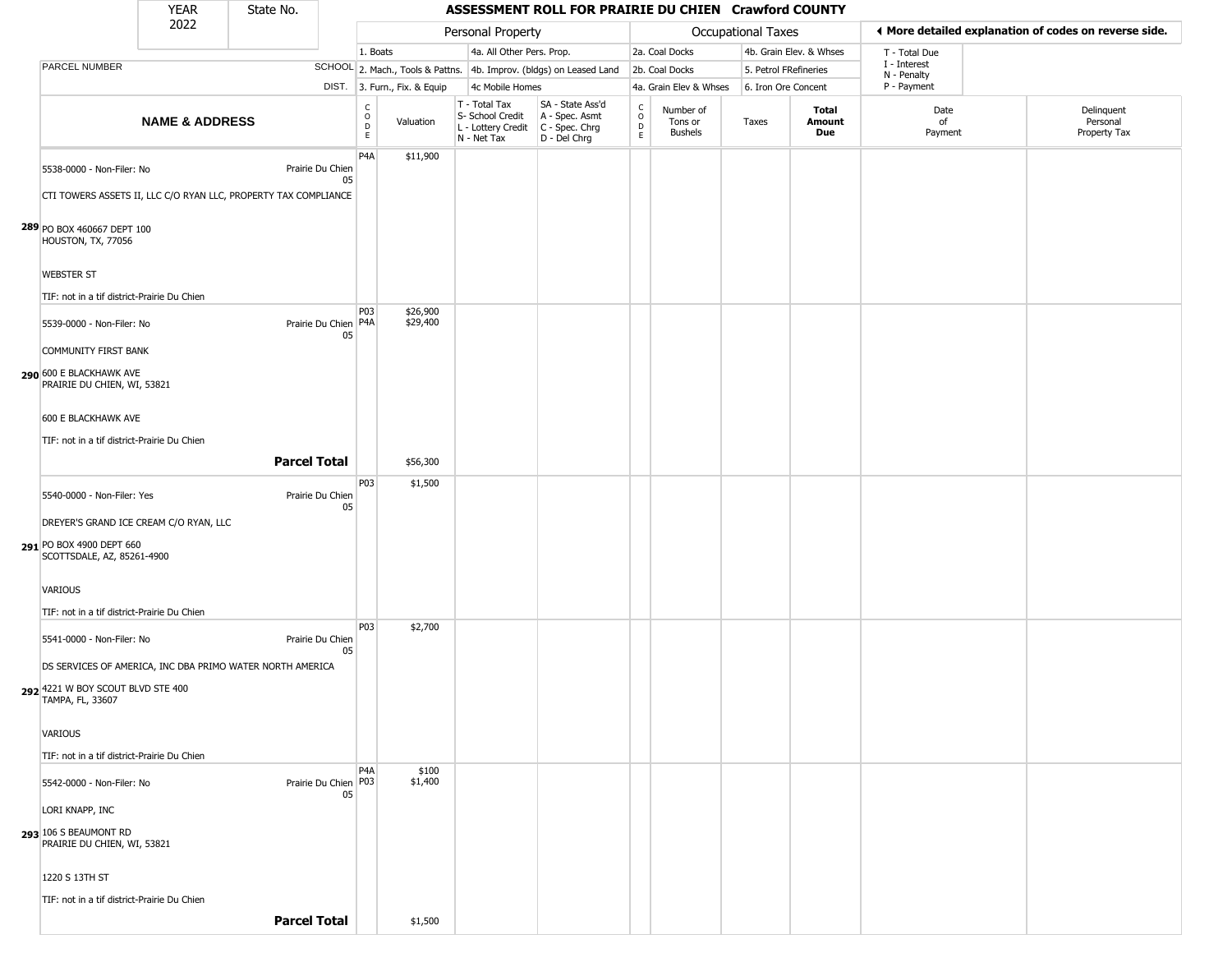#### YEAR **ASSESSMENT ROLL FOR PRAIRIE DU CHIEN Crawford COUNTY** 2022 DIST. 3. Furn., Fix. & Equip PARCEL NUMBER **NAME & ADDRESS** State No. C O D E Valuation T - Total Tax S- School Credit A - Spec. Asmt L - Lottery Credit C - Spec. Chrg N - Net Tax SA - State Ass'd D - Del Chrg C O D E Number of Tons or Bushels Taxes **Total Amount Due** Date of Payment Delinquent Personal Property Tax Personal Property **Department Controller Service Controller** Occupational Taxes 1. Boats **4a. All Other Pers. Prop.** 2a. Coal Docks 4b. Grain Elev. & Whses SCHOOL 2. Mach., Tools & Pattns. 4b. Improv. (bldgs) on Leased Land 2b. Coal Docks 5. Petrol FRefineries 4c Mobile Homes 4a. Grain Elev & Whses 6. Iron Ore Concent T - Total Due I - Interest N - Penalty P - Payment 3**More detailed explanation of codes on reverse side. 289** PO BOX 460667 DEPT 100 5538-0000 - Non-Filer: No Prairie Du Chien 05 CTI TOWERS ASSETS II, LLC C/O RYAN LLC, PROPERTY TAX COMPLIANCE HOUSTON, TX, 77056 WEBSTER ST TIF: not in a tif district-Prairie Du Chien P4A \$11,900 **290** 600 E BLACKHAWK AVE 5539-0000 - Non-Filer: No 05 COMMUNITY FIRST BANK PRAIRIE DU CHIEN, WI, 53821 600 E BLACKHAWK AVE TIF: not in a tif district-Prairie Du Chien P03 Prairie Du Chien | P4A | \$26,900 \$29,400 **Parcel Total** | \$56,300 **291** PO BOX 4900 DEPT 660 5540-0000 - Non-Filer: Yes Prairie Du Chien 05 DREYER'S GRAND ICE CREAM C/O RYAN, LLC SCOTTSDALE, AZ, 85261-4900 VARIOUS TIF: not in a tif district-Prairie Du Chien P03 \$1,500 **292** 4221 W BOY SCOUT BLVD STE 400 5541-0000 - Non-Filer: No Prairie Du Chien 05 DS SERVICES OF AMERICA, INC DBA PRIMO WATER NORTH AMERICA TAMPA, FL, 33607 VARIOUS TIF: not in a tif district-Prairie Du Chien P03 \$2,700 **293** 106 S BEAUMONT RD 5542-0000 - Non-Filer: No 05 LORI KNAPP, INC PRAIRIE DU CHIEN, WI, 53821 1220 S 13TH ST TIF: not in a tif district-Prairie Du Chien  $PA<sub>A</sub>$ Prairie Du Chien | P03 \$100 \$1,400 **Parcel Total** \$1,500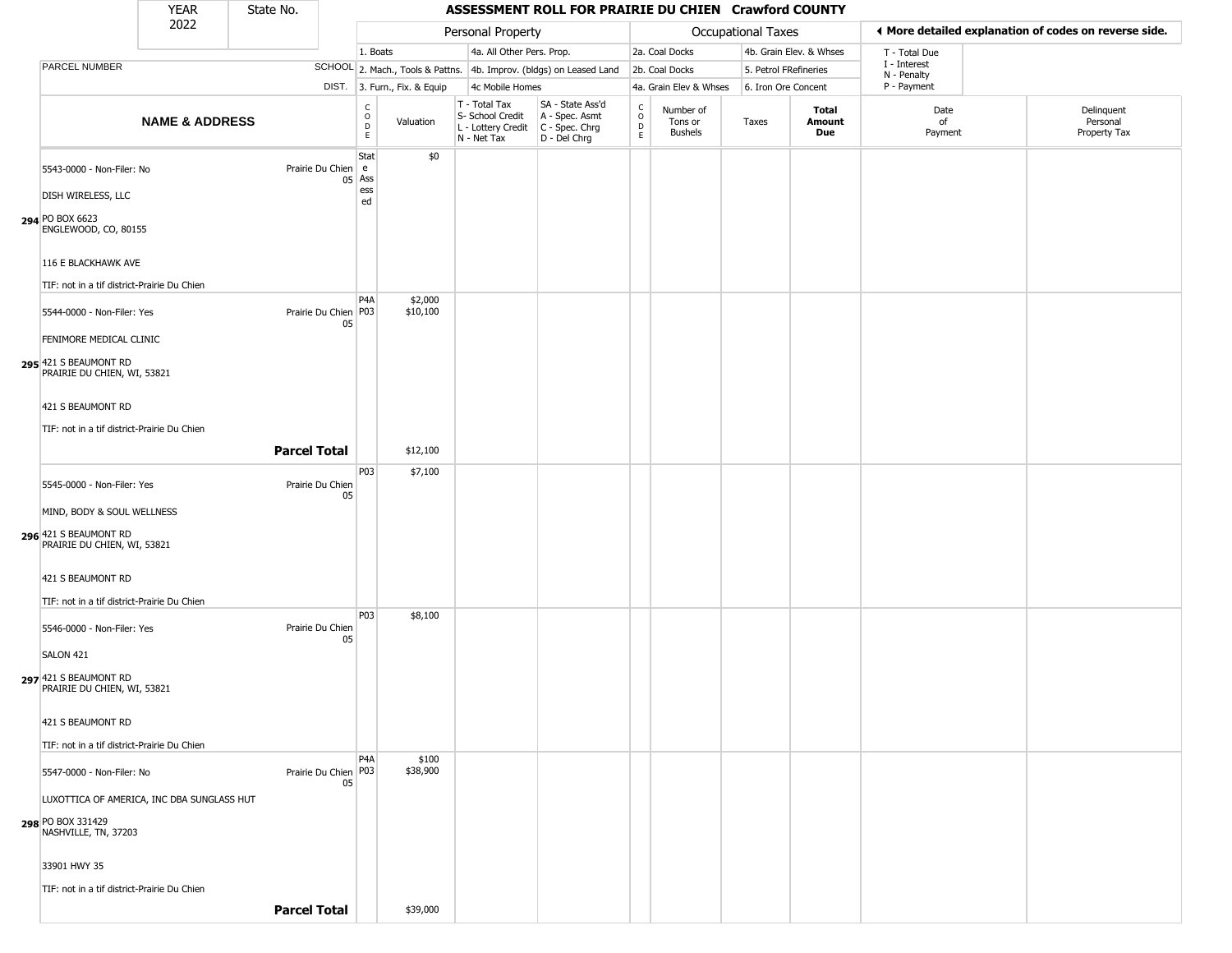## State No.

н

### YEAR State No. **ASSESSMENT ROLL FOR PRAIRIE DU CHIEN Crawford COUNTY**

| 2022                                                                                                                                                                                 |                           |                     |                                                      |                              | Personal Property                                                                       |                                                                     |                         | <b>Occupational Taxes</b>       |                       | ♦ More detailed explanation of codes on reverse side. |                            |                                        |
|--------------------------------------------------------------------------------------------------------------------------------------------------------------------------------------|---------------------------|---------------------|------------------------------------------------------|------------------------------|-----------------------------------------------------------------------------------------|---------------------------------------------------------------------|-------------------------|---------------------------------|-----------------------|-------------------------------------------------------|----------------------------|----------------------------------------|
|                                                                                                                                                                                      |                           |                     |                                                      | 1. Boats                     | 4a. All Other Pers. Prop.                                                               |                                                                     |                         | 2a. Coal Docks                  |                       | 4b. Grain Elev. & Whses                               | T - Total Due              |                                        |
| PARCEL NUMBER                                                                                                                                                                        |                           |                     |                                                      |                              |                                                                                         | SCHOOL 2. Mach., Tools & Pattns. 4b. Improv. (bldgs) on Leased Land |                         | 2b. Coal Docks                  | 5. Petrol FRefineries |                                                       | I - Interest               |                                        |
|                                                                                                                                                                                      |                           |                     |                                                      | DIST. 3. Furn., Fix. & Equip | 4c Mobile Homes                                                                         |                                                                     |                         | 4a. Grain Elev & Whses          | 6. Iron Ore Concent   |                                                       | N - Penalty<br>P - Payment |                                        |
|                                                                                                                                                                                      | <b>NAME &amp; ADDRESS</b> |                     | $\begin{matrix} 0 \\ 0 \\ D \end{matrix}$<br>E       | Valuation                    | T - Total Tax<br>S- School Credit<br>L - Lottery Credit   C - Spec. Chrg<br>N - Net Tax | SA - State Ass'd<br>A - Spec. Asmt<br>D - Del Chrg                  | $\frac{c}{0}$<br>D<br>E | Number of<br>Tons or<br>Bushels | Taxes                 | Total<br>Amount<br>Due                                | Date<br>of<br>Payment      | Delinquent<br>Personal<br>Property Tax |
| 5543-0000 - Non-Filer: No<br>DISH WIRELESS, LLC<br>294 PO BOX 6623                                                                                                                   |                           |                     | Stat<br>Prairie Du Chien e<br>Ass<br>05<br>ess<br>ed | \$0                          |                                                                                         |                                                                     |                         |                                 |                       |                                                       |                            |                                        |
| ENGLEWOOD, CO, 80155<br>116 E BLACKHAWK AVE<br>TIF: not in a tif district-Prairie Du Chien                                                                                           |                           |                     | P <sub>4</sub> A                                     | \$2,000                      |                                                                                         |                                                                     |                         |                                 |                       |                                                       |                            |                                        |
| 5544-0000 - Non-Filer: Yes<br>FENIMORE MEDICAL CLINIC<br>295 421 S BEAUMONT RD<br>PRAIRIE DU CHIEN, WI, 53821                                                                        |                           |                     | Prairie Du Chien   P03<br>05                         | \$10,100                     |                                                                                         |                                                                     |                         |                                 |                       |                                                       |                            |                                        |
| 421 S BEAUMONT RD<br>TIF: not in a tif district-Prairie Du Chien                                                                                                                     |                           | <b>Parcel Total</b> |                                                      | \$12,100                     |                                                                                         |                                                                     |                         |                                 |                       |                                                       |                            |                                        |
| 5545-0000 - Non-Filer: Yes<br>MIND, BODY & SOUL WELLNESS<br>296 421 S BEAUMONT RD<br>PRAIRIE DU CHIEN, WI, 53821<br>421 S BEAUMONT RD<br>TIF: not in a tif district-Prairie Du Chien |                           | Prairie Du Chien    | P03<br>05                                            | \$7,100                      |                                                                                         |                                                                     |                         |                                 |                       |                                                       |                            |                                        |
| 5546-0000 - Non-Filer: Yes<br>SALON 421<br>297 421 S BEAUMONT RD<br>PRAIRIE DU CHIEN, WI, 53821<br>421 S BEAUMONT RD                                                                 |                           | Prairie Du Chien    | P03<br>05                                            | \$8,100                      |                                                                                         |                                                                     |                         |                                 |                       |                                                       |                            |                                        |
| TIF: not in a tif district-Prairie Du Chien<br>5547-0000 - Non-Filer: No                                                                                                             |                           |                     | P <sub>4</sub> A<br>Prairie Du Chien P03<br>05       | \$100<br>\$38,900            |                                                                                         |                                                                     |                         |                                 |                       |                                                       |                            |                                        |
| LUXOTTICA OF AMERICA, INC DBA SUNGLASS HUT<br>298 PO BOX 331429<br>NASHVILLE, TN, 37203<br>33901 HWY 35                                                                              |                           |                     |                                                      |                              |                                                                                         |                                                                     |                         |                                 |                       |                                                       |                            |                                        |
| TIF: not in a tif district-Prairie Du Chien                                                                                                                                          |                           | <b>Parcel Total</b> |                                                      | \$39,000                     |                                                                                         |                                                                     |                         |                                 |                       |                                                       |                            |                                        |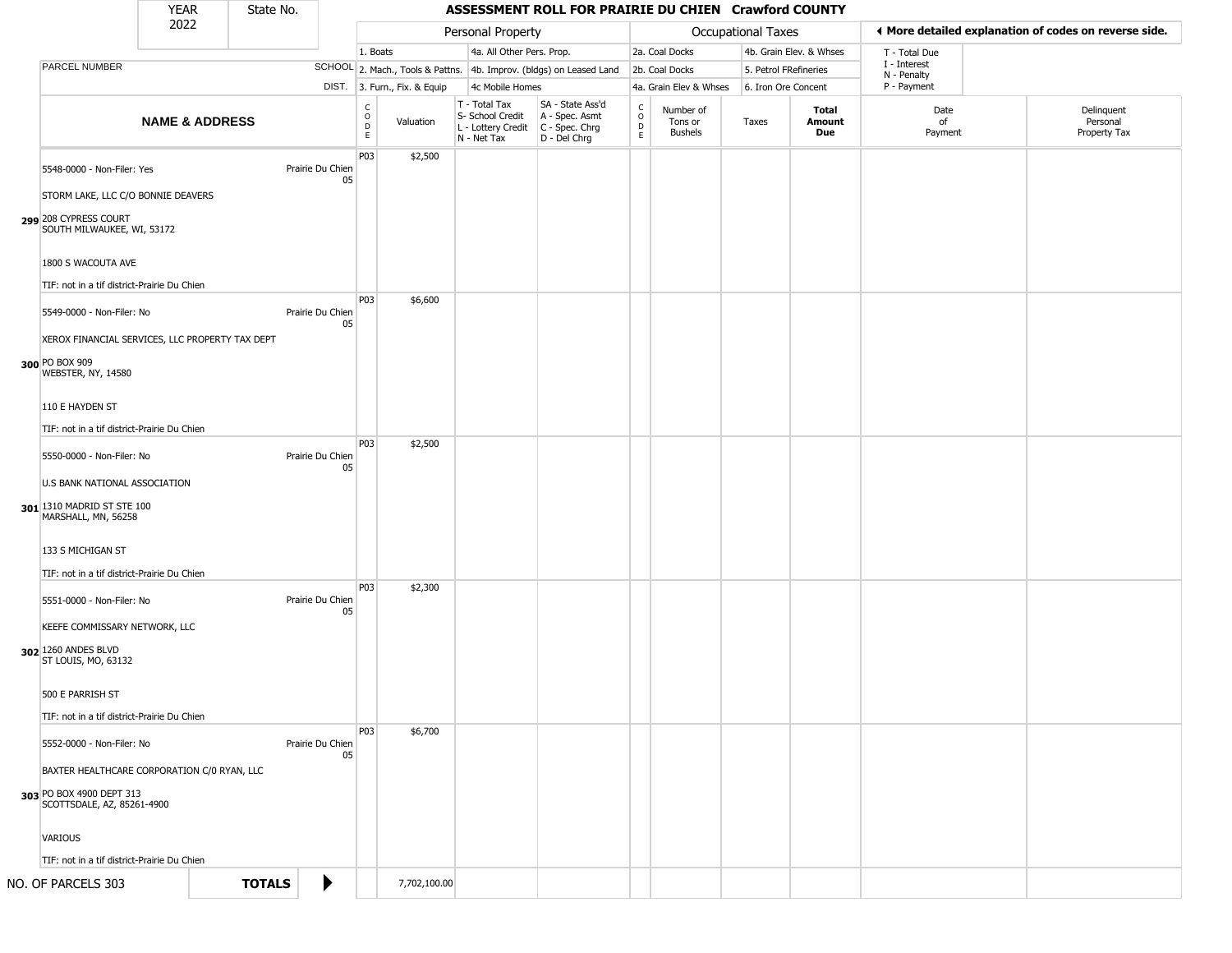| <b>YEAR</b> | State No. |
|-------------|-----------|
| ררחר        |           |

|                                                                                         | <b>YEAR</b> | State No.                 |                        |                      |                              |                                                                        | ASSESSMENT ROLL FOR PRAIRIE DU CHIEN Crawford COUNTY                   |                         |                                 |                       |                         |                                                       |                                        |  |
|-----------------------------------------------------------------------------------------|-------------|---------------------------|------------------------|----------------------|------------------------------|------------------------------------------------------------------------|------------------------------------------------------------------------|-------------------------|---------------------------------|-----------------------|-------------------------|-------------------------------------------------------|----------------------------------------|--|
|                                                                                         | 2022        |                           |                        |                      |                              | Personal Property                                                      |                                                                        |                         |                                 | Occupational Taxes    |                         | ◀ More detailed explanation of codes on reverse side. |                                        |  |
|                                                                                         |             |                           |                        | 1. Boats             |                              | 4a. All Other Pers. Prop.                                              |                                                                        |                         | 2a. Coal Docks                  |                       | 4b. Grain Elev. & Whses | T - Total Due                                         |                                        |  |
| PARCEL NUMBER                                                                           |             |                           |                        |                      |                              |                                                                        | SCHOOL 2. Mach., Tools & Pattns. 4b. Improv. (bldgs) on Leased Land    |                         | 2b. Coal Docks                  | 5. Petrol FRefineries |                         | I - Interest<br>N - Penalty                           |                                        |  |
|                                                                                         |             |                           |                        |                      | DIST. 3. Furn., Fix. & Equip |                                                                        | 4c Mobile Homes                                                        |                         | 4a. Grain Elev & Whses          | 6. Iron Ore Concent   |                         | P - Payment                                           |                                        |  |
|                                                                                         |             | <b>NAME &amp; ADDRESS</b> |                        | $\rm _o^C$<br>D<br>E | Valuation                    | T - Total Tax<br>S- School Credit<br>L - Lottery Credit<br>N - Net Tax | SA - State Ass'd<br>A - Spec. Asmt<br>$C - Spec. Chrg$<br>D - Del Chrg | $\frac{c}{0}$<br>D<br>E | Number of<br>Tons or<br>Bushels | Taxes                 | Total<br>Amount<br>Due  | Date<br>of<br>Payment                                 | Delinquent<br>Personal<br>Property Tax |  |
| 5548-0000 - Non-Filer: Yes                                                              |             |                           | Prairie Du Chien<br>05 | P03                  | \$2,500                      |                                                                        |                                                                        |                         |                                 |                       |                         |                                                       |                                        |  |
| STORM LAKE, LLC C/O BONNIE DEAVERS                                                      |             |                           |                        |                      |                              |                                                                        |                                                                        |                         |                                 |                       |                         |                                                       |                                        |  |
| 299 208 CYPRESS COURT<br>SOUTH MILWAUKEE, WI, 53172                                     |             |                           |                        |                      |                              |                                                                        |                                                                        |                         |                                 |                       |                         |                                                       |                                        |  |
| 1800 S WACOUTA AVE                                                                      |             |                           |                        |                      |                              |                                                                        |                                                                        |                         |                                 |                       |                         |                                                       |                                        |  |
| TIF: not in a tif district-Prairie Du Chien                                             |             |                           |                        | P03                  | \$6,600                      |                                                                        |                                                                        |                         |                                 |                       |                         |                                                       |                                        |  |
| 5549-0000 - Non-Filer: No                                                               |             |                           | Prairie Du Chien<br>05 |                      |                              |                                                                        |                                                                        |                         |                                 |                       |                         |                                                       |                                        |  |
| XEROX FINANCIAL SERVICES, LLC PROPERTY TAX DEPT<br>300 PO BOX 909<br>WEBSTER, NY, 14580 |             |                           |                        |                      |                              |                                                                        |                                                                        |                         |                                 |                       |                         |                                                       |                                        |  |
| 110 E HAYDEN ST                                                                         |             |                           |                        |                      |                              |                                                                        |                                                                        |                         |                                 |                       |                         |                                                       |                                        |  |
| TIF: not in a tif district-Prairie Du Chien                                             |             |                           |                        |                      |                              |                                                                        |                                                                        |                         |                                 |                       |                         |                                                       |                                        |  |
| 5550-0000 - Non-Filer: No                                                               |             |                           | Prairie Du Chien<br>05 | P03                  | \$2,500                      |                                                                        |                                                                        |                         |                                 |                       |                         |                                                       |                                        |  |
| U.S BANK NATIONAL ASSOCIATION<br>301 1310 MADRID ST STE 100<br>MARSHALL, MN, 56258      |             |                           |                        |                      |                              |                                                                        |                                                                        |                         |                                 |                       |                         |                                                       |                                        |  |
| 133 S MICHIGAN ST                                                                       |             |                           |                        |                      |                              |                                                                        |                                                                        |                         |                                 |                       |                         |                                                       |                                        |  |
| TIF: not in a tif district-Prairie Du Chien                                             |             |                           |                        | P03                  | \$2,300                      |                                                                        |                                                                        |                         |                                 |                       |                         |                                                       |                                        |  |
| 5551-0000 - Non-Filer: No                                                               |             |                           | Prairie Du Chien<br>05 |                      |                              |                                                                        |                                                                        |                         |                                 |                       |                         |                                                       |                                        |  |
| KEEFE COMMISSARY NETWORK, LLC<br>302 1260 ANDES BLVD                                    |             |                           |                        |                      |                              |                                                                        |                                                                        |                         |                                 |                       |                         |                                                       |                                        |  |
| ST LOUIS, MO, 63132                                                                     |             |                           |                        |                      |                              |                                                                        |                                                                        |                         |                                 |                       |                         |                                                       |                                        |  |
| 500 E PARRISH ST                                                                        |             |                           |                        |                      |                              |                                                                        |                                                                        |                         |                                 |                       |                         |                                                       |                                        |  |
| TIF: not in a tif district-Prairie Du Chien                                             |             |                           |                        |                      |                              |                                                                        |                                                                        |                         |                                 |                       |                         |                                                       |                                        |  |
| 5552-0000 - Non-Filer: No                                                               |             |                           | Prairie Du Chien<br>05 | <b>P03</b>           | \$6,700                      |                                                                        |                                                                        |                         |                                 |                       |                         |                                                       |                                        |  |
| BAXTER HEALTHCARE CORPORATION C/0 RYAN, LLC<br>303 PO BOX 4900 DEPT 313                 |             |                           |                        |                      |                              |                                                                        |                                                                        |                         |                                 |                       |                         |                                                       |                                        |  |
| SCOTTSDALE, AZ, 85261-4900                                                              |             |                           |                        |                      |                              |                                                                        |                                                                        |                         |                                 |                       |                         |                                                       |                                        |  |
| <b>VARIOUS</b>                                                                          |             |                           |                        |                      |                              |                                                                        |                                                                        |                         |                                 |                       |                         |                                                       |                                        |  |
| TIF: not in a tif district-Prairie Du Chien                                             |             |                           |                        |                      |                              |                                                                        |                                                                        |                         |                                 |                       |                         |                                                       |                                        |  |
| NO. OF PARCELS 303                                                                      |             | <b>TOTALS</b>             | ▶                      |                      | 7,702,100.00                 |                                                                        |                                                                        |                         |                                 |                       |                         |                                                       |                                        |  |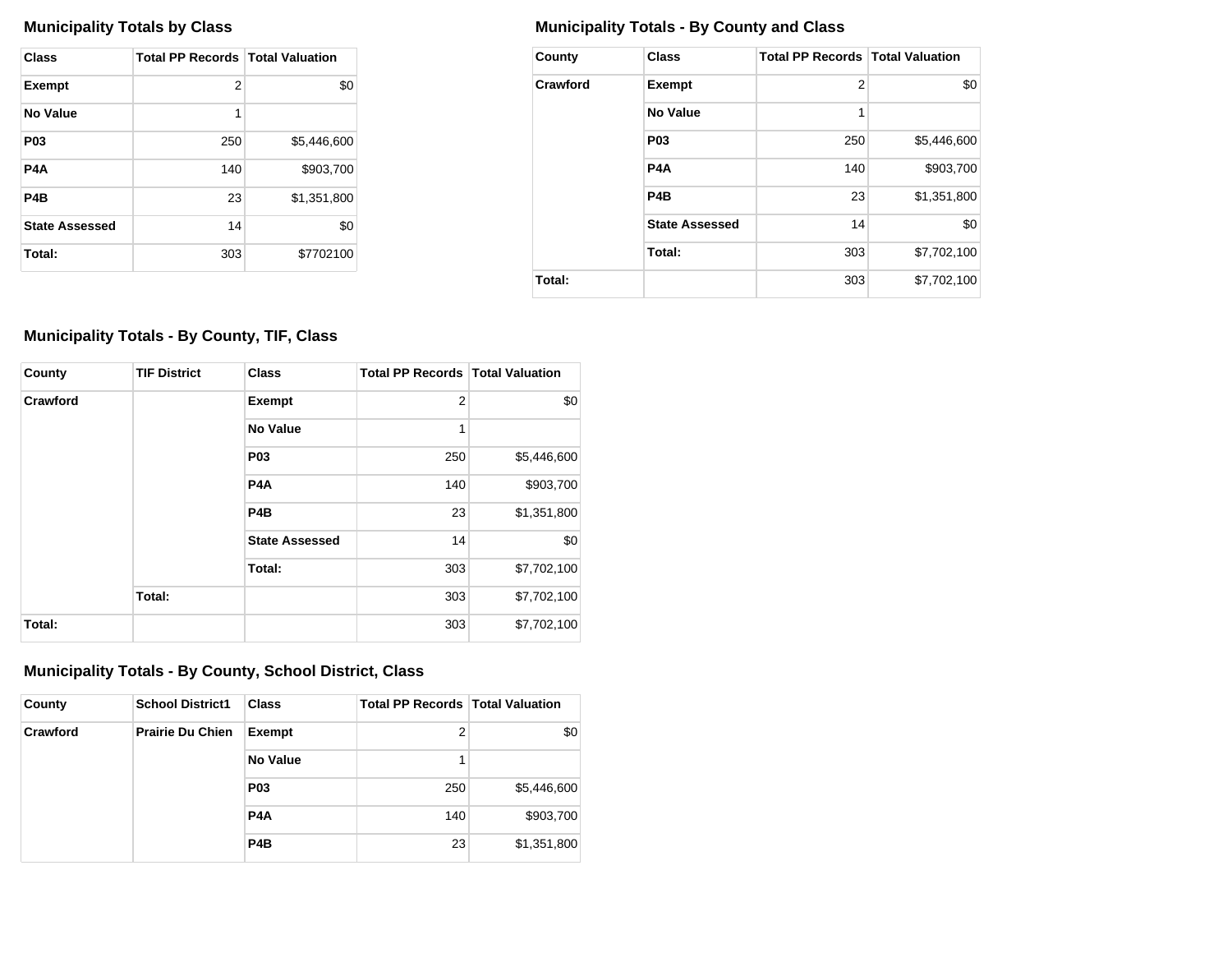| <b>Class</b>          | <b>Total PP Records   Total Valuation</b> |             |
|-----------------------|-------------------------------------------|-------------|
| <b>Exempt</b>         | 2                                         | \$0         |
| No Value              | 1                                         |             |
| P <sub>0</sub> 3      | 250                                       | \$5,446,600 |
| P4A                   | 140                                       | \$903.700   |
| P4B                   | 23                                        | \$1,351,800 |
| <b>State Assessed</b> | 14                                        | \$0         |
| Total:                | 303                                       | \$7702100   |

## **Municipality Totals by Class Municipality Totals - By County and Class**

| County   | <b>Class</b>          | <b>Total PP Records   Total Valuation</b> |             |
|----------|-----------------------|-------------------------------------------|-------------|
| Crawford | <b>Exempt</b>         | $\overline{2}$                            | \$0         |
|          | No Value              | 1                                         |             |
|          | P <sub>0</sub> 3      | 250                                       | \$5,446,600 |
|          | P <sub>4</sub> A      | 140                                       | \$903,700   |
|          | P <sub>4</sub> B      | 23                                        | \$1,351,800 |
|          | <b>State Assessed</b> | 14                                        | \$0         |
|          | Total:                | 303                                       | \$7,702,100 |
| Total:   |                       | 303                                       | \$7,702,100 |

## **Municipality Totals - By County, TIF, Class**

| County   | <b>TIF District</b> | <b>Class</b>          | <b>Total PP Records   Total Valuation</b> |             |
|----------|---------------------|-----------------------|-------------------------------------------|-------------|
| Crawford |                     | <b>Exempt</b>         | $\overline{2}$                            | \$0         |
|          |                     | No Value              | 1                                         |             |
|          |                     | P <sub>03</sub>       | 250                                       | \$5,446,600 |
|          |                     | P <sub>4</sub> A      | 140                                       | \$903,700   |
|          |                     | P <sub>4</sub> B      | 23                                        | \$1,351,800 |
|          |                     | <b>State Assessed</b> | 14                                        | \$0         |
|          |                     | Total:                | 303                                       | \$7,702,100 |
|          | Total:              |                       | 303                                       | \$7,702,100 |
| Total:   |                     |                       | 303                                       | \$7,702,100 |

## **Municipality Totals - By County, School District, Class**

| County   | <b>School District1</b> | <b>Class</b>     | <b>Total PP Records   Total Valuation</b> |             |
|----------|-------------------------|------------------|-------------------------------------------|-------------|
| Crawford | <b>Prairie Du Chien</b> | <b>Exempt</b>    | 2                                         | \$0         |
|          |                         | <b>No Value</b>  |                                           |             |
|          |                         | <b>P03</b>       | 250                                       | \$5,446,600 |
|          |                         | P <sub>4</sub> A | 140                                       | \$903,700   |
|          |                         | P <sub>4</sub> B | 23                                        | \$1,351,800 |